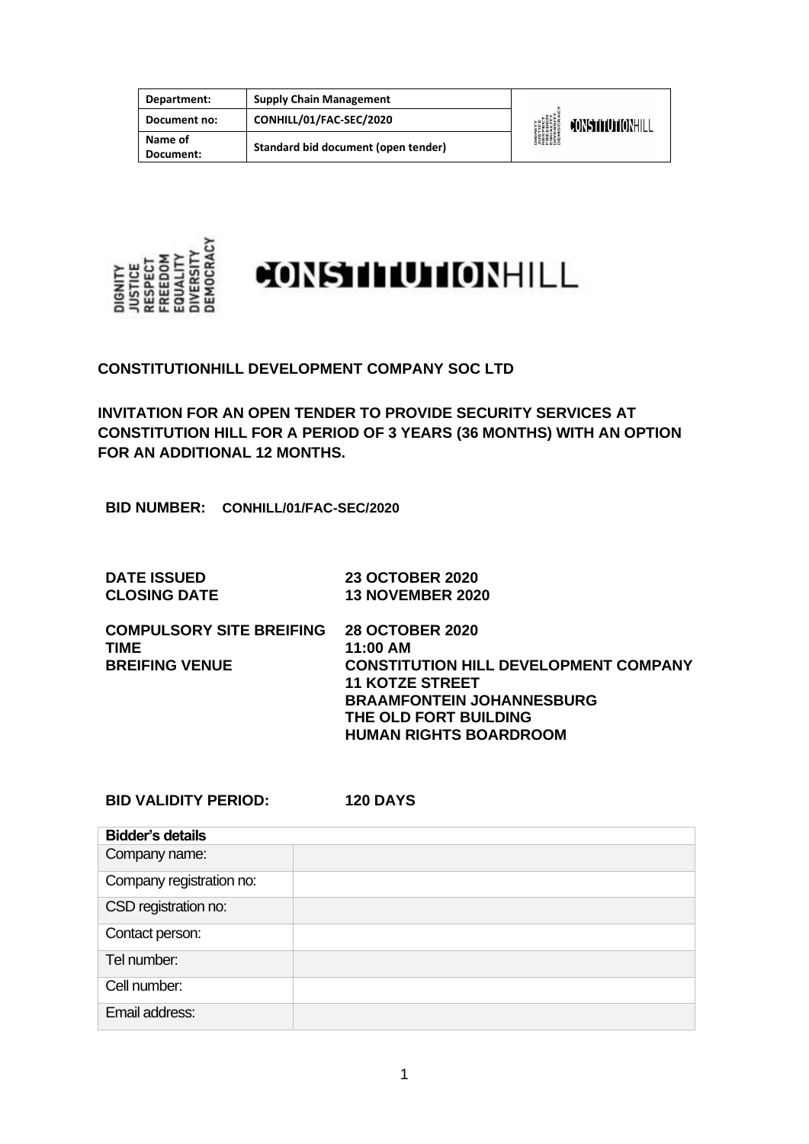| Department:          | <b>Supply Chain Management</b>      |                                                                                                                     |                  |
|----------------------|-------------------------------------|---------------------------------------------------------------------------------------------------------------------|------------------|
| Document no:         | CONHILL/01/FAC-SEC/2020             | <b>DIGNITY</b><br><b><i>NISTICE<br/>RESPECT<br/>RESPECT<br/>ERECOM<br/>DIVERSITY</i><br/>DIVERSITY<br/>DEMOCRAN</b> | CONSTITUTIONHILL |
| Name of<br>Document: | Standard bid document (open tender) |                                                                                                                     |                  |



**CONSTITUTIONHILL DEVELOPMENT COMPANY SOC LTD**

**INVITATION FOR AN OPEN TENDER TO PROVIDE SECURITY SERVICES AT CONSTITUTION HILL FOR A PERIOD OF 3 YEARS (36 MONTHS) WITH AN OPTION FOR AN ADDITIONAL 12 MONTHS.**

**BID NUMBER: CONHILL/01/FAC-SEC/2020**

| <b>DATE ISSUED</b>  | <b>23 OCTOBER 2020</b>  |
|---------------------|-------------------------|
| <b>CLOSING DATE</b> | <b>13 NOVEMBER 2020</b> |

**COMPULSORY SITE BREIFING 28 OCTOBER 2020 11:00 AM BREIFING VENUE CONSTITUTION HILL DEVELOPMENT COMPANY 11 KOTZE STREET BRAAMFONTEIN JOHANNESBURG THE OLD FORT BUILDING HUMAN RIGHTS BOARDROOM** 

**BID VALIDITY PERIOD: 120 DAYS**

| <b>Bidder's details</b>  |  |
|--------------------------|--|
| Company name:            |  |
| Company registration no: |  |
| CSD registration no:     |  |
| Contact person:          |  |
| Tel number:              |  |
| Cell number:             |  |
| Email address:           |  |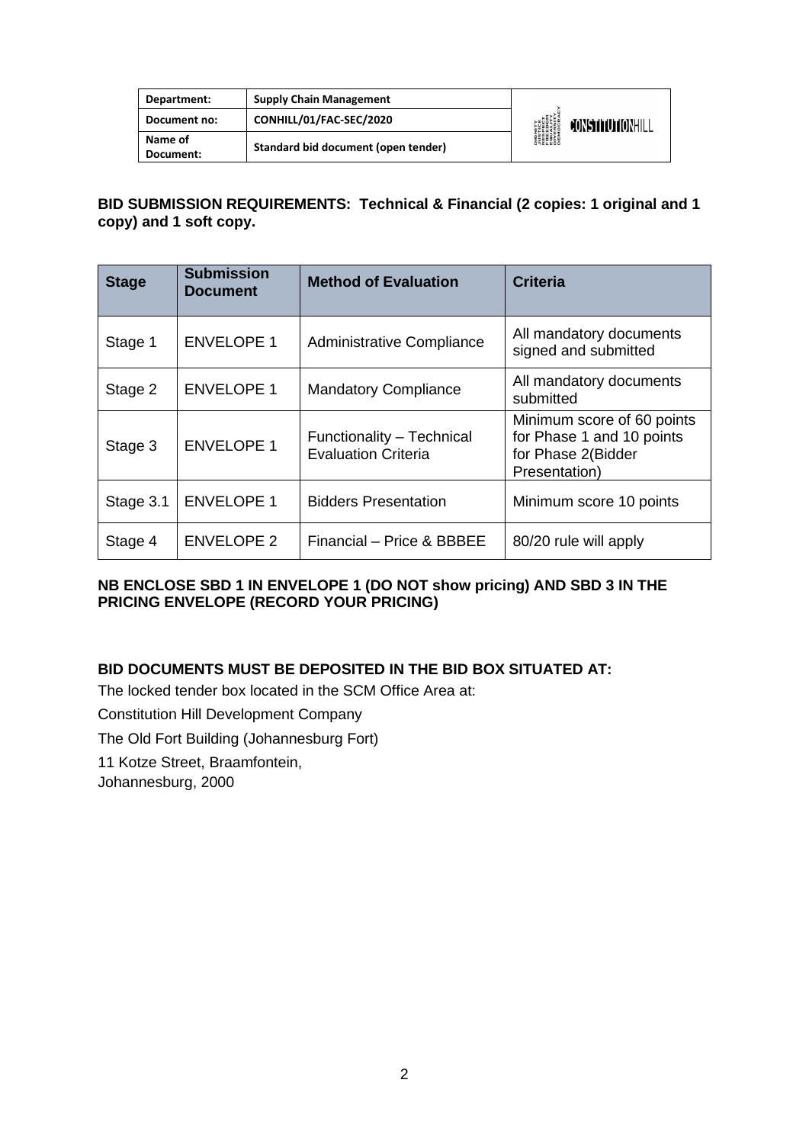| Department:          | <b>Supply Chain Management</b>      |                                                                                                     |                  |
|----------------------|-------------------------------------|-----------------------------------------------------------------------------------------------------|------------------|
| Document no:         | CONHILL/01/FAC-SEC/2020             | <b>DIGNITY<br/>AUSTICE<br/>RESPECT<br/>FREEDOM<br/>FREEDOM</b><br>DIVERSITY<br>DIVERSITY<br>DEMOCRA | CONSTITUTIONHILL |
| Name of<br>Document: | Standard bid document (open tender) |                                                                                                     |                  |

#### **BID SUBMISSION REQUIREMENTS: Technical & Financial (2 copies: 1 original and 1 copy) and 1 soft copy.**

| <b>Stage</b> | <b>Submission</b><br><b>Document</b> | <b>Method of Evaluation</b>                             | <b>Criteria</b>                                                                                |
|--------------|--------------------------------------|---------------------------------------------------------|------------------------------------------------------------------------------------------------|
| Stage 1      | <b>ENVELOPE 1</b>                    | Administrative Compliance                               | All mandatory documents<br>signed and submitted                                                |
| Stage 2      | <b>ENVELOPE 1</b>                    | <b>Mandatory Compliance</b>                             | All mandatory documents<br>submitted                                                           |
| Stage 3      | <b>ENVELOPE 1</b>                    | Functionality - Technical<br><b>Evaluation Criteria</b> | Minimum score of 60 points<br>for Phase 1 and 10 points<br>for Phase 2(Bidder<br>Presentation) |
| Stage 3.1    | <b>ENVELOPE 1</b>                    | <b>Bidders Presentation</b>                             | Minimum score 10 points                                                                        |
| Stage 4      | <b>ENVELOPE 2</b>                    | Financial - Price & BBBEE                               | 80/20 rule will apply                                                                          |

#### **NB ENCLOSE SBD 1 IN ENVELOPE 1 (DO NOT show pricing) AND SBD 3 IN THE PRICING ENVELOPE (RECORD YOUR PRICING)**

### **BID DOCUMENTS MUST BE DEPOSITED IN THE BID BOX SITUATED AT:**

The locked tender box located in the SCM Office Area at:

Constitution Hill Development Company

The Old Fort Building (Johannesburg Fort)

11 Kotze Street, Braamfontein,

Johannesburg, 2000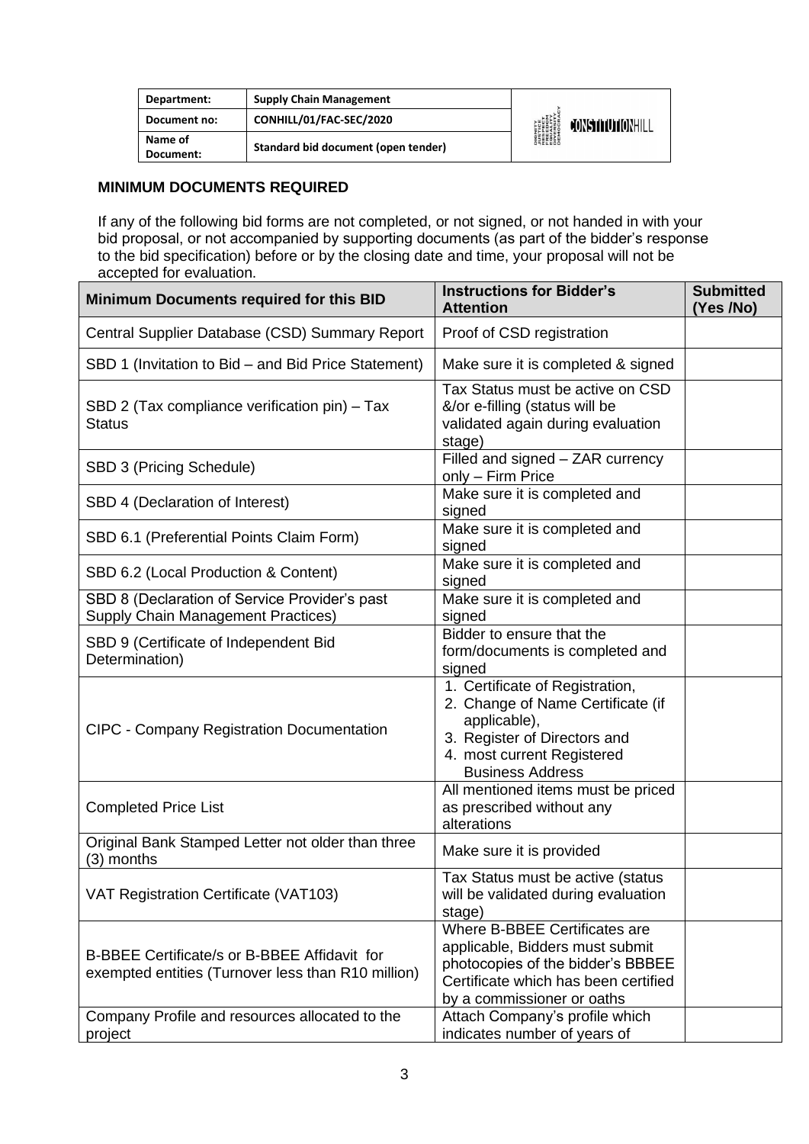| Department:          | <b>Supply Chain Management</b>      |                                                                      |                  |
|----------------------|-------------------------------------|----------------------------------------------------------------------|------------------|
| Document no:         | CONHILL/01/FAC-SEC/2020             | DIGNITY<br>PUSTICE<br>FRESPECT<br>EQUENSITY<br>DIVERSITY<br>DIEMOCRA | CONSTITUTIONHILL |
| Name of<br>Document: | Standard bid document (open tender) |                                                                      |                  |

#### **MINIMUM DOCUMENTS REQUIRED**

If any of the following bid forms are not completed, or not signed, or not handed in with your bid proposal, or not accompanied by supporting documents (as part of the bidder's response to the bid specification) before or by the closing date and time, your proposal will not be accepted for evaluation.

| <b>Minimum Documents required for this BID</b>                                                     | <b>Instructions for Bidder's</b><br><b>Attention</b>                                                                                                                          | <b>Submitted</b><br>(Yes /No) |
|----------------------------------------------------------------------------------------------------|-------------------------------------------------------------------------------------------------------------------------------------------------------------------------------|-------------------------------|
| Central Supplier Database (CSD) Summary Report                                                     | Proof of CSD registration                                                                                                                                                     |                               |
| SBD 1 (Invitation to Bid – and Bid Price Statement)                                                | Make sure it is completed & signed                                                                                                                                            |                               |
| SBD 2 (Tax compliance verification pin) - Tax<br><b>Status</b>                                     | Tax Status must be active on CSD<br>&/or e-filling (status will be<br>validated again during evaluation<br>stage)                                                             |                               |
| SBD 3 (Pricing Schedule)                                                                           | Filled and signed - ZAR currency<br>only - Firm Price                                                                                                                         |                               |
| SBD 4 (Declaration of Interest)                                                                    | Make sure it is completed and<br>signed                                                                                                                                       |                               |
| SBD 6.1 (Preferential Points Claim Form)                                                           | Make sure it is completed and<br>signed                                                                                                                                       |                               |
| SBD 6.2 (Local Production & Content)                                                               | Make sure it is completed and<br>signed                                                                                                                                       |                               |
| SBD 8 (Declaration of Service Provider's past<br>Supply Chain Management Practices)                | Make sure it is completed and<br>signed                                                                                                                                       |                               |
| SBD 9 (Certificate of Independent Bid<br>Determination)                                            | Bidder to ensure that the<br>form/documents is completed and<br>signed                                                                                                        |                               |
| <b>CIPC - Company Registration Documentation</b>                                                   | 1. Certificate of Registration,<br>2. Change of Name Certificate (if<br>applicable),<br>3. Register of Directors and<br>4. most current Registered<br><b>Business Address</b> |                               |
| <b>Completed Price List</b>                                                                        | All mentioned items must be priced<br>as prescribed without any<br>alterations                                                                                                |                               |
| Original Bank Stamped Letter not older than three<br>(3) months                                    | Make sure it is provided                                                                                                                                                      |                               |
| VAT Registration Certificate (VAT103)                                                              | Tax Status must be active (status<br>will be validated during evaluation<br>stage)                                                                                            |                               |
| B-BBEE Certificate/s or B-BBEE Affidavit for<br>exempted entities (Turnover less than R10 million) | Where B-BBEE Certificates are<br>applicable, Bidders must submit<br>photocopies of the bidder's BBBEE<br>Certificate which has been certified<br>by a commissioner or oaths   |                               |
| Company Profile and resources allocated to the<br>project                                          | Attach Company's profile which<br>indicates number of years of                                                                                                                |                               |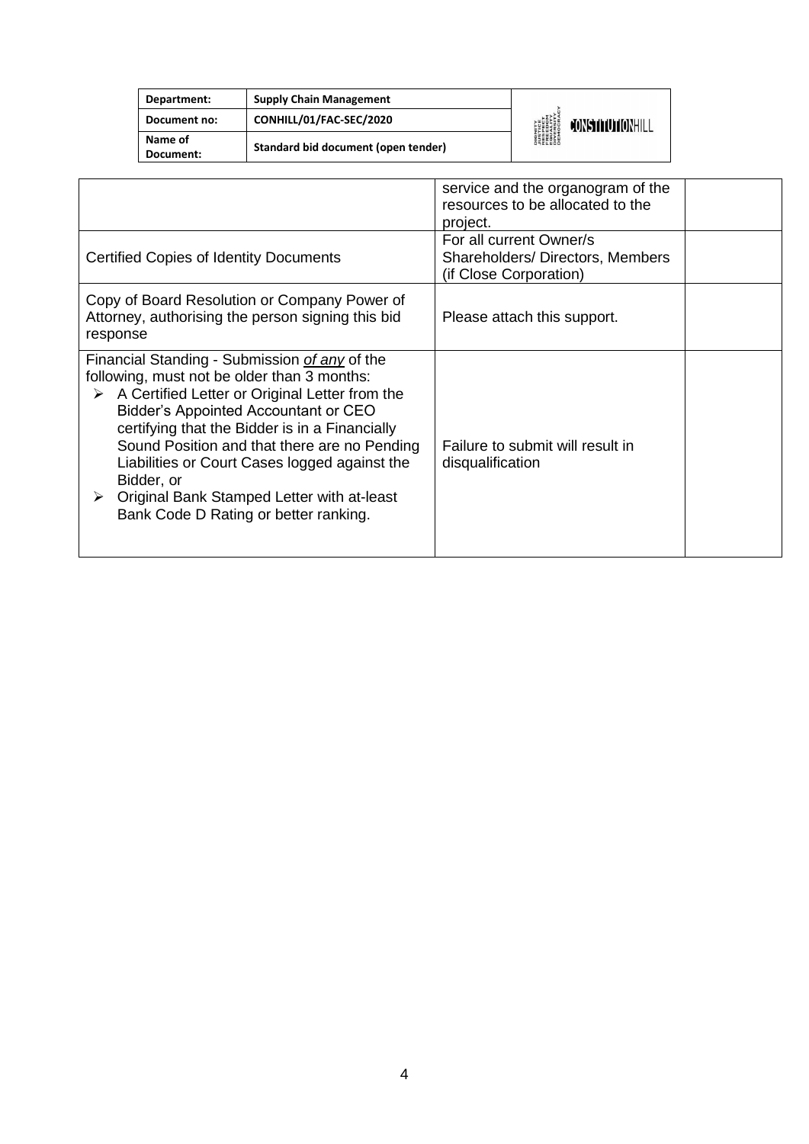| Department:          | <b>Supply Chain Management</b>      |                                                                                                    |                  |
|----------------------|-------------------------------------|----------------------------------------------------------------------------------------------------|------------------|
| Document no:         | CONHILL/01/FAC-SEC/2020             | <b>DIGNITY</b><br><i><b>JUSTICE</b></i><br>RESPECT<br>RESPECT<br>EQUERSITY<br>DIVERSITY<br>DEMOCRA | CONSTITUTIONHILL |
| Name of<br>Document: | Standard bid document (open tender) |                                                                                                    |                  |
|                      |                                     |                                                                                                    |                  |

|                                                                                                                                                                                                                                                                                                                                                                                                                                                                 | service and the organogram of the<br>resources to be allocated to the<br>project.    |
|-----------------------------------------------------------------------------------------------------------------------------------------------------------------------------------------------------------------------------------------------------------------------------------------------------------------------------------------------------------------------------------------------------------------------------------------------------------------|--------------------------------------------------------------------------------------|
| Certified Copies of Identity Documents                                                                                                                                                                                                                                                                                                                                                                                                                          | For all current Owner/s<br>Shareholders/Directors, Members<br>(if Close Corporation) |
| Copy of Board Resolution or Company Power of<br>Attorney, authorising the person signing this bid<br>response                                                                                                                                                                                                                                                                                                                                                   | Please attach this support.                                                          |
| Financial Standing - Submission of any of the<br>following, must not be older than 3 months:<br>A Certified Letter or Original Letter from the<br>➤<br><b>Bidder's Appointed Accountant or CEO</b><br>certifying that the Bidder is in a Financially<br>Sound Position and that there are no Pending<br>Liabilities or Court Cases logged against the<br>Bidder, or<br>Original Bank Stamped Letter with at-least<br>➤<br>Bank Code D Rating or better ranking. | Failure to submit will result in<br>disqualification                                 |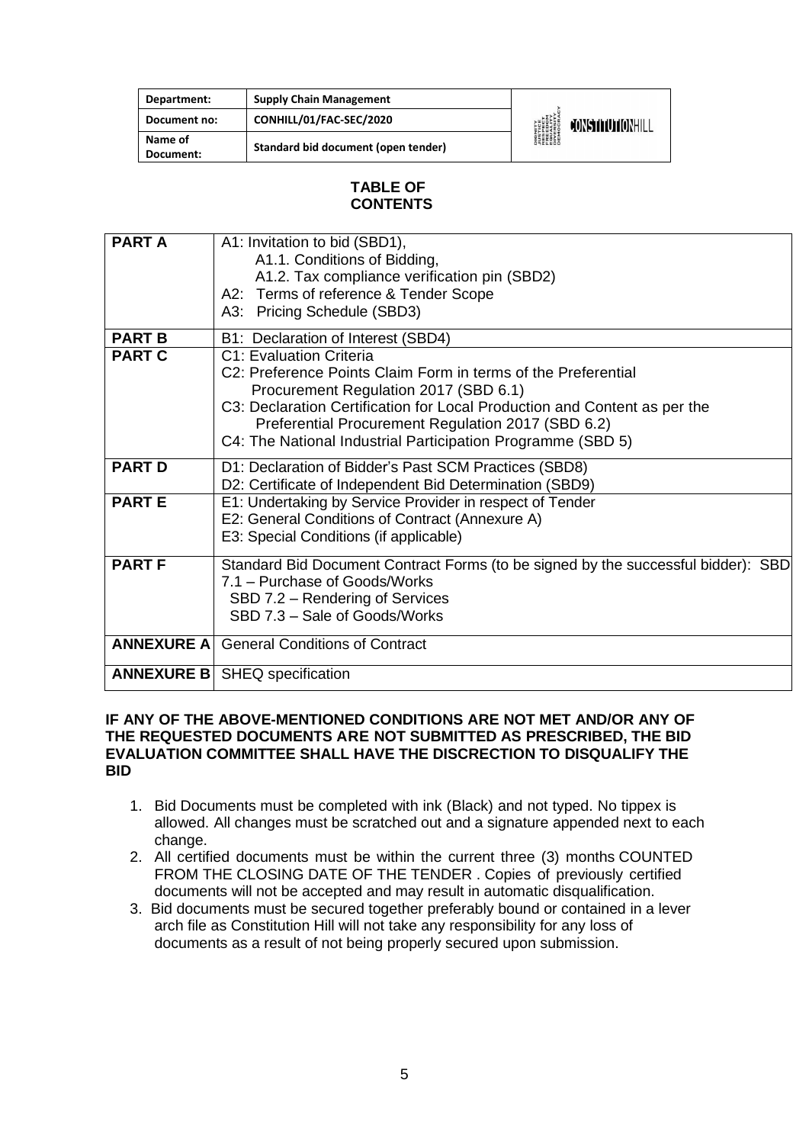| Department:          | <b>Supply Chain Management</b>      |                                                                                        |                  |
|----------------------|-------------------------------------|----------------------------------------------------------------------------------------|------------------|
| Document no:         | CONHILL/01/FAC-SEC/2020             | <b>DIGNITY</b><br>PISTICE<br>FRESPECT<br>EQUALITY<br>DIVERSITY<br>DIVERSITY<br>DEMOCRA | CONSTITUTIONHILL |
| Name of<br>Document: | Standard bid document (open tender) |                                                                                        |                  |

#### **TABLE OF CONTENTS**

| <b>PART A</b>     | A1: Invitation to bid (SBD1),<br>A1.1. Conditions of Bidding,<br>A1.2. Tax compliance verification pin (SBD2)<br>A2: Terms of reference & Tender Scope<br>A3: Pricing Schedule (SBD3)                                                                                                                                                                                     |
|-------------------|---------------------------------------------------------------------------------------------------------------------------------------------------------------------------------------------------------------------------------------------------------------------------------------------------------------------------------------------------------------------------|
| <b>PART B</b>     |                                                                                                                                                                                                                                                                                                                                                                           |
| <b>PART C</b>     | B1: Declaration of Interest (SBD4)<br>C1: Evaluation Criteria<br>C2: Preference Points Claim Form in terms of the Preferential<br>Procurement Regulation 2017 (SBD 6.1)<br>C3: Declaration Certification for Local Production and Content as per the<br>Preferential Procurement Regulation 2017 (SBD 6.2)<br>C4: The National Industrial Participation Programme (SBD 5) |
| <b>PART D</b>     | D1: Declaration of Bidder's Past SCM Practices (SBD8)<br>D2: Certificate of Independent Bid Determination (SBD9)                                                                                                                                                                                                                                                          |
| <b>PARTE</b>      | E1: Undertaking by Service Provider in respect of Tender<br>E2: General Conditions of Contract (Annexure A)<br>E3: Special Conditions (if applicable)                                                                                                                                                                                                                     |
| <b>PART F</b>     | Standard Bid Document Contract Forms (to be signed by the successful bidder): SBD<br>7.1 – Purchase of Goods/Works<br>SBD 7.2 - Rendering of Services<br>SBD 7.3 - Sale of Goods/Works                                                                                                                                                                                    |
|                   | <b>ANNEXURE A General Conditions of Contract</b>                                                                                                                                                                                                                                                                                                                          |
| <b>ANNEXURE B</b> | SHEQ specification                                                                                                                                                                                                                                                                                                                                                        |

#### **IF ANY OF THE ABOVE-MENTIONED CONDITIONS ARE NOT MET AND/OR ANY OF THE REQUESTED DOCUMENTS ARE NOT SUBMITTED AS PRESCRIBED, THE BID EVALUATION COMMITTEE SHALL HAVE THE DISCRECTION TO DISQUALIFY THE BID**

- 1. Bid Documents must be completed with ink (Black) and not typed. No tippex is allowed. All changes must be scratched out and a signature appended next to each change.
- 2. All certified documents must be within the current three (3) months COUNTED FROM THE CLOSING DATE OF THE TENDER . Copies of previously certified documents will not be accepted and may result in automatic disqualification.
- 3. Bid documents must be secured together preferably bound or contained in a lever arch file as Constitution Hill will not take any responsibility for any loss of documents as a result of not being properly secured upon submission.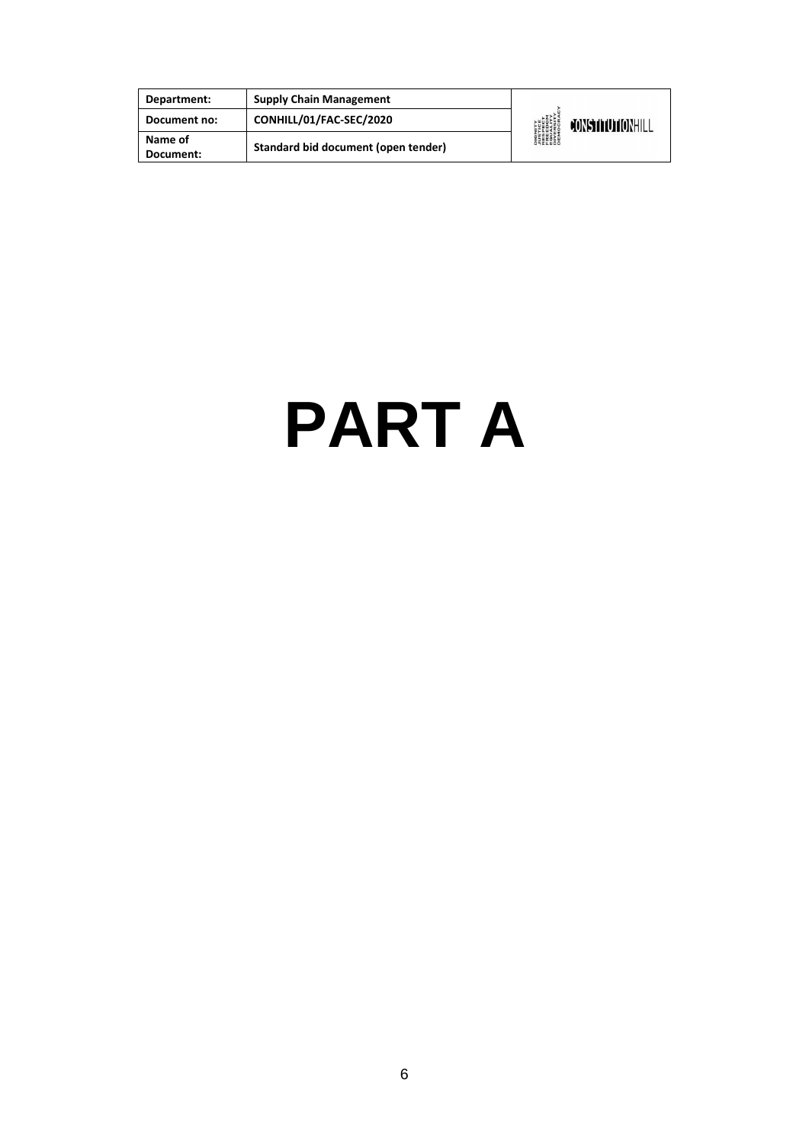| Department:          | <b>Supply Chain Management</b>      |                                                                                                                     |                  |
|----------------------|-------------------------------------|---------------------------------------------------------------------------------------------------------------------|------------------|
| Document no:         | CONHILL/01/FAC-SEC/2020             | <b>DIGNITY</b><br><b><i>NISTICE<br/>RESPECT<br/>RESPECT<br/>ERECOM<br/>DIVERSITY</i><br/>DIVERSITY<br/>DEMOCRAN</b> | CONSTITUTIONHILL |
| Name of<br>Document: | Standard bid document (open tender) |                                                                                                                     |                  |

# **PART A**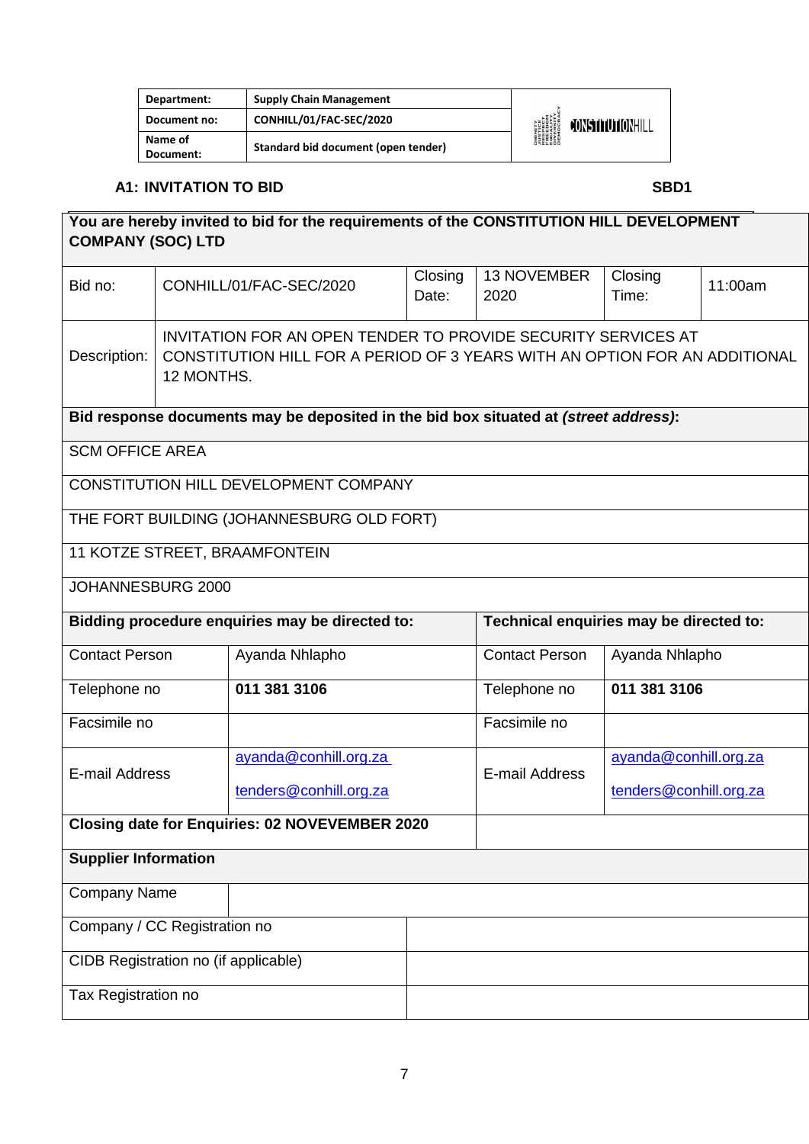| Department:          | <b>Supply Chain Management</b>      |                                                                                                                     |                  |
|----------------------|-------------------------------------|---------------------------------------------------------------------------------------------------------------------|------------------|
| Document no:         | CONHILL/01/FAC-SEC/2020             | <b>DIGNITY</b><br><b><i>NISTICE<br/>RESPECT<br/>RESPECT<br/>RESPITY<br/>DIVERSITY<br/>DIROCRAN</i><br/>DEMOCRAN</b> | CONSTITUTIONHILL |
| Name of<br>Document: | Standard bid document (open tender) |                                                                                                                     |                  |

### **A1: INVITATION TO BID SBD1**

| You are hereby invited to bid for the requirements of the CONSTITUTION HILL DEVELOPMENT<br><b>COMPANY (SOC) LTD</b> |                                                                                                                                                           |                                                                                      |                  |                                         |                        |         |
|---------------------------------------------------------------------------------------------------------------------|-----------------------------------------------------------------------------------------------------------------------------------------------------------|--------------------------------------------------------------------------------------|------------------|-----------------------------------------|------------------------|---------|
| Bid no:                                                                                                             |                                                                                                                                                           | CONHILL/01/FAC-SEC/2020                                                              | Closing<br>Date: | 13 NOVEMBER<br>2020                     | Closing<br>Time:       | 11:00am |
| Description:                                                                                                        | INVITATION FOR AN OPEN TENDER TO PROVIDE SECURITY SERVICES AT<br>CONSTITUTION HILL FOR A PERIOD OF 3 YEARS WITH AN OPTION FOR AN ADDITIONAL<br>12 MONTHS. |                                                                                      |                  |                                         |                        |         |
|                                                                                                                     |                                                                                                                                                           | Bid response documents may be deposited in the bid box situated at (street address): |                  |                                         |                        |         |
| <b>SCM OFFICE AREA</b>                                                                                              |                                                                                                                                                           |                                                                                      |                  |                                         |                        |         |
|                                                                                                                     |                                                                                                                                                           | CONSTITUTION HILL DEVELOPMENT COMPANY                                                |                  |                                         |                        |         |
|                                                                                                                     |                                                                                                                                                           | THE FORT BUILDING (JOHANNESBURG OLD FORT)                                            |                  |                                         |                        |         |
|                                                                                                                     |                                                                                                                                                           | 11 KOTZE STREET, BRAAMFONTEIN                                                        |                  |                                         |                        |         |
| JOHANNESBURG 2000                                                                                                   |                                                                                                                                                           |                                                                                      |                  |                                         |                        |         |
|                                                                                                                     |                                                                                                                                                           | Bidding procedure enquiries may be directed to:                                      |                  | Technical enquiries may be directed to: |                        |         |
| <b>Contact Person</b>                                                                                               |                                                                                                                                                           | Ayanda Nhlapho                                                                       |                  | <b>Contact Person</b>                   | Ayanda Nhlapho         |         |
| Telephone no                                                                                                        |                                                                                                                                                           | 011 381 3106                                                                         |                  | Telephone no                            | 011 381 3106           |         |
| Facsimile no                                                                                                        |                                                                                                                                                           |                                                                                      |                  | Facsimile no                            |                        |         |
| E-mail Address                                                                                                      |                                                                                                                                                           | ayanda@conhill.org.za                                                                |                  | E-mail Address                          | ayanda@conhill.org.za  |         |
|                                                                                                                     |                                                                                                                                                           | tenders@conhill.org.za                                                               |                  |                                         | tenders@conhill.org.za |         |
|                                                                                                                     |                                                                                                                                                           | <b>Closing date for Enquiries: 02 NOVEVEMBER 2020</b>                                |                  |                                         |                        |         |
| <b>Supplier Information</b>                                                                                         |                                                                                                                                                           |                                                                                      |                  |                                         |                        |         |
| <b>Company Name</b>                                                                                                 |                                                                                                                                                           |                                                                                      |                  |                                         |                        |         |
| Company / CC Registration no                                                                                        |                                                                                                                                                           |                                                                                      |                  |                                         |                        |         |
| CIDB Registration no (if applicable)                                                                                |                                                                                                                                                           |                                                                                      |                  |                                         |                        |         |
| Tax Registration no                                                                                                 |                                                                                                                                                           |                                                                                      |                  |                                         |                        |         |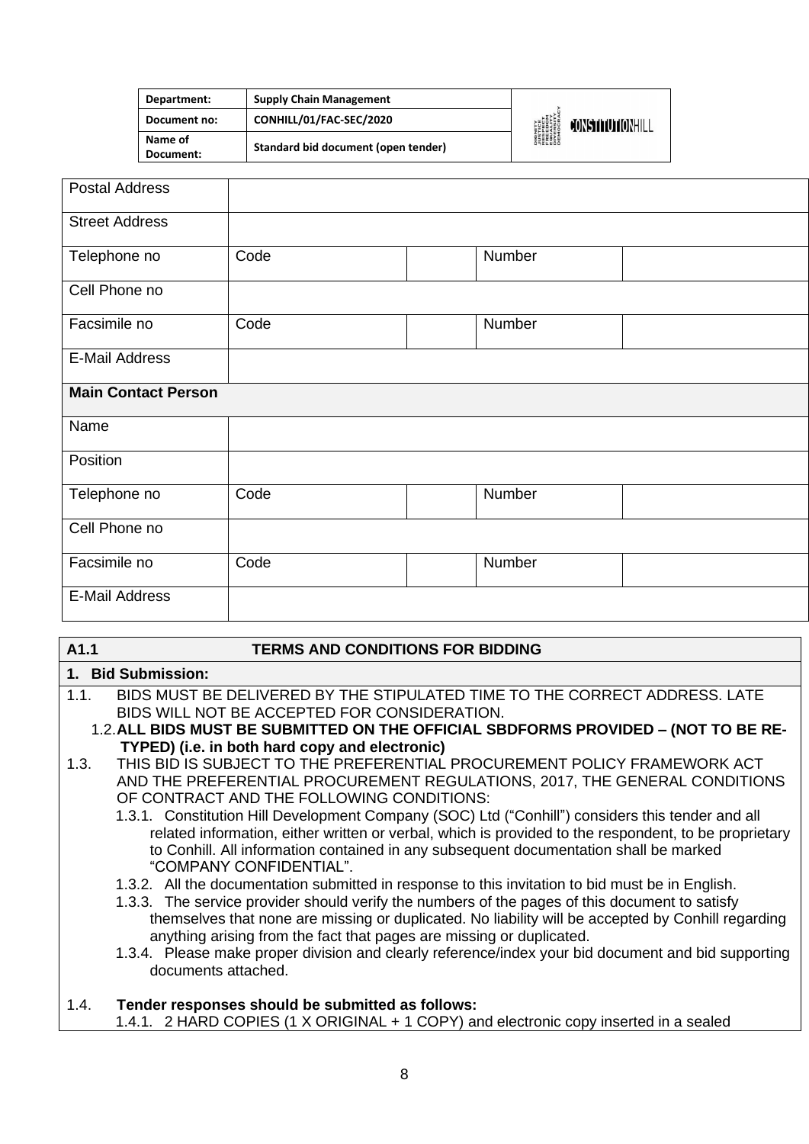| Department:          | <b>Supply Chain Management</b>      |                                                                                                   |                  |
|----------------------|-------------------------------------|---------------------------------------------------------------------------------------------------|------------------|
| Document no:         | CONHILL/01/FAC-SEC/2020             | <b>DIGNITY</b><br><i><b>NISTICE</b></i><br>RESPECT<br>EREEDIM<br>ENGESITY<br>DIVERSITY<br>DIROCRA | CONSTITUTIONHILL |
| Name of<br>Document: | Standard bid document (open tender) |                                                                                                   |                  |

| <b>Postal Address</b>      |      |        |  |
|----------------------------|------|--------|--|
| <b>Street Address</b>      |      |        |  |
| Telephone no               | Code | Number |  |
| Cell Phone no              |      |        |  |
| Facsimile no               | Code | Number |  |
| <b>E-Mail Address</b>      |      |        |  |
| <b>Main Contact Person</b> |      |        |  |
| Name                       |      |        |  |
| Position                   |      |        |  |
| Telephone no               | Code | Number |  |
| Cell Phone no              |      |        |  |
| Facsimile no               | Code | Number |  |
| <b>E-Mail Address</b>      |      |        |  |

#### **A1.1 TERMS AND CONDITIONS FOR BIDDING**

#### **1. Bid Submission:**

- 1.1. BIDS MUST BE DELIVERED BY THE STIPULATED TIME TO THE CORRECT ADDRESS. LATE BIDS WILL NOT BE ACCEPTED FOR CONSIDERATION.
	- 1.2.**ALL BIDS MUST BE SUBMITTED ON THE OFFICIAL SBDFORMS PROVIDED – (NOT TO BE RE-TYPED) (i.e. in both hard copy and electronic)**
- 1.3. THIS BID IS SUBJECT TO THE PREFERENTIAL PROCUREMENT POLICY FRAMEWORK ACT AND THE PREFERENTIAL PROCUREMENT REGULATIONS, 2017, THE GENERAL CONDITIONS OF CONTRACT AND THE FOLLOWING CONDITIONS:
	- 1.3.1. Constitution Hill Development Company (SOC) Ltd ("Conhill") considers this tender and all related information, either written or verbal, which is provided to the respondent, to be proprietary to Conhill. All information contained in any subsequent documentation shall be marked "COMPANY CONFIDENTIAL".
	- 1.3.2. All the documentation submitted in response to this invitation to bid must be in English.
	- 1.3.3. The service provider should verify the numbers of the pages of this document to satisfy themselves that none are missing or duplicated. No liability will be accepted by Conhill regarding anything arising from the fact that pages are missing or duplicated.
	- 1.3.4. Please make proper division and clearly reference/index your bid document and bid supporting documents attached.

## 1.4. **Tender responses should be submitted as follows:**

1.4.1. 2 HARD COPIES (1 X ORIGINAL + 1 COPY) and electronic copy inserted in a sealed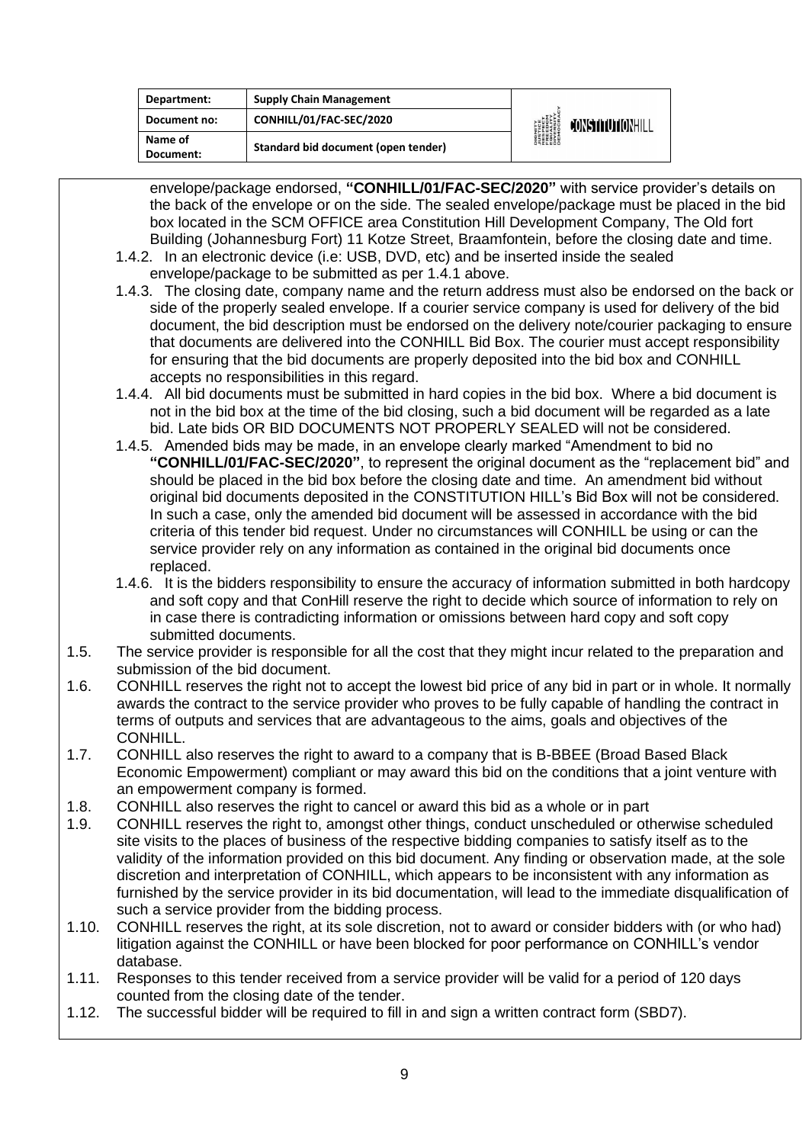| Department:          | <b>Supply Chain Management</b>      |                                                                                            |                  |
|----------------------|-------------------------------------|--------------------------------------------------------------------------------------------|------------------|
| Document no:         | CONHILL/01/FAC-SEC/2020             | <b>DIGNITY<br/>AUSTICE<br/>RESPECT<br/>FREEDOM<br/>FREEDOM<br/>DIVERSITY<br/>DIVERSITY</b> | CONSTITUTIONHILL |
| Name of<br>Document: | Standard bid document (open tender) |                                                                                            |                  |

envelope/package endorsed, **"CONHILL/01/FAC-SEC/2020"** with service provider's details on the back of the envelope or on the side. The sealed envelope/package must be placed in the bid box located in the SCM OFFICE area Constitution Hill Development Company, The Old fort Building (Johannesburg Fort) 11 Kotze Street, Braamfontein, before the closing date and time.

- 1.4.2. In an electronic device (i.e: USB, DVD, etc) and be inserted inside the sealed envelope/package to be submitted as per 1.4.1 above.
- 1.4.3. The closing date, company name and the return address must also be endorsed on the back or side of the properly sealed envelope. If a courier service company is used for delivery of the bid document, the bid description must be endorsed on the delivery note/courier packaging to ensure that documents are delivered into the CONHILL Bid Box. The courier must accept responsibility for ensuring that the bid documents are properly deposited into the bid box and CONHILL accepts no responsibilities in this regard.
- 1.4.4. All bid documents must be submitted in hard copies in the bid box. Where a bid document is not in the bid box at the time of the bid closing, such a bid document will be regarded as a late bid. Late bids OR BID DOCUMENTS NOT PROPERLY SEALED will not be considered.
- 1.4.5. Amended bids may be made, in an envelope clearly marked "Amendment to bid no **"CONHILL/01/FAC-SEC/2020"**, to represent the original document as the "replacement bid" and should be placed in the bid box before the closing date and time. An amendment bid without original bid documents deposited in the CONSTITUTION HILL's Bid Box will not be considered. In such a case, only the amended bid document will be assessed in accordance with the bid criteria of this tender bid request. Under no circumstances will CONHILL be using or can the service provider rely on any information as contained in the original bid documents once replaced.
- 1.4.6. It is the bidders responsibility to ensure the accuracy of information submitted in both hardcopy and soft copy and that ConHill reserve the right to decide which source of information to rely on in case there is contradicting information or omissions between hard copy and soft copy submitted documents.
- 1.5. The service provider is responsible for all the cost that they might incur related to the preparation and submission of the bid document.
- 1.6. CONHILL reserves the right not to accept the lowest bid price of any bid in part or in whole. It normally awards the contract to the service provider who proves to be fully capable of handling the contract in terms of outputs and services that are advantageous to the aims, goals and objectives of the CONHILL.
- 1.7. CONHILL also reserves the right to award to a company that is B-BBEE (Broad Based Black Economic Empowerment) compliant or may award this bid on the conditions that a joint venture with an empowerment company is formed.
- 1.8. CONHILL also reserves the right to cancel or award this bid as a whole or in part
- 1.9. CONHILL reserves the right to, amongst other things, conduct unscheduled or otherwise scheduled site visits to the places of business of the respective bidding companies to satisfy itself as to the validity of the information provided on this bid document. Any finding or observation made, at the sole discretion and interpretation of CONHILL, which appears to be inconsistent with any information as furnished by the service provider in its bid documentation, will lead to the immediate disqualification of such a service provider from the bidding process.
- 1.10. CONHILL reserves the right, at its sole discretion, not to award or consider bidders with (or who had) litigation against the CONHILL or have been blocked for poor performance on CONHILL's vendor database.
- 1.11. Responses to this tender received from a service provider will be valid for a period of 120 days counted from the closing date of the tender.
- 1.12. The successful bidder will be required to fill in and sign a written contract form (SBD7).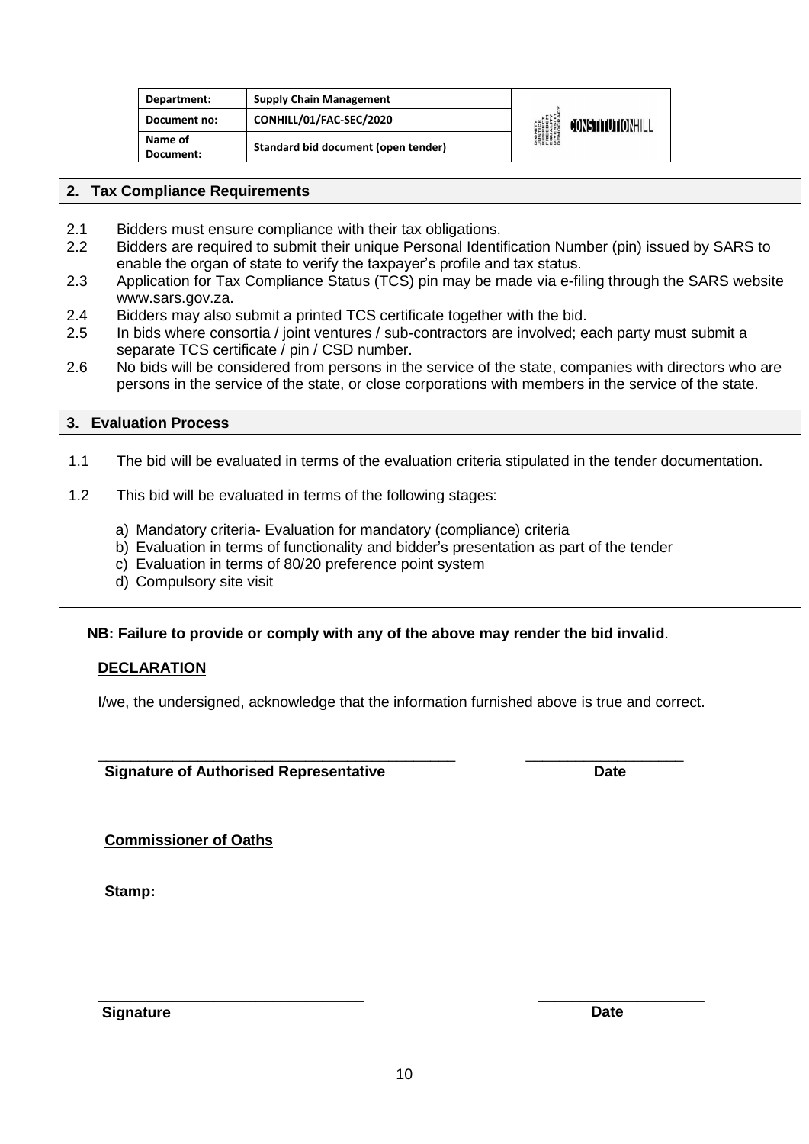| Department:          | <b>Supply Chain Management</b>      |                                                                                       |                         |
|----------------------|-------------------------------------|---------------------------------------------------------------------------------------|-------------------------|
| Document no:         | CONHILL/01/FAC-SEC/2020             | <b>DIGNITY</b><br>PISTICE<br>FRESPECT<br>EQUELOM<br>DIVERSITY<br>DIVERSITY<br>DEMOCRA | <b>CONSTITUTIONHILL</b> |
| Name of<br>Document: | Standard bid document (open tender) |                                                                                       |                         |

#### **2. Tax Compliance Requirements**

- 2.1 Bidders must ensure compliance with their tax obligations.
- 2.2 Bidders are required to submit their unique Personal Identification Number (pin) issued by SARS to enable the organ of state to verify the taxpayer's profile and tax status.
- 2.3 Application for Tax Compliance Status (TCS) pin may be made via e-filing through the SARS website [www.sars.gov.za.](http://www.sars.gov.za/)
- 2.4 Bidders may also submit a printed TCS certificate together with the bid.
- 2.5 In bids where consortia / joint ventures / sub-contractors are involved; each party must submit a separate TCS certificate / pin / CSD number.
- 2.6 No bids will be considered from persons in the service of the state, companies with directors who are persons in the service of the state, or close corporations with members in the service of the state.

#### **3. Evaluation Process**

- 1.1 The bid will be evaluated in terms of the evaluation criteria stipulated in the tender documentation.
- 1.2 This bid will be evaluated in terms of the following stages:
	- a) Mandatory criteria- Evaluation for mandatory (compliance) criteria
	- b) Evaluation in terms of functionality and bidder's presentation as part of the tender
	- c) Evaluation in terms of 80/20 preference point system
	- d) Compulsory site visit

#### **NB: Failure to provide or comply with any of the above may render the bid invalid**.

#### **DECLARATION**

I/we, the undersigned, acknowledge that the information furnished above is true and correct.

\_\_\_\_\_\_\_\_\_\_\_\_\_\_\_\_\_\_\_\_\_\_\_\_\_\_\_\_\_\_\_\_\_\_\_\_\_\_\_\_\_\_\_ \_\_\_\_\_\_\_\_\_\_\_\_\_\_\_\_\_\_\_ **Signature of Authorised Representative Date**

**Commissioner of Oaths**

**Stamp:**

**Signature Date** 

\_\_\_\_\_\_\_\_\_\_\_\_\_\_\_\_\_\_\_\_\_\_\_\_\_\_\_\_\_\_\_\_ \_\_\_\_\_\_\_\_\_\_\_\_\_\_\_\_\_\_\_\_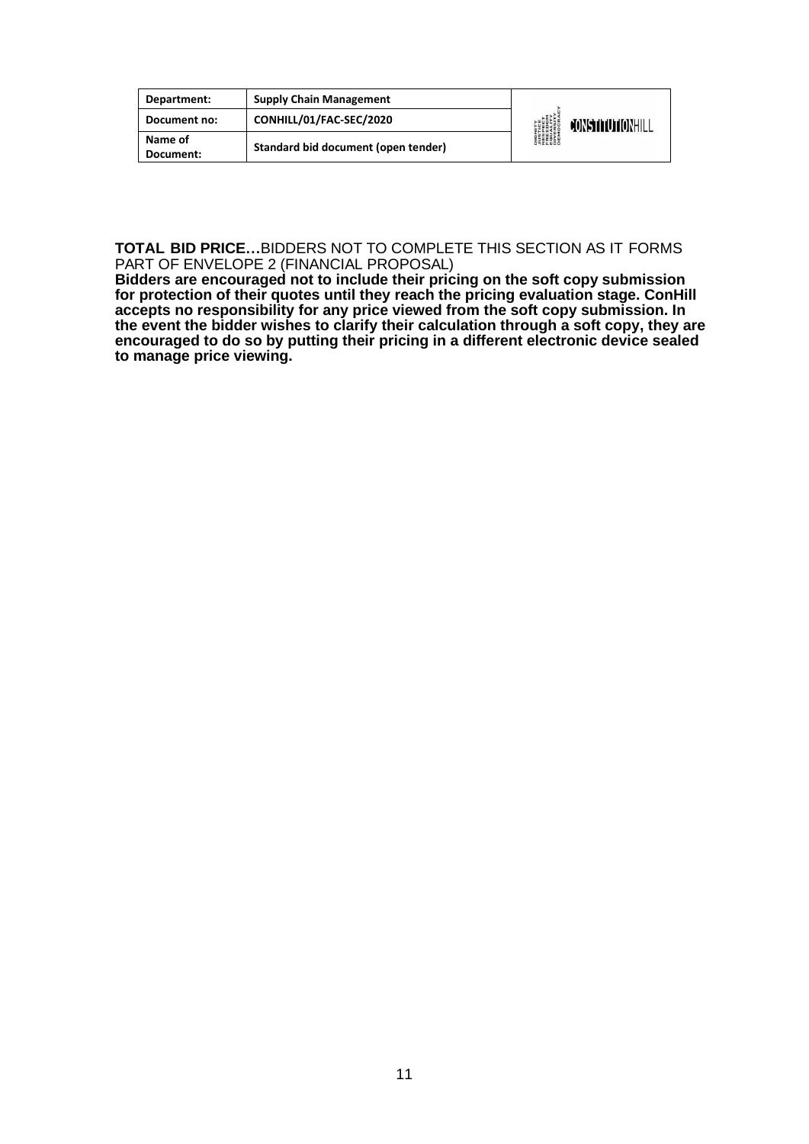| Department:          | <b>Supply Chain Management</b>      |                                                                                           |                  |
|----------------------|-------------------------------------|-------------------------------------------------------------------------------------------|------------------|
| Document no:         | CONHILL/01/FAC-SEC/2020             | <b>DIGNITY<br/>AUSTICE<br/>RESPECT<br/>RESPECT<br/>EREDOM<br/>DIVERSITY<br/>DIVERSITY</b> | CONSTITUTIONHILL |
| Name of<br>Document: | Standard bid document (open tender) |                                                                                           |                  |

**TOTAL BID PRICE…**BIDDERS NOT TO COMPLETE THIS SECTION AS IT FORMS PART OF ENVELOPE 2 (FINANCIAL PROPOSAL)

**Bidders are encouraged not to include their pricing on the soft copy submission for protection of their quotes until they reach the pricing evaluation stage. ConHill accepts no responsibility for any price viewed from the soft copy submission. In the event the bidder wishes to clarify their calculation through a soft copy, they are encouraged to do so by putting their pricing in a different electronic device sealed to manage price viewing.**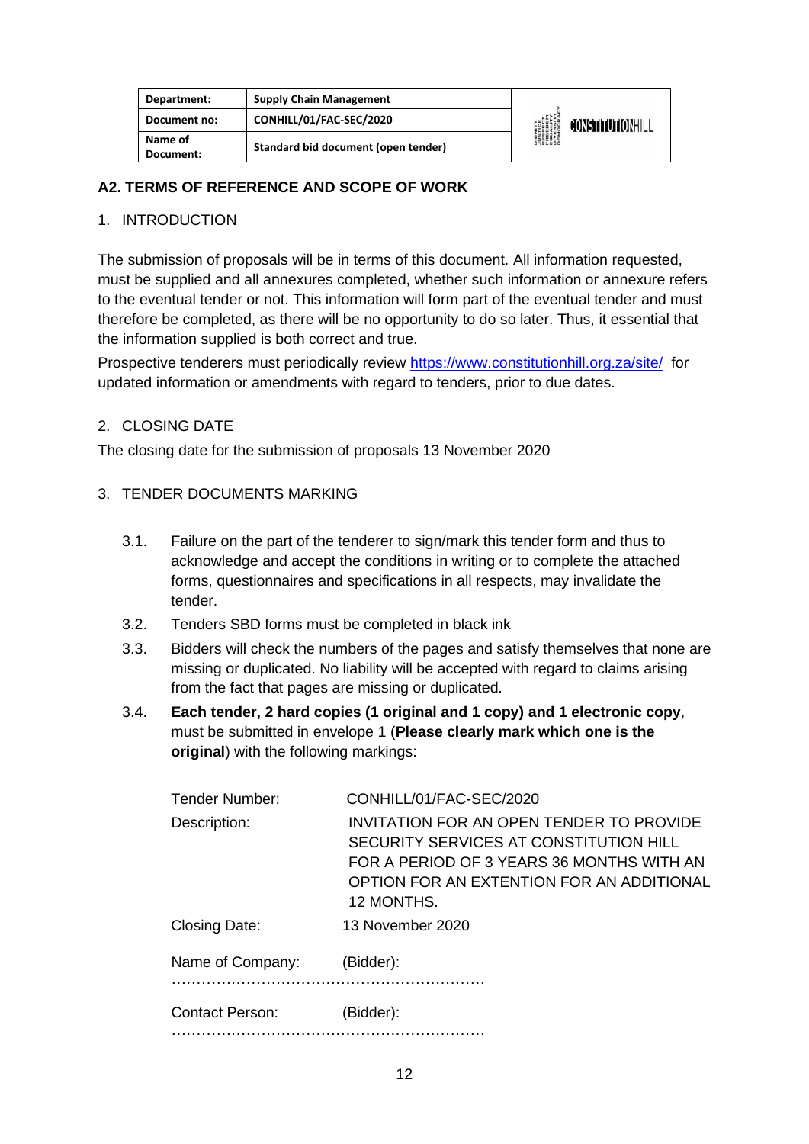| Department:          | <b>Supply Chain Management</b>      |                                                                                        |                  |
|----------------------|-------------------------------------|----------------------------------------------------------------------------------------|------------------|
| Document no:         | CONHILL/01/FAC-SEC/2020             | <b>DIGNITY</b><br>PISTICE<br>FRESPECT<br>EQUALITY<br>DIVERSITY<br>DIVERSITY<br>DEMOCRA | CONSTITUTIONHILL |
| Name of<br>Document: | Standard bid document (open tender) |                                                                                        |                  |

#### **A2. TERMS OF REFERENCE AND SCOPE OF WORK**

#### 1. INTRODUCTION

The submission of proposals will be in terms of this document. All information requested, must be supplied and all annexures completed, whether such information or annexure refers to the eventual tender or not. This information will form part of the eventual tender and must therefore be completed, as there will be no opportunity to do so later. Thus, it essential that the information supplied is both correct and true.

Prospective tenderers must periodically review<https://www.constitutionhill.org.za/site/>for updated information or amendments with regard to tenders, prior to due dates.

#### 2. CLOSING DATE

The closing date for the submission of proposals 13 November 2020

#### 3. TENDER DOCUMENTS MARKING

- 3.1. Failure on the part of the tenderer to sign/mark this tender form and thus to acknowledge and accept the conditions in writing or to complete the attached forms, questionnaires and specifications in all respects, may invalidate the tender.
- 3.2. Tenders SBD forms must be completed in black ink
- 3.3. Bidders will check the numbers of the pages and satisfy themselves that none are missing or duplicated. No liability will be accepted with regard to claims arising from the fact that pages are missing or duplicated.
- 3.4. **Each tender, 2 hard copies (1 original and 1 copy) and 1 electronic copy**, must be submitted in envelope 1 (**Please clearly mark which one is the original**) with the following markings:

| Tender Number:         | CONHILL/01/FAC-SEC/2020                                                                                                                                                                           |
|------------------------|---------------------------------------------------------------------------------------------------------------------------------------------------------------------------------------------------|
| Description:           | <b>INVITATION FOR AN OPEN TENDER TO PROVIDE</b><br>SECURITY SERVICES AT CONSTITUTION HILL<br>FOR A PERIOD OF 3 YEARS 36 MONTHS WITH AN<br>OPTION FOR AN EXTENTION FOR AN ADDITIONAL<br>12 MONTHS. |
| Closing Date:          | 13 November 2020                                                                                                                                                                                  |
| Name of Company:       | (Bidder):                                                                                                                                                                                         |
| <b>Contact Person:</b> | (Bidder):                                                                                                                                                                                         |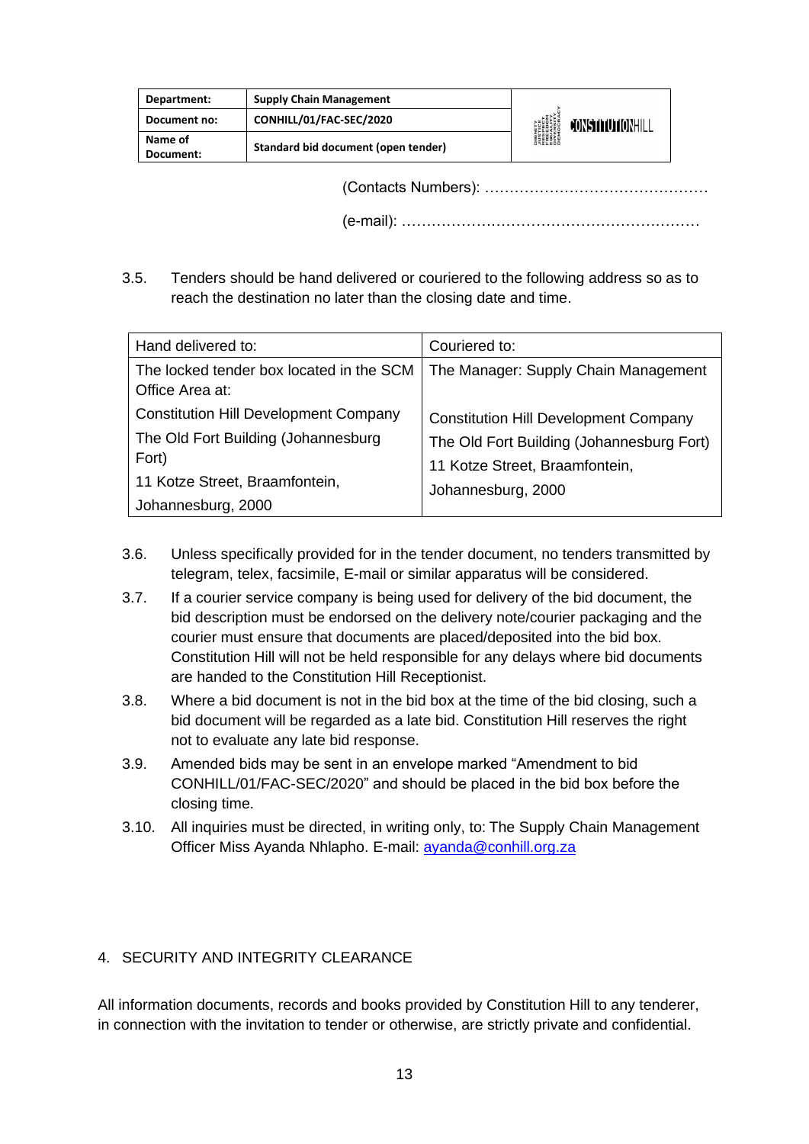| Department:          | <b>Supply Chain Management</b>      |                                                                                                                        |
|----------------------|-------------------------------------|------------------------------------------------------------------------------------------------------------------------|
| Document no:         | CONHILL/01/FAC-SEC/2020             | <b>DIGNITY</b><br><i><b>JUSTICE</b></i><br>RESPECT<br>FREEDOM<br>FREEDOM<br>DIVERSITY<br>DIVERSITY<br>CONSTITUTIONHILL |
| Name of<br>Document: | Standard bid document (open tender) |                                                                                                                        |

(Contacts Numbers): ………………………………………

(e-mail): ……………………………………………………

3.5. Tenders should be hand delivered or couriered to the following address so as to reach the destination no later than the closing date and time.

| Hand delivered to:                                                                                                                                   | Couriered to:                                                                                                                                     |
|------------------------------------------------------------------------------------------------------------------------------------------------------|---------------------------------------------------------------------------------------------------------------------------------------------------|
| The locked tender box located in the SCM<br>Office Area at:                                                                                          | The Manager: Supply Chain Management                                                                                                              |
| <b>Constitution Hill Development Company</b><br>The Old Fort Building (Johannesburg<br>Fort)<br>11 Kotze Street, Braamfontein,<br>Johannesburg, 2000 | <b>Constitution Hill Development Company</b><br>The Old Fort Building (Johannesburg Fort)<br>11 Kotze Street, Braamfontein,<br>Johannesburg, 2000 |

- 3.6. Unless specifically provided for in the tender document, no tenders transmitted by telegram, telex, facsimile, E-mail or similar apparatus will be considered.
- 3.7. If a courier service company is being used for delivery of the bid document, the bid description must be endorsed on the delivery note/courier packaging and the courier must ensure that documents are placed/deposited into the bid box. Constitution Hill will not be held responsible for any delays where bid documents are handed to the Constitution Hill Receptionist.
- 3.8. Where a bid document is not in the bid box at the time of the bid closing, such a bid document will be regarded as a late bid. Constitution Hill reserves the right not to evaluate any late bid response.
- 3.9. Amended bids may be sent in an envelope marked "Amendment to bid CONHILL/01/FAC-SEC/2020" and should be placed in the bid box before the closing time.
- 3.10. All inquiries must be directed, in writing only, to: The Supply Chain Management Officer Miss Ayanda Nhlapho. E-mail: [ayanda@conhill.org.za](mailto:ayanda@conhill.org.za)

#### 4. SECURITY AND INTEGRITY CLEARANCE

All information documents, records and books provided by Constitution Hill to any tenderer, in connection with the invitation to tender or otherwise, are strictly private and confidential.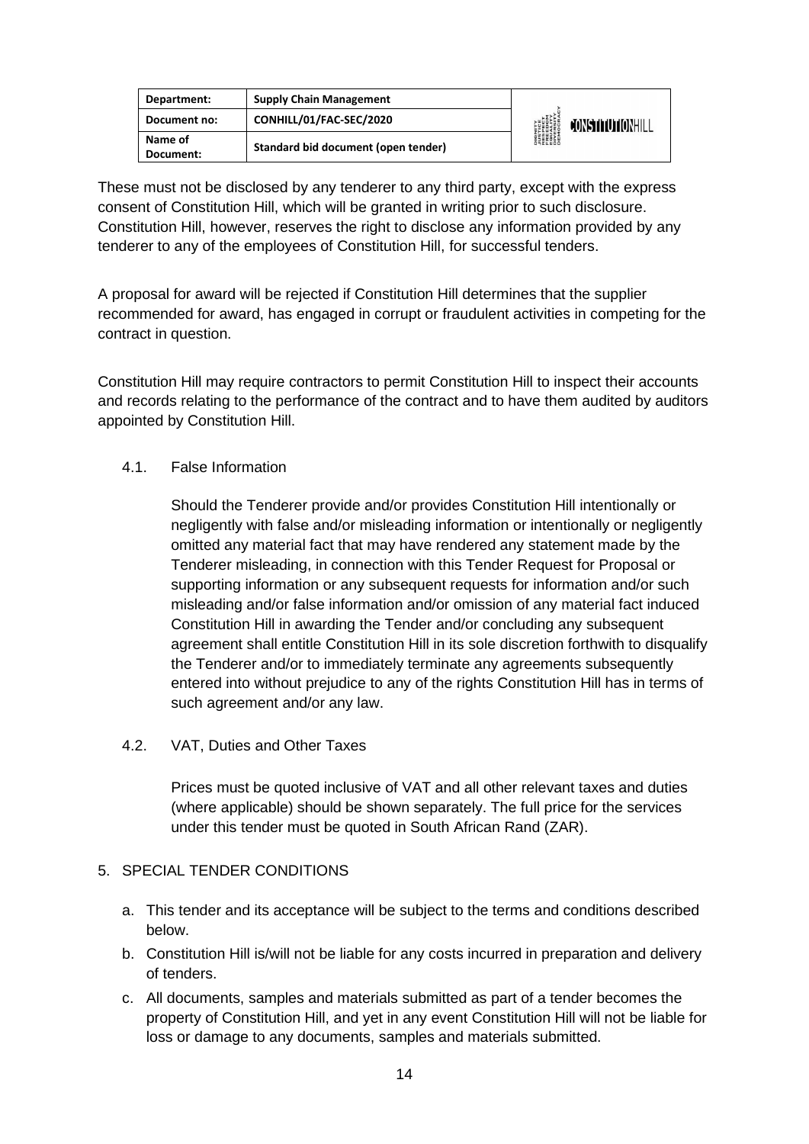| Department:          | <b>Supply Chain Management</b>      |                                                                                                    |                         |
|----------------------|-------------------------------------|----------------------------------------------------------------------------------------------------|-------------------------|
| Document no:         | CONHILL/01/FAC-SEC/2020             | <b>DIGNITY</b><br><i><b>NUSTICE</b></i><br>RESPECT<br>EQUELOM<br>ENGESITY<br>DIVERSITY<br>DIEMOCRA | <b>CONSTITUTIONHILL</b> |
| Name of<br>Document: | Standard bid document (open tender) |                                                                                                    |                         |

These must not be disclosed by any tenderer to any third party, except with the express consent of Constitution Hill, which will be granted in writing prior to such disclosure. Constitution Hill, however, reserves the right to disclose any information provided by any tenderer to any of the employees of Constitution Hill, for successful tenders.

A proposal for award will be rejected if Constitution Hill determines that the supplier recommended for award, has engaged in corrupt or fraudulent activities in competing for the contract in question.

Constitution Hill may require contractors to permit Constitution Hill to inspect their accounts and records relating to the performance of the contract and to have them audited by auditors appointed by Constitution Hill.

#### 4.1. False Information

Should the Tenderer provide and/or provides Constitution Hill intentionally or negligently with false and/or misleading information or intentionally or negligently omitted any material fact that may have rendered any statement made by the Tenderer misleading, in connection with this Tender Request for Proposal or supporting information or any subsequent requests for information and/or such misleading and/or false information and/or omission of any material fact induced Constitution Hill in awarding the Tender and/or concluding any subsequent agreement shall entitle Constitution Hill in its sole discretion forthwith to disqualify the Tenderer and/or to immediately terminate any agreements subsequently entered into without prejudice to any of the rights Constitution Hill has in terms of such agreement and/or any law.

4.2. VAT, Duties and Other Taxes

Prices must be quoted inclusive of VAT and all other relevant taxes and duties (where applicable) should be shown separately. The full price for the services under this tender must be quoted in South African Rand (ZAR).

#### 5. SPECIAL TENDER CONDITIONS

- a. This tender and its acceptance will be subject to the terms and conditions described below.
- b. Constitution Hill is/will not be liable for any costs incurred in preparation and delivery of tenders.
- c. All documents, samples and materials submitted as part of a tender becomes the property of Constitution Hill, and yet in any event Constitution Hill will not be liable for loss or damage to any documents, samples and materials submitted.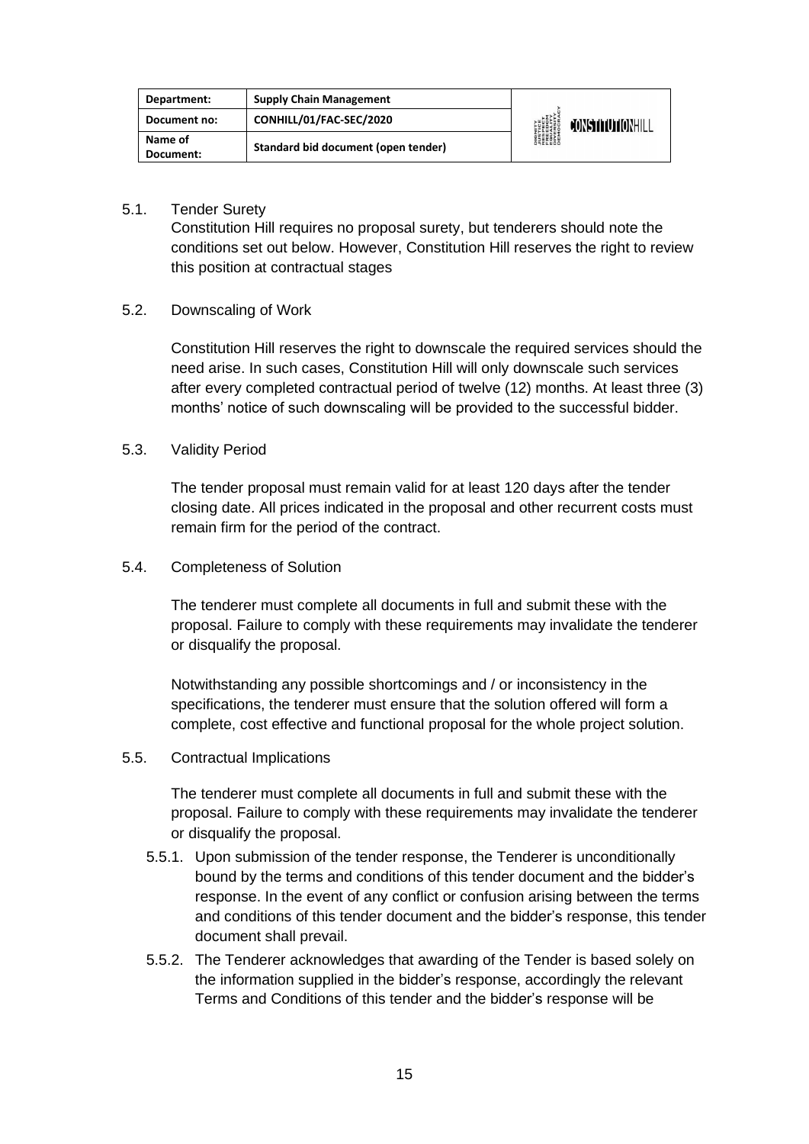| Department:          | <b>Supply Chain Management</b>      | <b>DIGNITY</b><br><i><b>NUSTICE</b></i><br>RESPECT<br>EQUELOM<br>ENGESITY<br>DIVERSITY<br>DIEMOCRA | CONSTITUTIONHILL |
|----------------------|-------------------------------------|----------------------------------------------------------------------------------------------------|------------------|
| Document no:         | CONHILL/01/FAC-SEC/2020             |                                                                                                    |                  |
| Name of<br>Document: | Standard bid document (open tender) |                                                                                                    |                  |

5.1. Tender Surety

Constitution Hill requires no proposal surety, but tenderers should note the conditions set out below. However, Constitution Hill reserves the right to review this position at contractual stages

#### 5.2. Downscaling of Work

Constitution Hill reserves the right to downscale the required services should the need arise. In such cases, Constitution Hill will only downscale such services after every completed contractual period of twelve (12) months. At least three (3) months' notice of such downscaling will be provided to the successful bidder.

#### 5.3. Validity Period

The tender proposal must remain valid for at least 120 days after the tender closing date. All prices indicated in the proposal and other recurrent costs must remain firm for the period of the contract.

5.4. Completeness of Solution

The tenderer must complete all documents in full and submit these with the proposal. Failure to comply with these requirements may invalidate the tenderer or disqualify the proposal.

Notwithstanding any possible shortcomings and / or inconsistency in the specifications, the tenderer must ensure that the solution offered will form a complete, cost effective and functional proposal for the whole project solution.

5.5. Contractual Implications

The tenderer must complete all documents in full and submit these with the proposal. Failure to comply with these requirements may invalidate the tenderer or disqualify the proposal.

- 5.5.1. Upon submission of the tender response, the Tenderer is unconditionally bound by the terms and conditions of this tender document and the bidder's response. In the event of any conflict or confusion arising between the terms and conditions of this tender document and the bidder's response, this tender document shall prevail.
- 5.5.2. The Tenderer acknowledges that awarding of the Tender is based solely on the information supplied in the bidder's response, accordingly the relevant Terms and Conditions of this tender and the bidder's response will be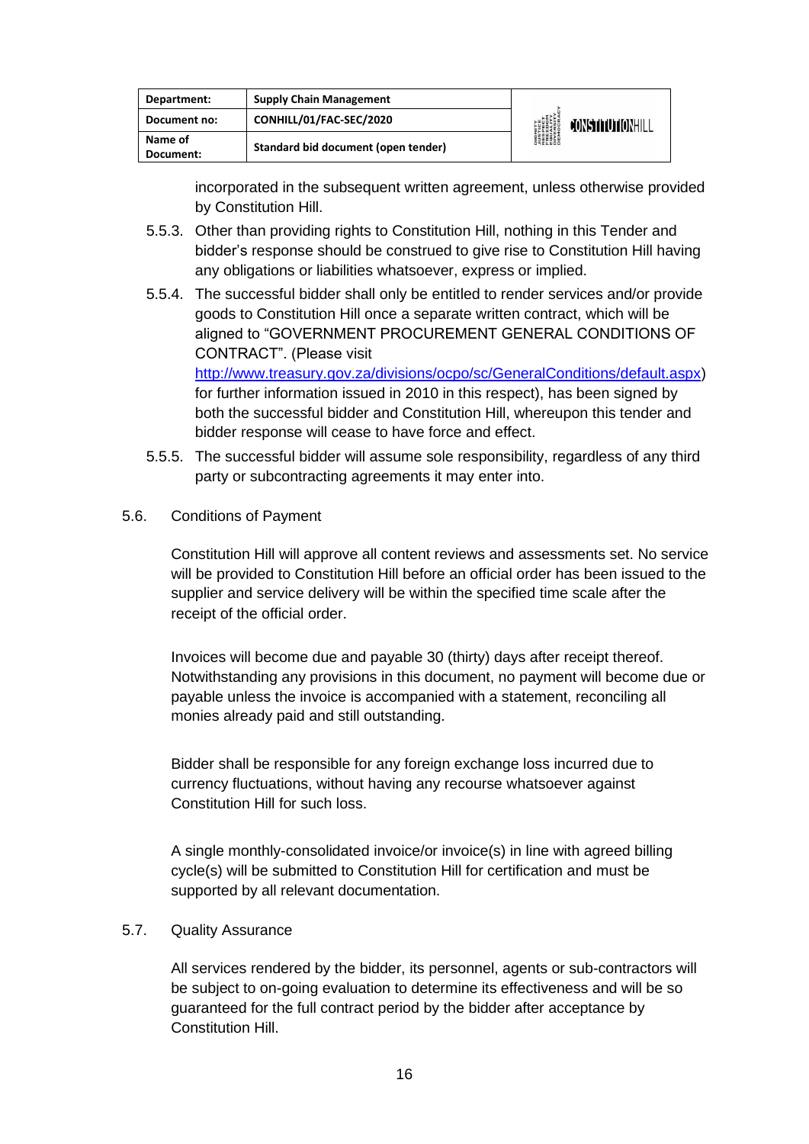| Department:          | <b>Supply Chain Management</b>      | <b>DIGNITY<br/>AUSTICE<br/>RESPECT<br/>RESPECT<br/>EREDOM<br/>DIVERSITY<br/>DIVERSITY</b> | CONSTITUTIONHIL |
|----------------------|-------------------------------------|-------------------------------------------------------------------------------------------|-----------------|
| Document no:         | CONHILL/01/FAC-SEC/2020             |                                                                                           |                 |
| Name of<br>Document: | Standard bid document (open tender) |                                                                                           |                 |

incorporated in the subsequent written agreement, unless otherwise provided by Constitution Hill.

- 5.5.3. Other than providing rights to Constitution Hill, nothing in this Tender and bidder's response should be construed to give rise to Constitution Hill having any obligations or liabilities whatsoever, express or implied.
- 5.5.4. The successful bidder shall only be entitled to render services and/or provide goods to Constitution Hill once a separate written contract, which will be aligned to "GOVERNMENT PROCUREMENT GENERAL CONDITIONS OF CONTRACT". (Please visit [http://www.treasury.gov.za/divisions/ocpo/sc/GeneralConditions/default.aspx\)](http://www.treasury.gov.za/divisions/ocpo/sc/GeneralConditions/default.aspx) for further information issued in 2010 in this respect), has been signed by

both the successful bidder and Constitution Hill, whereupon this tender and bidder response will cease to have force and effect.

- 5.5.5. The successful bidder will assume sole responsibility, regardless of any third party or subcontracting agreements it may enter into.
- 5.6. Conditions of Payment

Constitution Hill will approve all content reviews and assessments set. No service will be provided to Constitution Hill before an official order has been issued to the supplier and service delivery will be within the specified time scale after the receipt of the official order.

Invoices will become due and payable 30 (thirty) days after receipt thereof. Notwithstanding any provisions in this document, no payment will become due or payable unless the invoice is accompanied with a statement, reconciling all monies already paid and still outstanding.

Bidder shall be responsible for any foreign exchange loss incurred due to currency fluctuations, without having any recourse whatsoever against Constitution Hill for such loss.

A single monthly-consolidated invoice/or invoice(s) in line with agreed billing cycle(s) will be submitted to Constitution Hill for certification and must be supported by all relevant documentation.

#### 5.7. Quality Assurance

All services rendered by the bidder, its personnel, agents or sub-contractors will be subject to on-going evaluation to determine its effectiveness and will be so guaranteed for the full contract period by the bidder after acceptance by Constitution Hill.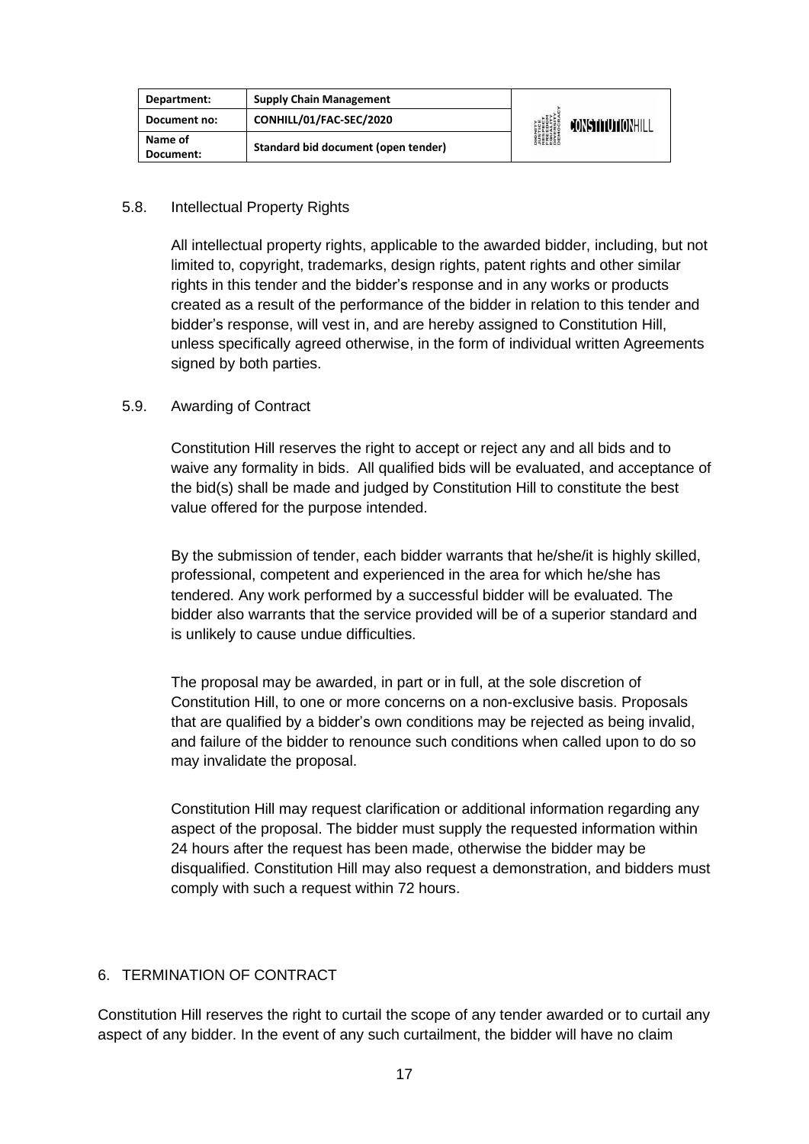| Department:          | <b>Supply Chain Management</b>      | <b>DIGNITY</b><br><i><b>NUSTICE</b></i><br>RESPECT<br>EQUELOM<br>ENGESITY<br>DIVERSITY<br>DIEMOCRA | CONSTITUTIONHILL |
|----------------------|-------------------------------------|----------------------------------------------------------------------------------------------------|------------------|
| Document no:         | CONHILL/01/FAC-SEC/2020             |                                                                                                    |                  |
| Name of<br>Document: | Standard bid document (open tender) |                                                                                                    |                  |

#### 5.8. Intellectual Property Rights

All intellectual property rights, applicable to the awarded bidder, including, but not limited to, copyright, trademarks, design rights, patent rights and other similar rights in this tender and the bidder's response and in any works or products created as a result of the performance of the bidder in relation to this tender and bidder's response, will vest in, and are hereby assigned to Constitution Hill, unless specifically agreed otherwise, in the form of individual written Agreements signed by both parties.

#### 5.9. Awarding of Contract

Constitution Hill reserves the right to accept or reject any and all bids and to waive any formality in bids. All qualified bids will be evaluated, and acceptance of the bid(s) shall be made and judged by Constitution Hill to constitute the best value offered for the purpose intended.

By the submission of tender, each bidder warrants that he/she/it is highly skilled, professional, competent and experienced in the area for which he/she has tendered. Any work performed by a successful bidder will be evaluated. The bidder also warrants that the service provided will be of a superior standard and is unlikely to cause undue difficulties.

The proposal may be awarded, in part or in full, at the sole discretion of Constitution Hill, to one or more concerns on a non-exclusive basis. Proposals that are qualified by a bidder's own conditions may be rejected as being invalid, and failure of the bidder to renounce such conditions when called upon to do so may invalidate the proposal.

Constitution Hill may request clarification or additional information regarding any aspect of the proposal. The bidder must supply the requested information within 24 hours after the request has been made, otherwise the bidder may be disqualified. Constitution Hill may also request a demonstration, and bidders must comply with such a request within 72 hours.

#### 6. TERMINATION OF CONTRACT

Constitution Hill reserves the right to curtail the scope of any tender awarded or to curtail any aspect of any bidder. In the event of any such curtailment, the bidder will have no claim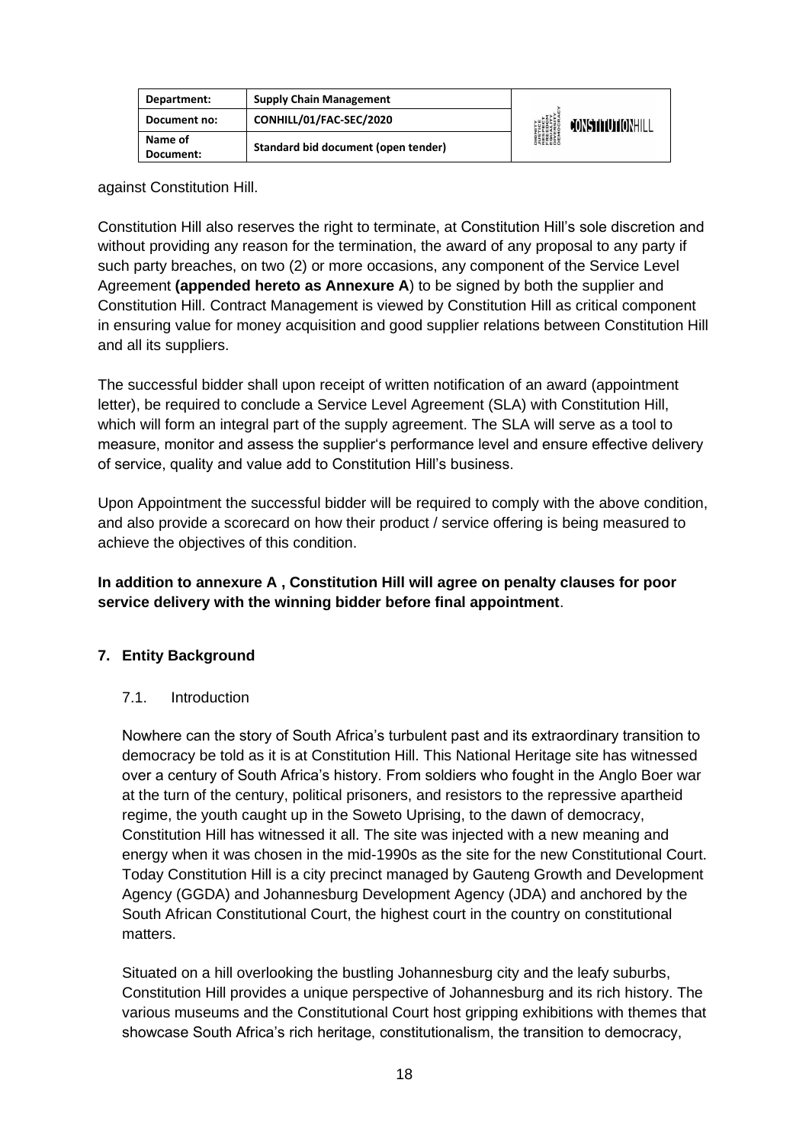| Department:          | <b>Supply Chain Management</b>      | <b>DIGNITY</b><br><i><b>NISTICE</b></i><br>RESPECT<br>EQUELOM<br>ENGESITY<br>DIVERSITY<br>DIROCRA | CONSTITUTIONHILL |
|----------------------|-------------------------------------|---------------------------------------------------------------------------------------------------|------------------|
| Document no:         | CONHILL/01/FAC-SEC/2020             |                                                                                                   |                  |
| Name of<br>Document: | Standard bid document (open tender) |                                                                                                   |                  |

against Constitution Hill.

Constitution Hill also reserves the right to terminate, at Constitution Hill's sole discretion and without providing any reason for the termination, the award of any proposal to any party if such party breaches, on two (2) or more occasions, any component of the Service Level Agreement **(appended hereto as Annexure A**) to be signed by both the supplier and Constitution Hill. Contract Management is viewed by Constitution Hill as critical component in ensuring value for money acquisition and good supplier relations between Constitution Hill and all its suppliers.

The successful bidder shall upon receipt of written notification of an award (appointment letter), be required to conclude a Service Level Agreement (SLA) with Constitution Hill, which will form an integral part of the supply agreement. The SLA will serve as a tool to measure, monitor and assess the supplier's performance level and ensure effective delivery of service, quality and value add to Constitution Hill's business.

Upon Appointment the successful bidder will be required to comply with the above condition, and also provide a scorecard on how their product / service offering is being measured to achieve the objectives of this condition.

#### **In addition to annexure A , Constitution Hill will agree on penalty clauses for poor service delivery with the winning bidder before final appointment**.

#### **7. Entity Background**

#### 7.1. Introduction

Nowhere can the story of South Africa's turbulent past and its extraordinary transition to democracy be told as it is at Constitution Hill. This National Heritage site has witnessed over a century of South Africa's history. From soldiers who fought in the Anglo Boer war at the turn of the century, political prisoners, and resistors to the repressive apartheid regime, the youth caught up in the Soweto Uprising, to the dawn of democracy, Constitution Hill has witnessed it all. The site was injected with a new meaning and energy when it was chosen in the mid-1990s as the site for the new Constitutional Court. Today Constitution Hill is a city precinct managed by Gauteng Growth and Development Agency (GGDA) and Johannesburg Development Agency (JDA) and anchored by the South African Constitutional Court, the highest court in the country on constitutional matters.

Situated on a hill overlooking the bustling Johannesburg city and the leafy suburbs, Constitution Hill provides a unique perspective of Johannesburg and its rich history. The various museums and the Constitutional Court host gripping exhibitions with themes that showcase South Africa's rich heritage, constitutionalism, the transition to democracy,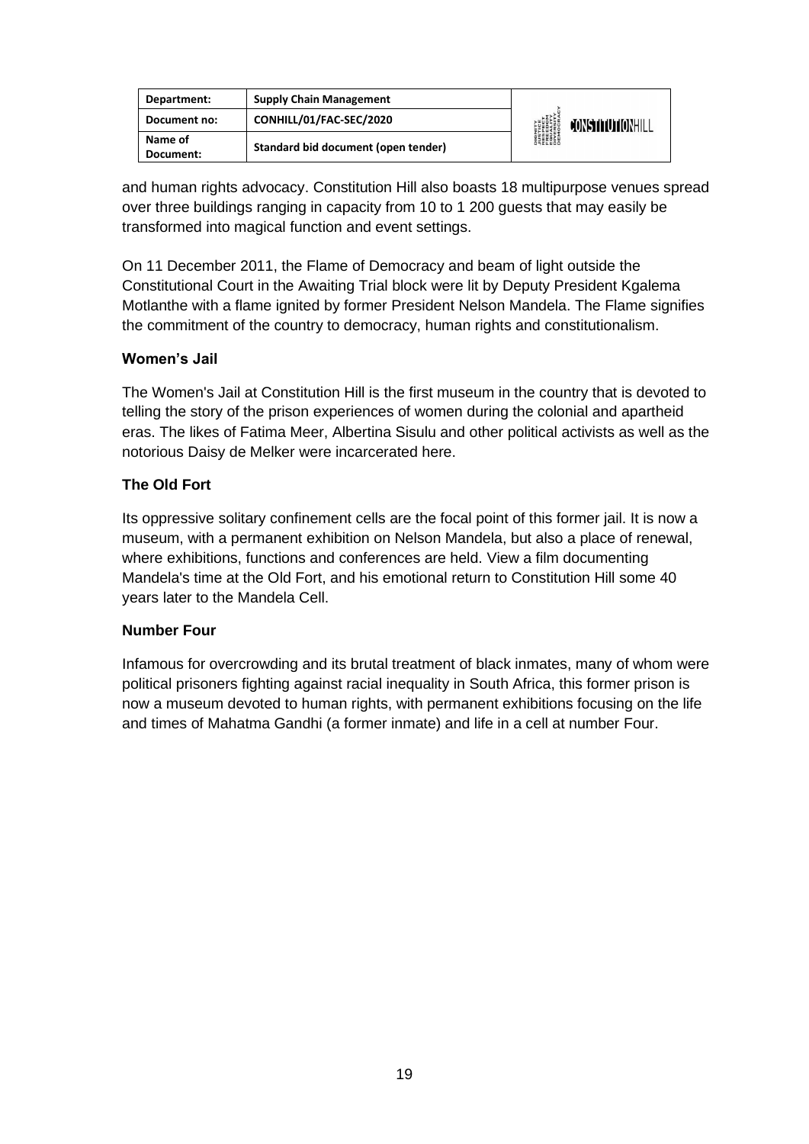| Department:          | <b>Supply Chain Management</b>      | <b>DIGNITY</b><br><i><b>NUSTICE</b></i><br>RESPECT<br>EQUELOM<br>ENGESITY<br>DIVERSITY<br>DIEMOCRA | <b>JONSTITUTIONHILL</b> |
|----------------------|-------------------------------------|----------------------------------------------------------------------------------------------------|-------------------------|
| Document no:         | CONHILL/01/FAC-SEC/2020             |                                                                                                    |                         |
| Name of<br>Document: | Standard bid document (open tender) |                                                                                                    |                         |

and human rights advocacy. Constitution Hill also boasts 18 multipurpose venues spread over three buildings ranging in capacity from 10 to 1 200 guests that may easily be transformed into magical function and event settings.

On 11 December 2011, the Flame of Democracy and beam of light outside the Constitutional Court in the Awaiting Trial block were lit by Deputy President Kgalema Motlanthe with a flame ignited by former President Nelson Mandela. The Flame signifies the commitment of the country to democracy, human rights and constitutionalism.

#### **Women's Jail**

The Women's Jail at Constitution Hill is the first museum in the country that is devoted to telling the story of the prison experiences of women during the colonial and apartheid eras. The likes of Fatima Meer, Albertina Sisulu and other political activists as well as the notorious Daisy de Melker were incarcerated here.

#### **The Old Fort**

Its oppressive solitary confinement cells are the focal point of this former jail. It is now a museum, with a permanent exhibition on Nelson Mandela, but also a place of renewal, where exhibitions, functions and conferences are held. View a film documenting Mandela's time at the Old Fort, and his emotional return to Constitution Hill some 40 years later to the Mandela Cell.

#### **Number Four**

Infamous for overcrowding and its brutal treatment of black inmates, many of whom were political prisoners fighting against racial inequality in South Africa, this former prison is now a museum devoted to human rights, with permanent exhibitions focusing on the life and times of Mahatma Gandhi (a former inmate) and life in a cell at number Four.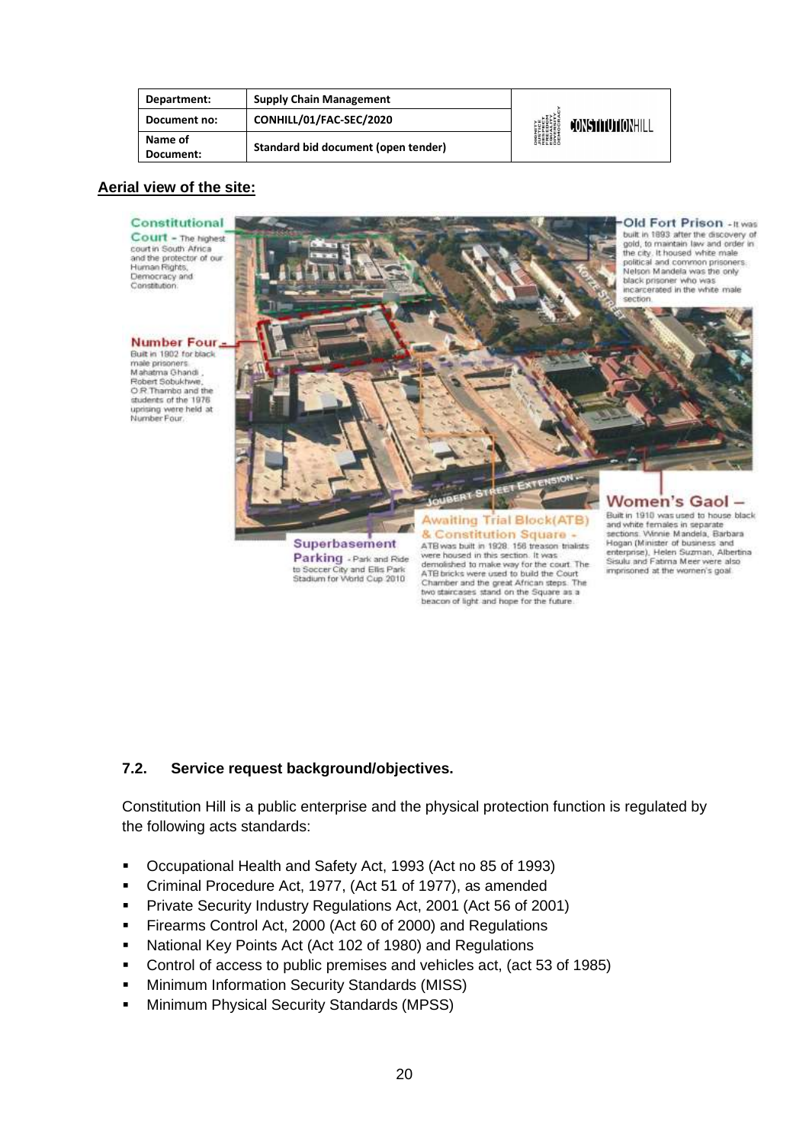| Department:          | <b>Supply Chain Management</b>      | <b>DIGNITY</b><br><i><b>JUSTICE</b></i><br>RESPECT<br>EQUALITY<br>EQUALITY<br>DIVERSITY<br>DIROCRAN | CONSTITUTIONHILL |
|----------------------|-------------------------------------|-----------------------------------------------------------------------------------------------------|------------------|
| Document no:         | CONHILL/01/FAC-SEC/2020             |                                                                                                     |                  |
| Name of<br>Document: | Standard bid document (open tender) |                                                                                                     |                  |

#### **Aerial view of the site:**



beacon of light and hope for the future.

## **7.2. Service request background/objectives.**

Constitution Hill is a public enterprise and the physical protection function is regulated by the following acts standards:

- Occupational Health and Safety Act, 1993 (Act no 85 of 1993)
- Criminal Procedure Act, 1977, (Act 51 of 1977), as amended
- **Private Security Industry Regulations Act, 2001 (Act 56 of 2001)**
- Firearms Control Act, 2000 (Act 60 of 2000) and Regulations
- National Key Points Act (Act 102 of 1980) and Regulations
- Control of access to public premises and vehicles act, (act 53 of 1985)
- **■** Minimum Information Security Standards (MISS)
- **■** Minimum Physical Security Standards (MPSS)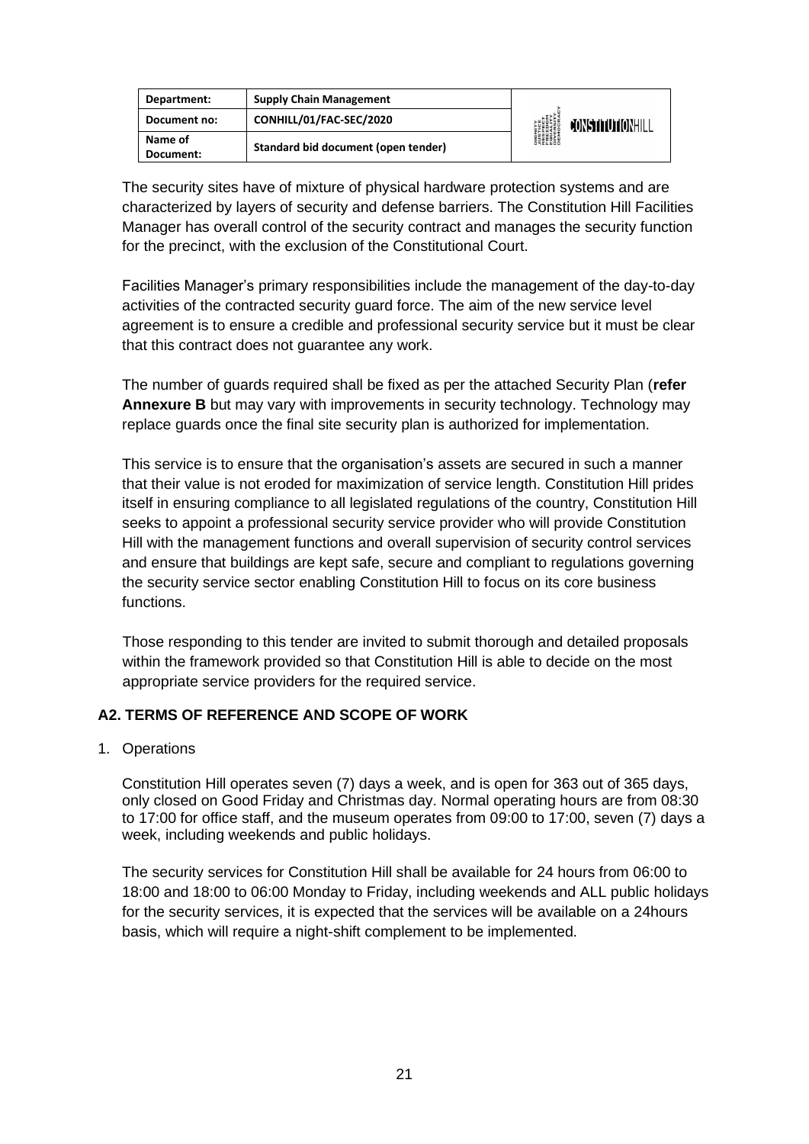| Department:  | <b>Supply Chain Management</b>      |                                                                                                    |                  |
|--------------|-------------------------------------|----------------------------------------------------------------------------------------------------|------------------|
| Document no: | CONHILL/01/FAC-SEC/2020             | <b>DIGNITY</b><br><i><b>NUSTICE</b></i><br>RESPECT<br>EQUELOM<br>ENGESITY<br>DIVERSITY<br>DIEMOCRA | CONSTITUTIONHILL |
| Name of      | Standard bid document (open tender) |                                                                                                    |                  |
| Document:    |                                     |                                                                                                    |                  |

The security sites have of mixture of physical hardware protection systems and are characterized by layers of security and defense barriers. The Constitution Hill Facilities Manager has overall control of the security contract and manages the security function for the precinct, with the exclusion of the Constitutional Court.

Facilities Manager's primary responsibilities include the management of the day-to-day activities of the contracted security guard force. The aim of the new service level agreement is to ensure a credible and professional security service but it must be clear that this contract does not guarantee any work.

The number of guards required shall be fixed as per the attached Security Plan (**refer Annexure B** but may vary with improvements in security technology. Technology may replace guards once the final site security plan is authorized for implementation.

This service is to ensure that the organisation's assets are secured in such a manner that their value is not eroded for maximization of service length. Constitution Hill prides itself in ensuring compliance to all legislated regulations of the country, Constitution Hill seeks to appoint a professional security service provider who will provide Constitution Hill with the management functions and overall supervision of security control services and ensure that buildings are kept safe, secure and compliant to regulations governing the security service sector enabling Constitution Hill to focus on its core business functions.

Those responding to this tender are invited to submit thorough and detailed proposals within the framework provided so that Constitution Hill is able to decide on the most appropriate service providers for the required service.

#### **A2. TERMS OF REFERENCE AND SCOPE OF WORK**

1. Operations

Constitution Hill operates seven (7) days a week, and is open for 363 out of 365 days, only closed on Good Friday and Christmas day. Normal operating hours are from 08:30 to 17:00 for office staff, and the museum operates from 09:00 to 17:00, seven (7) days a week, including weekends and public holidays.

The security services for Constitution Hill shall be available for 24 hours from 06:00 to 18:00 and 18:00 to 06:00 Monday to Friday, including weekends and ALL public holidays for the security services, it is expected that the services will be available on a 24hours basis, which will require a night-shift complement to be implemented.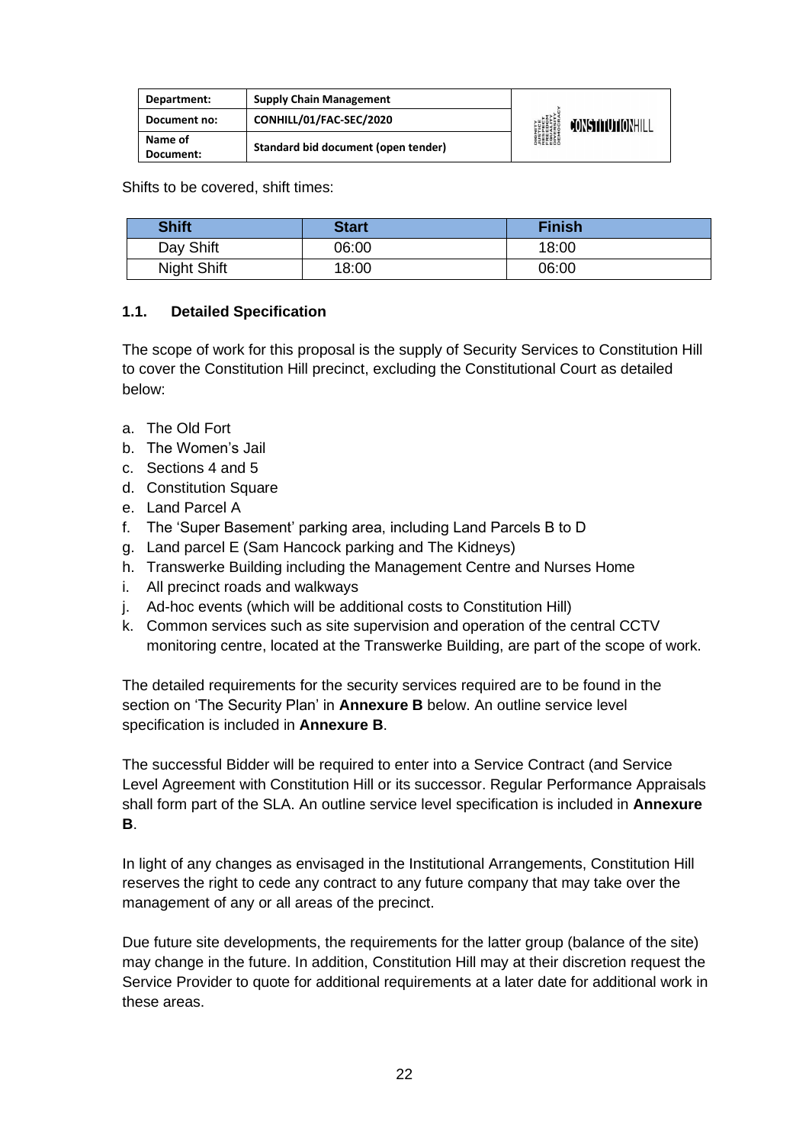| Department:          | <b>Supply Chain Management</b>      |                                                                                                     |                         |
|----------------------|-------------------------------------|-----------------------------------------------------------------------------------------------------|-------------------------|
| Document no:         | CONHILL/01/FAC-SEC/2020             |                                                                                                     | <b>JONSTITUTIONHILL</b> |
| Name of<br>Document: | Standard bid document (open tender) | <b>DIGNITY</b><br><i><b>JUSTICE</b></i><br>RESPECT<br>FREEDOM<br>FINERSITY<br>DIVERSITY<br>DIROCRAN |                         |

Shifts to be covered, shift times:

| <b>Shift</b> | <b>Start</b> | <b>Finish</b> |
|--------------|--------------|---------------|
| Day Shift    | 06:00        | 18:00         |
| Night Shift  | 18:00        | 06:00         |

#### **1.1. Detailed Specification**

The scope of work for this proposal is the supply of Security Services to Constitution Hill to cover the Constitution Hill precinct, excluding the Constitutional Court as detailed below:

- a. The Old Fort
- b. The Women's Jail
- c. Sections 4 and 5
- d. Constitution Square
- e. Land Parcel A
- f. The 'Super Basement' parking area, including Land Parcels B to D
- g. Land parcel E (Sam Hancock parking and The Kidneys)
- h. Transwerke Building including the Management Centre and Nurses Home
- i. All precinct roads and walkways
- j. Ad-hoc events (which will be additional costs to Constitution Hill)
- k. Common services such as site supervision and operation of the central CCTV monitoring centre, located at the Transwerke Building, are part of the scope of work.

The detailed requirements for the security services required are to be found in the section on 'The Security Plan' in **Annexure B** below. An outline service level specification is included in **Annexure B**.

The successful Bidder will be required to enter into a Service Contract (and Service Level Agreement with Constitution Hill or its successor. Regular Performance Appraisals shall form part of the SLA. An outline service level specification is included in **Annexure B**.

In light of any changes as envisaged in the Institutional Arrangements, Constitution Hill reserves the right to cede any contract to any future company that may take over the management of any or all areas of the precinct.

Due future site developments, the requirements for the latter group (balance of the site) may change in the future. In addition, Constitution Hill may at their discretion request the Service Provider to quote for additional requirements at a later date for additional work in these areas.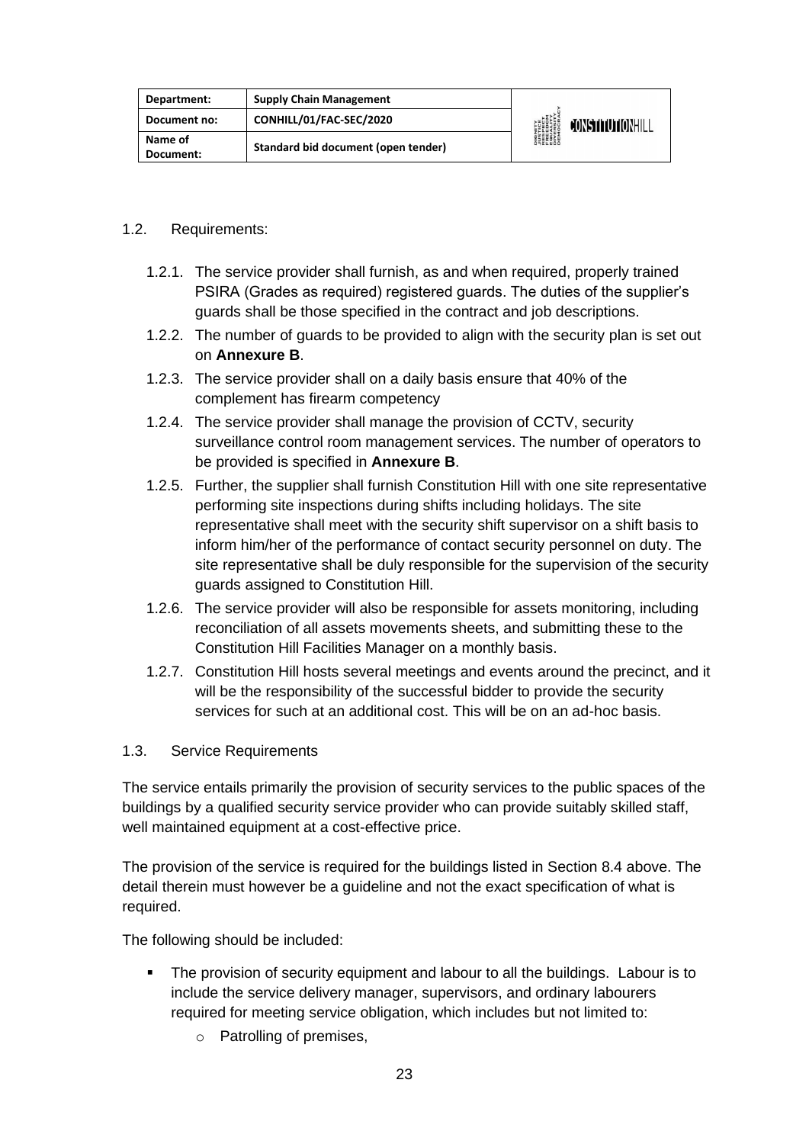| Department:  | <b>Supply Chain Management</b>      | <b>DIGNITY</b><br><b><i>NISTICE<br/>RESPECT<br/>RESPECT<br/>RESPITY<br/>DIVERSITY<br/>DIROCRAN</i><br/>DEMOCRAN</b> | <b>CONSTITUTIONHILL</b> |
|--------------|-------------------------------------|---------------------------------------------------------------------------------------------------------------------|-------------------------|
| Document no: | CONHILL/01/FAC-SEC/2020             |                                                                                                                     |                         |
| Name of      | Standard bid document (open tender) |                                                                                                                     |                         |
| Document:    |                                     |                                                                                                                     |                         |

#### 1.2. Requirements:

- 1.2.1. The service provider shall furnish, as and when required, properly trained PSIRA (Grades as required) registered guards. The duties of the supplier's guards shall be those specified in the contract and job descriptions.
- 1.2.2. The number of guards to be provided to align with the security plan is set out on **Annexure B**.
- 1.2.3. The service provider shall on a daily basis ensure that 40% of the complement has firearm competency
- 1.2.4. The service provider shall manage the provision of CCTV, security surveillance control room management services. The number of operators to be provided is specified in **Annexure B**.
- 1.2.5. Further, the supplier shall furnish Constitution Hill with one site representative performing site inspections during shifts including holidays. The site representative shall meet with the security shift supervisor on a shift basis to inform him/her of the performance of contact security personnel on duty. The site representative shall be duly responsible for the supervision of the security guards assigned to Constitution Hill.
- 1.2.6. The service provider will also be responsible for assets monitoring, including reconciliation of all assets movements sheets, and submitting these to the Constitution Hill Facilities Manager on a monthly basis.
- 1.2.7. Constitution Hill hosts several meetings and events around the precinct, and it will be the responsibility of the successful bidder to provide the security services for such at an additional cost. This will be on an ad-hoc basis.
- 1.3. Service Requirements

The service entails primarily the provision of security services to the public spaces of the buildings by a qualified security service provider who can provide suitably skilled staff, well maintained equipment at a cost-effective price.

The provision of the service is required for the buildings listed in Section 8.4 above. The detail therein must however be a guideline and not the exact specification of what is required.

The following should be included:

- The provision of security equipment and labour to all the buildings. Labour is to include the service delivery manager, supervisors, and ordinary labourers required for meeting service obligation, which includes but not limited to:
	- o Patrolling of premises,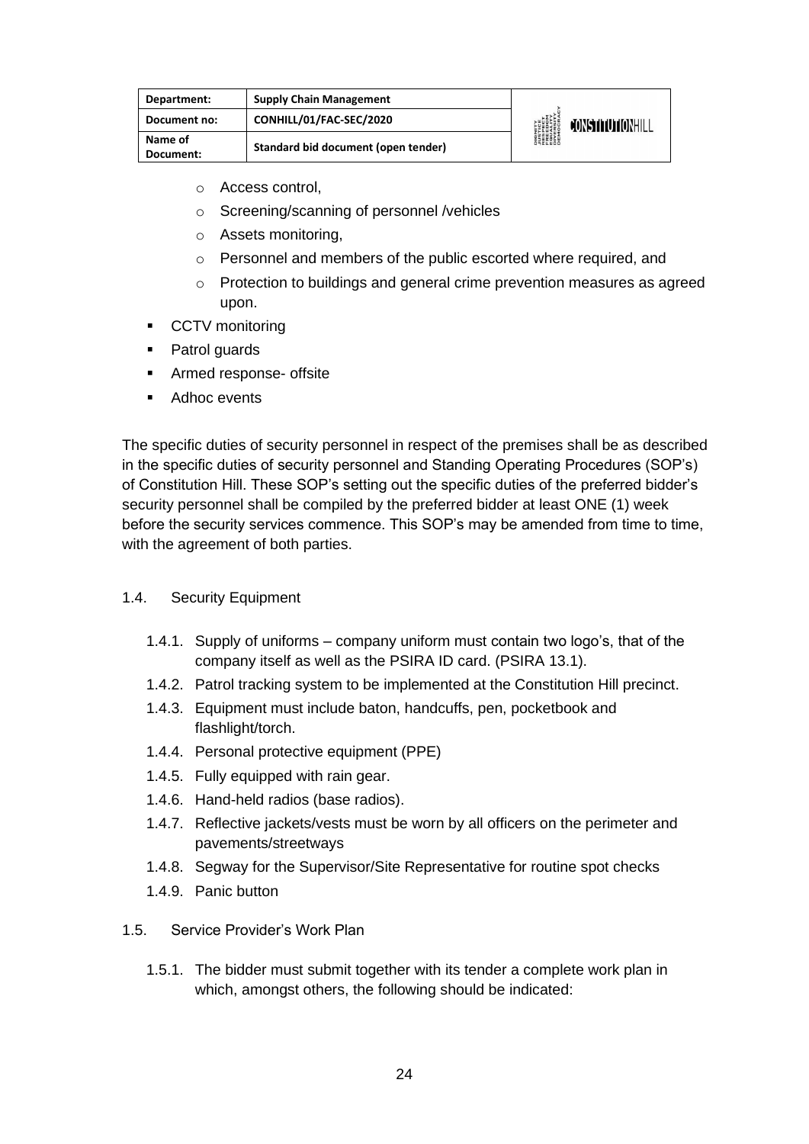| Department:          | <b>Supply Chain Management</b>      | <b>DIGNITY</b><br><i><b>NSTICE</b></i><br>RESPECT<br>EREEDOM<br>ENGESITY<br>DIVERSITY<br>DIENGCRAN | CONSTITUTIONHILL |
|----------------------|-------------------------------------|----------------------------------------------------------------------------------------------------|------------------|
| Document no:         | CONHILL/01/FAC-SEC/2020             |                                                                                                    |                  |
| Name of<br>Document: | Standard bid document (open tender) |                                                                                                    |                  |

- o Access control,
- o Screening/scanning of personnel /vehicles
- o Assets monitoring,
- o Personnel and members of the public escorted where required, and
- $\circ$  Protection to buildings and general crime prevention measures as agreed upon.
- CCTV monitoring
- Patrol guards
- Armed response- offsite
- Adhoc events

The specific duties of security personnel in respect of the premises shall be as described in the specific duties of security personnel and Standing Operating Procedures (SOP's) of Constitution Hill. These SOP's setting out the specific duties of the preferred bidder's security personnel shall be compiled by the preferred bidder at least ONE (1) week before the security services commence. This SOP's may be amended from time to time, with the agreement of both parties.

- 1.4. Security Equipment
	- 1.4.1. Supply of uniforms company uniform must contain two logo's, that of the company itself as well as the PSIRA ID card. (PSIRA 13.1).
	- 1.4.2. Patrol tracking system to be implemented at the Constitution Hill precinct.
	- 1.4.3. Equipment must include baton, handcuffs, pen, pocketbook and flashlight/torch.
	- 1.4.4. Personal protective equipment (PPE)
	- 1.4.5. Fully equipped with rain gear.
	- 1.4.6. Hand-held radios (base radios).
	- 1.4.7. Reflective jackets/vests must be worn by all officers on the perimeter and pavements/streetways
	- 1.4.8. Segway for the Supervisor/Site Representative for routine spot checks
	- 1.4.9. Panic button
- 1.5. Service Provider's Work Plan
	- 1.5.1. The bidder must submit together with its tender a complete work plan in which, amongst others, the following should be indicated: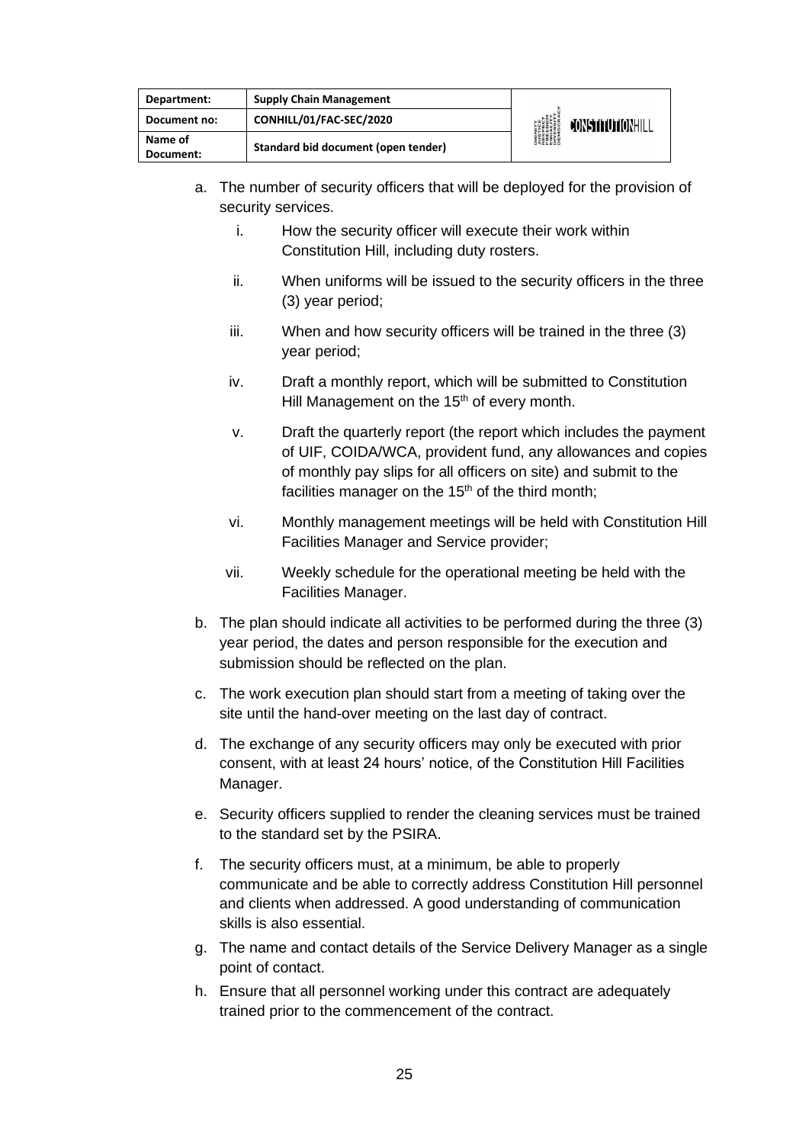| Department:          | <b>Supply Chain Management</b>      | <b>DIGNITY</b><br><i><b>NISTICE</b></i><br>RESPECT<br>EREEDIM<br>ENGESITY<br>DIVERSITY<br>DIROCRA | CONSTITUTIONHILL |
|----------------------|-------------------------------------|---------------------------------------------------------------------------------------------------|------------------|
| Document no:         | CONHILL/01/FAC-SEC/2020             |                                                                                                   |                  |
| Name of<br>Document: | Standard bid document (open tender) |                                                                                                   |                  |

- a. The number of security officers that will be deployed for the provision of security services.
	- i. How the security officer will execute their work within Constitution Hill, including duty rosters.
	- ii. When uniforms will be issued to the security officers in the three (3) year period;
	- iii. When and how security officers will be trained in the three (3) year period;
	- iv. Draft a monthly report, which will be submitted to Constitution Hill Management on the 15<sup>th</sup> of every month.
	- v. Draft the quarterly report (the report which includes the payment of UIF, COIDA/WCA, provident fund, any allowances and copies of monthly pay slips for all officers on site) and submit to the facilities manager on the  $15<sup>th</sup>$  of the third month;
	- vi. Monthly management meetings will be held with Constitution Hill Facilities Manager and Service provider;
	- vii. Weekly schedule for the operational meeting be held with the Facilities Manager.
- b. The plan should indicate all activities to be performed during the three (3) year period, the dates and person responsible for the execution and submission should be reflected on the plan.
- c. The work execution plan should start from a meeting of taking over the site until the hand-over meeting on the last day of contract.
- d. The exchange of any security officers may only be executed with prior consent, with at least 24 hours' notice, of the Constitution Hill Facilities Manager.
- e. Security officers supplied to render the cleaning services must be trained to the standard set by the PSIRA.
- f. The security officers must, at a minimum, be able to properly communicate and be able to correctly address Constitution Hill personnel and clients when addressed. A good understanding of communication skills is also essential.
- g. The name and contact details of the Service Delivery Manager as a single point of contact.
- h. Ensure that all personnel working under this contract are adequately trained prior to the commencement of the contract.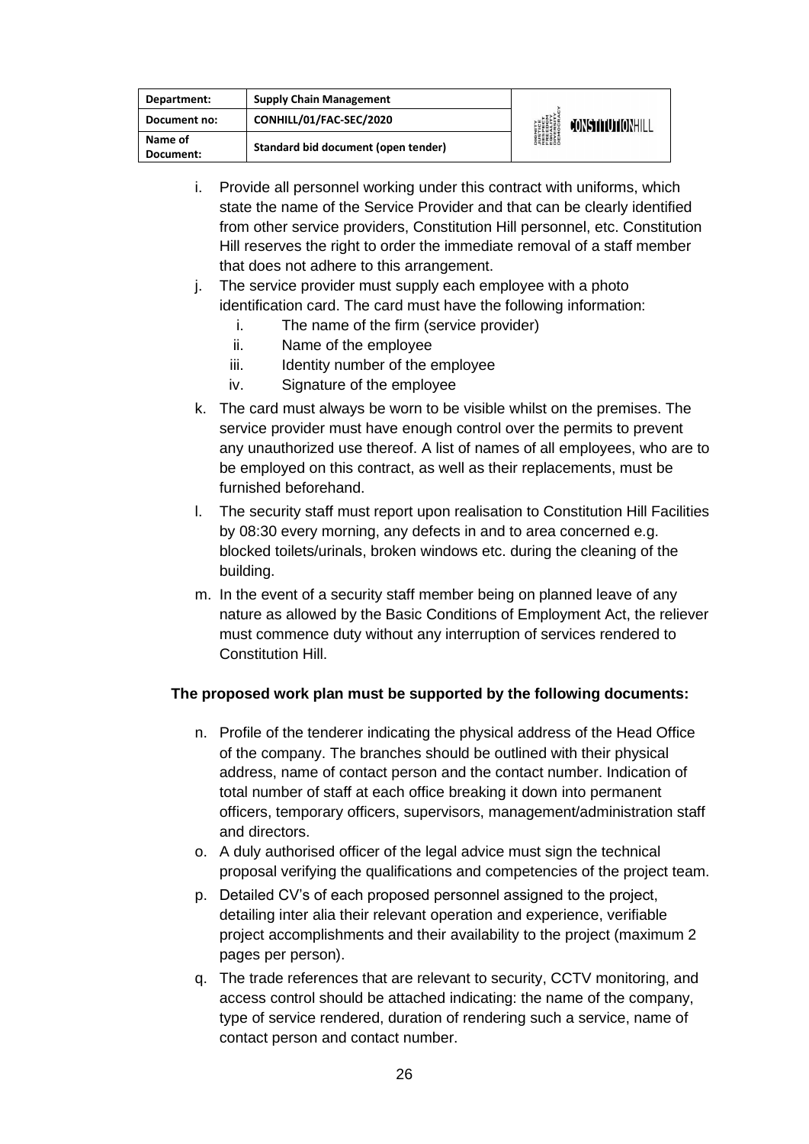| Department:          | <b>Supply Chain Management</b>      | <b>DIGNITY</b><br><i><b>JUSTICE</b></i><br>RESPECT<br>RESPECT<br>EQUERSITY<br>DIVERSITY<br>DEMOCRA | CONSTITUTIONHILL |
|----------------------|-------------------------------------|----------------------------------------------------------------------------------------------------|------------------|
| Document no:         | CONHILL/01/FAC-SEC/2020             |                                                                                                    |                  |
| Name of<br>Document: | Standard bid document (open tender) |                                                                                                    |                  |

- i. Provide all personnel working under this contract with uniforms, which state the name of the Service Provider and that can be clearly identified from other service providers, Constitution Hill personnel, etc. Constitution Hill reserves the right to order the immediate removal of a staff member that does not adhere to this arrangement.
- j. The service provider must supply each employee with a photo identification card. The card must have the following information:
	- i. The name of the firm (service provider)
	- ii. Name of the employee
	- iii. Identity number of the employee
	- iv. Signature of the employee
- k. The card must always be worn to be visible whilst on the premises. The service provider must have enough control over the permits to prevent any unauthorized use thereof. A list of names of all employees, who are to be employed on this contract, as well as their replacements, must be furnished beforehand.
- l. The security staff must report upon realisation to Constitution Hill Facilities by 08:30 every morning, any defects in and to area concerned e.g. blocked toilets/urinals, broken windows etc. during the cleaning of the building.
- m. In the event of a security staff member being on planned leave of any nature as allowed by the Basic Conditions of Employment Act, the reliever must commence duty without any interruption of services rendered to Constitution Hill.

#### **The proposed work plan must be supported by the following documents:**

- n. Profile of the tenderer indicating the physical address of the Head Office of the company. The branches should be outlined with their physical address, name of contact person and the contact number. Indication of total number of staff at each office breaking it down into permanent officers, temporary officers, supervisors, management/administration staff and directors.
- o. A duly authorised officer of the legal advice must sign the technical proposal verifying the qualifications and competencies of the project team.
- p. Detailed CV's of each proposed personnel assigned to the project, detailing inter alia their relevant operation and experience, verifiable project accomplishments and their availability to the project (maximum 2 pages per person).
- q. The trade references that are relevant to security, CCTV monitoring, and access control should be attached indicating: the name of the company, type of service rendered, duration of rendering such a service, name of contact person and contact number.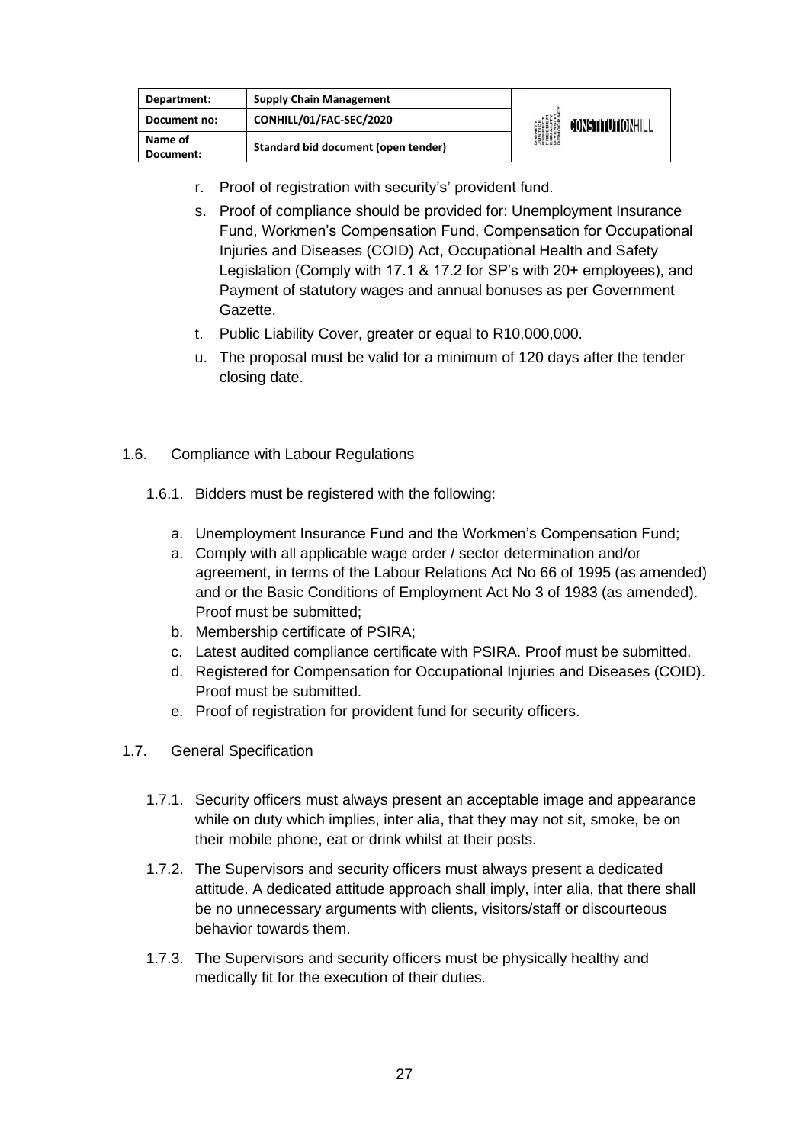| Department:          | <b>Supply Chain Management</b>      | <b>DIGNITY<br/>AUSTICE<br/>RESPECT<br/>EREEDIVM<br/>EREEDIVM</b><br>DIVERSITY<br>DIVERSITY<br>DEMOCRA | CONSTITUTIONHILL |
|----------------------|-------------------------------------|-------------------------------------------------------------------------------------------------------|------------------|
| Document no:         | CONHILL/01/FAC-SEC/2020             |                                                                                                       |                  |
| Name of<br>Document: | Standard bid document (open tender) |                                                                                                       |                  |

- r. Proof of registration with security's' provident fund.
- s. Proof of compliance should be provided for: Unemployment Insurance Fund, Workmen's Compensation Fund, Compensation for Occupational Injuries and Diseases (COID) Act, Occupational Health and Safety Legislation (Comply with 17.1 & 17.2 for SP's with 20+ employees), and Payment of statutory wages and annual bonuses as per Government Gazette.
- t. Public Liability Cover, greater or equal to R10,000,000.
- u. The proposal must be valid for a minimum of 120 days after the tender closing date.
- 1.6. Compliance with Labour Regulations
	- 1.6.1. Bidders must be registered with the following:
		- a. Unemployment Insurance Fund and the Workmen's Compensation Fund;
		- a. Comply with all applicable wage order / sector determination and/or agreement, in terms of the Labour Relations Act No 66 of 1995 (as amended) and or the Basic Conditions of Employment Act No 3 of 1983 (as amended). Proof must be submitted;
		- b. Membership certificate of PSIRA;
		- c. Latest audited compliance certificate with PSIRA. Proof must be submitted.
		- d. Registered for Compensation for Occupational Injuries and Diseases (COID). Proof must be submitted.
		- e. Proof of registration for provident fund for security officers.
- 1.7. General Specification
	- 1.7.1. Security officers must always present an acceptable image and appearance while on duty which implies, inter alia, that they may not sit, smoke, be on their mobile phone, eat or drink whilst at their posts.
	- 1.7.2. The Supervisors and security officers must always present a dedicated attitude. A dedicated attitude approach shall imply, inter alia, that there shall be no unnecessary arguments with clients, visitors/staff or discourteous behavior towards them.
	- 1.7.3. The Supervisors and security officers must be physically healthy and medically fit for the execution of their duties.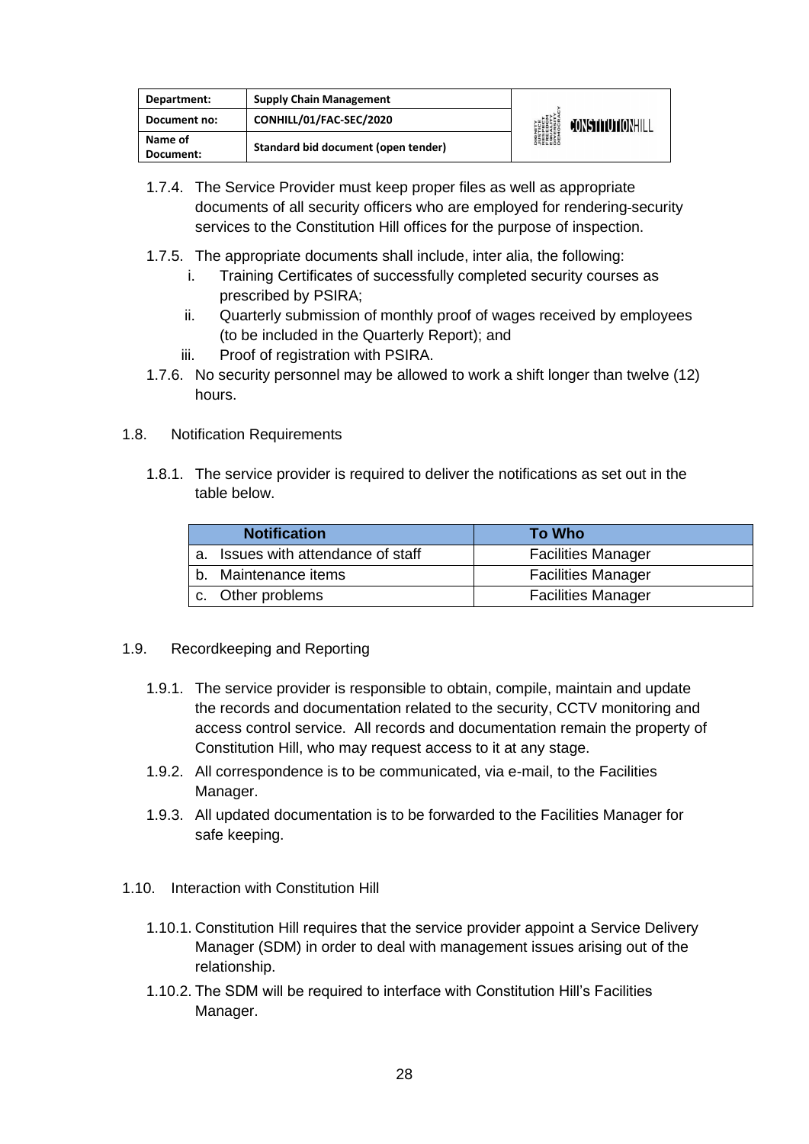| Department:          | <b>Supply Chain Management</b>      | <b>DIGNITY</b><br><i><b>NUSTICE</b></i><br>RESPECT<br>EQUELOM<br>ENGESITY<br>DIVERSITY<br>DIEMOCRA | CONSTITUTIONHILL |
|----------------------|-------------------------------------|----------------------------------------------------------------------------------------------------|------------------|
| Document no:         | CONHILL/01/FAC-SEC/2020             |                                                                                                    |                  |
| Name of<br>Document: | Standard bid document (open tender) |                                                                                                    |                  |

- 1.7.4. The Service Provider must keep proper files as well as appropriate documents of all security officers who are employed for rendering security services to the Constitution Hill offices for the purpose of inspection.
- 1.7.5. The appropriate documents shall include, inter alia, the following:
	- i. Training Certificates of successfully completed security courses as prescribed by PSIRA;
	- ii. Quarterly submission of monthly proof of wages received by employees (to be included in the Quarterly Report); and
	- iii. Proof of registration with PSIRA.
- 1.7.6. No security personnel may be allowed to work a shift longer than twelve (12) hours.
- 1.8. Notification Requirements
	- 1.8.1. The service provider is required to deliver the notifications as set out in the table below.

|         | <b>Notification</b>             | To Who                    |
|---------|---------------------------------|---------------------------|
| $a_{-}$ | Issues with attendance of staff | <b>Facilities Manager</b> |
|         | b. Maintenance items            | <b>Facilities Manager</b> |
|         | c. Other problems               | <b>Facilities Manager</b> |

- 1.9. Recordkeeping and Reporting
	- 1.9.1. The service provider is responsible to obtain, compile, maintain and update the records and documentation related to the security, CCTV monitoring and access control service. All records and documentation remain the property of Constitution Hill, who may request access to it at any stage.
	- 1.9.2. All correspondence is to be communicated, via e-mail, to the Facilities Manager.
	- 1.9.3. All updated documentation is to be forwarded to the Facilities Manager for safe keeping.
- 1.10. Interaction with Constitution Hill
	- 1.10.1. Constitution Hill requires that the service provider appoint a Service Delivery Manager (SDM) in order to deal with management issues arising out of the relationship.
	- 1.10.2. The SDM will be required to interface with Constitution Hill's Facilities Manager.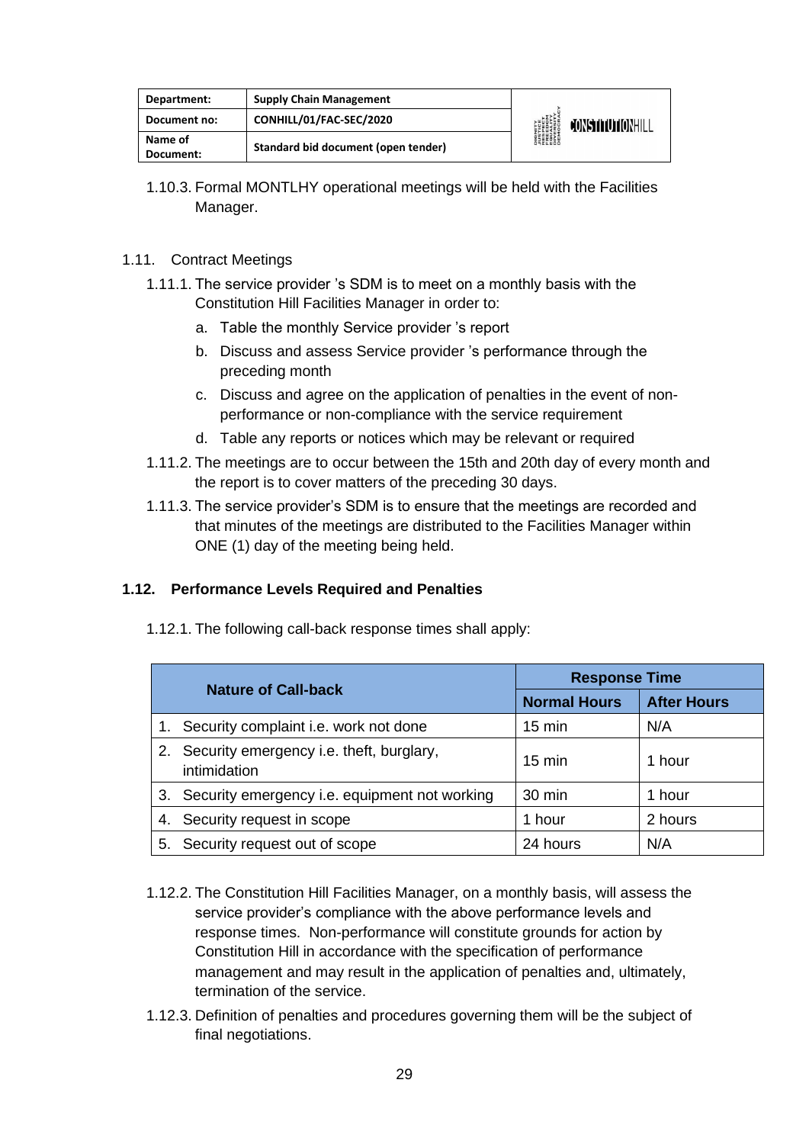| Department:          | <b>Supply Chain Management</b>      | <b>DIGNITY</b><br><b><i>JUSTICE<br/>RESPECT<br/>FREEDOM<br/>FREEDOM<br/>DIVERSITY<br/>DIVERSITY</i><br/>DEMOCRAV</b> | <b>JONSTITUTIONHILL</b> |
|----------------------|-------------------------------------|----------------------------------------------------------------------------------------------------------------------|-------------------------|
| Document no:         | CONHILL/01/FAC-SEC/2020             |                                                                                                                      |                         |
| Name of<br>Document: | Standard bid document (open tender) |                                                                                                                      |                         |

1.10.3. Formal MONTLHY operational meetings will be held with the Facilities Manager.

#### 1.11. Contract Meetings

- 1.11.1. The service provider 's SDM is to meet on a monthly basis with the Constitution Hill Facilities Manager in order to:
	- a. Table the monthly Service provider 's report
	- b. Discuss and assess Service provider 's performance through the preceding month
	- c. Discuss and agree on the application of penalties in the event of nonperformance or non-compliance with the service requirement
	- d. Table any reports or notices which may be relevant or required
- 1.11.2. The meetings are to occur between the 15th and 20th day of every month and the report is to cover matters of the preceding 30 days.
- 1.11.3. The service provider's SDM is to ensure that the meetings are recorded and that minutes of the meetings are distributed to the Facilities Manager within ONE (1) day of the meeting being held.

#### **1.12. Performance Levels Required and Penalties**

1.12.1. The following call-back response times shall apply:

| <b>Nature of Call-back</b> |                                                          | <b>Response Time</b> |                    |
|----------------------------|----------------------------------------------------------|----------------------|--------------------|
|                            |                                                          | <b>Normal Hours</b>  | <b>After Hours</b> |
| 1.                         | Security complaint i.e. work not done                    | $15 \text{ min}$     | N/A                |
| 2.                         | Security emergency i.e. theft, burglary,<br>intimidation | $15 \text{ min}$     | 1 hour             |
|                            | 3. Security emergency i.e. equipment not working         | 30 min               | 1 hour             |
| 4.                         | Security request in scope                                | 1 hour               | 2 hours            |
| 5.                         | Security request out of scope                            | 24 hours             | N/A                |

- 1.12.2. The Constitution Hill Facilities Manager, on a monthly basis, will assess the service provider's compliance with the above performance levels and response times. Non-performance will constitute grounds for action by Constitution Hill in accordance with the specification of performance management and may result in the application of penalties and, ultimately, termination of the service.
- 1.12.3. Definition of penalties and procedures governing them will be the subject of final negotiations.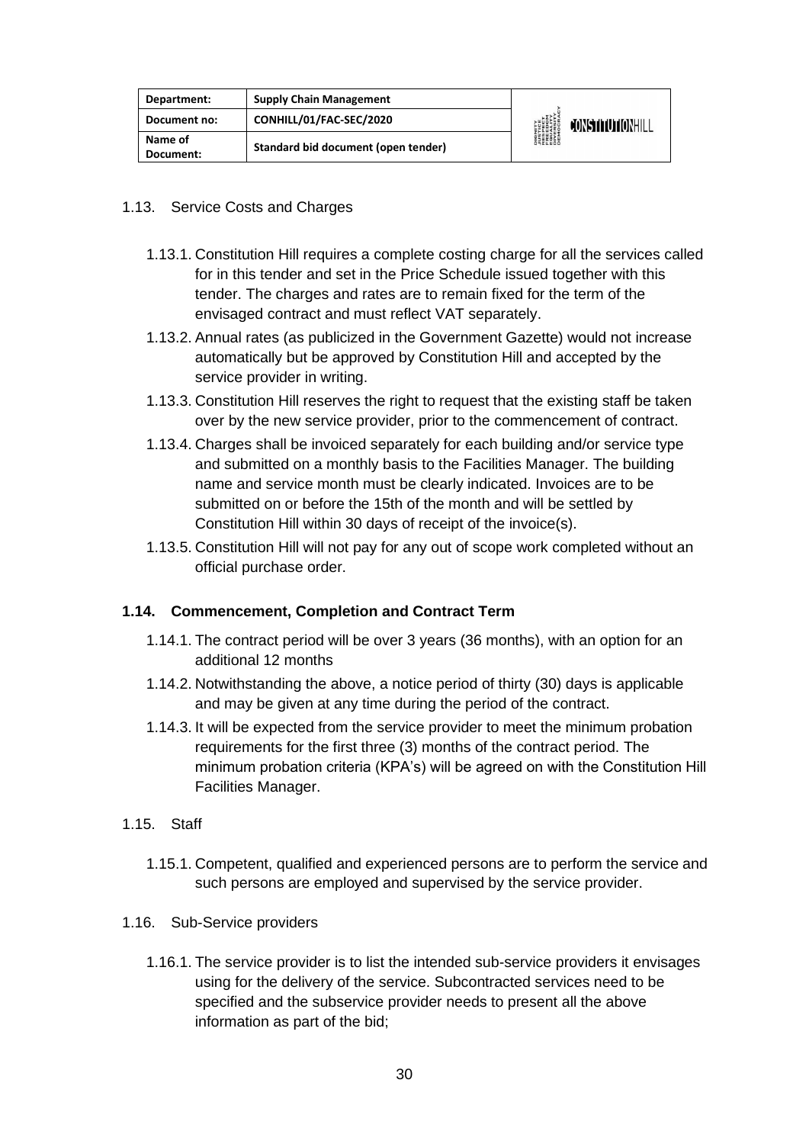| Department:  | <b>Supply Chain Management</b>      | <b>DIGNITY</b><br><b><i>NISTICE<br/>RESPECT<br/>RESPECT<br/>ERECOM<br/>DIVERSITY</i><br/>DIVERSITY<br/>DEMOCRAN</b> | CONSTITUTIONHILL |
|--------------|-------------------------------------|---------------------------------------------------------------------------------------------------------------------|------------------|
| Document no: | CONHILL/01/FAC-SEC/2020             |                                                                                                                     |                  |
| Name of      | Standard bid document (open tender) |                                                                                                                     |                  |
| Document:    |                                     |                                                                                                                     |                  |

#### 1.13. Service Costs and Charges

- 1.13.1. Constitution Hill requires a complete costing charge for all the services called for in this tender and set in the Price Schedule issued together with this tender. The charges and rates are to remain fixed for the term of the envisaged contract and must reflect VAT separately.
- 1.13.2. Annual rates (as publicized in the Government Gazette) would not increase automatically but be approved by Constitution Hill and accepted by the service provider in writing.
- 1.13.3. Constitution Hill reserves the right to request that the existing staff be taken over by the new service provider, prior to the commencement of contract.
- 1.13.4. Charges shall be invoiced separately for each building and/or service type and submitted on a monthly basis to the Facilities Manager. The building name and service month must be clearly indicated. Invoices are to be submitted on or before the 15th of the month and will be settled by Constitution Hill within 30 days of receipt of the invoice(s).
- 1.13.5. Constitution Hill will not pay for any out of scope work completed without an official purchase order.

#### **1.14. Commencement, Completion and Contract Term**

- 1.14.1. The contract period will be over 3 years (36 months), with an option for an additional 12 months
- 1.14.2. Notwithstanding the above, a notice period of thirty (30) days is applicable and may be given at any time during the period of the contract.
- 1.14.3. It will be expected from the service provider to meet the minimum probation requirements for the first three (3) months of the contract period. The minimum probation criteria (KPA's) will be agreed on with the Constitution Hill Facilities Manager.
- 1.15. Staff
	- 1.15.1. Competent, qualified and experienced persons are to perform the service and such persons are employed and supervised by the service provider.
- 1.16. Sub-Service providers
	- 1.16.1. The service provider is to list the intended sub-service providers it envisages using for the delivery of the service. Subcontracted services need to be specified and the subservice provider needs to present all the above information as part of the bid;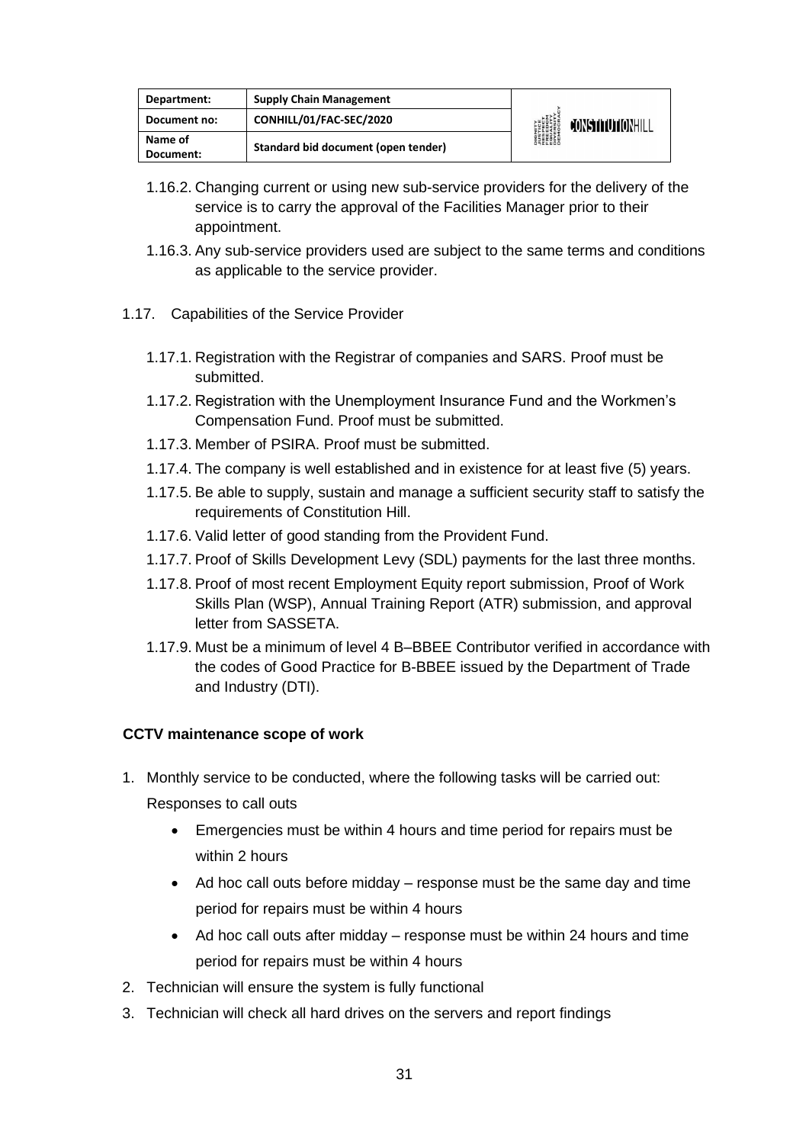| Department:          | <b>Supply Chain Management</b>      | <b>DIGNITY<br/>AUSTICE<br/>RESPECT<br/>RESPECT<br/>ERLEDOM<br/>DIVERSITY<br/>DIVERSITY</b> | <b>FONSTITUTIONHILL</b> |
|----------------------|-------------------------------------|--------------------------------------------------------------------------------------------|-------------------------|
| Document no:         | CONHILL/01/FAC-SEC/2020             |                                                                                            |                         |
| Name of<br>Document: | Standard bid document (open tender) |                                                                                            |                         |

- 1.16.2. Changing current or using new sub-service providers for the delivery of the service is to carry the approval of the Facilities Manager prior to their appointment.
- 1.16.3. Any sub-service providers used are subject to the same terms and conditions as applicable to the service provider.
- 1.17. Capabilities of the Service Provider
	- 1.17.1. Registration with the Registrar of companies and SARS. Proof must be submitted.
	- 1.17.2. Registration with the Unemployment Insurance Fund and the Workmen's Compensation Fund. Proof must be submitted.
	- 1.17.3. Member of PSIRA. Proof must be submitted.
	- 1.17.4. The company is well established and in existence for at least five (5) years.
	- 1.17.5. Be able to supply, sustain and manage a sufficient security staff to satisfy the requirements of Constitution Hill.
	- 1.17.6. Valid letter of good standing from the Provident Fund.
	- 1.17.7. Proof of Skills Development Levy (SDL) payments for the last three months.
	- 1.17.8. Proof of most recent Employment Equity report submission, Proof of Work Skills Plan (WSP), Annual Training Report (ATR) submission, and approval letter from SASSETA.
	- 1.17.9. Must be a minimum of level 4 B–BBEE Contributor verified in accordance with the codes of Good Practice for B-BBEE issued by the Department of Trade and Industry (DTI).

#### **CCTV maintenance scope of work**

- 1. Monthly service to be conducted, where the following tasks will be carried out: Responses to call outs
	- Emergencies must be within 4 hours and time period for repairs must be within 2 hours
	- Ad hoc call outs before midday response must be the same day and time period for repairs must be within 4 hours
	- Ad hoc call outs after midday response must be within 24 hours and time period for repairs must be within 4 hours
- 2. Technician will ensure the system is fully functional
- 3. Technician will check all hard drives on the servers and report findings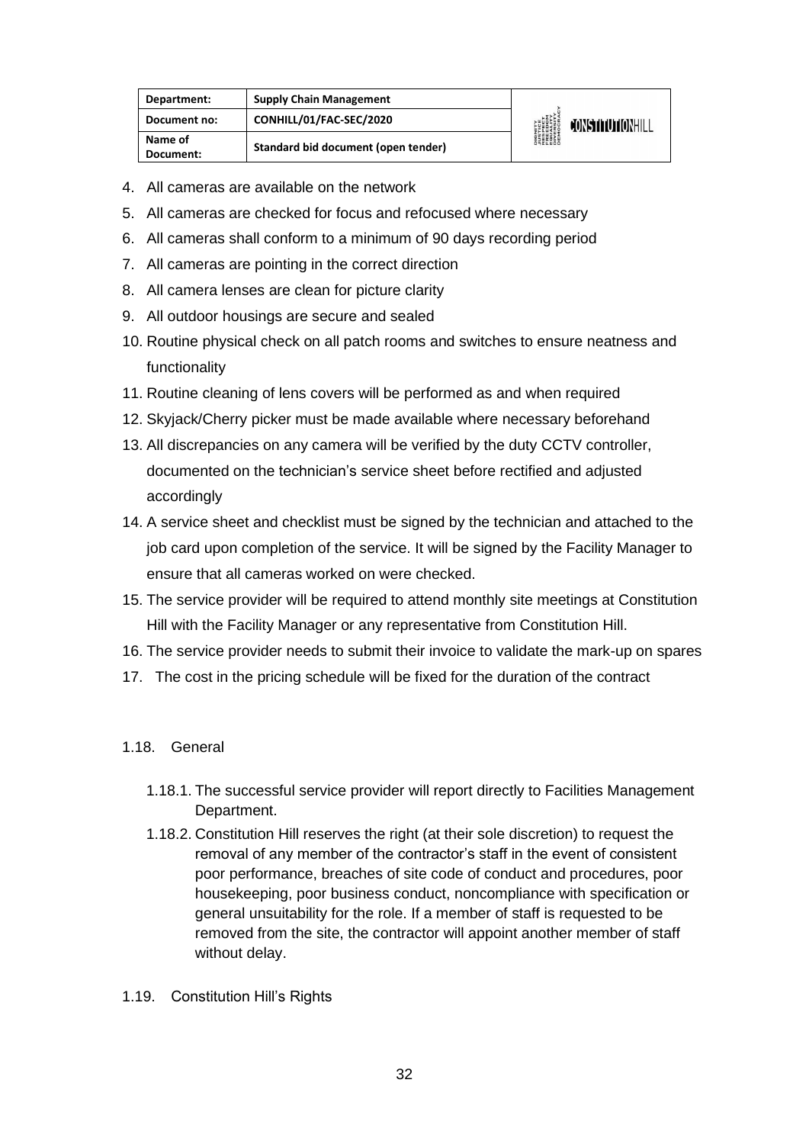| Department:          | <b>Supply Chain Management</b>      | DIGNITY<br>JUSTICE<br>RESPECT<br>RESPECT<br>EQUERSITY<br>DIVERSITY<br>DIROCRAL | CONSTITUTIONHILL |
|----------------------|-------------------------------------|--------------------------------------------------------------------------------|------------------|
| Document no:         | CONHILL/01/FAC-SEC/2020             |                                                                                |                  |
| Name of<br>Document: | Standard bid document (open tender) |                                                                                |                  |

- 4. All cameras are available on the network
- 5. All cameras are checked for focus and refocused where necessary
- 6. All cameras shall conform to a minimum of 90 days recording period
- 7. All cameras are pointing in the correct direction
- 8. All camera lenses are clean for picture clarity
- 9. All outdoor housings are secure and sealed
- 10. Routine physical check on all patch rooms and switches to ensure neatness and functionality
- 11. Routine cleaning of lens covers will be performed as and when required
- 12. Skyjack/Cherry picker must be made available where necessary beforehand
- 13. All discrepancies on any camera will be verified by the duty CCTV controller, documented on the technician's service sheet before rectified and adjusted accordingly
- 14. A service sheet and checklist must be signed by the technician and attached to the job card upon completion of the service. It will be signed by the Facility Manager to ensure that all cameras worked on were checked.
- 15. The service provider will be required to attend monthly site meetings at Constitution Hill with the Facility Manager or any representative from Constitution Hill.
- 16. The service provider needs to submit their invoice to validate the mark-up on spares
- 17. The cost in the pricing schedule will be fixed for the duration of the contract

#### 1.18. General

- 1.18.1. The successful service provider will report directly to Facilities Management Department.
- 1.18.2. Constitution Hill reserves the right (at their sole discretion) to request the removal of any member of the contractor's staff in the event of consistent poor performance, breaches of site code of conduct and procedures, poor housekeeping, poor business conduct, noncompliance with specification or general unsuitability for the role. If a member of staff is requested to be removed from the site, the contractor will appoint another member of staff without delay.
- 1.19. Constitution Hill's Rights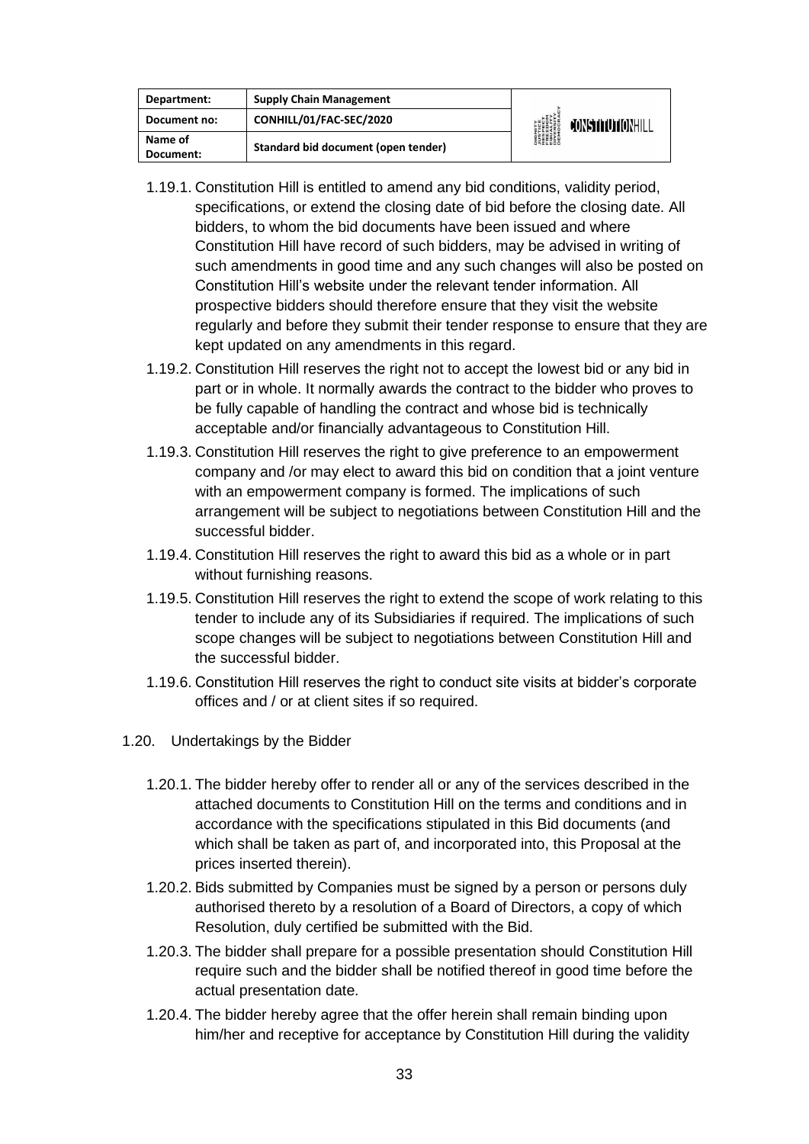| Department:          | <b>Supply Chain Management</b>      |                                                                                                                       |  |
|----------------------|-------------------------------------|-----------------------------------------------------------------------------------------------------------------------|--|
| Document no:         | CONHILL/01/FAC-SEC/2020             | <b>DIGNITY</b><br><i><b>NISTICE</b></i><br>RESPECT<br>EREEDIM<br>ENGESITY<br>DIVERSITY<br>DIROCRA<br>CONSTITUTIONHILL |  |
| Name of<br>Document: | Standard bid document (open tender) |                                                                                                                       |  |

- 1.19.1. Constitution Hill is entitled to amend any bid conditions, validity period, specifications, or extend the closing date of bid before the closing date. All bidders, to whom the bid documents have been issued and where Constitution Hill have record of such bidders, may be advised in writing of such amendments in good time and any such changes will also be posted on Constitution Hill's website under the relevant tender information. All prospective bidders should therefore ensure that they visit the website regularly and before they submit their tender response to ensure that they are kept updated on any amendments in this regard.
- 1.19.2. Constitution Hill reserves the right not to accept the lowest bid or any bid in part or in whole. It normally awards the contract to the bidder who proves to be fully capable of handling the contract and whose bid is technically acceptable and/or financially advantageous to Constitution Hill.
- 1.19.3. Constitution Hill reserves the right to give preference to an empowerment company and /or may elect to award this bid on condition that a joint venture with an empowerment company is formed. The implications of such arrangement will be subject to negotiations between Constitution Hill and the successful bidder.
- 1.19.4. Constitution Hill reserves the right to award this bid as a whole or in part without furnishing reasons.
- 1.19.5. Constitution Hill reserves the right to extend the scope of work relating to this tender to include any of its Subsidiaries if required. The implications of such scope changes will be subject to negotiations between Constitution Hill and the successful bidder.
- 1.19.6. Constitution Hill reserves the right to conduct site visits at bidder's corporate offices and / or at client sites if so required.
- 1.20. Undertakings by the Bidder
	- 1.20.1. The bidder hereby offer to render all or any of the services described in the attached documents to Constitution Hill on the terms and conditions and in accordance with the specifications stipulated in this Bid documents (and which shall be taken as part of, and incorporated into, this Proposal at the prices inserted therein).
	- 1.20.2. Bids submitted by Companies must be signed by a person or persons duly authorised thereto by a resolution of a Board of Directors, a copy of which Resolution, duly certified be submitted with the Bid.
	- 1.20.3. The bidder shall prepare for a possible presentation should Constitution Hill require such and the bidder shall be notified thereof in good time before the actual presentation date.
	- 1.20.4. The bidder hereby agree that the offer herein shall remain binding upon him/her and receptive for acceptance by Constitution Hill during the validity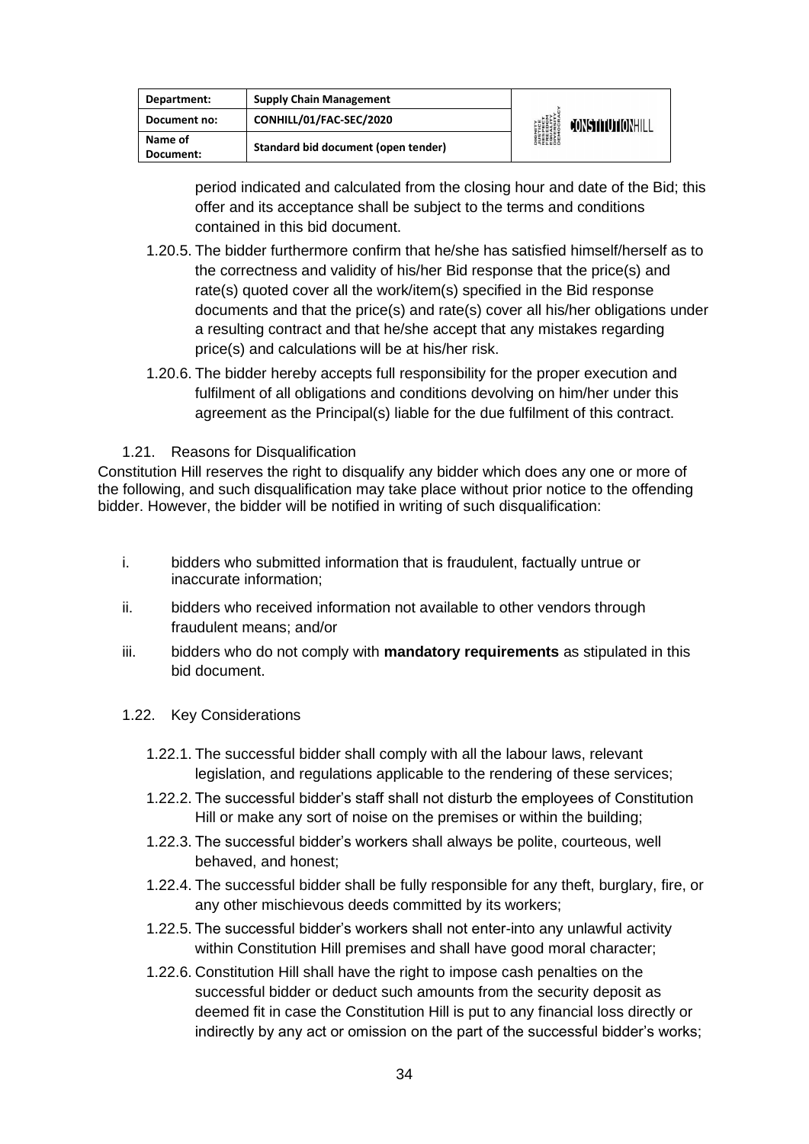| Department:          | <b>Supply Chain Management</b>      |                                                                                      |                  |
|----------------------|-------------------------------------|--------------------------------------------------------------------------------------|------------------|
| Document no:         | CONHILL/01/FAC-SEC/2020             | <b>DIGNITY</b><br>PESPECT<br>RESPECT<br>ERLEDIY<br>DIVERSITY<br>DIVERSITY<br>DEMOCRA | CONSTITUTIONHILL |
| Name of<br>Document: | Standard bid document (open tender) |                                                                                      |                  |

period indicated and calculated from the closing hour and date of the Bid; this offer and its acceptance shall be subject to the terms and conditions contained in this bid document.

- 1.20.5. The bidder furthermore confirm that he/she has satisfied himself/herself as to the correctness and validity of his/her Bid response that the price(s) and rate(s) quoted cover all the work/item(s) specified in the Bid response documents and that the price(s) and rate(s) cover all his/her obligations under a resulting contract and that he/she accept that any mistakes regarding price(s) and calculations will be at his/her risk.
- 1.20.6. The bidder hereby accepts full responsibility for the proper execution and fulfilment of all obligations and conditions devolving on him/her under this agreement as the Principal(s) liable for the due fulfilment of this contract.

#### 1.21. Reasons for Disqualification

Constitution Hill reserves the right to disqualify any bidder which does any one or more of the following, and such disqualification may take place without prior notice to the offending bidder. However, the bidder will be notified in writing of such disqualification:

- i. bidders who submitted information that is fraudulent, factually untrue or inaccurate information;
- ii. bidders who received information not available to other vendors through fraudulent means; and/or
- iii. bidders who do not comply with **mandatory requirements** as stipulated in this bid document.

#### 1.22. Key Considerations

- 1.22.1. The successful bidder shall comply with all the labour laws, relevant legislation, and regulations applicable to the rendering of these services;
- 1.22.2. The successful bidder's staff shall not disturb the employees of Constitution Hill or make any sort of noise on the premises or within the building;
- 1.22.3. The successful bidder's workers shall always be polite, courteous, well behaved, and honest;
- 1.22.4. The successful bidder shall be fully responsible for any theft, burglary, fire, or any other mischievous deeds committed by its workers;
- 1.22.5. The successful bidder's workers shall not enter-into any unlawful activity within Constitution Hill premises and shall have good moral character;
- 1.22.6. Constitution Hill shall have the right to impose cash penalties on the successful bidder or deduct such amounts from the security deposit as deemed fit in case the Constitution Hill is put to any financial loss directly or indirectly by any act or omission on the part of the successful bidder's works;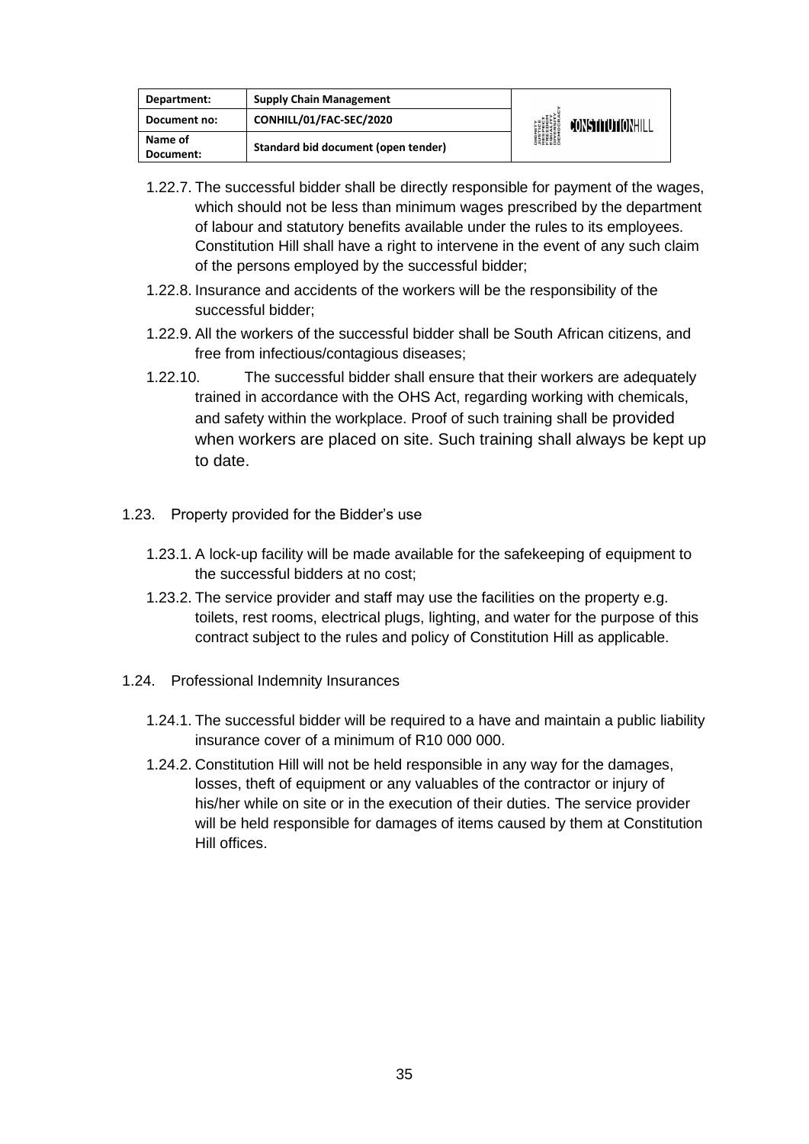| Department:          | <b>Supply Chain Management</b>      | <b>DIGNITY</b><br><i><b>NUSTICE</b></i><br>RESPECT<br>EQUELOM<br>ENGESITY<br>DIVERSITY<br>DIEMOCRA | <b>JONSTITUTIONHILL</b> |
|----------------------|-------------------------------------|----------------------------------------------------------------------------------------------------|-------------------------|
| Document no:         | CONHILL/01/FAC-SEC/2020             |                                                                                                    |                         |
| Name of<br>Document: | Standard bid document (open tender) |                                                                                                    |                         |

- 1.22.7. The successful bidder shall be directly responsible for payment of the wages, which should not be less than minimum wages prescribed by the department of labour and statutory benefits available under the rules to its employees. Constitution Hill shall have a right to intervene in the event of any such claim of the persons employed by the successful bidder;
- 1.22.8. Insurance and accidents of the workers will be the responsibility of the successful bidder;
- 1.22.9. All the workers of the successful bidder shall be South African citizens, and free from infectious/contagious diseases;
- 1.22.10. The successful bidder shall ensure that their workers are adequately trained in accordance with the OHS Act, regarding working with chemicals, and safety within the workplace. Proof of such training shall be provided when workers are placed on site. Such training shall always be kept up to date.
- 1.23. Property provided for the Bidder's use
	- 1.23.1. A lock-up facility will be made available for the safekeeping of equipment to the successful bidders at no cost;
	- 1.23.2. The service provider and staff may use the facilities on the property e.g. toilets, rest rooms, electrical plugs, lighting, and water for the purpose of this contract subject to the rules and policy of Constitution Hill as applicable.
- 1.24. Professional Indemnity Insurances
	- 1.24.1. The successful bidder will be required to a have and maintain a public liability insurance cover of a minimum of R10 000 000.
	- 1.24.2. Constitution Hill will not be held responsible in any way for the damages, losses, theft of equipment or any valuables of the contractor or injury of his/her while on site or in the execution of their duties. The service provider will be held responsible for damages of items caused by them at Constitution Hill offices.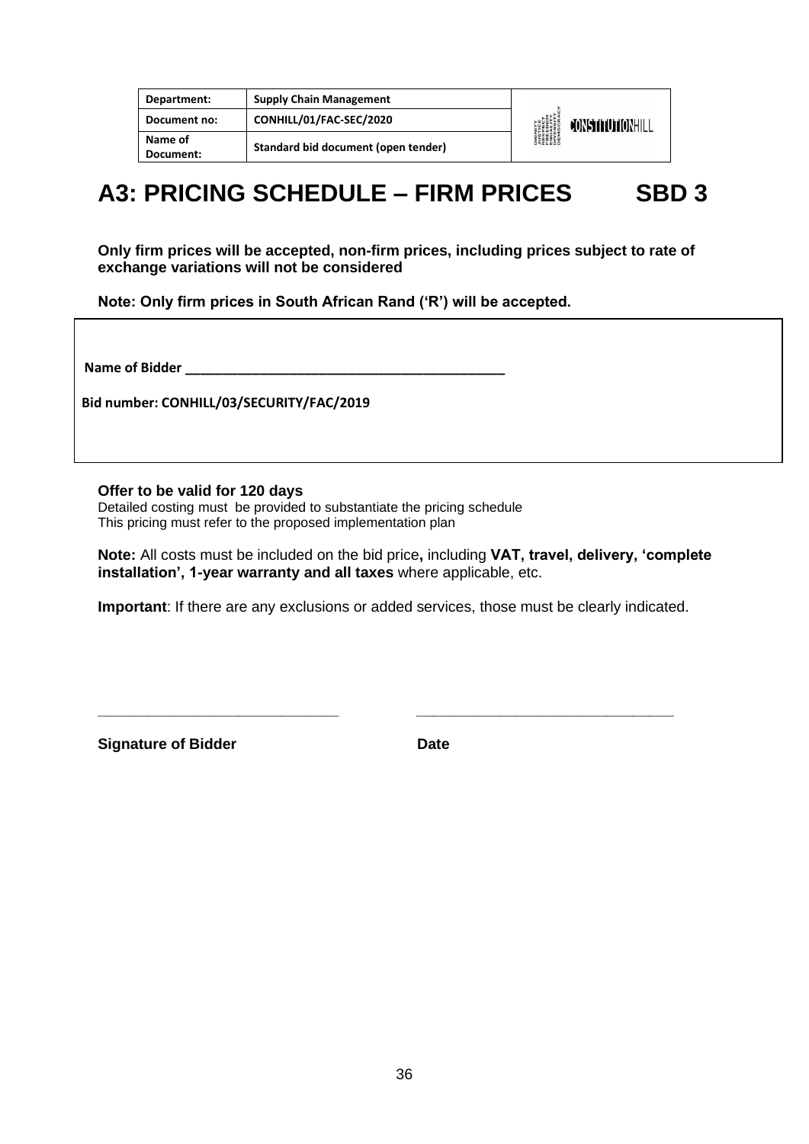| Department:          | <b>Supply Chain Management</b>      |                                                                                                            |
|----------------------|-------------------------------------|------------------------------------------------------------------------------------------------------------|
| Document no:         | CONHILL/01/FAC-SEC/2020             | <b>DIGNITY</b><br>PUSTICE<br>FRESPECT<br>EQUALITY<br>DIVERSITY<br>DIVERSITY<br>DEMOCRA<br>CONSTITUTIONHILL |
| Name of<br>Document: | Standard bid document (open tender) |                                                                                                            |

## **A3: PRICING SCHEDULE – FIRM PRICES SBD 3**

**Only firm prices will be accepted, non-firm prices, including prices subject to rate of exchange variations will not be considered**

**Note: Only firm prices in South African Rand ('R') will be accepted.**

**Name of Bidder \_\_\_\_\_\_\_\_\_\_\_\_\_\_\_\_\_\_\_\_\_\_\_\_\_\_\_\_\_\_\_\_\_\_\_\_\_\_\_\_\_\_\_**

**Bid number: CONHILL/03/SECURITY/FAC/2019** 

**Offer to be valid for 120 days**

Detailed costing must be provided to substantiate the pricing schedule This pricing must refer to the proposed implementation plan

> **Note:** All costs must be included on the bid price**,** including **VAT, travel, delivery, 'complete installation', 1-year warranty and all taxes** where applicable, etc.

**Important**: If there are any exclusions or added services, those must be clearly indicated.

**\_\_\_\_\_\_\_\_\_\_\_\_\_\_\_\_\_\_\_\_\_\_\_\_\_\_\_\_\_ \_\_\_\_\_\_\_\_\_\_\_\_\_\_\_\_\_\_\_\_\_\_\_\_\_\_\_\_\_\_\_**

**Signature of Bidder Community Community Community Community Community Community Community Community Community**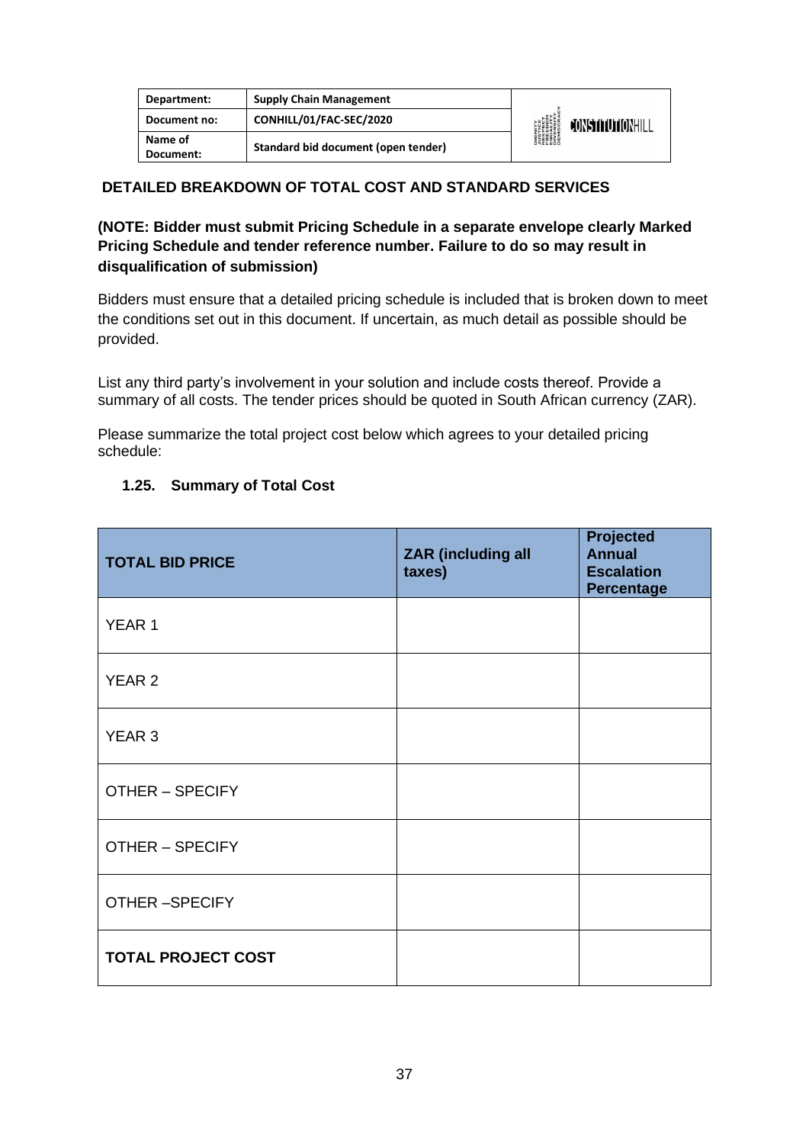| Department:          | <b>Supply Chain Management</b>      |                                                                                      |                  |
|----------------------|-------------------------------------|--------------------------------------------------------------------------------------|------------------|
| Document no:         | CONHILL/01/FAC-SEC/2020             | <b>DIGNITY</b><br>PESPECT<br>RESPECT<br>ERLEDIY<br>DIVERSITY<br>DIVERSITY<br>DEMOCRA | CONSTITUTIONHILL |
| Name of<br>Document: | Standard bid document (open tender) |                                                                                      |                  |

#### **DETAILED BREAKDOWN OF TOTAL COST AND STANDARD SERVICES**

#### **(NOTE: Bidder must submit Pricing Schedule in a separate envelope clearly Marked Pricing Schedule and tender reference number. Failure to do so may result in disqualification of submission)**

Bidders must ensure that a detailed pricing schedule is included that is broken down to meet the conditions set out in this document. If uncertain, as much detail as possible should be provided.

List any third party's involvement in your solution and include costs thereof. Provide a summary of all costs. The tender prices should be quoted in South African currency (ZAR).

Please summarize the total project cost below which agrees to your detailed pricing schedule:

#### **1.25. Summary of Total Cost**

| <b>TOTAL BID PRICE</b>    | <b>ZAR</b> (including all<br>taxes) | <b>Projected</b><br><b>Annual</b><br><b>Escalation</b><br><b>Percentage</b> |
|---------------------------|-------------------------------------|-----------------------------------------------------------------------------|
| YEAR 1                    |                                     |                                                                             |
| <b>YEAR 2</b>             |                                     |                                                                             |
| <b>YEAR 3</b>             |                                     |                                                                             |
| <b>OTHER - SPECIFY</b>    |                                     |                                                                             |
| <b>OTHER - SPECIFY</b>    |                                     |                                                                             |
| <b>OTHER-SPECIFY</b>      |                                     |                                                                             |
| <b>TOTAL PROJECT COST</b> |                                     |                                                                             |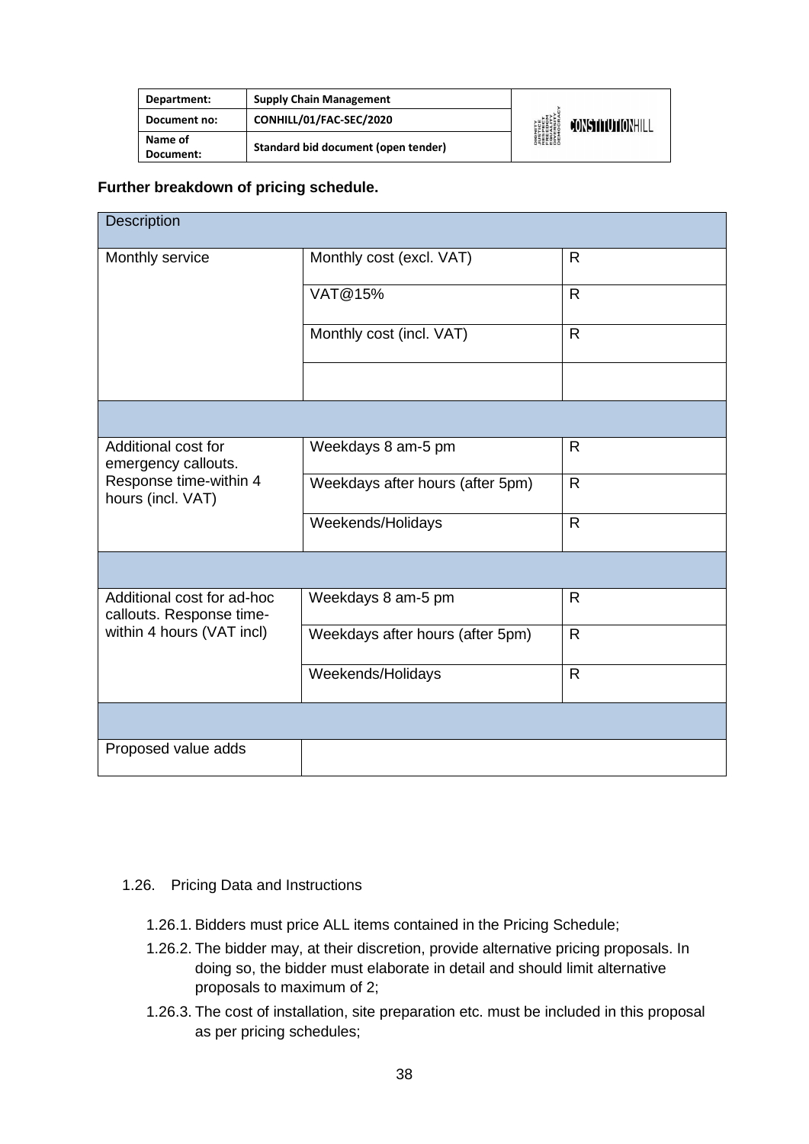| Department:          | <b>Supply Chain Management</b>      |                                                                                                                     |                  |
|----------------------|-------------------------------------|---------------------------------------------------------------------------------------------------------------------|------------------|
| Document no:         | CONHILL/01/FAC-SEC/2020             | <b>DIGNITY</b><br><b><i>NISTICE<br/>RESPECT<br/>RESPECT<br/>RESPITY<br/>DIVERSITY<br/>DIROCRAN</i><br/>DEMOCRAN</b> | CONSTITUTIONHILL |
| Name of<br>Document: | Standard bid document (open tender) |                                                                                                                     |                  |

#### **Further breakdown of pricing schedule.**

| Description                                            |                                  |              |  |  |
|--------------------------------------------------------|----------------------------------|--------------|--|--|
| Monthly service                                        | Monthly cost (excl. VAT)         | $\mathsf{R}$ |  |  |
|                                                        | VAT@15%                          | $\mathsf{R}$ |  |  |
|                                                        | Monthly cost (incl. VAT)         | $\mathsf{R}$ |  |  |
|                                                        |                                  |              |  |  |
|                                                        |                                  |              |  |  |
| Additional cost for<br>emergency callouts.             | Weekdays 8 am-5 pm               | $\mathsf{R}$ |  |  |
| Response time-within 4<br>hours (incl. VAT)            | Weekdays after hours (after 5pm) | $\mathsf{R}$ |  |  |
|                                                        | Weekends/Holidays                | $\mathsf{R}$ |  |  |
|                                                        |                                  |              |  |  |
| Additional cost for ad-hoc<br>callouts. Response time- | Weekdays 8 am-5 pm               | $\mathsf{R}$ |  |  |
| within 4 hours (VAT incl)                              | Weekdays after hours (after 5pm) | $\mathsf{R}$ |  |  |
|                                                        | Weekends/Holidays                | $\mathsf{R}$ |  |  |
|                                                        |                                  |              |  |  |
| Proposed value adds                                    |                                  |              |  |  |

#### 1.26. Pricing Data and Instructions

- 1.26.1. Bidders must price ALL items contained in the Pricing Schedule;
- 1.26.2. The bidder may, at their discretion, provide alternative pricing proposals. In doing so, the bidder must elaborate in detail and should limit alternative proposals to maximum of 2;
- 1.26.3. The cost of installation, site preparation etc. must be included in this proposal as per pricing schedules;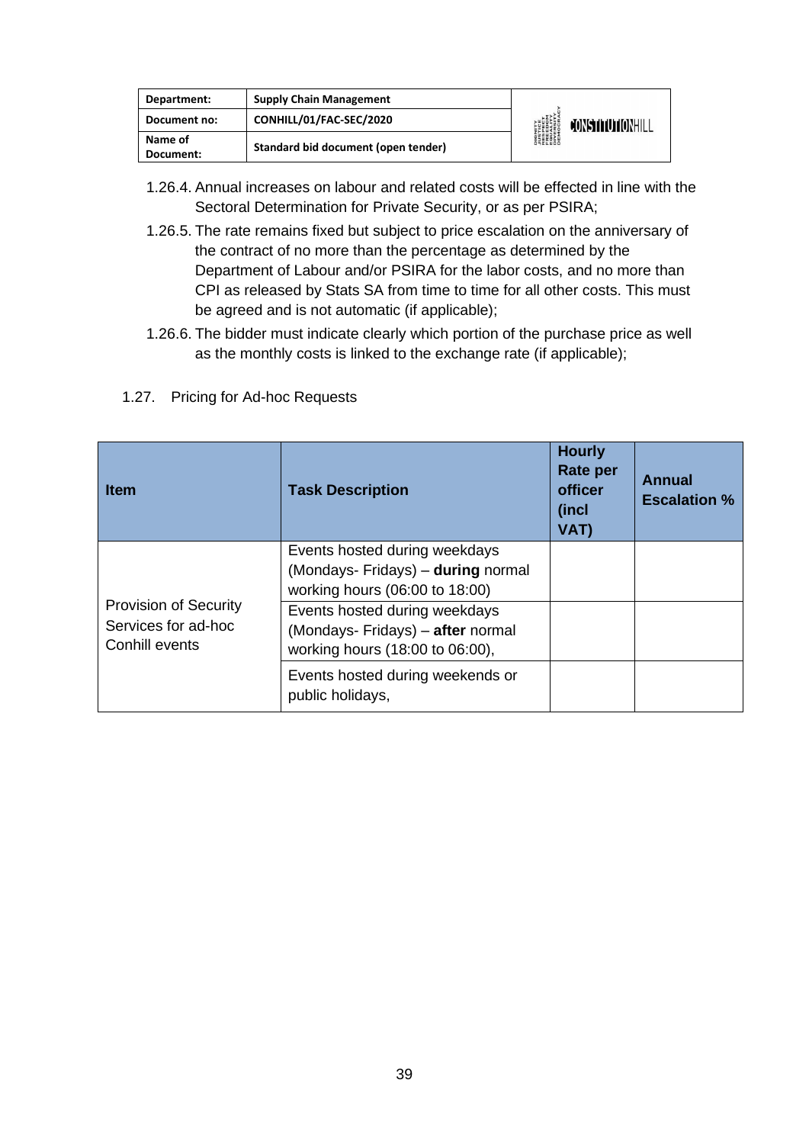| Department:  | <b>Supply Chain Management</b>      |                                                                                                          |                  |
|--------------|-------------------------------------|----------------------------------------------------------------------------------------------------------|------------------|
| Document no: | CONHILL/01/FAC-SEC/2020             | <b>DIGNITY</b><br><b><i>LUSTICE<br/>FRESPECT<br/>FRESITY<br/>EQUERSITY<br/>DIVERSITY</i><br/>DEMOCRA</b> | CONSTITUTIONHILL |
| Name of      | Standard bid document (open tender) |                                                                                                          |                  |
| Document:    |                                     |                                                                                                          |                  |

- 1.26.4. Annual increases on labour and related costs will be effected in line with the Sectoral Determination for Private Security, or as per PSIRA;
- 1.26.5. The rate remains fixed but subject to price escalation on the anniversary of the contract of no more than the percentage as determined by the Department of Labour and/or PSIRA for the labor costs, and no more than CPI as released by Stats SA from time to time for all other costs. This must be agreed and is not automatic (if applicable);
- 1.26.6. The bidder must indicate clearly which portion of the purchase price as well as the monthly costs is linked to the exchange rate (if applicable);
- 1.27. Pricing for Ad-hoc Requests

| <b>Item</b>                                                           | <b>Task Description</b>                                                                               | <b>Hourly</b><br><b>Rate per</b><br>officer<br>(incl<br>VAT) | <b>Annual</b><br><b>Escalation %</b> |
|-----------------------------------------------------------------------|-------------------------------------------------------------------------------------------------------|--------------------------------------------------------------|--------------------------------------|
|                                                                       | Events hosted during weekdays<br>(Mondays- Fridays) - during normal<br>working hours (06:00 to 18:00) |                                                              |                                      |
| <b>Provision of Security</b><br>Services for ad-hoc<br>Conhill events | Events hosted during weekdays<br>(Mondays- Fridays) - after normal<br>working hours (18:00 to 06:00), |                                                              |                                      |
|                                                                       | Events hosted during weekends or<br>public holidays,                                                  |                                                              |                                      |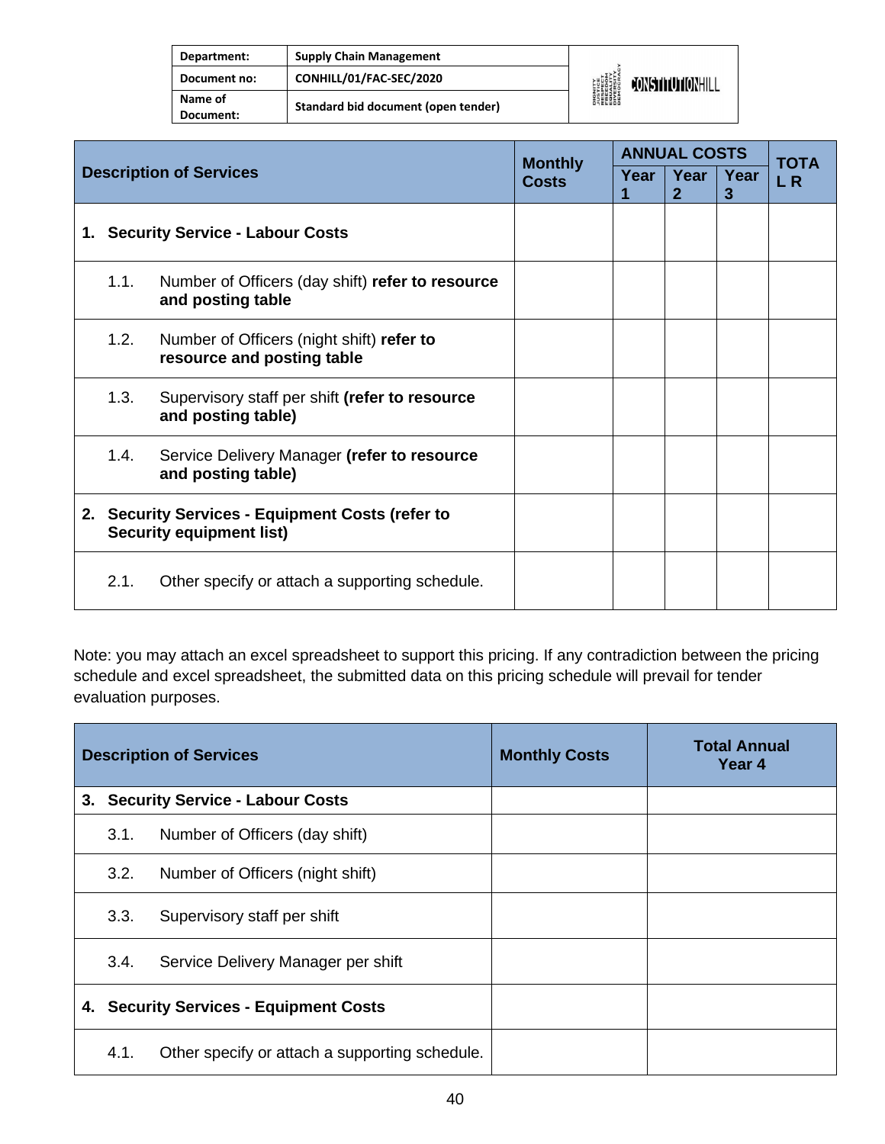| Department:          | <b>Supply Chain Management</b>      |                                                                                             |                         |
|----------------------|-------------------------------------|---------------------------------------------------------------------------------------------|-------------------------|
| Document no:         | CONHILL/01/FAC-SEC/2020             | <b>DIGNITY<br/>AUSTICE<br/>RESPECT<br/>RESPECT<br/>EQUERSITY<br/>DIVERSITY</b><br>DIVERSITY | <b>JONSTITUTIONHILL</b> |
| Name of<br>Document: | Standard bid document (open tender) |                                                                                             |                         |

| <b>Description of Services</b> |                                                                                     | <b>Monthly</b>                                                          |      | <b>ANNUAL COSTS</b>  |           |                    |  |
|--------------------------------|-------------------------------------------------------------------------------------|-------------------------------------------------------------------------|------|----------------------|-----------|--------------------|--|
|                                |                                                                                     | Costs                                                                   | Year | Year<br>$\mathbf{2}$ | Year<br>3 | <b>TOTA</b><br>L R |  |
|                                |                                                                                     | 1. Security Service - Labour Costs                                      |      |                      |           |                    |  |
|                                | 1.1.                                                                                | Number of Officers (day shift) refer to resource<br>and posting table   |      |                      |           |                    |  |
|                                | 1.2.                                                                                | Number of Officers (night shift) refer to<br>resource and posting table |      |                      |           |                    |  |
|                                | 1.3.                                                                                | Supervisory staff per shift (refer to resource<br>and posting table)    |      |                      |           |                    |  |
|                                | 1.4.                                                                                | Service Delivery Manager (refer to resource<br>and posting table)       |      |                      |           |                    |  |
|                                | 2. Security Services - Equipment Costs (refer to<br><b>Security equipment list)</b> |                                                                         |      |                      |           |                    |  |
|                                | 2.1.                                                                                | Other specify or attach a supporting schedule.                          |      |                      |           |                    |  |

Note: you may attach an excel spreadsheet to support this pricing. If any contradiction between the pricing schedule and excel spreadsheet, the submitted data on this pricing schedule will prevail for tender evaluation purposes.

|    |                                        | <b>Description of Services</b>                 | <b>Monthly Costs</b> | <b>Total Annual</b><br>Year 4 |
|----|----------------------------------------|------------------------------------------------|----------------------|-------------------------------|
| 3. |                                        | <b>Security Service - Labour Costs</b>         |                      |                               |
|    | 3.1.                                   | Number of Officers (day shift)                 |                      |                               |
|    | 3.2.                                   | Number of Officers (night shift)               |                      |                               |
|    | 3.3.                                   | Supervisory staff per shift                    |                      |                               |
|    | 3.4.                                   | Service Delivery Manager per shift             |                      |                               |
|    | 4. Security Services - Equipment Costs |                                                |                      |                               |
|    | 4.1.                                   | Other specify or attach a supporting schedule. |                      |                               |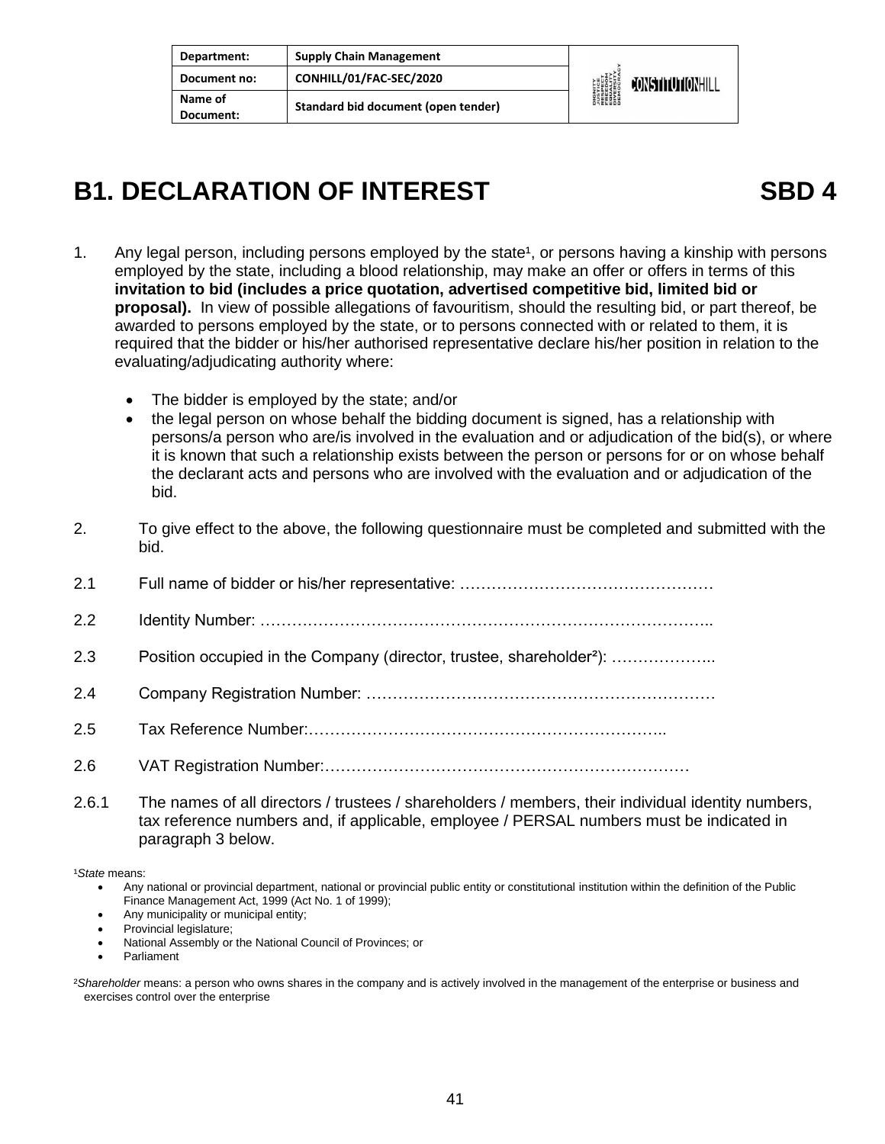| Department:          | <b>Supply Chain Management</b>      |                                                                                                           |                  |
|----------------------|-------------------------------------|-----------------------------------------------------------------------------------------------------------|------------------|
| Document no:         | CONHILL/01/FAC-SEC/2020             | <b>DIGNITY</b><br><b><i>LUSTICE<br/>FRESPECT<br/>FRESPECT<br/>EDUCRATY</i><br/>DIVERSITY<br/>DEMOCRAN</b> | CONSTITUTIONHILL |
| Name of<br>Document: | Standard bid document (open tender) |                                                                                                           |                  |

### **B1. DECLARATION OF INTEREST SBD 4**

- 1. Any legal person, including persons employed by the state<sup>1</sup>, or persons having a kinship with persons employed by the state, including a blood relationship, may make an offer or offers in terms of this **invitation to bid (includes a price quotation, advertised competitive bid, limited bid or proposal).** In view of possible allegations of favouritism, should the resulting bid, or part thereof, be awarded to persons employed by the state, or to persons connected with or related to them, it is required that the bidder or his/her authorised representative declare his/her position in relation to the evaluating/adjudicating authority where:
	- The bidder is employed by the state; and/or
	- the legal person on whose behalf the bidding document is signed, has a relationship with persons/a person who are/is involved in the evaluation and or adjudication of the bid(s), or where it is known that such a relationship exists between the person or persons for or on whose behalf the declarant acts and persons who are involved with the evaluation and or adjudication of the bid.
- 2. To give effect to the above, the following questionnaire must be completed and submitted with the bid.
- 2.1 Full name of bidder or his/her representative: …………………………………………

2.2 Identity Number: …………………………………………………………………………..

- 2.3 Position occupied in the Company (director, trustee, shareholder<sup>2</sup>): …………………
- 2.4 Company Registration Number: …………………………………………………………
- 2.5 Tax Reference Number:…………………………………………………………..
- 2.6 VAT Registration Number:……………………………………………………………
- 2.6.1 The names of all directors / trustees / shareholders / members, their individual identity numbers, tax reference numbers and, if applicable, employee / PERSAL numbers must be indicated in paragraph 3 below.

¹*State* means:

- Any national or provincial department, national or provincial public entity or constitutional institution within the definition of the Public Finance Management Act, 1999 (Act No. 1 of 1999);
- Any municipality or municipal entity;
- Provincial legislature;
- National Assembly or the National Council of Provinces; or
- **Parliament**

²*Shareholder* means: a person who owns shares in the company and is actively involved in the management of the enterprise or business and exercises control over the enterprise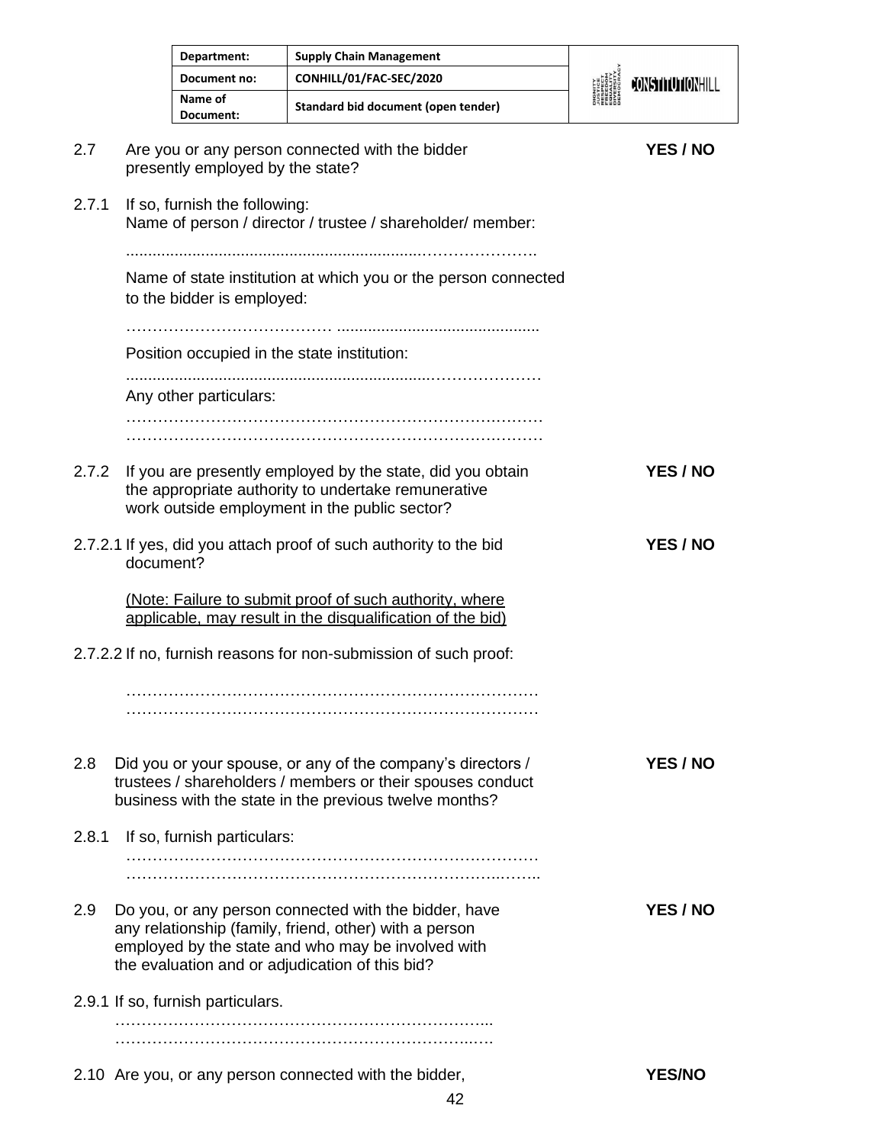|       |           | Department:                       | <b>Supply Chain Management</b>                                                                                                                                                                                           |                  |
|-------|-----------|-----------------------------------|--------------------------------------------------------------------------------------------------------------------------------------------------------------------------------------------------------------------------|------------------|
|       |           | Document no:                      | CONHILL/01/FAC-SEC/2020                                                                                                                                                                                                  | CONSTITUTIONHILL |
|       |           | Name of<br>Document:              | Standard bid document (open tender)                                                                                                                                                                                      |                  |
| 2.7   |           | presently employed by the state?  | Are you or any person connected with the bidder                                                                                                                                                                          | YES / NO         |
| 2.7.1 |           | If so, furnish the following:     | Name of person / director / trustee / shareholder/ member:                                                                                                                                                               |                  |
|       |           | to the bidder is employed:        | Name of state institution at which you or the person connected                                                                                                                                                           |                  |
|       |           |                                   | Position occupied in the state institution:                                                                                                                                                                              |                  |
|       |           | Any other particulars:            |                                                                                                                                                                                                                          |                  |
| 2.7.2 |           |                                   | If you are presently employed by the state, did you obtain<br>the appropriate authority to undertake remunerative<br>work outside employment in the public sector?                                                       | YES / NO         |
|       | document? |                                   | 2.7.2.1 If yes, did you attach proof of such authority to the bid                                                                                                                                                        | YES / NO         |
|       |           |                                   | (Note: Failure to submit proof of such authority, where<br>applicable, may result in the disqualification of the bid)                                                                                                    |                  |
|       |           |                                   | 2.7.2.2 If no, furnish reasons for non-submission of such proof:                                                                                                                                                         |                  |
|       |           |                                   |                                                                                                                                                                                                                          |                  |
| 2.8   |           |                                   | Did you or your spouse, or any of the company's directors /<br>trustees / shareholders / members or their spouses conduct<br>business with the state in the previous twelve months?                                      | YES / NO         |
| 2.8.1 |           | If so, furnish particulars:       |                                                                                                                                                                                                                          |                  |
|       |           |                                   |                                                                                                                                                                                                                          |                  |
| 2.9   |           |                                   | Do you, or any person connected with the bidder, have<br>any relationship (family, friend, other) with a person<br>employed by the state and who may be involved with<br>the evaluation and or adjudication of this bid? | YES / NO         |
|       |           | 2.9.1 If so, furnish particulars. |                                                                                                                                                                                                                          |                  |
|       |           |                                   |                                                                                                                                                                                                                          |                  |
|       |           |                                   | 2.10 Are you, or any person connected with the bidder,                                                                                                                                                                   | <b>YES/NO</b>    |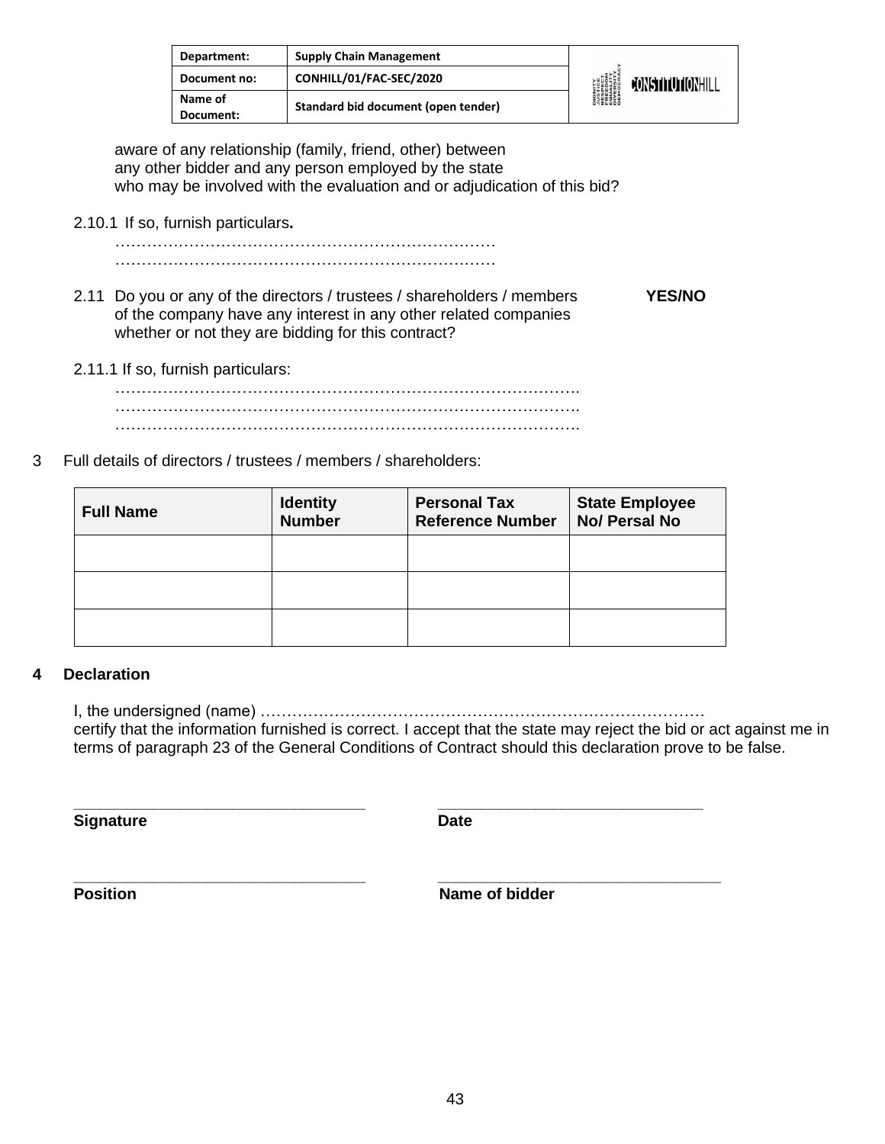| Department:          | <b>Supply Chain Management</b>      |                                                                                         |                         |
|----------------------|-------------------------------------|-----------------------------------------------------------------------------------------|-------------------------|
| Document no:         | CONHILL/01/FAC-SEC/2020             | <b>DIGNITY</b><br>PESPECT<br>FRESPECT<br>EQUELLYM<br>DIVERSITY<br>DIVERSITY<br>DEMOCRAL | <b>JONSTITUTIONHILL</b> |
| Name of<br>Document: | Standard bid document (open tender) |                                                                                         |                         |

aware of any relationship (family, friend, other) between any other bidder and any person employed by the state who may be involved with the evaluation and or adjudication of this bid?

2.10.1 If so, furnish particulars**.**

……………………………………………………………… ………………………………………………………………

- 2.11 Do you or any of the directors / trustees / shareholders / members **YES/NO** of the company have any interest in any other related companies whether or not they are bidding for this contract?
- 2.11.1 If so, furnish particulars:

……………………………………………………………………………. ……………………………………………………………………………. …………………………………………………………………………….

3 Full details of directors / trustees / members / shareholders:

| <b>Full Name</b> | <b>Identity</b><br><b>Number</b> | <b>Personal Tax</b><br><b>Reference Number</b> | <b>State Employee</b><br>No/ Persal No |
|------------------|----------------------------------|------------------------------------------------|----------------------------------------|
|                  |                                  |                                                |                                        |
|                  |                                  |                                                |                                        |
|                  |                                  |                                                |                                        |

**\_\_\_\_\_\_\_\_\_\_\_\_\_\_\_\_\_\_\_\_\_\_\_\_\_\_\_\_\_\_\_\_\_ \_\_\_\_\_\_\_\_\_\_\_\_\_\_\_\_\_\_\_\_\_\_\_\_\_\_\_\_\_\_**

#### **4 Declaration**

I, the undersigned (name) ………………………………………………………………………… certify that the information furnished is correct. I accept that the state may reject the bid or act against me in terms of paragraph 23 of the General Conditions of Contract should this declaration prove to be false.

**Signature Date** 

**\_\_\_\_\_\_\_\_\_\_\_\_\_\_\_\_\_\_\_\_\_\_\_\_\_\_\_\_\_\_\_\_\_ \_\_\_\_\_\_\_\_\_\_\_\_\_\_\_\_\_\_\_\_\_\_\_\_\_\_\_\_\_\_\_\_**

**Position** Name of bidder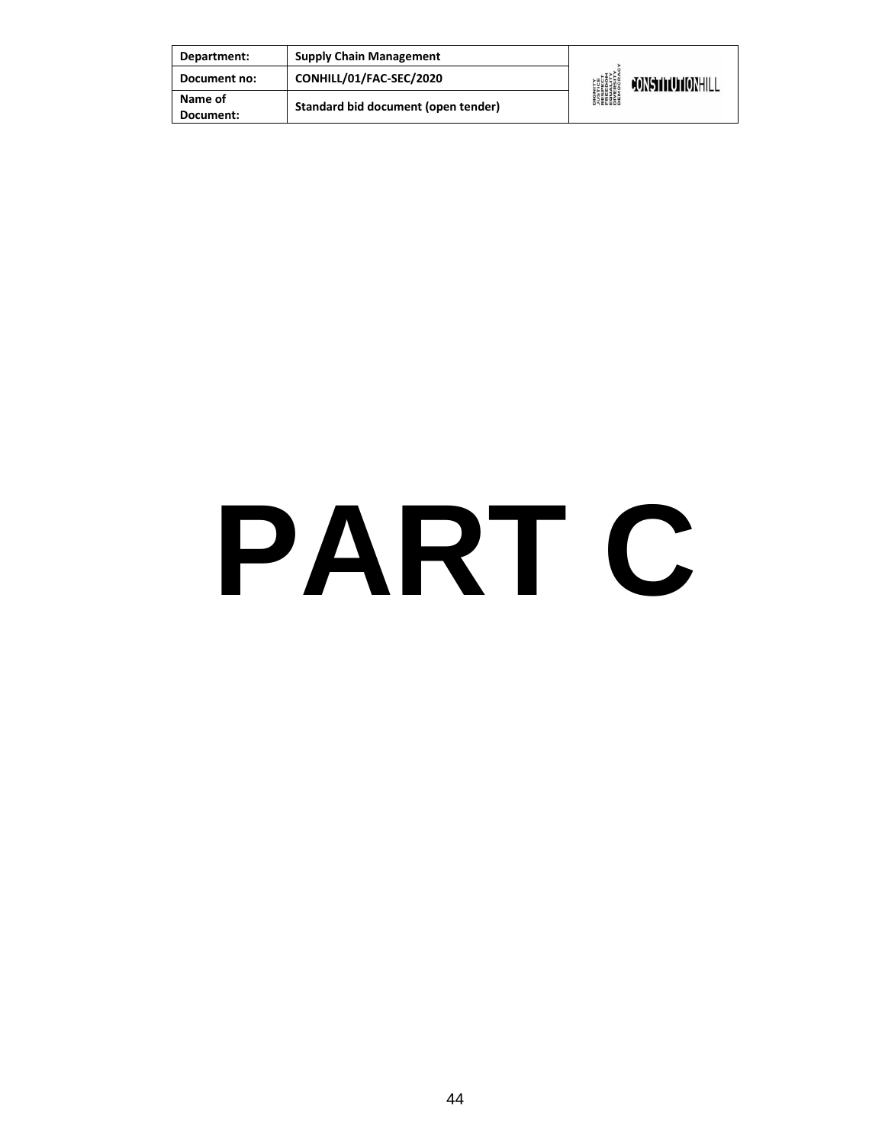| Department:          | <b>Supply Chain Management</b>      |                                                                                         |                  |
|----------------------|-------------------------------------|-----------------------------------------------------------------------------------------|------------------|
| Document no:         | CONHILL/01/FAC-SEC/2020             | <b>DIGNITY</b><br>PESPECT<br>FRESPECT<br>EQUELLYM<br>DIVERSITY<br>DIVERSITY<br>DEMOCRAL | CONSTITUTIONHILL |
| Name of<br>Document: | Standard bid document (open tender) |                                                                                         |                  |

# **PART C**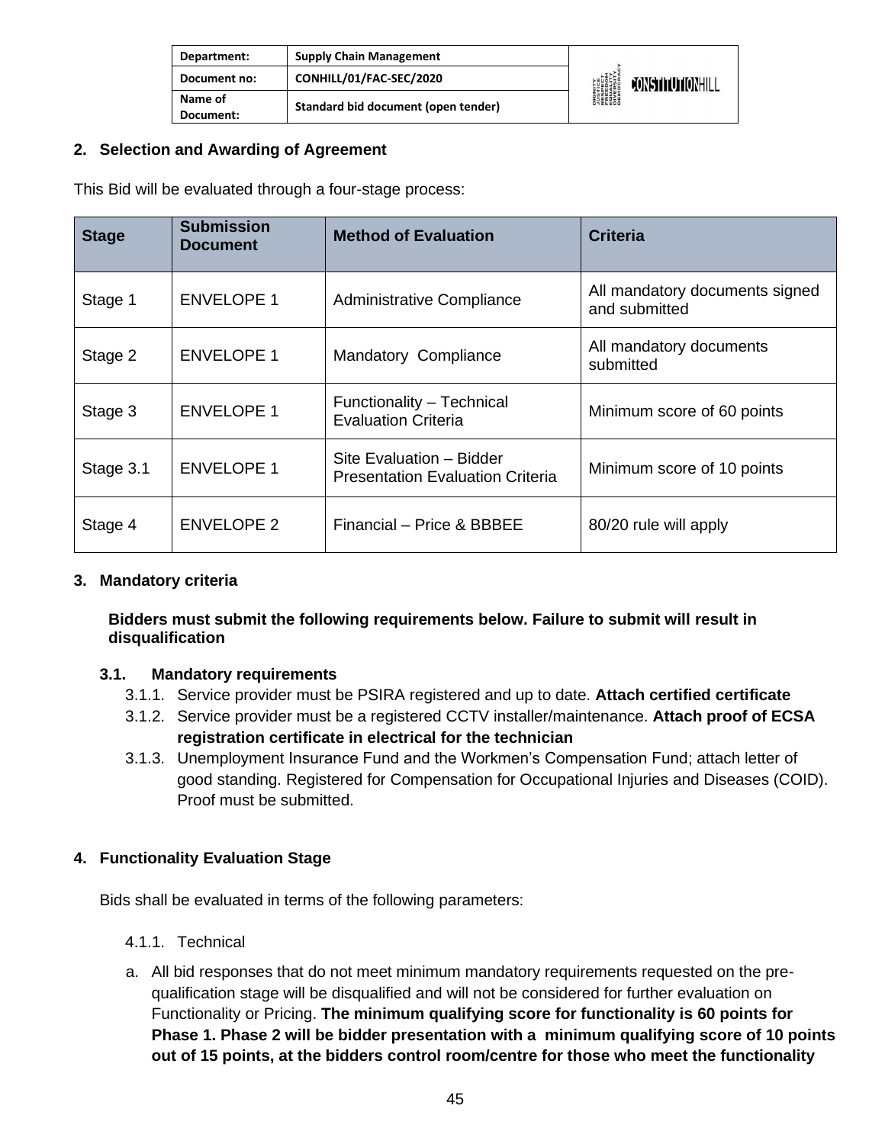| Department:          | <b>Supply Chain Management</b>      |                                                                                                    |                         |
|----------------------|-------------------------------------|----------------------------------------------------------------------------------------------------|-------------------------|
| Document no:         | CONHILL/01/FAC-SEC/2020             | <b>DIGNITY</b><br><i><b>NSTICE</b></i><br>RESPECT<br>ERLEDITY<br>ENGESITY<br>DIVERSITY<br>DEMOCRAC | <b>JONSTITUTIONHILL</b> |
| Name of<br>Document: | Standard bid document (open tender) |                                                                                                    |                         |

#### **2. Selection and Awarding of Agreement**

This Bid will be evaluated through a four-stage process:

| <b>Stage</b> | <b>Submission</b><br><b>Document</b> | <b>Method of Evaluation</b>                                         | <b>Criteria</b>                                 |
|--------------|--------------------------------------|---------------------------------------------------------------------|-------------------------------------------------|
| Stage 1      | <b>ENVELOPE 1</b>                    | Administrative Compliance                                           | All mandatory documents signed<br>and submitted |
| Stage 2      | <b>ENVELOPE 1</b>                    | Mandatory Compliance                                                | All mandatory documents<br>submitted            |
| Stage 3      | <b>ENVELOPE 1</b>                    | Functionality - Technical<br><b>Evaluation Criteria</b>             | Minimum score of 60 points                      |
| Stage 3.1    | <b>ENVELOPE 1</b>                    | Site Evaluation - Bidder<br><b>Presentation Evaluation Criteria</b> | Minimum score of 10 points                      |
| Stage 4      | <b>ENVELOPE 2</b>                    | Financial - Price & BBBEE                                           | 80/20 rule will apply                           |

#### **3. Mandatory criteria**

#### **Bidders must submit the following requirements below. Failure to submit will result in disqualification**

#### **3.1. Mandatory requirements**

- 3.1.1. Service provider must be PSIRA registered and up to date. **Attach certified certificate**
- 3.1.2. Service provider must be a registered CCTV installer/maintenance. **Attach proof of ECSA registration certificate in electrical for the technician**
- 3.1.3. Unemployment Insurance Fund and the Workmen's Compensation Fund; attach letter of good standing. Registered for Compensation for Occupational Injuries and Diseases (COID). Proof must be submitted.

#### **4. Functionality Evaluation Stage**

Bids shall be evaluated in terms of the following parameters:

- 4.1.1. Technical
- a. All bid responses that do not meet minimum mandatory requirements requested on the prequalification stage will be disqualified and will not be considered for further evaluation on Functionality or Pricing. **The minimum qualifying score for functionality is 60 points for Phase 1. Phase 2 will be bidder presentation with a minimum qualifying score of 10 points out of 15 points, at the bidders control room/centre for those who meet the functionality**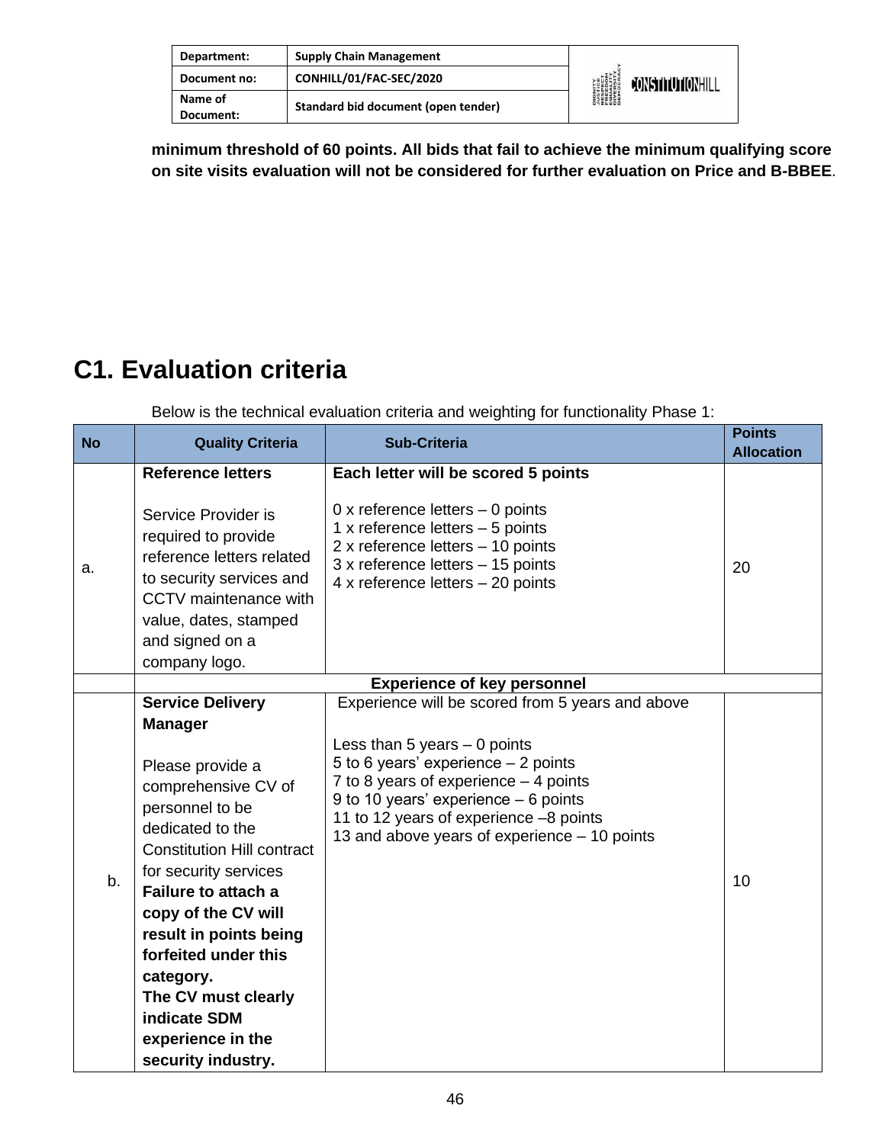| Department:          | <b>Supply Chain Management</b>      |                                                                                                    |                  |
|----------------------|-------------------------------------|----------------------------------------------------------------------------------------------------|------------------|
| Document no:         | CONHILL/01/FAC-SEC/2020             | <b>DIGNITY</b><br><i><b>NSTICE</b></i><br>RESPECT<br>EREEDOM<br>ENGESITY<br>DIVERSITY<br>DIENGCRAN | CONSTITUTIONHILL |
| Name of<br>Document: | Standard bid document (open tender) |                                                                                                    |                  |

**minimum threshold of 60 points. All bids that fail to achieve the minimum qualifying score on site visits evaluation will not be considered for further evaluation on Price and B-BBEE**.

#### **C1. Evaluation criteria**

Below is the technical evaluation criteria and weighting for functionality Phase 1:

| <b>No</b> | <b>Quality Criteria</b>                                                                                                                                                                                                                                                                                                                                                                         | <b>Sub-Criteria</b>                                                                                                                                                                                                                                                                                    | <b>Points</b><br><b>Allocation</b> |
|-----------|-------------------------------------------------------------------------------------------------------------------------------------------------------------------------------------------------------------------------------------------------------------------------------------------------------------------------------------------------------------------------------------------------|--------------------------------------------------------------------------------------------------------------------------------------------------------------------------------------------------------------------------------------------------------------------------------------------------------|------------------------------------|
| a.        | <b>Reference letters</b><br>Service Provider is<br>required to provide<br>reference letters related<br>to security services and<br>CCTV maintenance with<br>value, dates, stamped<br>and signed on a<br>company logo.                                                                                                                                                                           | Each letter will be scored 5 points<br>0 x reference letters $-$ 0 points<br>1 x reference letters $-5$ points<br>2 x reference letters - 10 points<br>3 x reference letters - 15 points<br>4 x reference letters $-20$ points                                                                         | 20                                 |
|           |                                                                                                                                                                                                                                                                                                                                                                                                 | <b>Experience of key personnel</b>                                                                                                                                                                                                                                                                     |                                    |
| b.        | <b>Service Delivery</b><br><b>Manager</b><br>Please provide a<br>comprehensive CV of<br>personnel to be<br>dedicated to the<br><b>Constitution Hill contract</b><br>for security services<br><b>Failure to attach a</b><br>copy of the CV will<br>result in points being<br>forfeited under this<br>category.<br>The CV must clearly<br>indicate SDM<br>experience in the<br>security industry. | Experience will be scored from 5 years and above<br>Less than 5 years $-$ 0 points<br>5 to 6 years' experience $-2$ points<br>7 to 8 years of experience - 4 points<br>9 to 10 years' experience $-6$ points<br>11 to 12 years of experience -8 points<br>13 and above years of experience - 10 points | 10                                 |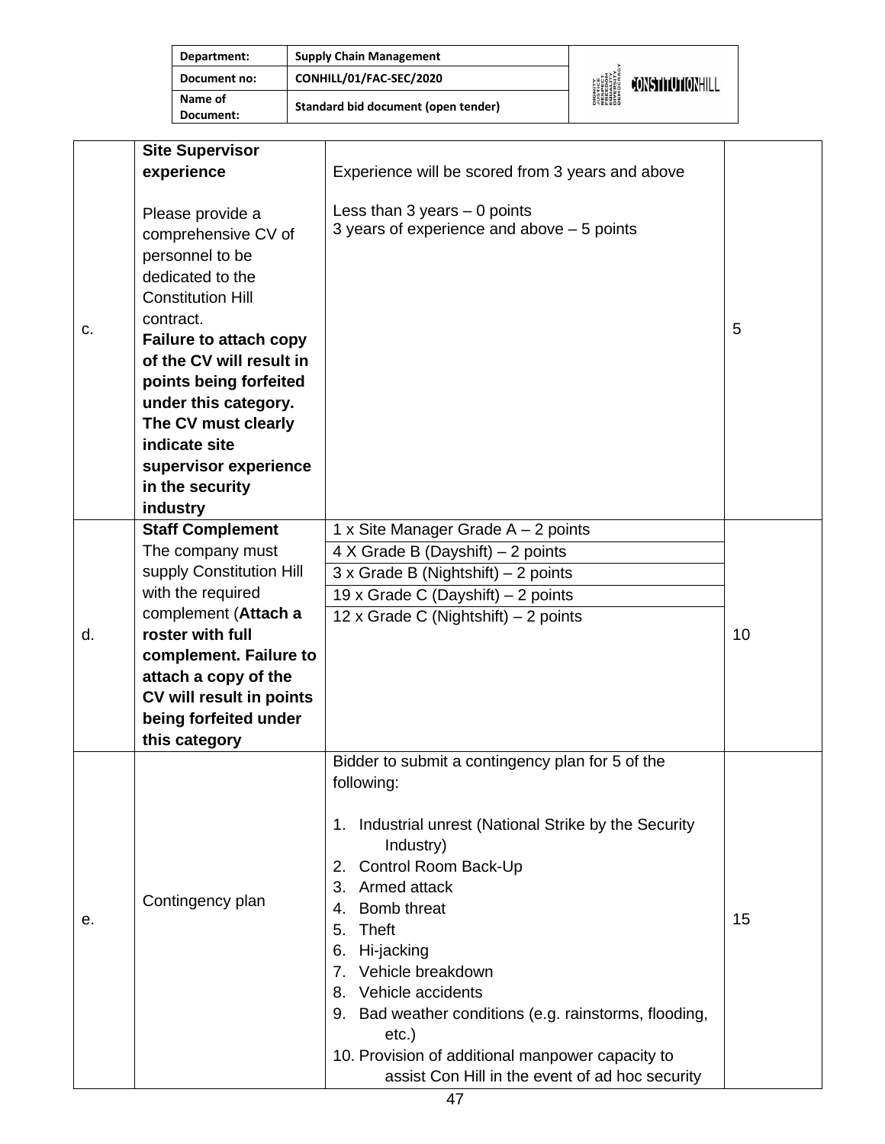| Department:          | <b>Supply Chain Management</b>      |                                                                                       |                         |
|----------------------|-------------------------------------|---------------------------------------------------------------------------------------|-------------------------|
| Document no:         | CONHILL/01/FAC-SEC/2020             | <b>DIGNITY</b><br>PISTICE<br>FRESPECT<br>EQUELOM<br>DIVERSITY<br>DIVERSITY<br>DEMOCRA | <b>FONSTITUTIONHILL</b> |
| Name of<br>Document: | Standard bid document (open tender) |                                                                                       |                         |

|    | <b>Site Supervisor</b>        |                                                          |    |
|----|-------------------------------|----------------------------------------------------------|----|
|    | experience                    | Experience will be scored from 3 years and above         |    |
|    |                               |                                                          |    |
|    | Please provide a              | Less than $3$ years $-0$ points                          |    |
|    | comprehensive CV of           | 3 years of experience and above $-5$ points              |    |
|    | personnel to be               |                                                          |    |
|    | dedicated to the              |                                                          |    |
|    | <b>Constitution Hill</b>      |                                                          |    |
|    | contract.                     |                                                          |    |
| c. | <b>Failure to attach copy</b> |                                                          | 5  |
|    | of the CV will result in      |                                                          |    |
|    | points being forfeited        |                                                          |    |
|    | under this category.          |                                                          |    |
|    | The CV must clearly           |                                                          |    |
|    | indicate site                 |                                                          |    |
|    | supervisor experience         |                                                          |    |
|    | in the security               |                                                          |    |
|    | industry                      |                                                          |    |
|    | <b>Staff Complement</b>       | 1 x Site Manager Grade $A - 2$ points                    |    |
|    | The company must              | 4 X Grade B (Dayshift) - 2 points                        |    |
|    | supply Constitution Hill      | $3 \times$ Grade B (Nightshift) – 2 points               |    |
|    | with the required             | 19 x Grade C (Dayshift) - 2 points                       |    |
|    | complement (Attach a          | 12 x Grade C (Nightshift) $-2$ points                    |    |
| d. | roster with full              |                                                          | 10 |
|    | complement. Failure to        |                                                          |    |
|    | attach a copy of the          |                                                          |    |
|    | CV will result in points      |                                                          |    |
|    | being forfeited under         |                                                          |    |
|    | this category                 |                                                          |    |
|    |                               | Bidder to submit a contingency plan for 5 of the         |    |
|    |                               | following:                                               |    |
|    |                               |                                                          |    |
|    |                               | Industrial unrest (National Strike by the Security<br>1. |    |
|    |                               | Industry)                                                |    |
|    |                               | Control Room Back-Up<br>2.                               |    |
|    |                               | Armed attack<br>3.                                       |    |
|    | Contingency plan              | Bomb threat<br>4.                                        | 15 |
| е. |                               | Theft<br>5.                                              |    |
|    |                               | Hi-jacking<br>6.                                         |    |
|    |                               | 7. Vehicle breakdown                                     |    |
|    |                               | Vehicle accidents<br>8.                                  |    |
|    |                               | 9. Bad weather conditions (e.g. rainstorms, flooding,    |    |
|    |                               | $etc.$ )                                                 |    |
|    |                               | 10. Provision of additional manpower capacity to         |    |
|    |                               | assist Con Hill in the event of ad hoc security          |    |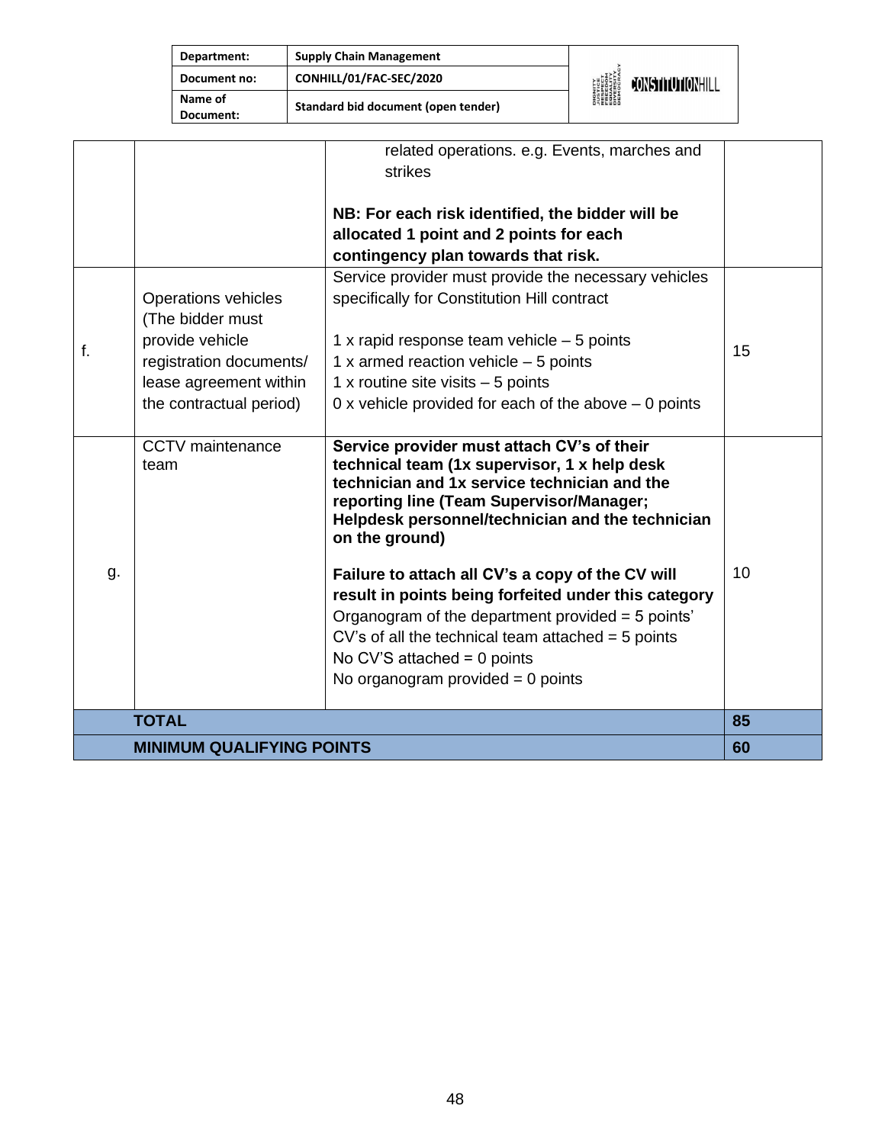| Department:          | <b>Supply Chain Management</b>      |                                                                                                      |                         |
|----------------------|-------------------------------------|------------------------------------------------------------------------------------------------------|-------------------------|
| Document no:         | CONHILL/01/FAC-SEC/2020             | <b>DIGNITY<br/>AUSTICE<br/>RESPECT<br/>FREEDOM<br/>FREEDOM</b><br>DIVERSITY<br>DIVERSITY<br>DEMOCRAN | <b>FONSTITUTIONHILL</b> |
| Name of<br>Document: | Standard bid document (open tender) |                                                                                                      |                         |

|    |                                  | related operations. e.g. Events, marches and<br>strikes                                                                                                                                                                                                                                       |    |
|----|----------------------------------|-----------------------------------------------------------------------------------------------------------------------------------------------------------------------------------------------------------------------------------------------------------------------------------------------|----|
|    |                                  | NB: For each risk identified, the bidder will be                                                                                                                                                                                                                                              |    |
|    |                                  | allocated 1 point and 2 points for each                                                                                                                                                                                                                                                       |    |
|    |                                  | contingency plan towards that risk.                                                                                                                                                                                                                                                           |    |
|    |                                  | Service provider must provide the necessary vehicles                                                                                                                                                                                                                                          |    |
|    | Operations vehicles              | specifically for Constitution Hill contract                                                                                                                                                                                                                                                   |    |
|    | (The bidder must                 |                                                                                                                                                                                                                                                                                               |    |
| f. | provide vehicle                  | 1 x rapid response team vehicle $-5$ points                                                                                                                                                                                                                                                   | 15 |
|    | registration documents/          | 1 x armed reaction vehicle $-5$ points                                                                                                                                                                                                                                                        |    |
|    | lease agreement within           | 1 x routine site visits $-5$ points                                                                                                                                                                                                                                                           |    |
|    | the contractual period)          | 0 x vehicle provided for each of the above $-$ 0 points                                                                                                                                                                                                                                       |    |
|    |                                  |                                                                                                                                                                                                                                                                                               |    |
|    | CCTV maintenance<br>team         | Service provider must attach CV's of their<br>technical team (1x supervisor, 1 x help desk<br>technician and 1x service technician and the<br>reporting line (Team Supervisor/Manager;<br>Helpdesk personnel/technician and the technician<br>on the ground)                                  |    |
| g. |                                  | Failure to attach all CV's a copy of the CV will<br>result in points being forfeited under this category<br>Organogram of the department provided = 5 points'<br>CV's of all the technical team attached $=$ 5 points<br>No CV'S attached = $0$ points<br>No organogram provided $= 0$ points | 10 |
|    | <b>TOTAL</b>                     |                                                                                                                                                                                                                                                                                               | 85 |
|    | <b>MINIMUM QUALIFYING POINTS</b> |                                                                                                                                                                                                                                                                                               | 60 |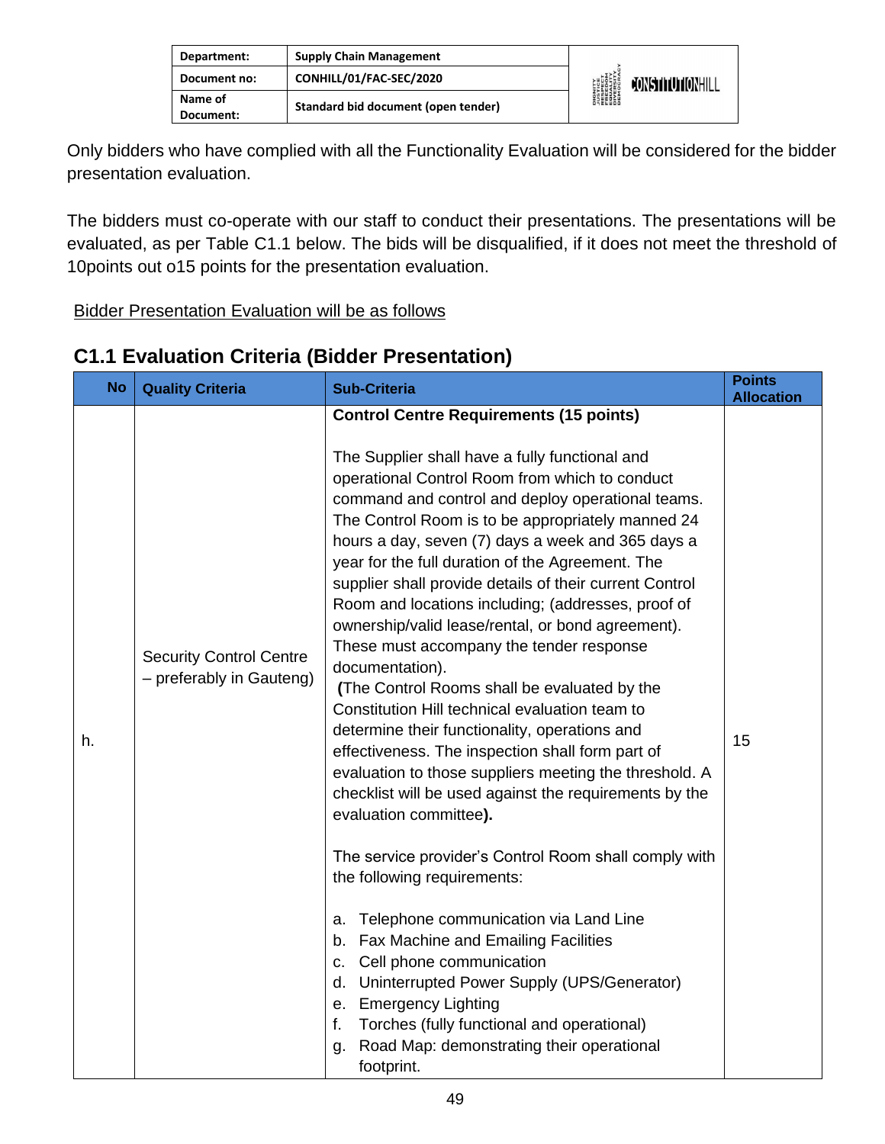| Department:          | <b>Supply Chain Management</b>      |                                                                                                    |                         |
|----------------------|-------------------------------------|----------------------------------------------------------------------------------------------------|-------------------------|
| Document no:         | CONHILL/01/FAC-SEC/2020             | <b>DIGNITY</b><br><i><b>NUSTICE</b></i><br>RESPECT<br>EQUELOM<br>ENGESITY<br>DIVERSITY<br>DIEMOCRA | <b>CONSTITUTIONHILL</b> |
| Name of<br>Document: | Standard bid document (open tender) |                                                                                                    |                         |

Only bidders who have complied with all the Functionality Evaluation will be considered for the bidder presentation evaluation.

The bidders must co-operate with our staff to conduct their presentations. The presentations will be evaluated, as per Table C1.1 below. The bids will be disqualified, if it does not meet the threshold of 10points out o15 points for the presentation evaluation.

Bidder Presentation Evaluation will be as follows

| <b>No</b> | <b>Quality Criteria</b>                                    | <b>Sub-Criteria</b>                                                                                                                                                                                                                                                                                                                                                                                                                                                                                                                                                                                                                                                                                                                                                                                                                                                                                                                                                                                                                                                                                                                                                                                                                                                                                                                                                                  | <b>Points</b><br><b>Allocation</b> |
|-----------|------------------------------------------------------------|--------------------------------------------------------------------------------------------------------------------------------------------------------------------------------------------------------------------------------------------------------------------------------------------------------------------------------------------------------------------------------------------------------------------------------------------------------------------------------------------------------------------------------------------------------------------------------------------------------------------------------------------------------------------------------------------------------------------------------------------------------------------------------------------------------------------------------------------------------------------------------------------------------------------------------------------------------------------------------------------------------------------------------------------------------------------------------------------------------------------------------------------------------------------------------------------------------------------------------------------------------------------------------------------------------------------------------------------------------------------------------------|------------------------------------|
| h.        | <b>Security Control Centre</b><br>- preferably in Gauteng) | <b>Control Centre Requirements (15 points)</b><br>The Supplier shall have a fully functional and<br>operational Control Room from which to conduct<br>command and control and deploy operational teams.<br>The Control Room is to be appropriately manned 24<br>hours a day, seven (7) days a week and 365 days a<br>year for the full duration of the Agreement. The<br>supplier shall provide details of their current Control<br>Room and locations including; (addresses, proof of<br>ownership/valid lease/rental, or bond agreement).<br>These must accompany the tender response<br>documentation).<br>(The Control Rooms shall be evaluated by the<br>Constitution Hill technical evaluation team to<br>determine their functionality, operations and<br>effectiveness. The inspection shall form part of<br>evaluation to those suppliers meeting the threshold. A<br>checklist will be used against the requirements by the<br>evaluation committee).<br>The service provider's Control Room shall comply with<br>the following requirements:<br>Telephone communication via Land Line<br>a.<br>Fax Machine and Emailing Facilities<br>b.<br>Cell phone communication<br>C.<br>d. Uninterrupted Power Supply (UPS/Generator)<br>e. Emergency Lighting<br>f.<br>Torches (fully functional and operational)<br>Road Map: demonstrating their operational<br>g.<br>footprint. | 15                                 |

#### **C1.1 Evaluation Criteria (Bidder Presentation)**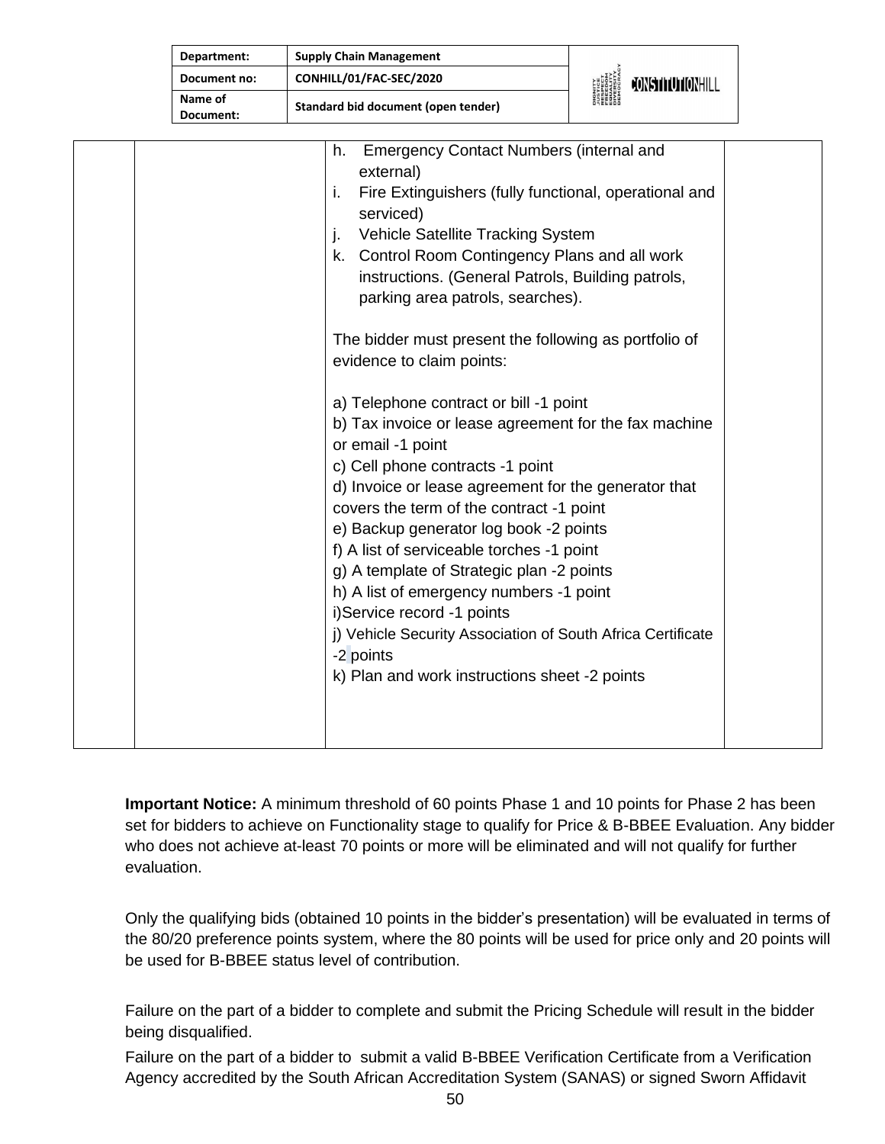| Department:          | <b>Supply Chain Management</b>                                                                                                                                                                                                                                                                                                                                                                                                                                                                                                                                                                                                                                                                                                                                                                                                                                                                                                                                                                                                      |                  |  |
|----------------------|-------------------------------------------------------------------------------------------------------------------------------------------------------------------------------------------------------------------------------------------------------------------------------------------------------------------------------------------------------------------------------------------------------------------------------------------------------------------------------------------------------------------------------------------------------------------------------------------------------------------------------------------------------------------------------------------------------------------------------------------------------------------------------------------------------------------------------------------------------------------------------------------------------------------------------------------------------------------------------------------------------------------------------------|------------------|--|
| Document no:         | CONHILL/01/FAC-SEC/2020                                                                                                                                                                                                                                                                                                                                                                                                                                                                                                                                                                                                                                                                                                                                                                                                                                                                                                                                                                                                             | CONSTITUTIONHILL |  |
| Name of<br>Document: | <b>Standard bid document (open tender)</b>                                                                                                                                                                                                                                                                                                                                                                                                                                                                                                                                                                                                                                                                                                                                                                                                                                                                                                                                                                                          |                  |  |
|                      | <b>Emergency Contact Numbers (internal and</b><br>h.<br>external)<br>Fire Extinguishers (fully functional, operational and<br>i.<br>serviced)<br>Vehicle Satellite Tracking System<br>j.<br>k. Control Room Contingency Plans and all work<br>instructions. (General Patrols, Building patrols,<br>parking area patrols, searches).<br>The bidder must present the following as portfolio of<br>evidence to claim points:<br>a) Telephone contract or bill -1 point<br>b) Tax invoice or lease agreement for the fax machine<br>or email -1 point<br>c) Cell phone contracts -1 point<br>d) Invoice or lease agreement for the generator that<br>covers the term of the contract -1 point<br>e) Backup generator log book -2 points<br>f) A list of serviceable torches -1 point<br>g) A template of Strategic plan -2 points<br>h) A list of emergency numbers -1 point<br>i)Service record -1 points<br>j) Vehicle Security Association of South Africa Certificate<br>-2 points<br>k) Plan and work instructions sheet -2 points |                  |  |

**Important Notice:** A minimum threshold of 60 points Phase 1 and 10 points for Phase 2 has been set for bidders to achieve on Functionality stage to qualify for Price & B-BBEE Evaluation. Any bidder who does not achieve at-least 70 points or more will be eliminated and will not qualify for further evaluation.

Only the qualifying bids (obtained 10 points in the bidder's presentation) will be evaluated in terms of the 80/20 preference points system, where the 80 points will be used for price only and 20 points will be used for B-BBEE status level of contribution.

Failure on the part of a bidder to complete and submit the Pricing Schedule will result in the bidder being disqualified.

Failure on the part of a bidder to submit a valid B-BBEE Verification Certificate from a Verification Agency accredited by the South African Accreditation System (SANAS) or signed Sworn Affidavit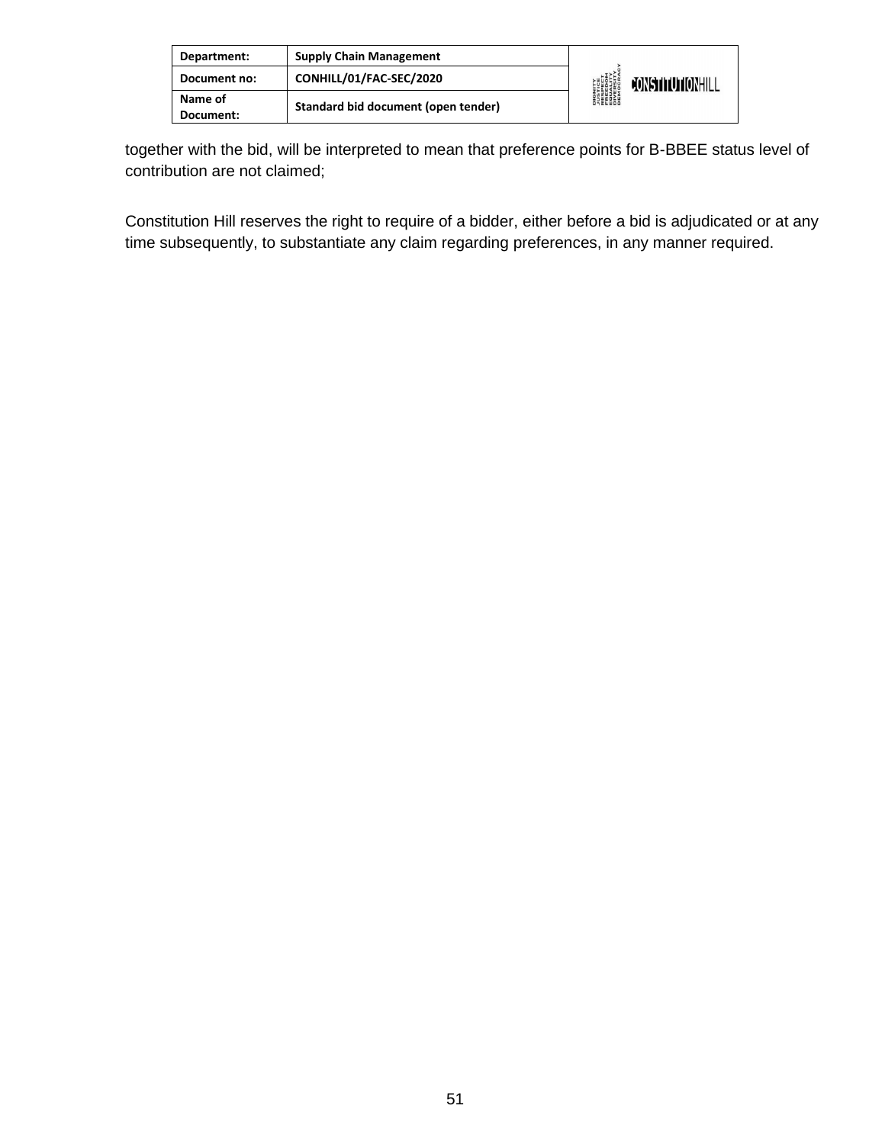| Department:          | <b>Supply Chain Management</b>      |                                                                                        |                  |
|----------------------|-------------------------------------|----------------------------------------------------------------------------------------|------------------|
| Document no:         | CONHILL/01/FAC-SEC/2020             | <b>DIGNITY</b><br>PISTICE<br>FRESPECT<br>EQUALITY<br>DIVERSITY<br>DIVERSITY<br>DEMOCRA | CONSTITUTIONHILL |
| Name of<br>Document: | Standard bid document (open tender) |                                                                                        |                  |

together with the bid, will be interpreted to mean that preference points for B-BBEE status level of contribution are not claimed;

Constitution Hill reserves the right to require of a bidder, either before a bid is adjudicated or at any time subsequently, to substantiate any claim regarding preferences, in any manner required.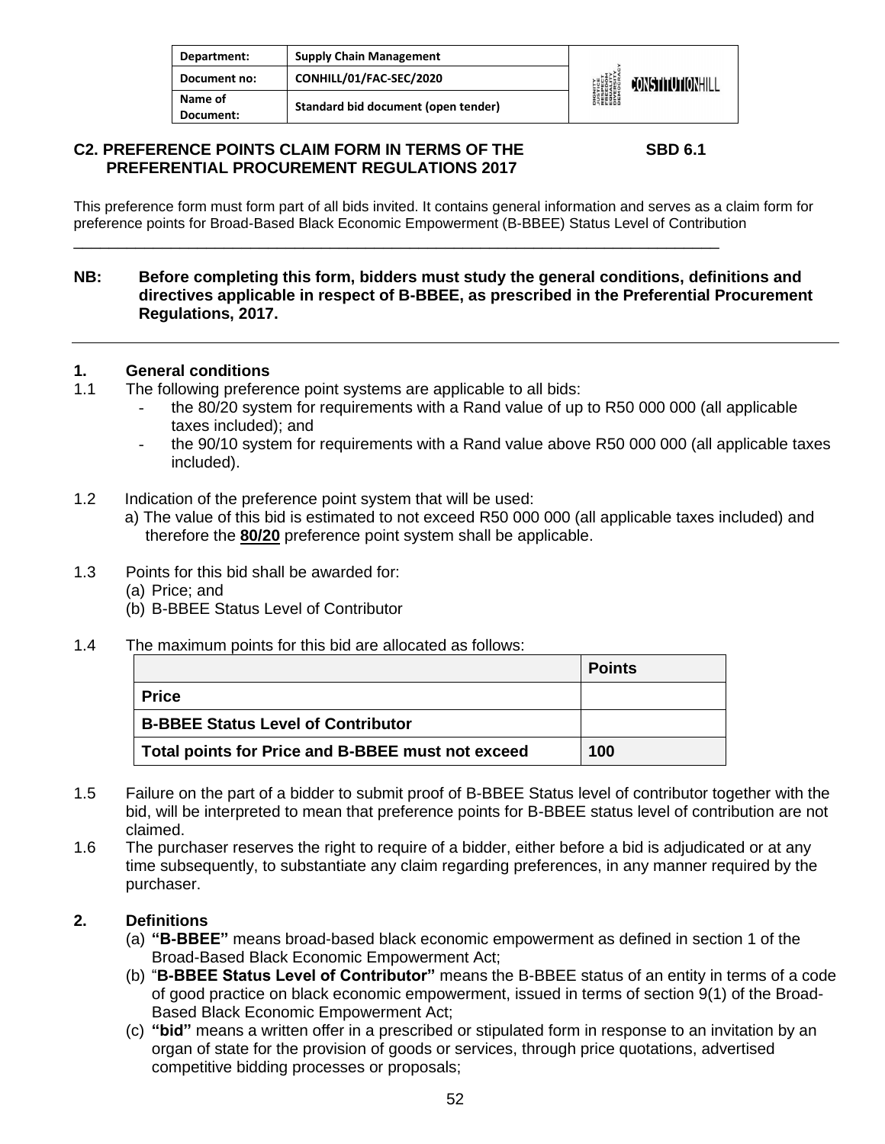| Department:          | <b>Supply Chain Management</b>      |                                                                                                    |                  |
|----------------------|-------------------------------------|----------------------------------------------------------------------------------------------------|------------------|
| Document no:         | CONHILL/01/FAC-SEC/2020             | <b>DIGNITY</b><br><i><b>NSTICE</b></i><br>RESPECT<br>ERLEDITY<br>ENGESITY<br>DIVERSITY<br>DEMOCRAC | CONSTITUTIONHILL |
| Name of<br>Document: | Standard bid document (open tender) |                                                                                                    |                  |

#### **C2. PREFERENCE POINTS CLAIM FORM IN TERMS OF THE SBD 6.1 PREFERENTIAL PROCUREMENT REGULATIONS 2017**

This preference form must form part of all bids invited. It contains general information and serves as a claim form for preference points for Broad-Based Black Economic Empowerment (B-BBEE) Status Level of Contribution

\_\_\_\_\_\_\_\_\_\_\_\_\_\_\_\_\_\_\_\_\_\_\_\_\_\_\_\_\_\_\_\_\_\_\_\_\_\_\_\_\_\_\_\_\_\_\_\_\_\_\_\_\_\_\_\_\_\_\_\_\_\_\_\_\_\_\_\_\_\_\_\_\_

#### **NB: Before completing this form, bidders must study the general conditions, definitions and directives applicable in respect of B-BBEE, as prescribed in the Preferential Procurement Regulations, 2017.**

#### **1. General conditions**

- 1.1 The following preference point systems are applicable to all bids:
	- the 80/20 system for requirements with a Rand value of up to R50 000 000 (all applicable taxes included); and
	- the 90/10 system for requirements with a Rand value above R50 000 000 (all applicable taxes included).
- 1.2 Indication of the preference point system that will be used:
	- a) The value of this bid is estimated to not exceed R50 000 000 (all applicable taxes included) and therefore the **80/20** preference point system shall be applicable.
- 1.3 Points for this bid shall be awarded for:
	- (a) Price; and
	- (b) B-BBEE Status Level of Contributor
- 1.4 The maximum points for this bid are allocated as follows:

|                                                   | <b>Points</b> |
|---------------------------------------------------|---------------|
| <b>Price</b>                                      |               |
| <b>B-BBEE Status Level of Contributor</b>         |               |
| Total points for Price and B-BBEE must not exceed | 100           |

- 1.5 Failure on the part of a bidder to submit proof of B-BBEE Status level of contributor together with the bid, will be interpreted to mean that preference points for B-BBEE status level of contribution are not claimed.
- 1.6 The purchaser reserves the right to require of a bidder, either before a bid is adjudicated or at any time subsequently, to substantiate any claim regarding preferences, in any manner required by the purchaser.

#### **2. Definitions**

- (a) **"B-BBEE"** means broad-based black economic empowerment as defined in section 1 of the Broad-Based Black Economic Empowerment Act;
- (b) "**B-BBEE Status Level of Contributor"** means the B-BBEE status of an entity in terms of a code of good practice on black economic empowerment, issued in terms of section 9(1) of the Broad-Based Black Economic Empowerment Act;
- (c) **"bid"** means a written offer in a prescribed or stipulated form in response to an invitation by an organ of state for the provision of goods or services, through price quotations, advertised competitive bidding processes or proposals;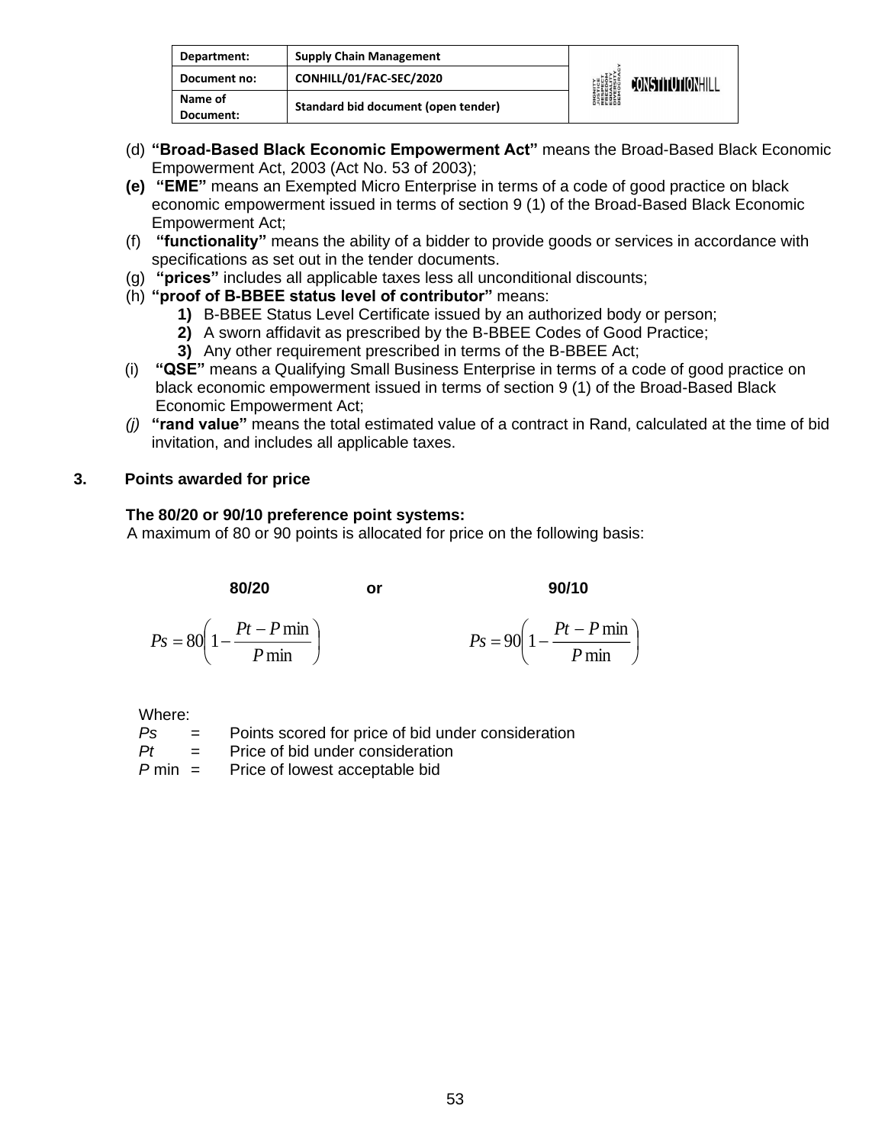| Department:          | <b>Supply Chain Management</b>      |                                                                                                          |                         |
|----------------------|-------------------------------------|----------------------------------------------------------------------------------------------------------|-------------------------|
| Document no:         | CONHILL/01/FAC-SEC/2020             | <b>DIGNITY</b><br><b><i>LUSTICE<br/>FRESPECT<br/>FRESITY<br/>EQUERSITY<br/>DIVERSITY</i><br/>DEMOCRA</b> | <b>JONSTITUTIONHILL</b> |
| Name of<br>Document: | Standard bid document (open tender) |                                                                                                          |                         |

- (d) **"Broad-Based Black Economic Empowerment Act"** means the Broad-Based Black Economic Empowerment Act, 2003 (Act No. 53 of 2003);
- **(e) "EME"** means an Exempted Micro Enterprise in terms of a code of good practice on black economic empowerment issued in terms of section 9 (1) of the Broad-Based Black Economic Empowerment Act;
- (f) **"functionality"** means the ability of a bidder to provide goods or services in accordance with specifications as set out in the tender documents.
- (g) **"prices"** includes all applicable taxes less all unconditional discounts;
- (h) **"proof of B-BBEE status level of contributor"** means:
	- **1)** B-BBEE Status Level Certificate issued by an authorized body or person;
	- **2)** A sworn affidavit as prescribed by the B-BBEE Codes of Good Practice;
	- **3)** Any other requirement prescribed in terms of the B-BBEE Act;
- (i) **"QSE"** means a Qualifying Small Business Enterprise in terms of a code of good practice on black economic empowerment issued in terms of section 9 (1) of the Broad-Based Black Economic Empowerment Act;
- *(j)* **"rand value"** means the total estimated value of a contract in Rand, calculated at the time of bid invitation, and includes all applicable taxes.

#### **3. Points awarded for price**

#### **The 80/20 or 90/10 preference point systems:**

A maximum of 80 or 90 points is allocated for price on the following basis:

| 80/20 | or | 90/10 |
|-------|----|-------|
|       |    |       |

$$
90/10
$$

$$
Ps = 80\left(1 - \frac{Pt - P\min P}{\min}\right) \qquad \qquad Ps = 90\left(1 - \frac{Pt - P\min P}{\min}\right)
$$

Where:

| Ps.                 | $=$ | Points scored for price of bid under consideration |
|---------------------|-----|----------------------------------------------------|
| Pt                  | $=$ | Price of bid under consideration                   |
| D <sub>rac</sub> in |     | Dries of lowest sessatable hid                     |

*P* min = Price of lowest acceptable bid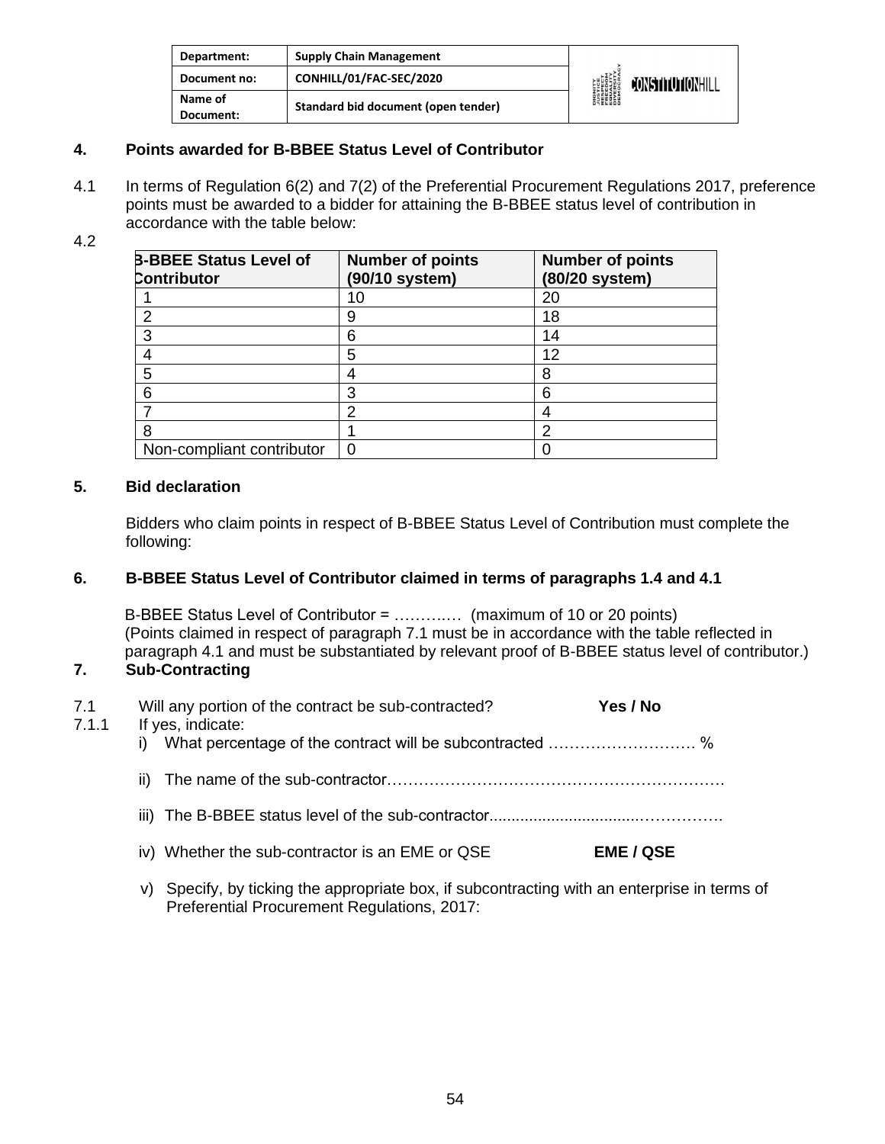| Department:          | <b>Supply Chain Management</b>      |                                                                                                      |                  |
|----------------------|-------------------------------------|------------------------------------------------------------------------------------------------------|------------------|
| Document no:         | CONHILL/01/FAC-SEC/2020             | <b>DIGNITY<br/>AUSTICE<br/>RESPECT<br/>FREEDOM<br/>FREEDOM</b><br>DIVERSITY<br>DIVERSITY<br>DEMOCRAN | CONSTITUTIONHILL |
| Name of<br>Document: | Standard bid document (open tender) |                                                                                                      |                  |

#### **4. Points awarded for B-BBEE Status Level of Contributor**

4.1 In terms of Regulation 6(2) and 7(2) of the Preferential Procurement Regulations 2017, preference points must be awarded to a bidder for attaining the B-BBEE status level of contribution in accordance with the table below:

#### 4.2

| <b>B-BBEE Status Level of</b><br><b>Contributor</b> | <b>Number of points</b><br>(90/10 system) | <b>Number of points</b><br>(80/20 system) |
|-----------------------------------------------------|-------------------------------------------|-------------------------------------------|
|                                                     | 10                                        | 20                                        |
|                                                     | 9                                         | 18                                        |
|                                                     | 6                                         | 14                                        |
|                                                     | 5                                         | 12                                        |
| 5                                                   |                                           | 8                                         |
| 6                                                   | 3                                         | 6                                         |
|                                                     | 2                                         |                                           |
|                                                     |                                           | າ                                         |
| Non-compliant contributor                           | 0                                         |                                           |

#### **5. Bid declaration**

Bidders who claim points in respect of B-BBEE Status Level of Contribution must complete the following:

#### **6. B-BBEE Status Level of Contributor claimed in terms of paragraphs 1.4 and 4.1**

B-BBEE Status Level of Contributor = ……….… (maximum of 10 or 20 points) (Points claimed in respect of paragraph 7.1 must be in accordance with the table reflected in paragraph 4.1 and must be substantiated by relevant proof of B-BBEE status level of contributor.)

#### **7. Sub-Contracting**

| 7.1<br>7.1.1 | Will any portion of the contract be sub-contracted?<br>If yes, indicate: | Yes / No         |
|--------------|--------------------------------------------------------------------------|------------------|
|              | i) What percentage of the contract will be subcontracted  %              |                  |
|              | ii)                                                                      |                  |
|              |                                                                          |                  |
|              | iv) Whether the sub-contractor is an EME or QSE                          | <b>EME / QSE</b> |
|              |                                                                          |                  |

v) Specify, by ticking the appropriate box, if subcontracting with an enterprise in terms of Preferential Procurement Regulations, 2017: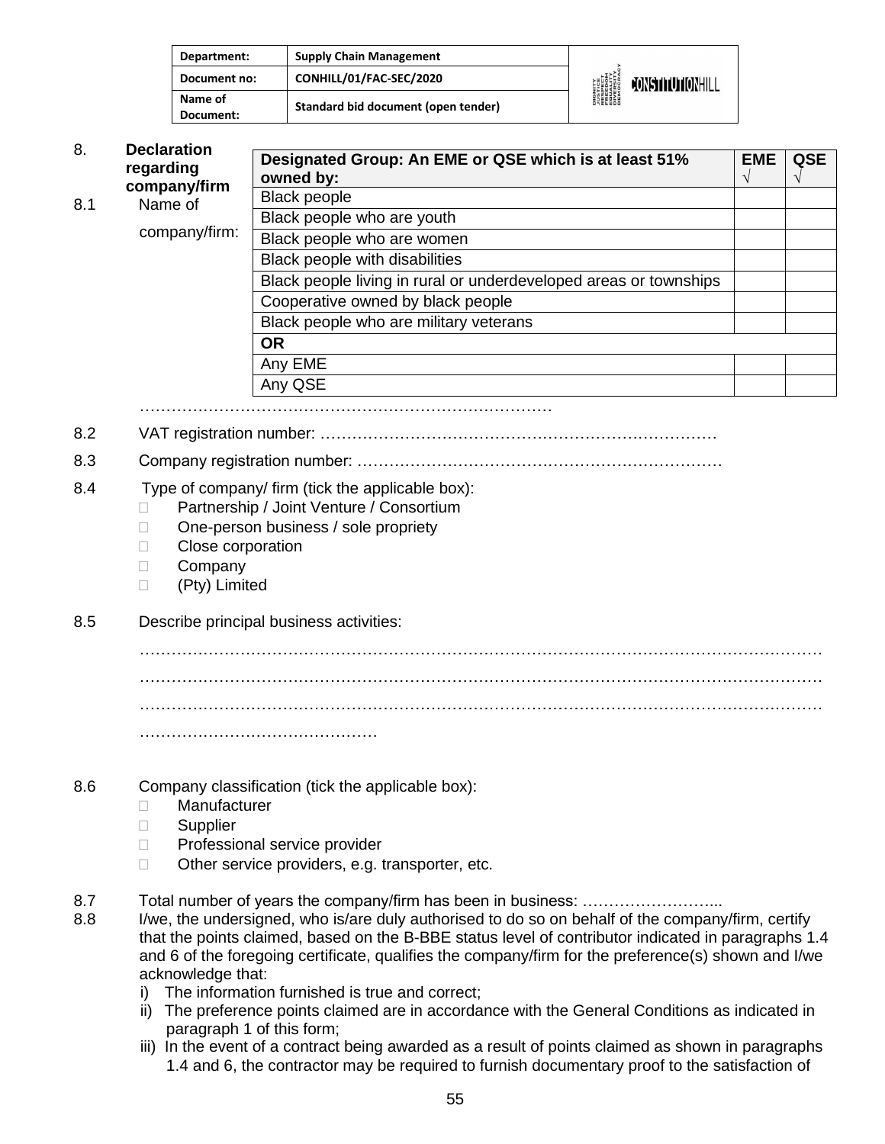| Department:          | <b>Supply Chain Management</b>      |                                                                                                   |                         |
|----------------------|-------------------------------------|---------------------------------------------------------------------------------------------------|-------------------------|
| Document no:         | CONHILL/01/FAC-SEC/2020             | <b>DIGNITY</b><br><i><b>NISTICE</b></i><br>RESPECT<br>EREEDIM<br>ENGESITY<br>DIVERSITY<br>DIROCRA | <b>CONSTITUTIONHILL</b> |
| Name of<br>Document: | Standard bid document (open tender) |                                                                                                   |                         |

| 8.                                              | <b>Declaration</b><br>regarding                                                                        | Designated Group: An EME or QSE which is at least 51%<br>owned by: | <b>EME</b><br>$\gamma$ | <b>QSE</b> |
|-------------------------------------------------|--------------------------------------------------------------------------------------------------------|--------------------------------------------------------------------|------------------------|------------|
| company/firm<br>Name of<br>8.1<br>company/firm: | <b>Black people</b>                                                                                    |                                                                    |                        |            |
|                                                 |                                                                                                        | Black people who are youth<br>Black people who are women           |                        |            |
|                                                 |                                                                                                        | Black people with disabilities                                     |                        |            |
|                                                 | Black people living in rural or underdeveloped areas or townships<br>Cooperative owned by black people |                                                                    |                        |            |
|                                                 |                                                                                                        |                                                                    |                        |            |
|                                                 |                                                                                                        | Black people who are military veterans                             |                        |            |
|                                                 | <b>OR</b>                                                                                              |                                                                    |                        |            |
|                                                 |                                                                                                        | Any EME                                                            |                        |            |
|                                                 |                                                                                                        | Any QSE                                                            |                        |            |

……………………………………………………………………

8.2 VAT registration number: …………………………………………………………………

- 8.3 Company registration number: ……………………………………………………………
- 8.4 Type of company/ firm (tick the applicable box):
	- □ Partnership / Joint Venture / Consortium
	- □ One-person business / sole propriety
	- Close corporation
	- **Company**
	- (Pty) Limited
- 8.5 Describe principal business activities:

………………………………………………………………………………………………………………… ………………………………………………………………………………………………………………… ………………………………………………………………………………………………………………… ………………………………………

- 8.6 Company classification (tick the applicable box):
	- Manufacturer
	- **Supplier**
	- □ Professional service provider
	- □ Other service providers, e.g. transporter, etc.
- 8.7 Total number of years the company/firm has been in business: ……………………...
- 8.8 I/we, the undersigned, who is/are duly authorised to do so on behalf of the company/firm, certify that the points claimed, based on the B-BBE status level of contributor indicated in paragraphs 1.4 and 6 of the foregoing certificate, qualifies the company/firm for the preference(s) shown and I/we acknowledge that:
	- i) The information furnished is true and correct;
	- ii) The preference points claimed are in accordance with the General Conditions as indicated in paragraph 1 of this form;
	- iii) In the event of a contract being awarded as a result of points claimed as shown in paragraphs 1.4 and 6, the contractor may be required to furnish documentary proof to the satisfaction of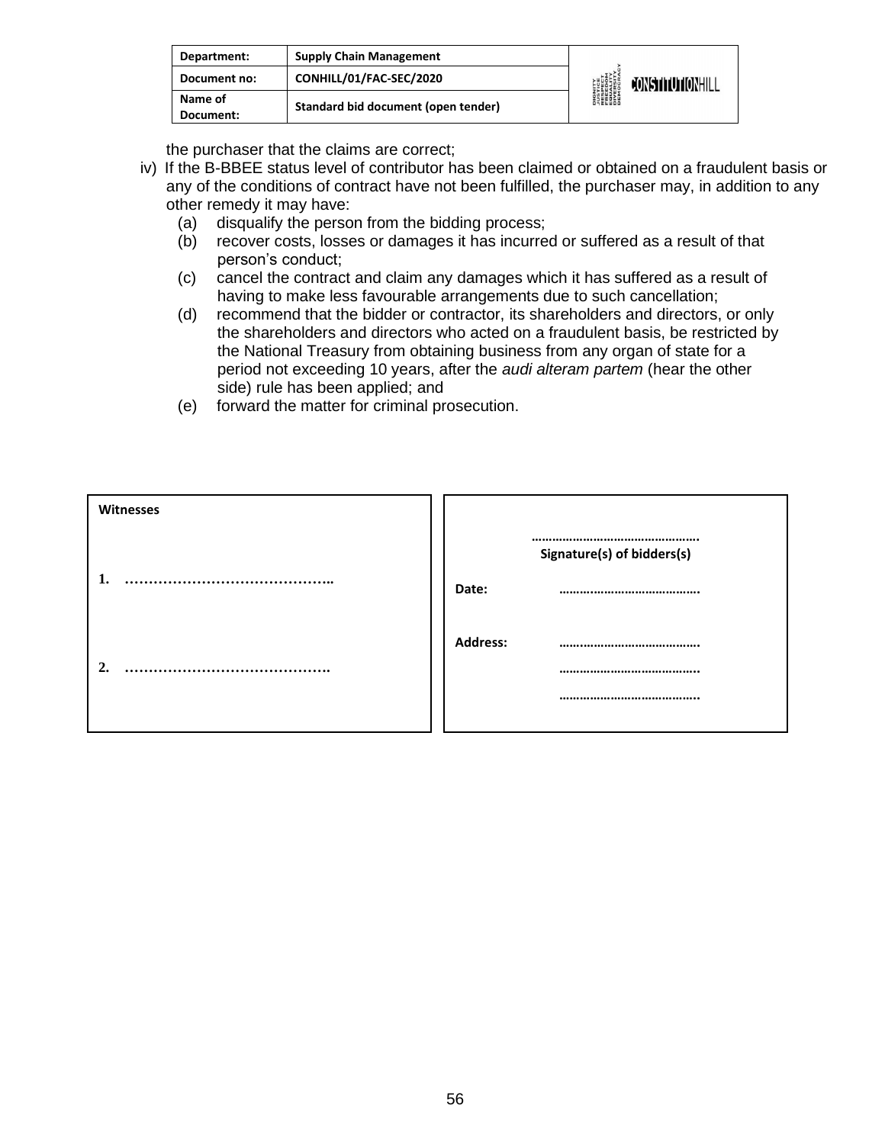| Department:          | <b>Supply Chain Management</b>      |                                                                                                                     |                         |
|----------------------|-------------------------------------|---------------------------------------------------------------------------------------------------------------------|-------------------------|
| Document no:         | CONHILL/01/FAC-SEC/2020             | <b>DIGNITY</b><br><b><i>NISTICE<br/>RESPECT<br/>RESPECT<br/>ERECOM<br/>DIVERSITY</i><br/>DIVERSITY<br/>DEMOCRAN</b> | <b>CONSTITUTIONHILL</b> |
| Name of<br>Document: | Standard bid document (open tender) |                                                                                                                     |                         |

the purchaser that the claims are correct;

- iv) If the B-BBEE status level of contributor has been claimed or obtained on a fraudulent basis or any of the conditions of contract have not been fulfilled, the purchaser may, in addition to any other remedy it may have:
	- (a) disqualify the person from the bidding process;
	- (b) recover costs, losses or damages it has incurred or suffered as a result of that person's conduct;
	- (c) cancel the contract and claim any damages which it has suffered as a result of having to make less favourable arrangements due to such cancellation;
	- (d) recommend that the bidder or contractor, its shareholders and directors, or only the shareholders and directors who acted on a fraudulent basis, be restricted by the National Treasury from obtaining business from any organ of state for a period not exceeding 10 years, after the *audi alteram partem* (hear the other side) rule has been applied; and
	- (e) forward the matter for criminal prosecution.

| Witnesses |                            |
|-----------|----------------------------|
|           | Signature(s) of bidders(s) |
|           | Date:                      |
|           | <b>Address:</b>            |
| .         |                            |
|           |                            |
|           |                            |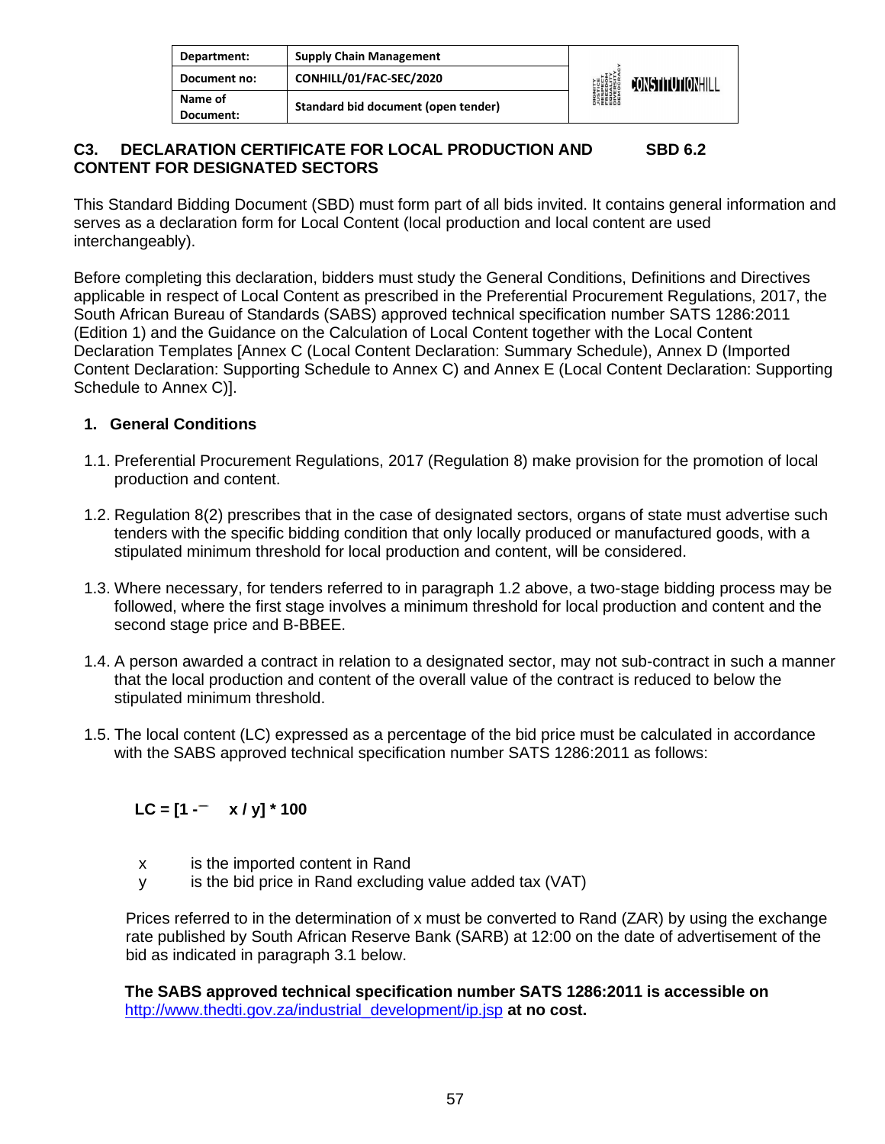| Department:          | <b>Supply Chain Management</b>      |                                                                                                                     |                  |
|----------------------|-------------------------------------|---------------------------------------------------------------------------------------------------------------------|------------------|
| Document no:         | CONHILL/01/FAC-SEC/2020             | <b>DIGNITY</b><br><b><i>NISTICE<br/>RESPECT<br/>RESPECT<br/>ERECOM<br/>DIVERSITY</i><br/>DIVERSITY<br/>DEMOCRAN</b> | CONSTITUTIONHILL |
| Name of<br>Document: | Standard bid document (open tender) |                                                                                                                     |                  |

#### **C3. DECLARATION CERTIFICATE FOR LOCAL PRODUCTION AND SBD 6.2 CONTENT FOR DESIGNATED SECTORS**

This Standard Bidding Document (SBD) must form part of all bids invited. It contains general information and serves as a declaration form for Local Content (local production and local content are used interchangeably).

Before completing this declaration, bidders must study the General Conditions, Definitions and Directives applicable in respect of Local Content as prescribed in the Preferential Procurement Regulations, 2017, the South African Bureau of Standards (SABS) approved technical specification number SATS 1286:2011 (Edition 1) and the Guidance on the Calculation of Local Content together with the Local Content Declaration Templates [Annex C (Local Content Declaration: Summary Schedule), Annex D (Imported Content Declaration: Supporting Schedule to Annex C) and Annex E (Local Content Declaration: Supporting Schedule to Annex C)].

#### **1. General Conditions**

- 1.1. Preferential Procurement Regulations, 2017 (Regulation 8) make provision for the promotion of local production and content.
- 1.2. Regulation 8(2) prescribes that in the case of designated sectors, organs of state must advertise such tenders with the specific bidding condition that only locally produced or manufactured goods, with a stipulated minimum threshold for local production and content, will be considered.
- 1.3. Where necessary, for tenders referred to in paragraph 1.2 above, a two-stage bidding process may be followed, where the first stage involves a minimum threshold for local production and content and the second stage price and B-BBEE.
- 1.4. A person awarded a contract in relation to a designated sector, may not sub-contract in such a manner that the local production and content of the overall value of the contract is reduced to below the stipulated minimum threshold.
- 1.5. The local content (LC) expressed as a percentage of the bid price must be calculated in accordance with the SABS approved technical specification number SATS 1286:2011 as follows:

#### $LC = [1 - x / y] * 100$

- x is the imported content in Rand
- y is the bid price in Rand excluding value added tax (VAT)

Prices referred to in the determination of x must be converted to Rand (ZAR) by using the exchange rate published by South African Reserve Bank (SARB) at 12:00 on the date of advertisement of the bid as indicated in paragraph 3.1 below.

**The SABS approved technical specification number SATS 1286:2011 is accessible on**  [http://www.thedti.gov.za/industrial\\_development/ip.jsp](http://www.thedti.gov.za/industrial_development/ip.jsp) **at no cost.**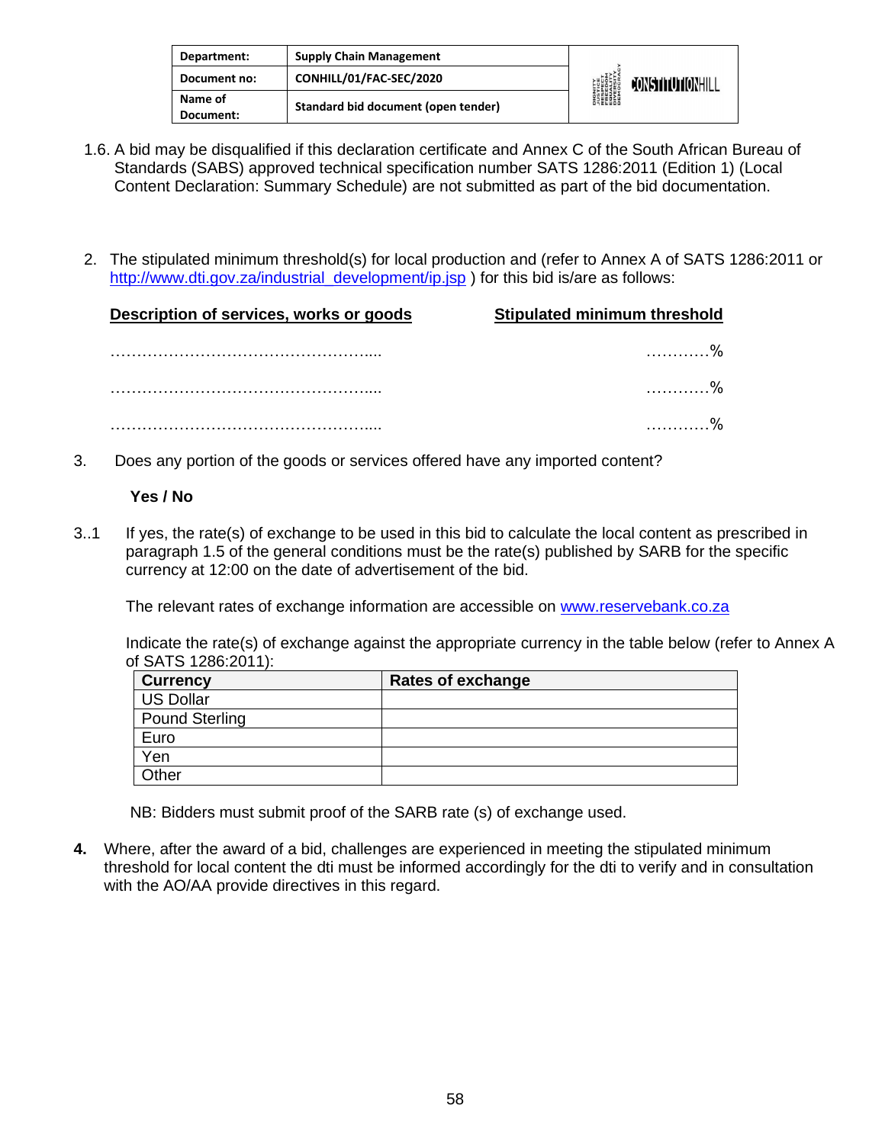| Department:          | <b>Supply Chain Management</b>      |                                                                                                           |                  |
|----------------------|-------------------------------------|-----------------------------------------------------------------------------------------------------------|------------------|
| Document no:         | CONHILL/01/FAC-SEC/2020             | <b>DIGNITY</b><br><b><i>LUSTICE<br/>FRESPECT<br/>FRESPECT<br/>EDUCRATY</i><br/>DIVERSITY<br/>DEMOCRAN</b> | CONSTITUTIONHILL |
| Name of<br>Document: | Standard bid document (open tender) |                                                                                                           |                  |

- 1.6. A bid may be disqualified if this declaration certificate and Annex C of the South African Bureau of Standards (SABS) approved technical specification number SATS 1286:2011 (Edition 1) (Local Content Declaration: Summary Schedule) are not submitted as part of the bid documentation.
- 2. The stipulated minimum threshold(s) for local production and (refer to Annex A of SATS 1286:2011 or [http://www.dti.gov.za/industrial\\_development/ip.jsp](http://www.dti.gov.za/industrial_development/ip.jsp) ) for this bid is/are as follows:

| Description of services, works or goods | <b>Stipulated minimum threshold</b> |  |
|-----------------------------------------|-------------------------------------|--|
|                                         |                                     |  |
|                                         |                                     |  |
|                                         |                                     |  |

3. Does any portion of the goods or services offered have any imported content?

#### **Yes / No**

3..1 If yes, the rate(s) of exchange to be used in this bid to calculate the local content as prescribed in paragraph 1.5 of the general conditions must be the rate(s) published by SARB for the specific currency at 12:00 on the date of advertisement of the bid.

The relevant rates of exchange information are accessible on [www.reservebank.co.za](http://www.reservebank.co.za/)

Indicate the rate(s) of exchange against the appropriate currency in the table below (refer to Annex A of SATS 1286:2011):

| <b>Currency</b>  | <b>Rates of exchange</b> |
|------------------|--------------------------|
| <b>US Dollar</b> |                          |
| Pound Sterling   |                          |
| Euro             |                          |
| Yen              |                          |
| Other            |                          |

NB: Bidders must submit proof of the SARB rate (s) of exchange used.

**4.** Where, after the award of a bid, challenges are experienced in meeting the stipulated minimum threshold for local content the dti must be informed accordingly for the dti to verify and in consultation with the AO/AA provide directives in this regard.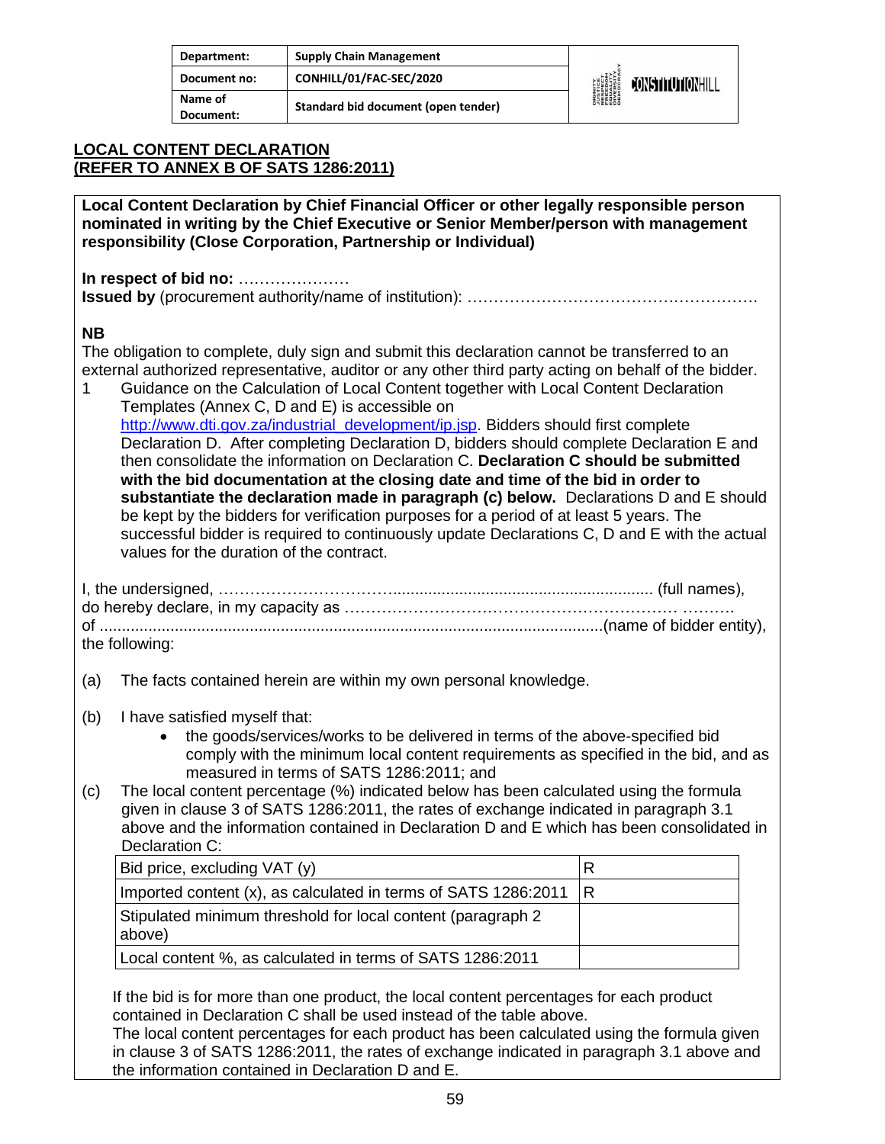| Department:          | <b>Supply Chain Management</b>      |                                                                                               |                         |
|----------------------|-------------------------------------|-----------------------------------------------------------------------------------------------|-------------------------|
| Document no:         | CONHILL/01/FAC-SEC/2020             | <b>DIGNITY</b><br><b>JUSTICE</b><br>FRESPECT<br>FEDELITY<br>EQUESITY<br>DIVERSITY<br>DIROCRAL | <b>JONSTITUTIONHILL</b> |
| Name of<br>Document: | Standard bid document (open tender) |                                                                                               |                         |

#### **LOCAL CONTENT DECLARATION (REFER TO ANNEX B OF SATS 1286:2011)**

**Local Content Declaration by Chief Financial Officer or other legally responsible person nominated in writing by the Chief Executive or Senior Member/person with management responsibility (Close Corporation, Partnership or Individual)** 

**In respect of bid no:** ………………… **Issued by** (procurement authority/name of institution): ……………………………………………….

#### **NB**

The obligation to complete, duly sign and submit this declaration cannot be transferred to an external authorized representative, auditor or any other third party acting on behalf of the bidder.

1 Guidance on the Calculation of Local Content together with Local Content Declaration Templates (Annex C, D and E) is accessible on [http://www.dti.gov.za/industrial\\_development/ip.jsp.](http://www.dti.gov.za/industrial_development/ip.jsp) Bidders should first complete Declaration D. After completing Declaration D, bidders should complete Declaration E and then consolidate the information on Declaration C. **Declaration C should be submitted with the bid documentation at the closing date and time of the bid in order to substantiate the declaration made in paragraph (c) below.** Declarations D and E should be kept by the bidders for verification purposes for a period of at least 5 years. The successful bidder is required to continuously update Declarations C, D and E with the actual values for the duration of the contract.

| the following: |  |
|----------------|--|

- (a) The facts contained herein are within my own personal knowledge.
- (b) I have satisfied myself that:
	- the goods/services/works to be delivered in terms of the above-specified bid comply with the minimum local content requirements as specified in the bid, and as measured in terms of SATS 1286:2011; and
- (c) The local content percentage (%) indicated below has been calculated using the formula given in clause 3 of SATS 1286:2011, the rates of exchange indicated in paragraph 3.1 above and the information contained in Declaration D and E which has been consolidated in Declaration C:

| Bid price, excluding VAT (y)                                           |  |
|------------------------------------------------------------------------|--|
| Imported content $(x)$ , as calculated in terms of SATS 1286:2011   R  |  |
| Stipulated minimum threshold for local content (paragraph 2)<br>above) |  |
| Local content %, as calculated in terms of SATS 1286:2011              |  |

If the bid is for more than one product, the local content percentages for each product contained in Declaration C shall be used instead of the table above.

The local content percentages for each product has been calculated using the formula given in clause 3 of SATS 1286:2011, the rates of exchange indicated in paragraph 3.1 above and the information contained in Declaration D and E.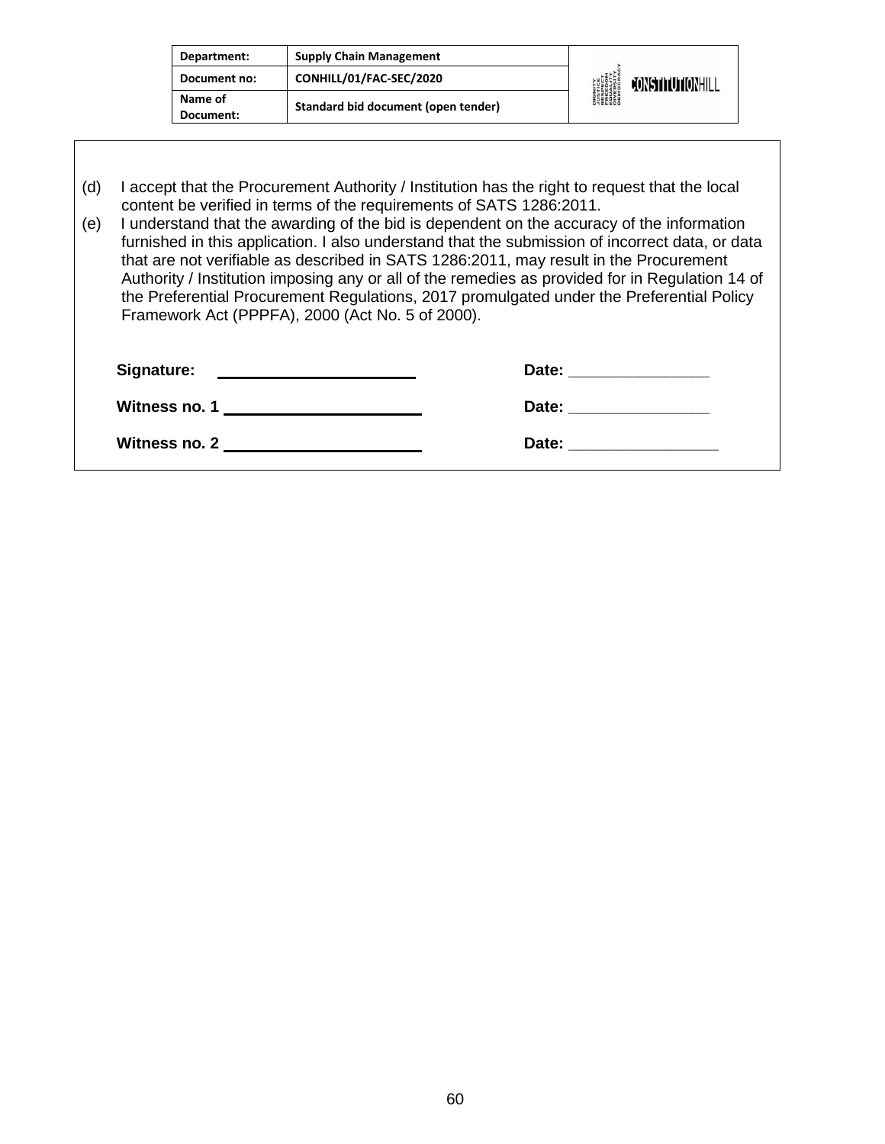| Department:          | <b>Supply Chain Management</b>      |                                                                                                                        |
|----------------------|-------------------------------------|------------------------------------------------------------------------------------------------------------------------|
| Document no:         | CONHILL/01/FAC-SEC/2020             | <b>DIGNITY</b><br><i><b>NUSTICE</b></i><br>RESPECT<br>EQUELOM<br>ENGESITY<br>DIVERSITY<br>DIEMOCRA<br>CONSTITUTIONHILL |
| Name of<br>Document: | Standard bid document (open tender) |                                                                                                                        |

(d) I accept that the Procurement Authority / Institution has the right to request that the local content be verified in terms of the requirements of SATS 1286:2011.

(e) I understand that the awarding of the bid is dependent on the accuracy of the information furnished in this application. I also understand that the submission of incorrect data, or data that are not verifiable as described in SATS 1286:2011, may result in the Procurement Authority / Institution imposing any or all of the remedies as provided for in Regulation 14 of the Preferential Procurement Regulations, 2017 promulgated under the Preferential Policy Framework Act (PPPFA), 2000 (Act No. 5 of 2000).

| Signature:<br><u> 1980 - Jan Samuel Barbara, martin a shekara 1980 - An tsara 1980 - An tsara 1980 - An tsara 1980 - An tsara</u> | Date:<br>the control of the control of the control of the control of the control of the control of |
|-----------------------------------------------------------------------------------------------------------------------------------|----------------------------------------------------------------------------------------------------|
| Witness no. 1                                                                                                                     | Date:                                                                                              |
| Witness no. 2                                                                                                                     | Date:                                                                                              |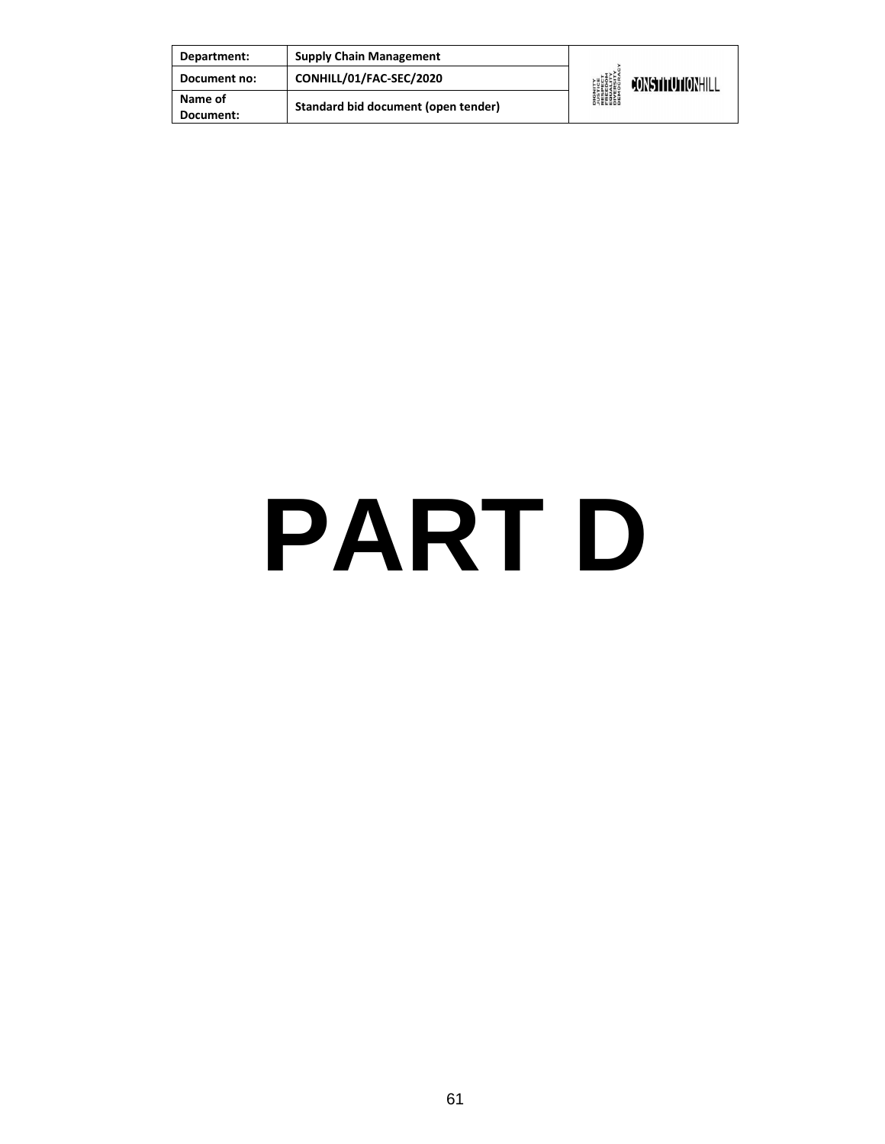| Department:          | <b>Supply Chain Management</b>      |                                                                                                                     |                  |
|----------------------|-------------------------------------|---------------------------------------------------------------------------------------------------------------------|------------------|
| Document no:         | CONHILL/01/FAC-SEC/2020             | <b>DIGNITY</b><br><b><i>NISTICE<br/>RESPECT<br/>RESPECT<br/>ERECTY<br/>DIVERSITY</i><br/>DIVERSITY<br/>DEMOCRAN</b> | CONSTITUTIONHILL |
| Name of<br>Document: | Standard bid document (open tender) |                                                                                                                     |                  |

### **PART D**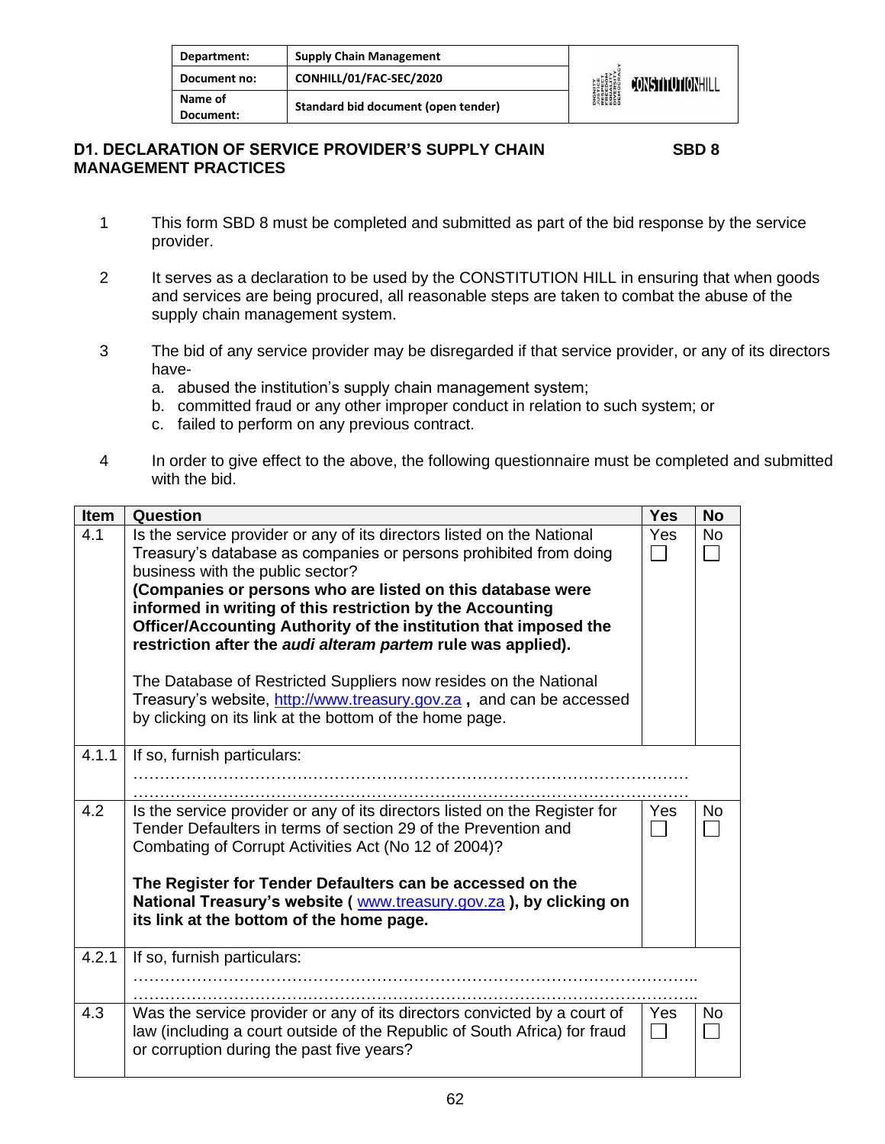| Department:          | <b>Supply Chain Management</b>      | <b>DIGNITY<br/>AUSTICE<br/>RESPECT<br/>EQUALITY<br/>EQUALITY</b><br>DIVERSITY<br>DIVERSITY | <b>JONSTITUTIONHILL</b> |
|----------------------|-------------------------------------|--------------------------------------------------------------------------------------------|-------------------------|
| Document no:         | CONHILL/01/FAC-SEC/2020             |                                                                                            |                         |
| Name of<br>Document: | Standard bid document (open tender) |                                                                                            |                         |

#### **D1. DECLARATION OF SERVICE PROVIDER'S SUPPLY CHAIN SBD 8 MANAGEMENT PRACTICES**

- 1 This form SBD 8 must be completed and submitted as part of the bid response by the service provider.
- 2 It serves as a declaration to be used by the CONSTITUTION HILL in ensuring that when goods and services are being procured, all reasonable steps are taken to combat the abuse of the supply chain management system.
- 3 The bid of any service provider may be disregarded if that service provider, or any of its directors have
	- a. abused the institution's supply chain management system;
	- b. committed fraud or any other improper conduct in relation to such system; or
	- c. failed to perform on any previous contract.
- 4 In order to give effect to the above, the following questionnaire must be completed and submitted with the bid.

| <b>Item</b> | Question                                                                                                                                                                                                                                                                                                                                                                                                                                                                                                                                                                                                                                             | <b>Yes</b> | <b>No</b> |
|-------------|------------------------------------------------------------------------------------------------------------------------------------------------------------------------------------------------------------------------------------------------------------------------------------------------------------------------------------------------------------------------------------------------------------------------------------------------------------------------------------------------------------------------------------------------------------------------------------------------------------------------------------------------------|------------|-----------|
| 4.1         | Is the service provider or any of its directors listed on the National<br>Treasury's database as companies or persons prohibited from doing<br>business with the public sector?<br>(Companies or persons who are listed on this database were<br>informed in writing of this restriction by the Accounting<br>Officer/Accounting Authority of the institution that imposed the<br>restriction after the audi alteram partem rule was applied).<br>The Database of Restricted Suppliers now resides on the National<br>Treasury's website, http://www.treasury.gov.za, and can be accessed<br>by clicking on its link at the bottom of the home page. | Yes        | <b>No</b> |
| 4.1.1       | If so, furnish particulars:                                                                                                                                                                                                                                                                                                                                                                                                                                                                                                                                                                                                                          |            |           |
| 4.2         | Is the service provider or any of its directors listed on the Register for<br>Tender Defaulters in terms of section 29 of the Prevention and<br>Combating of Corrupt Activities Act (No 12 of 2004)?<br>The Register for Tender Defaulters can be accessed on the<br>National Treasury's website (www.treasury.gov.za), by clicking on<br>its link at the bottom of the home page.                                                                                                                                                                                                                                                                   | Yes        | No        |
| 4.2.1       | If so, furnish particulars:                                                                                                                                                                                                                                                                                                                                                                                                                                                                                                                                                                                                                          |            |           |
| 4.3         | Was the service provider or any of its directors convicted by a court of<br>law (including a court outside of the Republic of South Africa) for fraud<br>or corruption during the past five years?                                                                                                                                                                                                                                                                                                                                                                                                                                                   | Yes        | No        |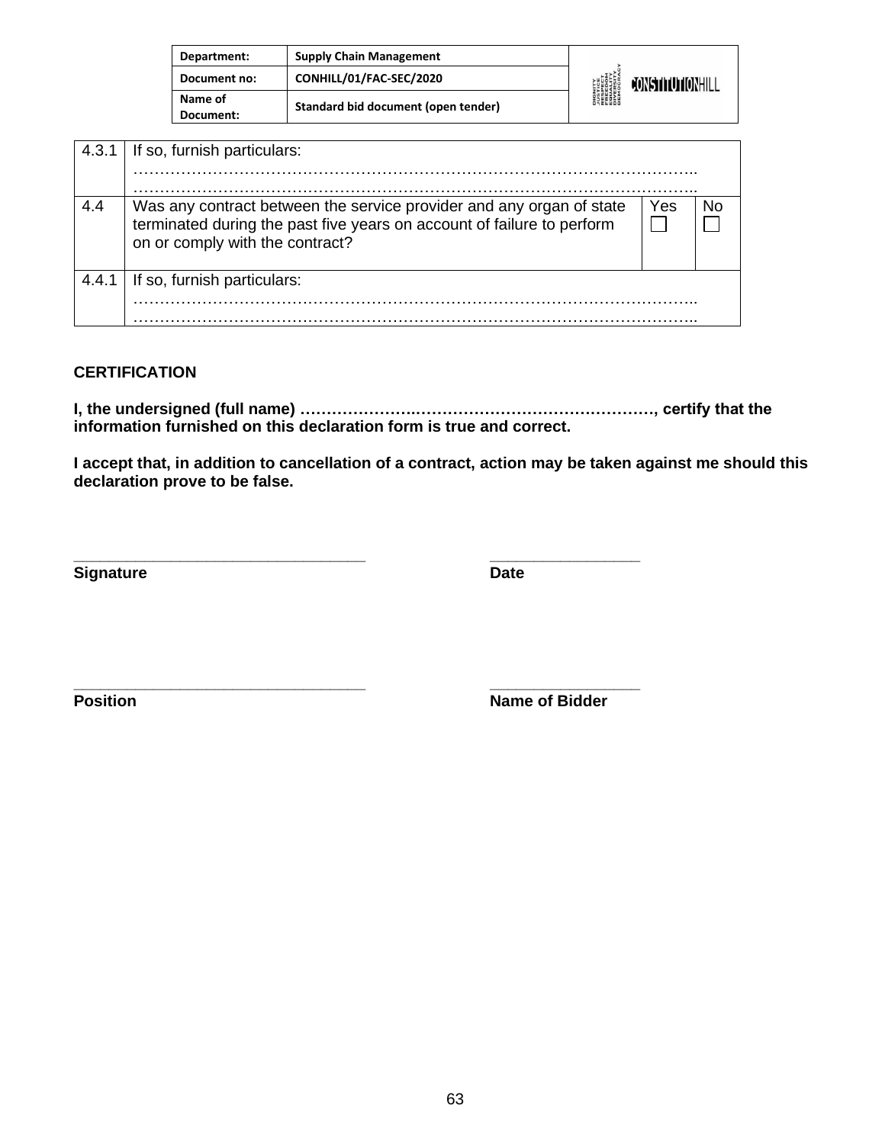| Department:          | <b>Supply Chain Management</b>      | <b>DIGNITY</b><br><b><i>LUSTICE<br/>FRESPECT<br/>FRESITY<br/>EQUERSITY<br/>DIVERSITY</i><br/>DEMOCRA</b> | CONSTITUTIONHILL |
|----------------------|-------------------------------------|----------------------------------------------------------------------------------------------------------|------------------|
| Document no:         | CONHILL/01/FAC-SEC/2020             |                                                                                                          |                  |
| Name of<br>Document: | Standard bid document (open tender) |                                                                                                          |                  |

| 4.3.1 | If so, furnish particulars:                                                                                                                                                       |     |    |
|-------|-----------------------------------------------------------------------------------------------------------------------------------------------------------------------------------|-----|----|
| 4.4   | Was any contract between the service provider and any organ of state<br>terminated during the past five years on account of failure to perform<br>on or comply with the contract? | Yes | No |
| 4.4.1 | If so, furnish particulars:                                                                                                                                                       |     |    |

#### **CERTIFICATION**

**I, the undersigned (full name) ………………….………………………………………, certify that the information furnished on this declaration form is true and correct.**

**\_\_\_\_\_\_\_\_\_\_\_\_\_\_\_\_\_\_\_\_\_\_\_\_\_\_\_\_\_\_\_\_\_ \_\_\_\_\_\_\_\_\_\_\_\_\_\_\_\_\_**

**I accept that, in addition to cancellation of a contract, action may be taken against me should this declaration prove to be false.**

**Signature** Date

**\_\_\_\_\_\_\_\_\_\_\_\_\_\_\_\_\_\_\_\_\_\_\_\_\_\_\_\_\_\_\_\_\_ \_\_\_\_\_\_\_\_\_\_\_\_\_\_\_\_\_ Position Name of Bidder**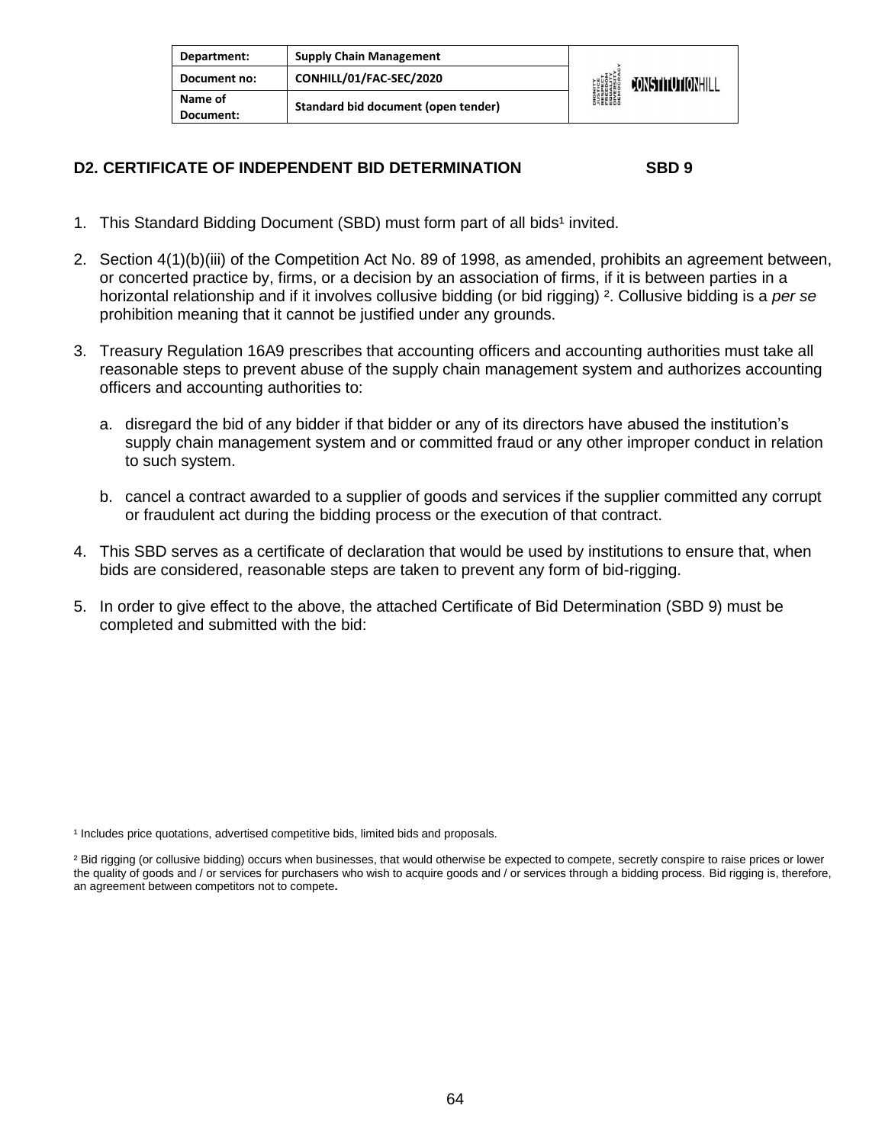| Department:          | <b>Supply Chain Management</b>      | <b>DIGNITY</b><br>PESPECT<br>FRESPECT<br>EQUELLYM<br>DIVERSITY<br>DIVERSITY<br>DEMOCRAL | CONSTITUTIONHILL |
|----------------------|-------------------------------------|-----------------------------------------------------------------------------------------|------------------|
| Document no:         | CONHILL/01/FAC-SEC/2020             |                                                                                         |                  |
| Name of<br>Document: | Standard bid document (open tender) |                                                                                         |                  |

#### **D2. CERTIFICATE OF INDEPENDENT BID DETERMINATION SBD 9**

- 1. This Standard Bidding Document (SBD) must form part of all bids<sup>1</sup> invited.
- 2. Section 4(1)(b)(iii) of the Competition Act No. 89 of 1998, as amended, prohibits an agreement between, or concerted practice by, firms, or a decision by an association of firms, if it is between parties in a horizontal relationship and if it involves collusive bidding (or bid rigging) ². Collusive bidding is a *per se*  prohibition meaning that it cannot be justified under any grounds.
- 3. Treasury Regulation 16A9 prescribes that accounting officers and accounting authorities must take all reasonable steps to prevent abuse of the supply chain management system and authorizes accounting officers and accounting authorities to:
	- a. disregard the bid of any bidder if that bidder or any of its directors have abused the institution's supply chain management system and or committed fraud or any other improper conduct in relation to such system.
	- b. cancel a contract awarded to a supplier of goods and services if the supplier committed any corrupt or fraudulent act during the bidding process or the execution of that contract.
- 4. This SBD serves as a certificate of declaration that would be used by institutions to ensure that, when bids are considered, reasonable steps are taken to prevent any form of bid-rigging.
- 5. In order to give effect to the above, the attached Certificate of Bid Determination (SBD 9) must be completed and submitted with the bid:

<sup>1</sup> Includes price quotations, advertised competitive bids, limited bids and proposals.

<sup>&</sup>lt;sup>2</sup> Bid rigging (or collusive bidding) occurs when businesses, that would otherwise be expected to compete, secretly conspire to raise prices or lower the quality of goods and / or services for purchasers who wish to acquire goods and / or services through a bidding process. Bid rigging is, therefore, an agreement between competitors not to compete**.**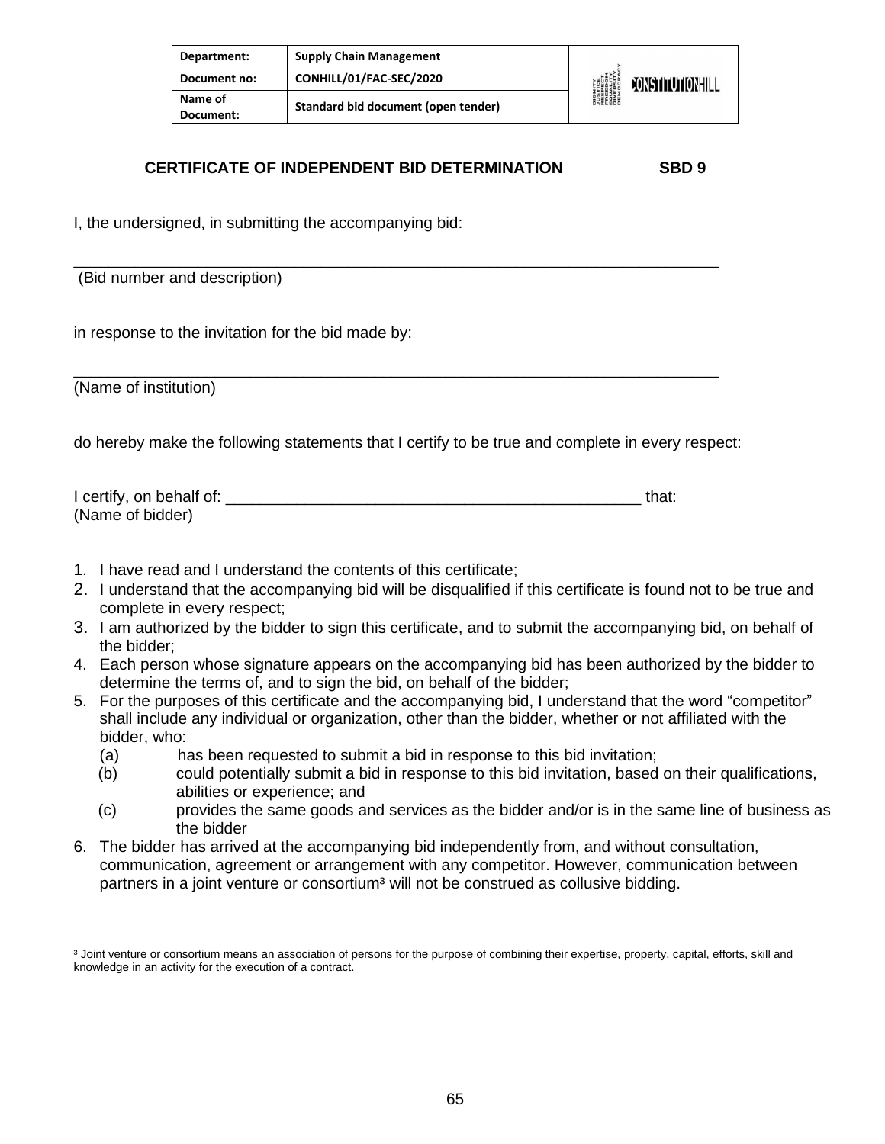| Department:          | <b>Supply Chain Management</b>      |                                                                                 |                         |
|----------------------|-------------------------------------|---------------------------------------------------------------------------------|-------------------------|
| Document no:         | CONHILL/01/FAC-SEC/2020             | DIGNITY<br>PESPECT<br>FRESPECT<br>EREEDITY<br>DIVERSITY<br>DIROCRAN<br>DEMOCRAN | <b>FONSTITUTIONHILL</b> |
| Name of<br>Document: | Standard bid document (open tender) |                                                                                 |                         |

#### **CERTIFICATE OF INDEPENDENT BID DETERMINATION SBD 9**

I, the undersigned, in submitting the accompanying bid:

| (Bid number and description)                                                                                                                                                                                                        |       |
|-------------------------------------------------------------------------------------------------------------------------------------------------------------------------------------------------------------------------------------|-------|
| in response to the invitation for the bid made by:                                                                                                                                                                                  |       |
| (Name of institution)                                                                                                                                                                                                               |       |
| do hereby make the following statements that I certify to be true and complete in every respect:                                                                                                                                    |       |
| (Name of bidder)                                                                                                                                                                                                                    | that: |
| $\overline{1}$ , the contract of the contract of the contract of the contract of the contract of the contract of the contract of the contract of the contract of the contract of the contract of the contract of the contract of th |       |

- 1. I have read and I understand the contents of this certificate;
- 2. I understand that the accompanying bid will be disqualified if this certificate is found not to be true and complete in every respect;
- 3. I am authorized by the bidder to sign this certificate, and to submit the accompanying bid, on behalf of the bidder;
- 4. Each person whose signature appears on the accompanying bid has been authorized by the bidder to determine the terms of, and to sign the bid, on behalf of the bidder;
- 5. For the purposes of this certificate and the accompanying bid, I understand that the word "competitor" shall include any individual or organization, other than the bidder, whether or not affiliated with the bidder, who:
	- (a) has been requested to submit a bid in response to this bid invitation;
	- (b) could potentially submit a bid in response to this bid invitation, based on their qualifications, abilities or experience; and
	- (c) provides the same goods and services as the bidder and/or is in the same line of business as the bidder
- 6. The bidder has arrived at the accompanying bid independently from, and without consultation, communication, agreement or arrangement with any competitor. However, communication between partners in a joint venture or consortium<sup>3</sup> will not be construed as collusive bidding.

<sup>&</sup>lt;sup>3</sup> Joint venture or consortium means an association of persons for the purpose of combining their expertise, property, capital, efforts, skill and knowledge in an activity for the execution of a contract.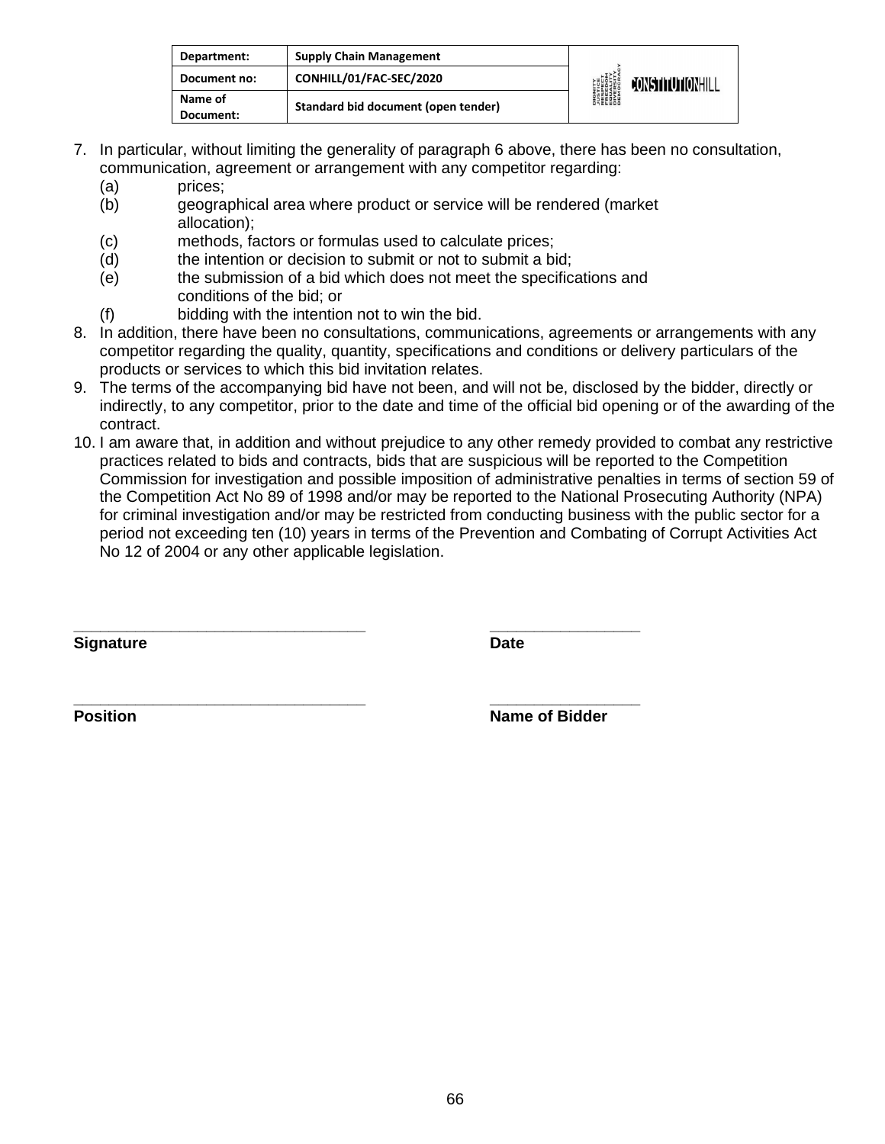| Department:          | <b>Supply Chain Management</b>      | <b>DIGNITY<br/>AUSTICE<br/>RESPECT<br/>EQUALITY<br/>EQUALITY</b><br>DIVERSITY<br>DIVERSITY |                         |
|----------------------|-------------------------------------|--------------------------------------------------------------------------------------------|-------------------------|
| Document no:         | CONHILL/01/FAC-SEC/2020             |                                                                                            | <b>JONSTITUTIONHILL</b> |
| Name of<br>Document: | Standard bid document (open tender) |                                                                                            |                         |

- 7. In particular, without limiting the generality of paragraph 6 above, there has been no consultation, communication, agreement or arrangement with any competitor regarding:
	- (a) prices;
	- (b) geographical area where product or service will be rendered (market allocation);
	- (c) methods, factors or formulas used to calculate prices;
	- (d) the intention or decision to submit or not to submit a bid;
	- (e) the submission of a bid which does not meet the specifications and conditions of the bid; or

**\_\_\_\_\_\_\_\_\_\_\_\_\_\_\_\_\_\_\_\_\_\_\_\_\_\_\_\_\_\_\_\_\_ \_\_\_\_\_\_\_\_\_\_\_\_\_\_\_\_\_**

- (f) bidding with the intention not to win the bid.
- 8. In addition, there have been no consultations, communications, agreements or arrangements with any competitor regarding the quality, quantity, specifications and conditions or delivery particulars of the products or services to which this bid invitation relates.
- 9. The terms of the accompanying bid have not been, and will not be, disclosed by the bidder, directly or indirectly, to any competitor, prior to the date and time of the official bid opening or of the awarding of the contract.
- 10. I am aware that, in addition and without prejudice to any other remedy provided to combat any restrictive practices related to bids and contracts, bids that are suspicious will be reported to the Competition Commission for investigation and possible imposition of administrative penalties in terms of section 59 of the Competition Act No 89 of 1998 and/or may be reported to the National Prosecuting Authority (NPA) for criminal investigation and/or may be restricted from conducting business with the public sector for a period not exceeding ten (10) years in terms of the Prevention and Combating of Corrupt Activities Act No 12 of 2004 or any other applicable legislation.

**Signature Date** 

**\_\_\_\_\_\_\_\_\_\_\_\_\_\_\_\_\_\_\_\_\_\_\_\_\_\_\_\_\_\_\_\_\_ \_\_\_\_\_\_\_\_\_\_\_\_\_\_\_\_\_ Position** Name of Bidder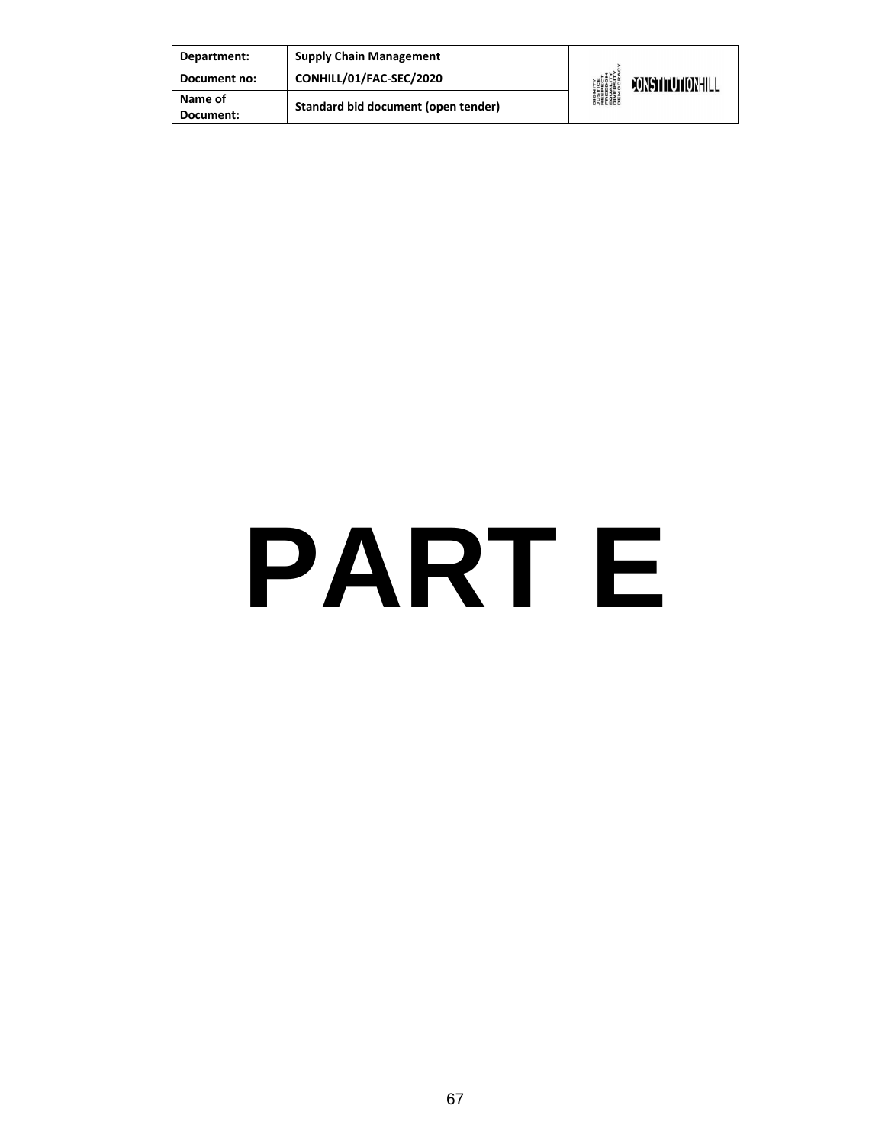| Department:          | <b>Supply Chain Management</b>      | <b>DIGNITY</b><br><b><i>NISTICE<br/>RESPECT<br/>RESPECT<br/>ERECOM<br/>DIVERSITY</i><br/>DIVERSITY<br/>DEMOCRAN</b> | CONSTITUTIONHILL |
|----------------------|-------------------------------------|---------------------------------------------------------------------------------------------------------------------|------------------|
| Document no:         | CONHILL/01/FAC-SEC/2020             |                                                                                                                     |                  |
| Name of<br>Document: | Standard bid document (open tender) |                                                                                                                     |                  |

## **PART E**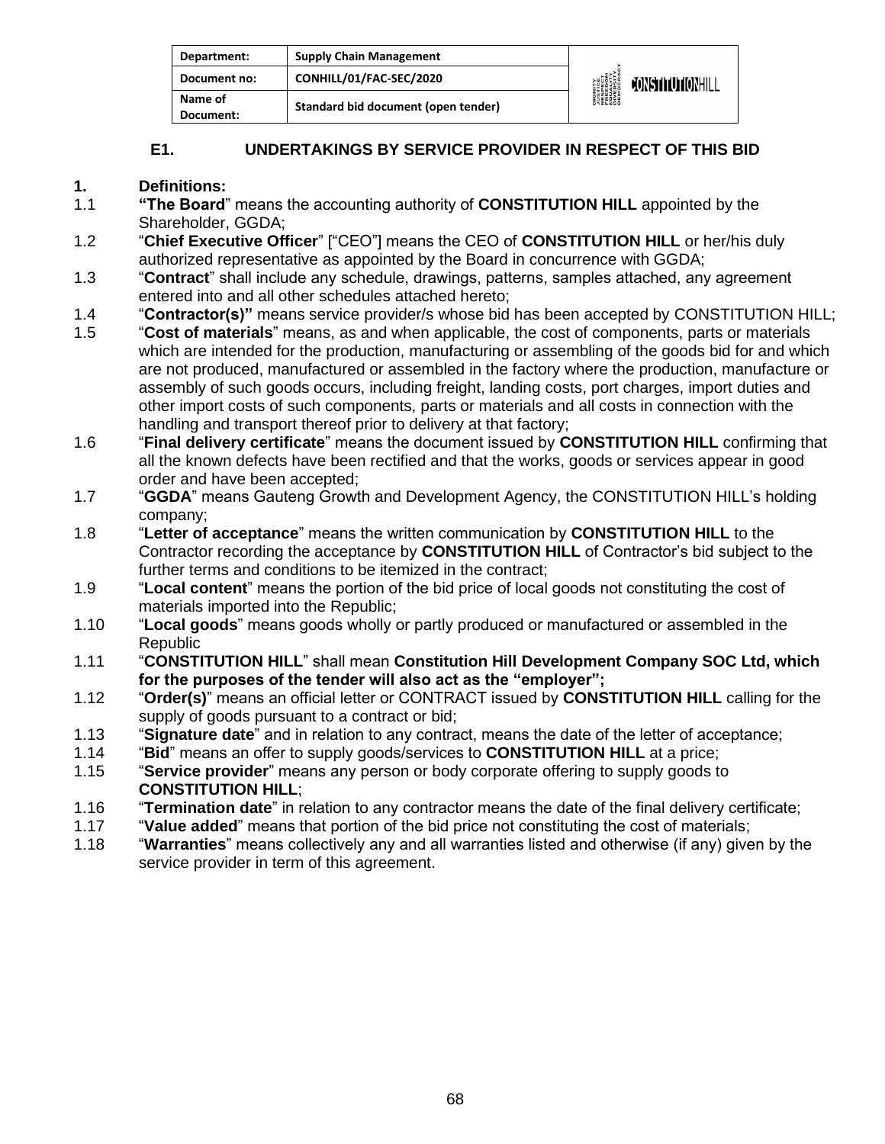| Department:          | <b>Supply Chain Management</b>      | <b>DIGNITY</b><br><b><i>NISTICE<br/>RESPECT<br/>RESPECT<br/>EQUERSITY<br/>DIVERSITY</i><br/>DIROCRAL</b> |                  |
|----------------------|-------------------------------------|----------------------------------------------------------------------------------------------------------|------------------|
| Document no:         | CONHILL/01/FAC-SEC/2020             |                                                                                                          | CONSTITUTIONHILL |
| Name of<br>Document: | Standard bid document (open tender) |                                                                                                          |                  |

#### **E1. UNDERTAKINGS BY SERVICE PROVIDER IN RESPECT OF THIS BID**

#### **1. Definitions:**

- 1.1 **"The Board**" means the accounting authority of **CONSTITUTION HILL** appointed by the Shareholder, GGDA;
- 1.2 "**Chief Executive Officer**" ["CEO"] means the CEO of **CONSTITUTION HILL** or her/his duly authorized representative as appointed by the Board in concurrence with GGDA;
- 1.3 "**Contract**" shall include any schedule, drawings, patterns, samples attached, any agreement entered into and all other schedules attached hereto;
- 1.4 "**Contractor(s)"** means service provider/s whose bid has been accepted by CONSTITUTION HILL;
- 1.5 "**Cost of materials**" means, as and when applicable, the cost of components, parts or materials which are intended for the production, manufacturing or assembling of the goods bid for and which are not produced, manufactured or assembled in the factory where the production, manufacture or assembly of such goods occurs, including freight, landing costs, port charges, import duties and other import costs of such components, parts or materials and all costs in connection with the handling and transport thereof prior to delivery at that factory;
- 1.6 "**Final delivery certificate**" means the document issued by **CONSTITUTION HILL** confirming that all the known defects have been rectified and that the works, goods or services appear in good order and have been accepted;
- 1.7 "**GGDA**" means Gauteng Growth and Development Agency, the CONSTITUTION HILL's holding company;
- 1.8 "**Letter of acceptance**" means the written communication by **CONSTITUTION HILL** to the Contractor recording the acceptance by **CONSTITUTION HILL** of Contractor's bid subject to the further terms and conditions to be itemized in the contract;
- 1.9 "**Local content**" means the portion of the bid price of local goods not constituting the cost of materials imported into the Republic;
- 1.10 "**Local goods**" means goods wholly or partly produced or manufactured or assembled in the **Republic**
- 1.11 "**CONSTITUTION HILL**" shall mean **Constitution Hill Development Company SOC Ltd, which for the purposes of the tender will also act as the "employer";**
- 1.12 "**Order(s)**" means an official letter or CONTRACT issued by **CONSTITUTION HILL** calling for the supply of goods pursuant to a contract or bid;
- 1.13 "**Signature date**" and in relation to any contract, means the date of the letter of acceptance;
- 1.14 "**Bid**" means an offer to supply goods/services to **CONSTITUTION HILL** at a price;
- 1.15 "**Service provider**" means any person or body corporate offering to supply goods to **CONSTITUTION HILL**;
- 1.16 "**Termination date**" in relation to any contractor means the date of the final delivery certificate;
- 1.17 "**Value added**" means that portion of the bid price not constituting the cost of materials;
- 1.18 "**Warranties**" means collectively any and all warranties listed and otherwise (if any) given by the service provider in term of this agreement.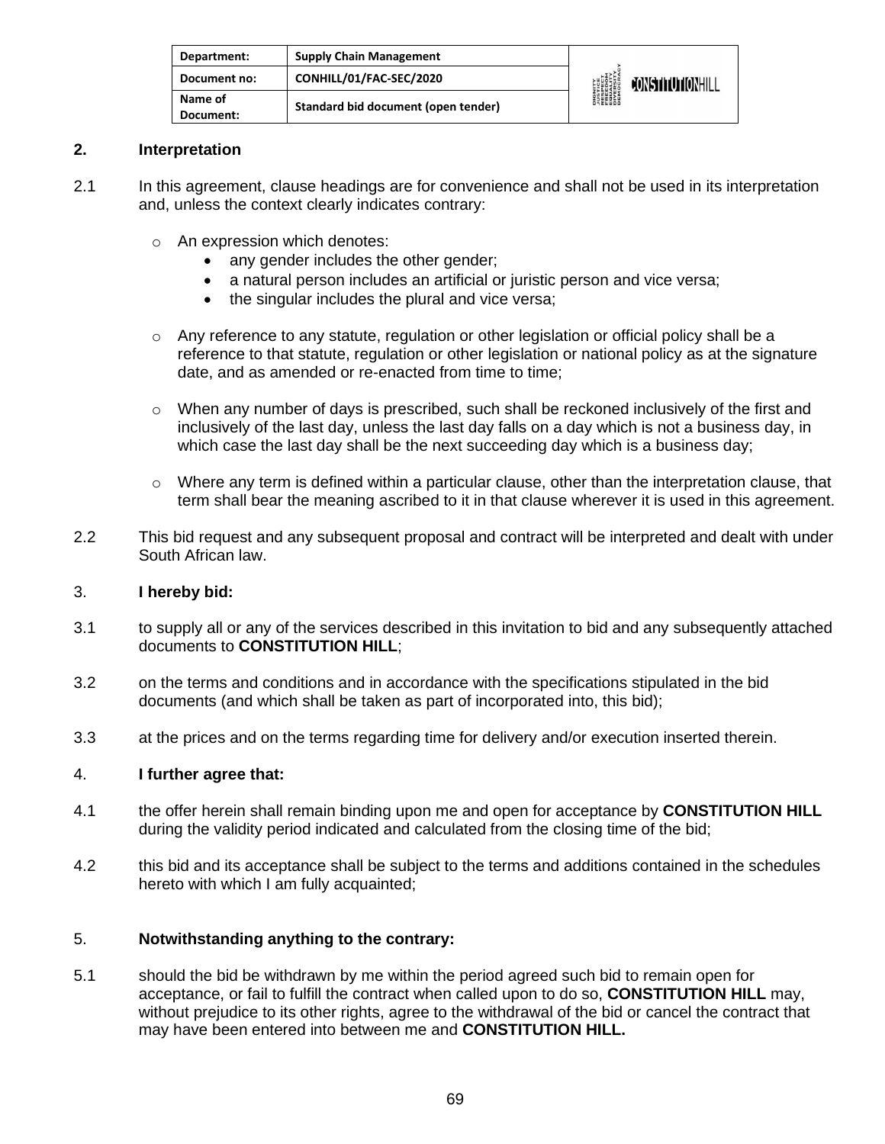| Department:          | <b>Supply Chain Management</b>      | <b>DIGNITY<br/>AUSTICE<br/>RESPECT<br/>RESPECT<br/>EQUERSITY<br/>DIVERSITY</b><br>DIVERSITY | CONSTITUTIONHILL |
|----------------------|-------------------------------------|---------------------------------------------------------------------------------------------|------------------|
| Document no:         | CONHILL/01/FAC-SEC/2020             |                                                                                             |                  |
| Name of<br>Document: | Standard bid document (open tender) |                                                                                             |                  |

#### **2. Interpretation**

- 2.1 In this agreement, clause headings are for convenience and shall not be used in its interpretation and, unless the context clearly indicates contrary:
	- o An expression which denotes:
		- any gender includes the other gender;
		- a natural person includes an artificial or juristic person and vice versa;
		- the singular includes the plural and vice versa;
	- $\circ$  Any reference to any statute, regulation or other legislation or official policy shall be a reference to that statute, regulation or other legislation or national policy as at the signature date, and as amended or re-enacted from time to time;
	- $\circ$  When any number of days is prescribed, such shall be reckoned inclusively of the first and inclusively of the last day, unless the last day falls on a day which is not a business day, in which case the last day shall be the next succeeding day which is a business day;
	- $\circ$  Where any term is defined within a particular clause, other than the interpretation clause, that term shall bear the meaning ascribed to it in that clause wherever it is used in this agreement.
- 2.2 This bid request and any subsequent proposal and contract will be interpreted and dealt with under South African law.

#### 3. **I hereby bid:**

- 3.1 to supply all or any of the services described in this invitation to bid and any subsequently attached documents to **CONSTITUTION HILL**;
- 3.2 on the terms and conditions and in accordance with the specifications stipulated in the bid documents (and which shall be taken as part of incorporated into, this bid);
- 3.3 at the prices and on the terms regarding time for delivery and/or execution inserted therein.

#### 4. **I further agree that:**

- 4.1 the offer herein shall remain binding upon me and open for acceptance by **CONSTITUTION HILL** during the validity period indicated and calculated from the closing time of the bid;
- 4.2 this bid and its acceptance shall be subject to the terms and additions contained in the schedules hereto with which I am fully acquainted;

#### 5. **Notwithstanding anything to the contrary:**

5.1 should the bid be withdrawn by me within the period agreed such bid to remain open for acceptance, or fail to fulfill the contract when called upon to do so, **CONSTITUTION HILL** may, without prejudice to its other rights, agree to the withdrawal of the bid or cancel the contract that may have been entered into between me and **CONSTITUTION HILL.**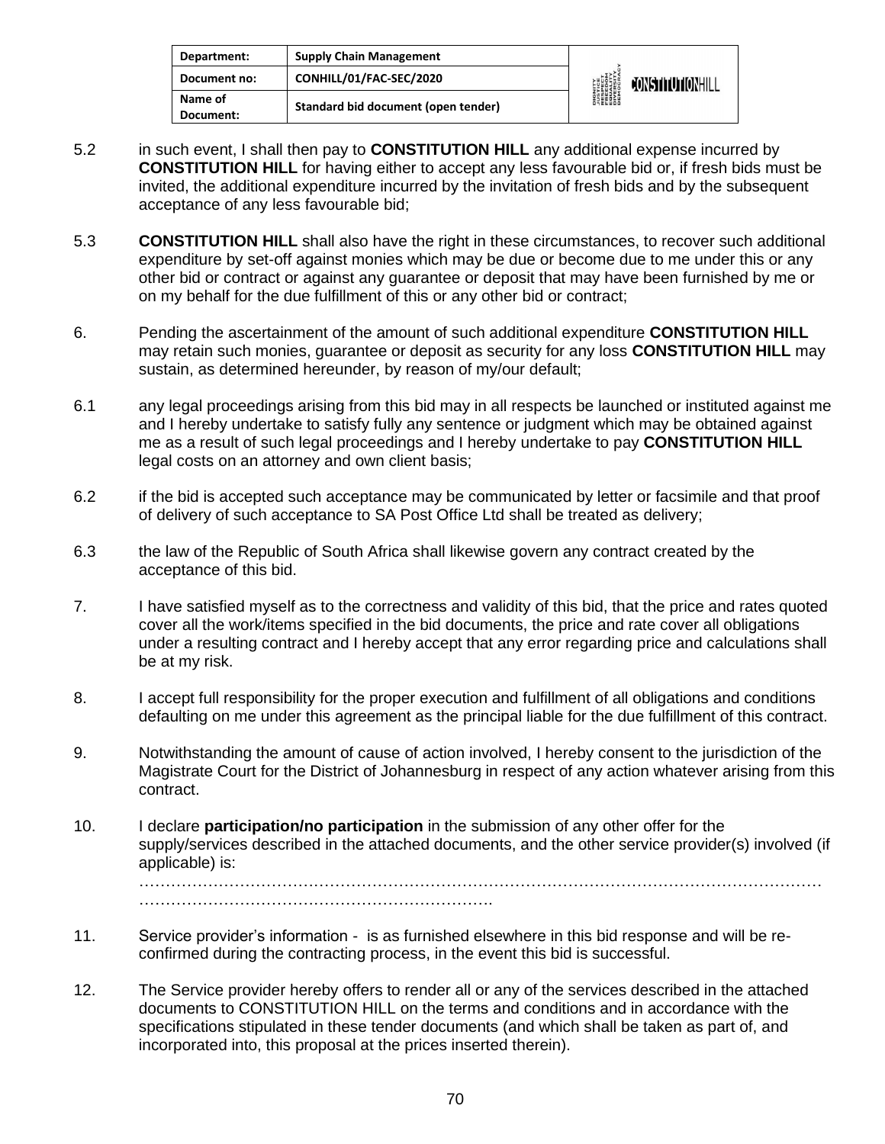| Department:          | <b>Supply Chain Management</b>      | <b>DIGNITY</b><br><b><i>NISTICE<br/>RESPECT<br/>RESPECT<br/>ERECOM<br/>DIVERSITY</i><br/>DIVERSITY<br/>DEMOCRAN</b> |                  |
|----------------------|-------------------------------------|---------------------------------------------------------------------------------------------------------------------|------------------|
| Document no:         | CONHILL/01/FAC-SEC/2020             |                                                                                                                     | CONSTITUTIONHILL |
| Name of<br>Document: | Standard bid document (open tender) |                                                                                                                     |                  |

- 5.2 in such event, I shall then pay to **CONSTITUTION HILL** any additional expense incurred by **CONSTITUTION HILL** for having either to accept any less favourable bid or, if fresh bids must be invited, the additional expenditure incurred by the invitation of fresh bids and by the subsequent acceptance of any less favourable bid;
- 5.3 **CONSTITUTION HILL** shall also have the right in these circumstances, to recover such additional expenditure by set-off against monies which may be due or become due to me under this or any other bid or contract or against any guarantee or deposit that may have been furnished by me or on my behalf for the due fulfillment of this or any other bid or contract;
- 6. Pending the ascertainment of the amount of such additional expenditure **CONSTITUTION HILL** may retain such monies, guarantee or deposit as security for any loss **CONSTITUTION HILL** may sustain, as determined hereunder, by reason of my/our default;
- 6.1 any legal proceedings arising from this bid may in all respects be launched or instituted against me and I hereby undertake to satisfy fully any sentence or judgment which may be obtained against me as a result of such legal proceedings and I hereby undertake to pay **CONSTITUTION HILL** legal costs on an attorney and own client basis;
- 6.2 if the bid is accepted such acceptance may be communicated by letter or facsimile and that proof of delivery of such acceptance to SA Post Office Ltd shall be treated as delivery;
- 6.3 the law of the Republic of South Africa shall likewise govern any contract created by the acceptance of this bid.
- 7. I have satisfied myself as to the correctness and validity of this bid, that the price and rates quoted cover all the work/items specified in the bid documents, the price and rate cover all obligations under a resulting contract and I hereby accept that any error regarding price and calculations shall be at my risk.
- 8. I accept full responsibility for the proper execution and fulfillment of all obligations and conditions defaulting on me under this agreement as the principal liable for the due fulfillment of this contract.
- 9. Notwithstanding the amount of cause of action involved, I hereby consent to the jurisdiction of the Magistrate Court for the District of Johannesburg in respect of any action whatever arising from this contract.
- 10. I declare **participation/no participation** in the submission of any other offer for the supply/services described in the attached documents, and the other service provider(s) involved (if applicable) is:

………………………………………………………………………………………………………………… ………………………………………………………….

- 11. Service provider's information is as furnished elsewhere in this bid response and will be reconfirmed during the contracting process, in the event this bid is successful.
- 12. The Service provider hereby offers to render all or any of the services described in the attached documents to CONSTITUTION HILL on the terms and conditions and in accordance with the specifications stipulated in these tender documents (and which shall be taken as part of, and incorporated into, this proposal at the prices inserted therein).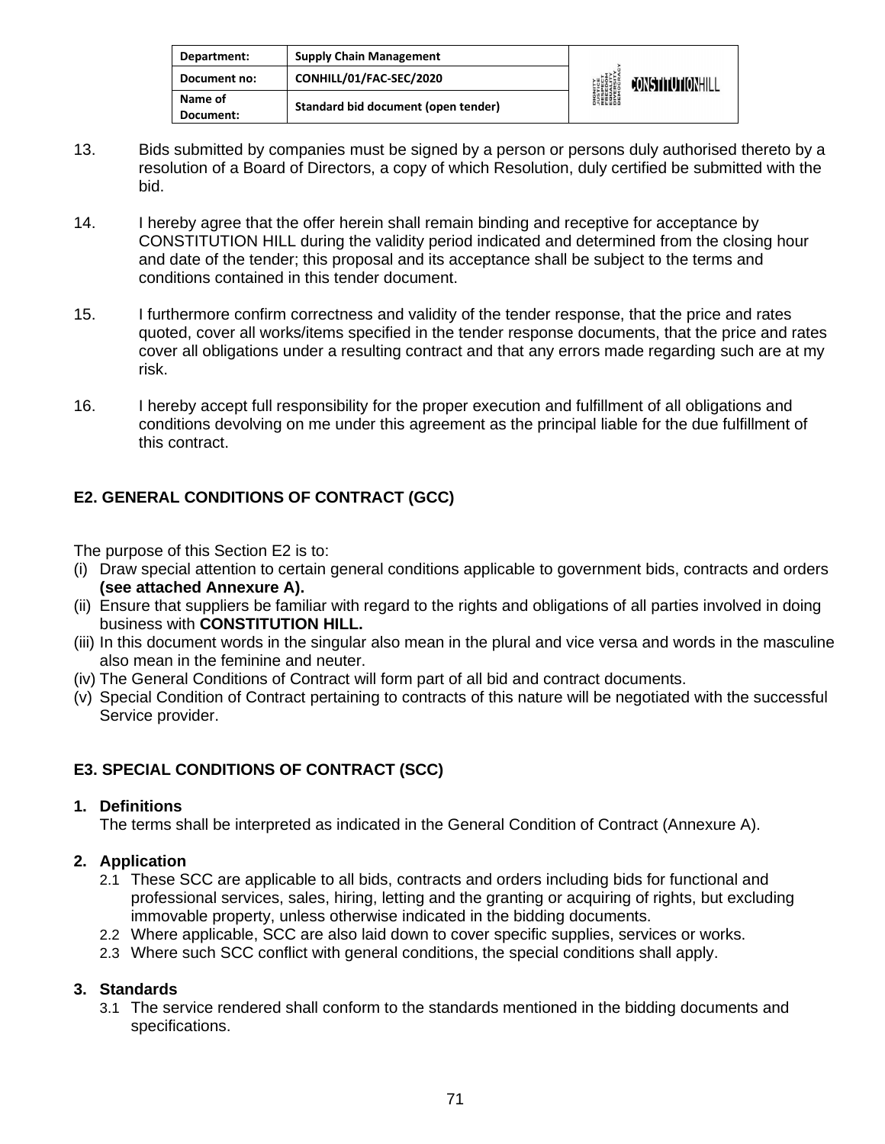| Department:          | <b>Supply Chain Management</b>      | <b>DIGNITY</b><br><i><b>NUSTICE</b></i><br>RESPECT<br>EQUELOM<br>ENGESITY<br>DIVERSITY<br>DIEMOCRA | <b>FONSTITUTIONHILL</b> |
|----------------------|-------------------------------------|----------------------------------------------------------------------------------------------------|-------------------------|
| Document no:         | CONHILL/01/FAC-SEC/2020             |                                                                                                    |                         |
| Name of<br>Document: | Standard bid document (open tender) |                                                                                                    |                         |

- 13. Bids submitted by companies must be signed by a person or persons duly authorised thereto by a resolution of a Board of Directors, a copy of which Resolution, duly certified be submitted with the bid.
- 14. I hereby agree that the offer herein shall remain binding and receptive for acceptance by CONSTITUTION HILL during the validity period indicated and determined from the closing hour and date of the tender; this proposal and its acceptance shall be subject to the terms and conditions contained in this tender document.
- 15. I furthermore confirm correctness and validity of the tender response, that the price and rates quoted, cover all works/items specified in the tender response documents, that the price and rates cover all obligations under a resulting contract and that any errors made regarding such are at my risk.
- 16. I hereby accept full responsibility for the proper execution and fulfillment of all obligations and conditions devolving on me under this agreement as the principal liable for the due fulfillment of this contract.

#### **E2. GENERAL CONDITIONS OF CONTRACT (GCC)**

The purpose of this Section E2 is to:

- (i) Draw special attention to certain general conditions applicable to government bids, contracts and orders **(see attached Annexure A).**
- (ii) Ensure that suppliers be familiar with regard to the rights and obligations of all parties involved in doing business with **CONSTITUTION HILL.**
- (iii) In this document words in the singular also mean in the plural and vice versa and words in the masculine also mean in the feminine and neuter.
- (iv) The General Conditions of Contract will form part of all bid and contract documents.
- (v) Special Condition of Contract pertaining to contracts of this nature will be negotiated with the successful Service provider.

#### **E3. SPECIAL CONDITIONS OF CONTRACT (SCC)**

#### **1. Definitions**

The terms shall be interpreted as indicated in the General Condition of Contract (Annexure A).

#### **2. Application**

- 2.1 These SCC are applicable to all bids, contracts and orders including bids for functional and professional services, sales, hiring, letting and the granting or acquiring of rights, but excluding immovable property, unless otherwise indicated in the bidding documents.
- 2.2 Where applicable, SCC are also laid down to cover specific supplies, services or works.
- 2.3 Where such SCC conflict with general conditions, the special conditions shall apply.

#### **3. Standards**

3.1 The service rendered shall conform to the standards mentioned in the bidding documents and specifications.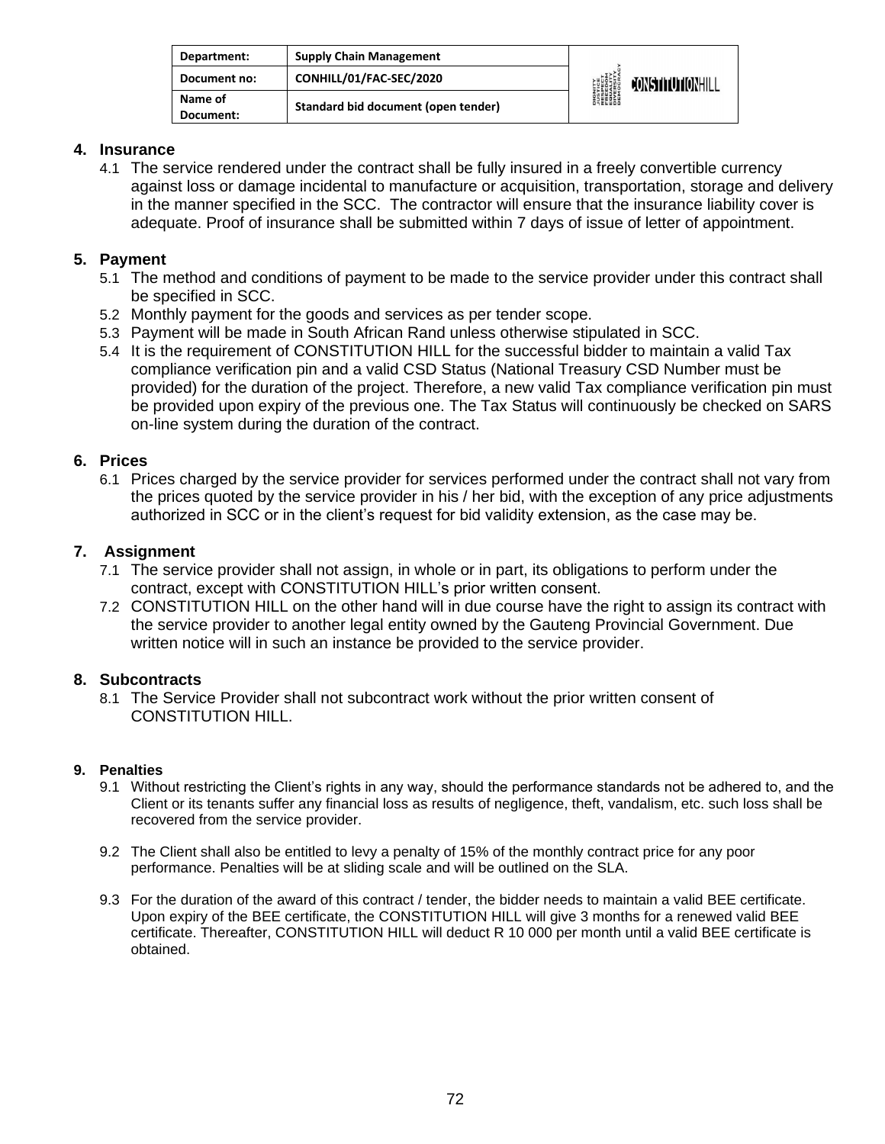| Department:          | <b>Supply Chain Management</b>      | <b>DIGNITY</b><br><b><i>LUSTICE<br/>FRESPECT<br/>FRESPECT<br/>EDUCRATY</i><br/>DIVERSITY<br/>DEMOCRAN</b> | CONSTITUTIONHILL |
|----------------------|-------------------------------------|-----------------------------------------------------------------------------------------------------------|------------------|
| Document no:         | CONHILL/01/FAC-SEC/2020             |                                                                                                           |                  |
| Name of<br>Document: | Standard bid document (open tender) |                                                                                                           |                  |

#### **4. Insurance**

4.1 The service rendered under the contract shall be fully insured in a freely convertible currency against loss or damage incidental to manufacture or acquisition, transportation, storage and delivery in the manner specified in the SCC. The contractor will ensure that the insurance liability cover is adequate. Proof of insurance shall be submitted within 7 days of issue of letter of appointment.

#### **5. Payment**

- 5.1 The method and conditions of payment to be made to the service provider under this contract shall be specified in SCC.
- 5.2 Monthly payment for the goods and services as per tender scope.
- 5.3 Payment will be made in South African Rand unless otherwise stipulated in SCC.
- 5.4 It is the requirement of CONSTITUTION HILL for the successful bidder to maintain a valid Tax compliance verification pin and a valid CSD Status (National Treasury CSD Number must be provided) for the duration of the project. Therefore, a new valid Tax compliance verification pin must be provided upon expiry of the previous one. The Tax Status will continuously be checked on SARS on-line system during the duration of the contract.

#### **6. Prices**

6.1 Prices charged by the service provider for services performed under the contract shall not vary from the prices quoted by the service provider in his / her bid, with the exception of any price adjustments authorized in SCC or in the client's request for bid validity extension, as the case may be.

#### **7. Assignment**

- 7.1 The service provider shall not assign, in whole or in part, its obligations to perform under the contract, except with CONSTITUTION HILL's prior written consent.
- 7.2 CONSTITUTION HILL on the other hand will in due course have the right to assign its contract with the service provider to another legal entity owned by the Gauteng Provincial Government. Due written notice will in such an instance be provided to the service provider.

#### **8. Subcontracts**

8.1 The Service Provider shall not subcontract work without the prior written consent of CONSTITUTION HILL.

#### **9. Penalties**

- 9.1 Without restricting the Client's rights in any way, should the performance standards not be adhered to, and the Client or its tenants suffer any financial loss as results of negligence, theft, vandalism, etc. such loss shall be recovered from the service provider.
- 9.2 The Client shall also be entitled to levy a penalty of 15% of the monthly contract price for any poor performance. Penalties will be at sliding scale and will be outlined on the SLA.
- 9.3 For the duration of the award of this contract / tender, the bidder needs to maintain a valid BEE certificate. Upon expiry of the BEE certificate, the CONSTITUTION HILL will give 3 months for a renewed valid BEE certificate. Thereafter, CONSTITUTION HILL will deduct R 10 000 per month until a valid BEE certificate is obtained.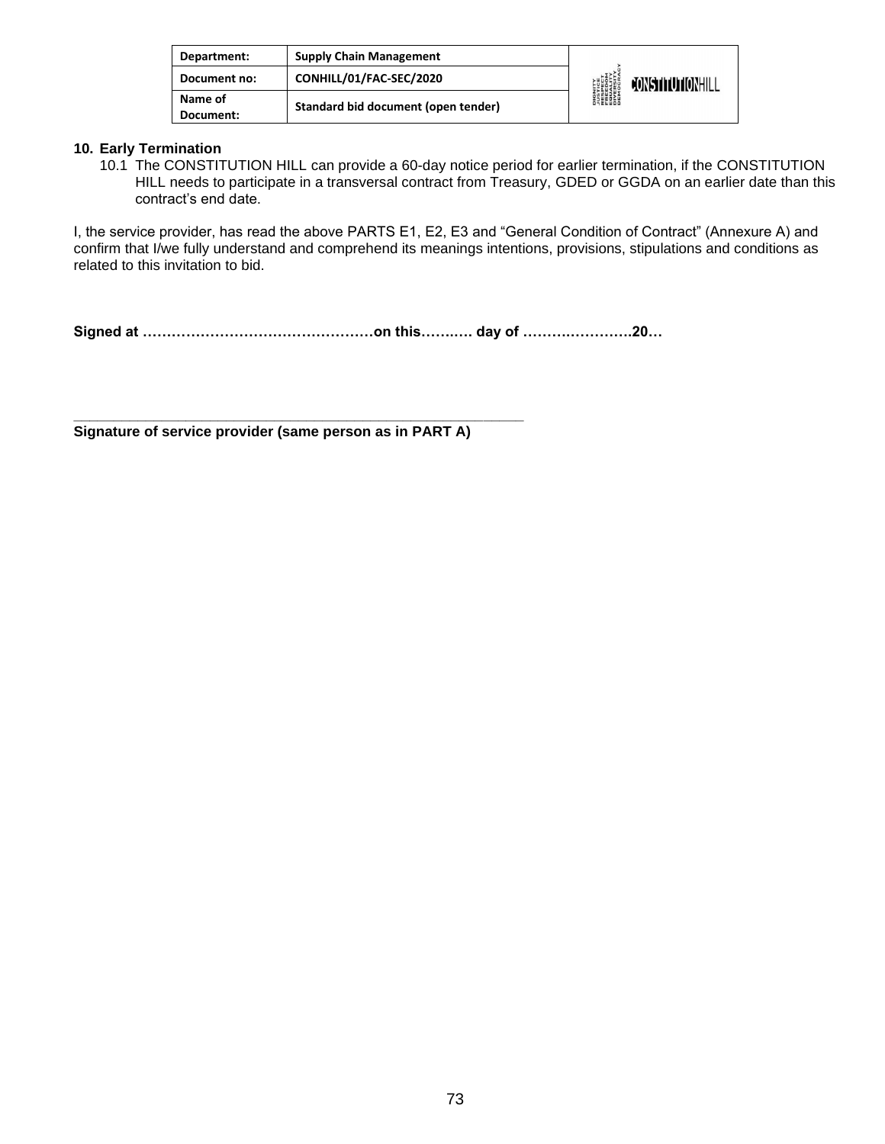| Department:          | <b>Supply Chain Management</b>      | <b>DIGNITY</b><br><b><i>LUSTICE<br/>FRESPECT<br/>FRESPECT<br/>EDUCRATY</i><br/>DIVERSITY<br/>DEMOCRAN</b> | <b>FONSTITUTIONHILL</b> |
|----------------------|-------------------------------------|-----------------------------------------------------------------------------------------------------------|-------------------------|
| Document no:         | CONHILL/01/FAC-SEC/2020             |                                                                                                           |                         |
| Name of<br>Document: | Standard bid document (open tender) |                                                                                                           |                         |

#### **10. Early Termination**

10.1 The CONSTITUTION HILL can provide a 60-day notice period for earlier termination, if the CONSTITUTION HILL needs to participate in a transversal contract from Treasury, GDED or GGDA on an earlier date than this contract's end date.

I, the service provider, has read the above PARTS E1, E2, E3 and "General Condition of Contract" (Annexure A) and confirm that I/we fully understand and comprehend its meanings intentions, provisions, stipulations and conditions as related to this invitation to bid.

**Signed at …………………………………………on this…….…. day of ……….………….20…**

**Signature of service provider (same person as in PART A)** 

**\_\_\_\_\_\_\_\_\_\_\_\_\_\_\_\_\_\_\_\_\_\_\_\_\_\_\_\_\_\_\_\_\_\_\_\_\_\_\_\_\_\_\_\_\_\_\_\_\_\_\_\_\_\_\_\_**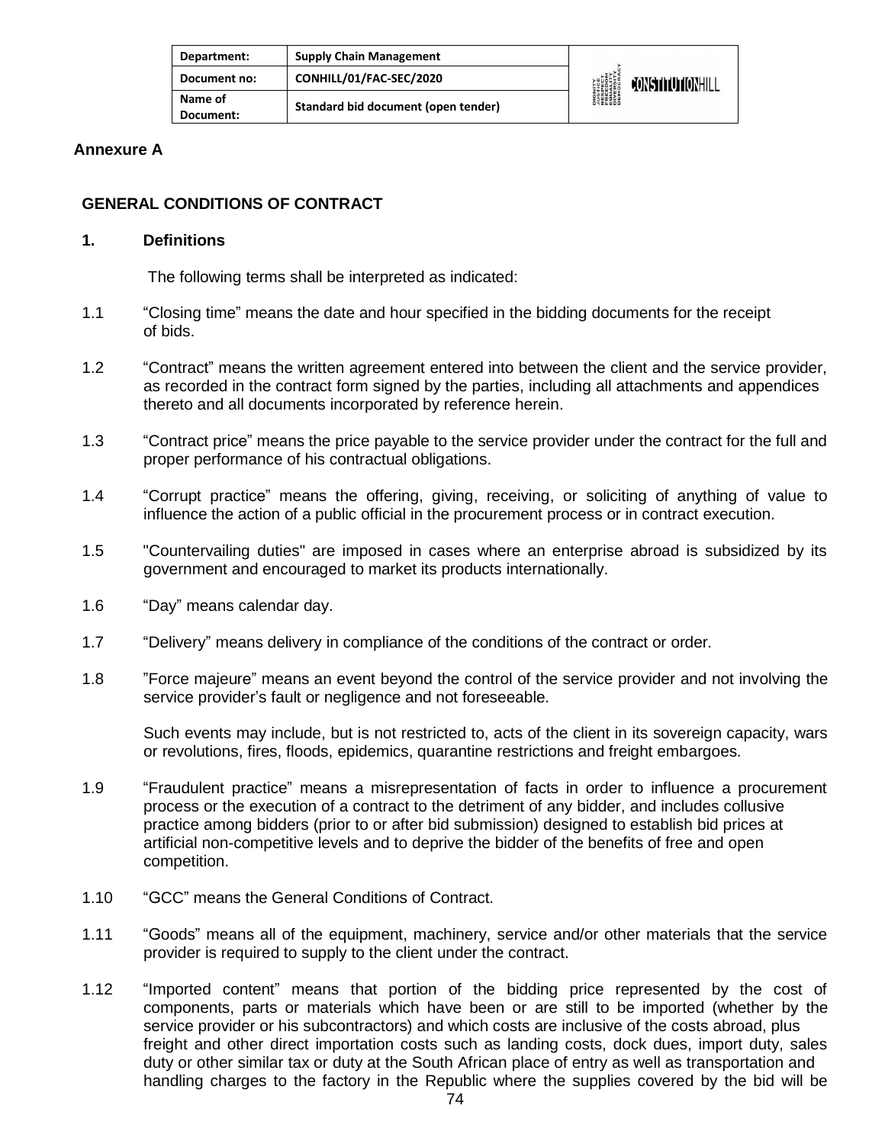| Department:          | <b>Supply Chain Management</b>      | DIGNITY<br><b>JUSTICE</b><br>RESPECT<br>RESPECT<br>EQUERSITY<br>DIVERSITY<br>DIROCRAL | <b>JONSTITUTIONHILL</b> |
|----------------------|-------------------------------------|---------------------------------------------------------------------------------------|-------------------------|
| Document no:         | CONHILL/01/FAC-SEC/2020             |                                                                                       |                         |
| Name of<br>Document: | Standard bid document (open tender) |                                                                                       |                         |

#### **Annexure A**

### **GENERAL CONDITIONS OF CONTRACT**

#### **1. Definitions**

The following terms shall be interpreted as indicated:

- 1.1 "Closing time" means the date and hour specified in the bidding documents for the receipt of bids.
- 1.2 "Contract" means the written agreement entered into between the client and the service provider, as recorded in the contract form signed by the parties, including all attachments and appendices thereto and all documents incorporated by reference herein.
- 1.3 "Contract price" means the price payable to the service provider under the contract for the full and proper performance of his contractual obligations.
- 1.4 "Corrupt practice" means the offering, giving, receiving, or soliciting of anything of value to influence the action of a public official in the procurement process or in contract execution.
- 1.5 "Countervailing duties" are imposed in cases where an enterprise abroad is subsidized by its government and encouraged to market its products internationally.
- 1.6 "Day" means calendar day.
- 1.7 "Delivery" means delivery in compliance of the conditions of the contract or order.
- 1.8 "Force majeure" means an event beyond the control of the service provider and not involving the service provider's fault or negligence and not foreseeable.

Such events may include, but is not restricted to, acts of the client in its sovereign capacity, wars or revolutions, fires, floods, epidemics, quarantine restrictions and freight embargoes.

- 1.9 "Fraudulent practice" means a misrepresentation of facts in order to influence a procurement process or the execution of a contract to the detriment of any bidder, and includes collusive practice among bidders (prior to or after bid submission) designed to establish bid prices at artificial non-competitive levels and to deprive the bidder of the benefits of free and open competition.
- 1.10 "GCC" means the General Conditions of Contract.
- 1.11 "Goods" means all of the equipment, machinery, service and/or other materials that the service provider is required to supply to the client under the contract.
- 1.12 "Imported content" means that portion of the bidding price represented by the cost of components, parts or materials which have been or are still to be imported (whether by the service provider or his subcontractors) and which costs are inclusive of the costs abroad, plus freight and other direct importation costs such as landing costs, dock dues, import duty, sales duty or other similar tax or duty at the South African place of entry as well as transportation and handling charges to the factory in the Republic where the supplies covered by the bid will be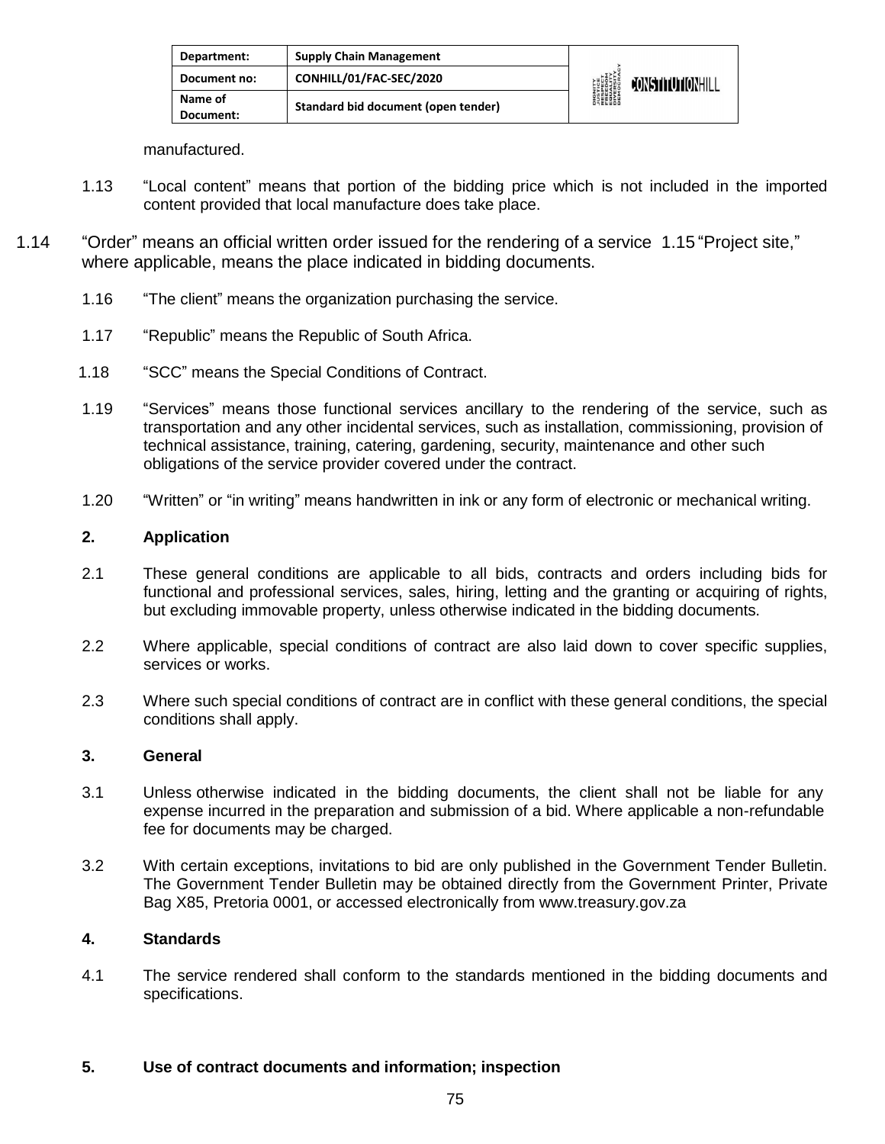| Department:          | <b>Supply Chain Management</b>      | <b>DIGNITY<br/>AUSTICE<br/>RESPECT<br/>FREEDOM<br/>FREEDOM</b><br>DIVERSITY<br>DIVERSITY<br>DEMOCRAN | <b>JONSTITUTIONHILL</b> |
|----------------------|-------------------------------------|------------------------------------------------------------------------------------------------------|-------------------------|
| Document no:         | CONHILL/01/FAC-SEC/2020             |                                                                                                      |                         |
| Name of<br>Document: | Standard bid document (open tender) |                                                                                                      |                         |

manufactured.

- 1.13 "Local content" means that portion of the bidding price which is not included in the imported content provided that local manufacture does take place.
- 1.14 "Order" means an official written order issued for the rendering of a service 1.15 "Project site," where applicable, means the place indicated in bidding documents.
	- 1.16 "The client" means the organization purchasing the service.
	- 1.17 "Republic" means the Republic of South Africa.
	- 1.18 "SCC" means the Special Conditions of Contract.
	- 1.19 "Services" means those functional services ancillary to the rendering of the service, such as transportation and any other incidental services, such as installation, commissioning, provision of technical assistance, training, catering, gardening, security, maintenance and other such obligations of the service provider covered under the contract.
	- 1.20 "Written" or "in writing" means handwritten in ink or any form of electronic or mechanical writing.

#### **2. Application**

- 2.1 These general conditions are applicable to all bids, contracts and orders including bids for functional and professional services, sales, hiring, letting and the granting or acquiring of rights, but excluding immovable property, unless otherwise indicated in the bidding documents.
- 2.2 Where applicable, special conditions of contract are also laid down to cover specific supplies, services or works.
- 2.3 Where such special conditions of contract are in conflict with these general conditions, the special conditions shall apply.

#### **3. General**

- 3.1 Unless otherwise indicated in the bidding documents, the client shall not be liable for any expense incurred in the preparation and submission of a bid. Where applicable a non-refundable fee for documents may be charged.
- 3.2 With certain exceptions, invitations to bid are only published in the Government Tender Bulletin. The Government Tender Bulletin may be obtained directly from the Government Printer, Private Bag X85, Pretoria 0001, or accessed electronically from [www.treasury.gov.za](http://www.treasury.gov.za/)

#### **4. Standards**

4.1 The service rendered shall conform to the standards mentioned in the bidding documents and specifications.

#### **5. Use of contract documents and information; inspection**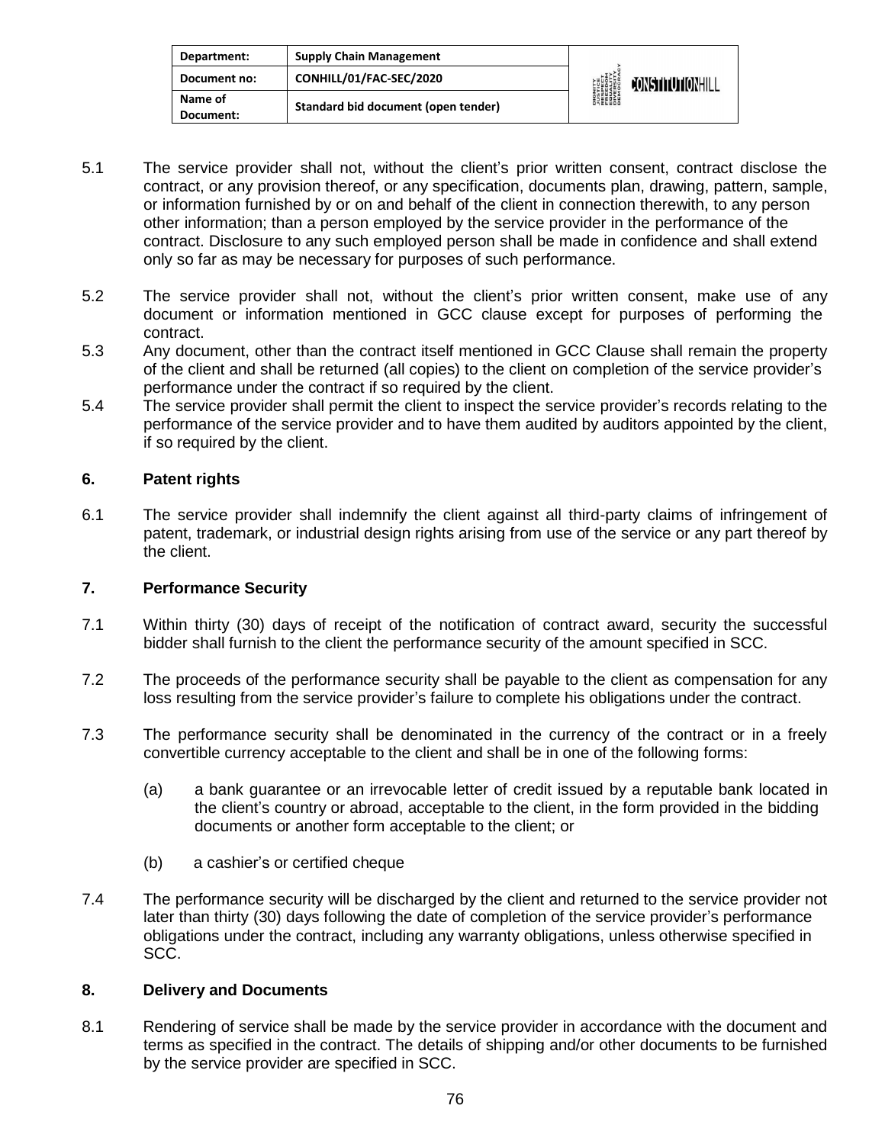| Department:          | <b>Supply Chain Management</b>      | <b>DIGNITY</b><br><i><b>NISTICE</b></i><br>RESPECT<br>EREEDIM<br>ENGESITY<br>DIVERSITY<br>DIROCRA | CONSTITUTIONHILL |
|----------------------|-------------------------------------|---------------------------------------------------------------------------------------------------|------------------|
| Document no:         | CONHILL/01/FAC-SEC/2020             |                                                                                                   |                  |
| Name of<br>Document: | Standard bid document (open tender) |                                                                                                   |                  |

- 5.1 The service provider shall not, without the client's prior written consent, contract disclose the contract, or any provision thereof, or any specification, documents plan, drawing, pattern, sample, or information furnished by or on and behalf of the client in connection therewith, to any person other information; than a person employed by the service provider in the performance of the contract. Disclosure to any such employed person shall be made in confidence and shall extend only so far as may be necessary for purposes of such performance.
- 5.2 The service provider shall not, without the client's prior written consent, make use of any document or information mentioned in GCC clause except for purposes of performing the contract.
- 5.3 Any document, other than the contract itself mentioned in GCC Clause shall remain the property of the client and shall be returned (all copies) to the client on completion of the service provider's performance under the contract if so required by the client.
- 5.4 The service provider shall permit the client to inspect the service provider's records relating to the performance of the service provider and to have them audited by auditors appointed by the client, if so required by the client.

#### **6. Patent rights**

6.1 The service provider shall indemnify the client against all third-party claims of infringement of patent, trademark, or industrial design rights arising from use of the service or any part thereof by the client.

### **7. Performance Security**

- 7.1 Within thirty (30) days of receipt of the notification of contract award, security the successful bidder shall furnish to the client the performance security of the amount specified in SCC.
- 7.2 The proceeds of the performance security shall be payable to the client as compensation for any loss resulting from the service provider's failure to complete his obligations under the contract.
- 7.3 The performance security shall be denominated in the currency of the contract or in a freely convertible currency acceptable to the client and shall be in one of the following forms:
	- (a) a bank guarantee or an irrevocable letter of credit issued by a reputable bank located in the client's country or abroad, acceptable to the client, in the form provided in the bidding documents or another form acceptable to the client; or
	- (b) a cashier's or certified cheque
- 7.4 The performance security will be discharged by the client and returned to the service provider not later than thirty (30) days following the date of completion of the service provider's performance obligations under the contract, including any warranty obligations, unless otherwise specified in SCC.

#### **8. Delivery and Documents**

8.1 Rendering of service shall be made by the service provider in accordance with the document and terms as specified in the contract. The details of shipping and/or other documents to be furnished by the service provider are specified in SCC.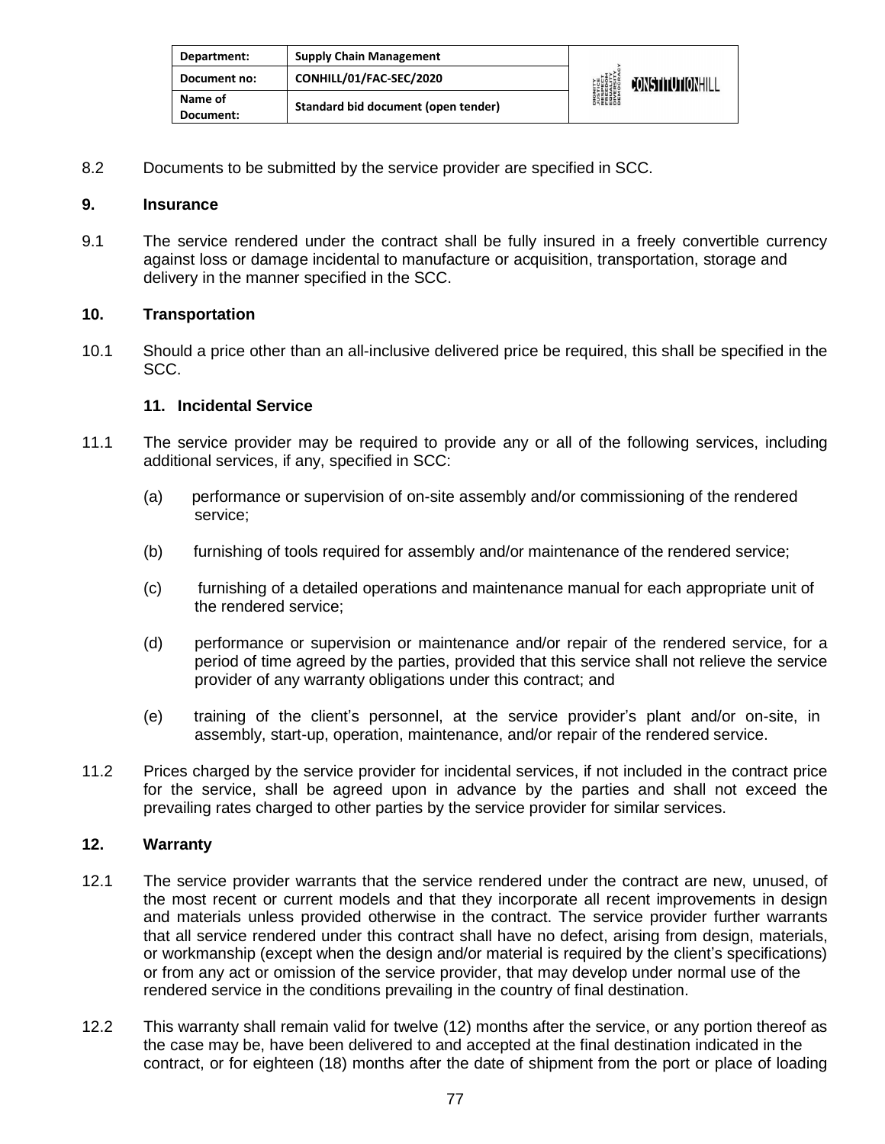| Department:          | <b>Supply Chain Management</b>      | <b>DIGNITY</b><br><b><i>NISTICE<br/>RESPECT<br/>RESPECT<br/>ERECOM<br/>DIVERSITY</i><br/>DIVERSITY<br/>DEMOCRAN</b> | CONSTITUTIONHILL |
|----------------------|-------------------------------------|---------------------------------------------------------------------------------------------------------------------|------------------|
| Document no:         | CONHILL/01/FAC-SEC/2020             |                                                                                                                     |                  |
| Name of<br>Document: | Standard bid document (open tender) |                                                                                                                     |                  |

8.2 Documents to be submitted by the service provider are specified in SCC.

#### **9. Insurance**

9.1 The service rendered under the contract shall be fully insured in a freely convertible currency against loss or damage incidental to manufacture or acquisition, transportation, storage and delivery in the manner specified in the SCC.

#### **10. Transportation**

10.1 Should a price other than an all-inclusive delivered price be required, this shall be specified in the SCC.

#### **11. Incidental Service**

- 11.1 The service provider may be required to provide any or all of the following services, including additional services, if any, specified in SCC:
	- (a) performance or supervision of on-site assembly and/or commissioning of the rendered service;
	- (b) furnishing of tools required for assembly and/or maintenance of the rendered service;
	- (c) furnishing of a detailed operations and maintenance manual for each appropriate unit of the rendered service;
	- (d) performance or supervision or maintenance and/or repair of the rendered service, for a period of time agreed by the parties, provided that this service shall not relieve the service provider of any warranty obligations under this contract; and
	- (e) training of the client's personnel, at the service provider's plant and/or on-site, in assembly, start-up, operation, maintenance, and/or repair of the rendered service.
- 11.2 Prices charged by the service provider for incidental services, if not included in the contract price for the service, shall be agreed upon in advance by the parties and shall not exceed the prevailing rates charged to other parties by the service provider for similar services.

### **12. Warranty**

- 12.1 The service provider warrants that the service rendered under the contract are new, unused, of the most recent or current models and that they incorporate all recent improvements in design and materials unless provided otherwise in the contract. The service provider further warrants that all service rendered under this contract shall have no defect, arising from design, materials, or workmanship (except when the design and/or material is required by the client's specifications) or from any act or omission of the service provider, that may develop under normal use of the rendered service in the conditions prevailing in the country of final destination.
- 12.2 This warranty shall remain valid for twelve (12) months after the service, or any portion thereof as the case may be, have been delivered to and accepted at the final destination indicated in the contract, or for eighteen (18) months after the date of shipment from the port or place of loading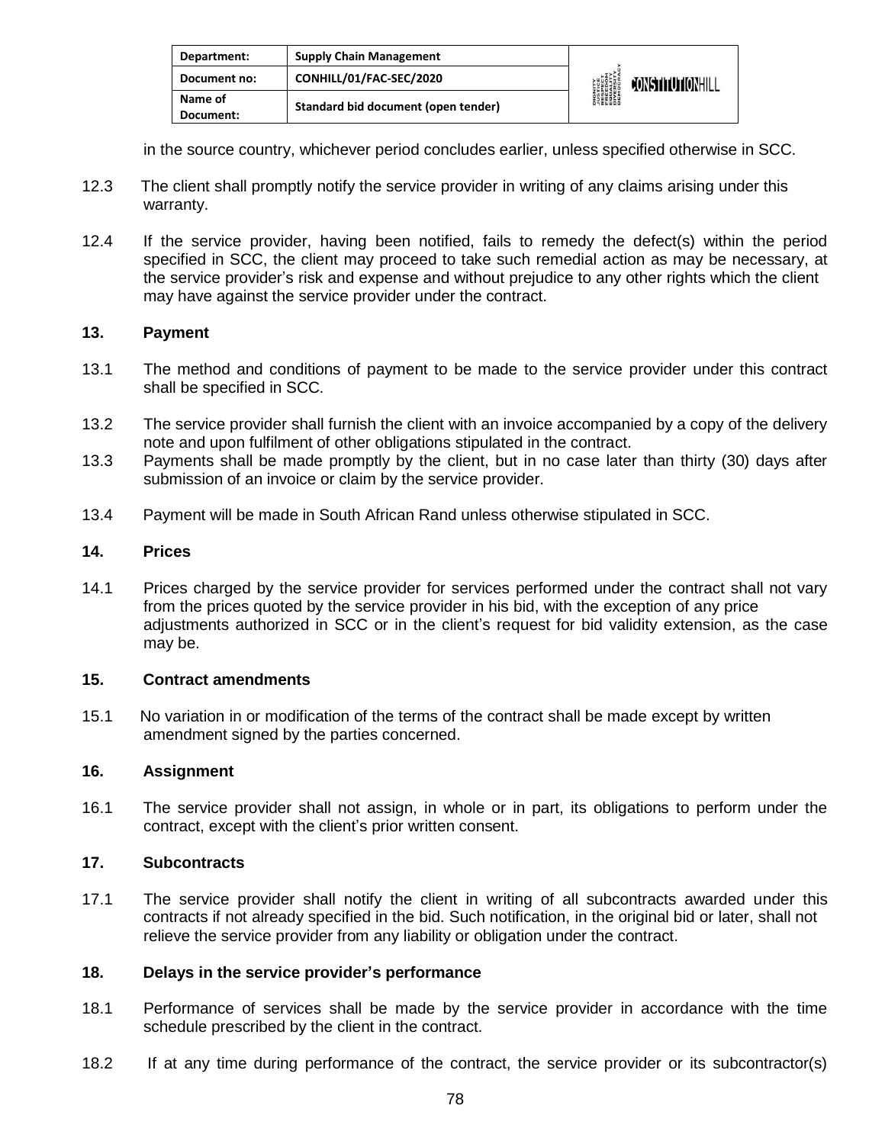| Department:          | <b>Supply Chain Management</b>      | <b>DIGNITY<br/>AUSTICE<br/>RESPECT<br/>FREEDOM<br/>FREEDOM</b><br>DIVERSITY<br>DIVERSITY<br>DEMOCRAN | CONSTITUTIONHILL |
|----------------------|-------------------------------------|------------------------------------------------------------------------------------------------------|------------------|
| Document no:         | CONHILL/01/FAC-SEC/2020             |                                                                                                      |                  |
| Name of<br>Document: | Standard bid document (open tender) |                                                                                                      |                  |

in the source country, whichever period concludes earlier, unless specified otherwise in SCC.

- 12.3 The client shall promptly notify the service provider in writing of any claims arising under this warranty.
- 12.4 If the service provider, having been notified, fails to remedy the defect(s) within the period specified in SCC, the client may proceed to take such remedial action as may be necessary, at the service provider's risk and expense and without prejudice to any other rights which the client may have against the service provider under the contract.

#### **13. Payment**

- 13.1 The method and conditions of payment to be made to the service provider under this contract shall be specified in SCC.
- 13.2 The service provider shall furnish the client with an invoice accompanied by a copy of the delivery note and upon fulfilment of other obligations stipulated in the contract.
- 13.3 Payments shall be made promptly by the client, but in no case later than thirty (30) days after submission of an invoice or claim by the service provider.
- 13.4 Payment will be made in South African Rand unless otherwise stipulated in SCC.

### **14. Prices**

14.1 Prices charged by the service provider for services performed under the contract shall not vary from the prices quoted by the service provider in his bid, with the exception of any price adjustments authorized in SCC or in the client's request for bid validity extension, as the case may be.

#### **15. Contract amendments**

15.1 No variation in or modification of the terms of the contract shall be made except by written amendment signed by the parties concerned.

#### **16. Assignment**

16.1 The service provider shall not assign, in whole or in part, its obligations to perform under the contract, except with the client's prior written consent.

### **17. Subcontracts**

17.1 The service provider shall notify the client in writing of all subcontracts awarded under this contracts if not already specified in the bid. Such notification, in the original bid or later, shall not relieve the service provider from any liability or obligation under the contract.

#### **18. Delays in the service provider's performance**

- 18.1 Performance of services shall be made by the service provider in accordance with the time schedule prescribed by the client in the contract.
- 18.2 If at any time during performance of the contract, the service provider or its subcontractor(s)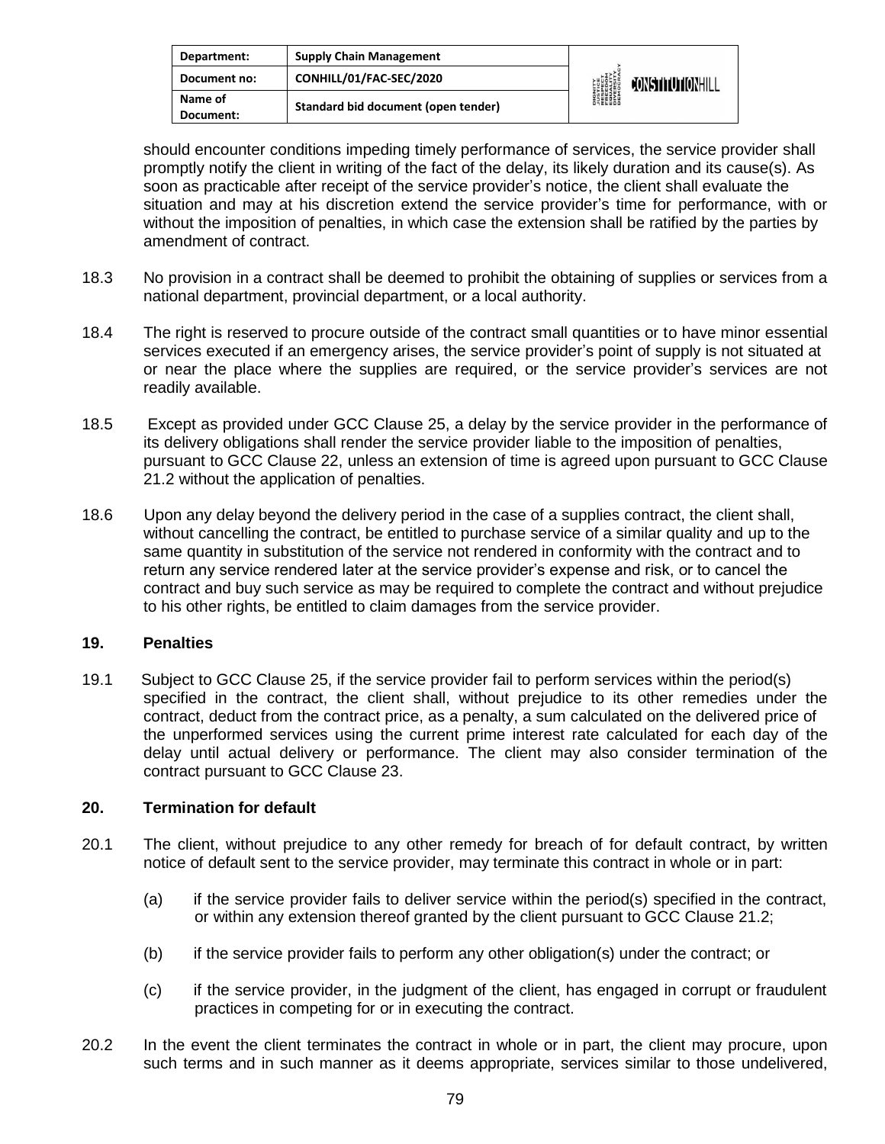| Department:          | <b>Supply Chain Management</b>      | <b>DIGNITY<br/>AUSTICE<br/>RESPECT<br/>FREEDOM<br/>FREEDOM</b><br>DIVERSITY<br>DIVERSITY<br>DEMOCRAN | CONSTITUTIONHILL |
|----------------------|-------------------------------------|------------------------------------------------------------------------------------------------------|------------------|
| Document no:         | CONHILL/01/FAC-SEC/2020             |                                                                                                      |                  |
| Name of<br>Document: | Standard bid document (open tender) |                                                                                                      |                  |

should encounter conditions impeding timely performance of services, the service provider shall promptly notify the client in writing of the fact of the delay, its likely duration and its cause(s). As soon as practicable after receipt of the service provider's notice, the client shall evaluate the situation and may at his discretion extend the service provider's time for performance, with or without the imposition of penalties, in which case the extension shall be ratified by the parties by amendment of contract.

- 18.3 No provision in a contract shall be deemed to prohibit the obtaining of supplies or services from a national department, provincial department, or a local authority.
- 18.4 The right is reserved to procure outside of the contract small quantities or to have minor essential services executed if an emergency arises, the service provider's point of supply is not situated at or near the place where the supplies are required, or the service provider's services are not readily available.
- 18.5 Except as provided under GCC Clause 25, a delay by the service provider in the performance of its delivery obligations shall render the service provider liable to the imposition of penalties, pursuant to GCC Clause 22, unless an extension of time is agreed upon pursuant to GCC Clause 21.2 without the application of penalties.
- 18.6 Upon any delay beyond the delivery period in the case of a supplies contract, the client shall, without cancelling the contract, be entitled to purchase service of a similar quality and up to the same quantity in substitution of the service not rendered in conformity with the contract and to return any service rendered later at the service provider's expense and risk, or to cancel the contract and buy such service as may be required to complete the contract and without prejudice to his other rights, be entitled to claim damages from the service provider.

### **19. Penalties**

19.1 Subject to GCC Clause 25, if the service provider fail to perform services within the period(s) specified in the contract, the client shall, without prejudice to its other remedies under the contract, deduct from the contract price, as a penalty, a sum calculated on the delivered price of the unperformed services using the current prime interest rate calculated for each day of the delay until actual delivery or performance. The client may also consider termination of the contract pursuant to GCC Clause 23.

### **20. Termination for default**

- 20.1 The client, without prejudice to any other remedy for breach of for default contract, by written notice of default sent to the service provider, may terminate this contract in whole or in part:
	- (a) if the service provider fails to deliver service within the period(s) specified in the contract, or within any extension thereof granted by the client pursuant to GCC Clause 21.2;
	- (b) if the service provider fails to perform any other obligation(s) under the contract; or
	- (c) if the service provider, in the judgment of the client, has engaged in corrupt or fraudulent practices in competing for or in executing the contract.
- 20.2 In the event the client terminates the contract in whole or in part, the client may procure, upon such terms and in such manner as it deems appropriate, services similar to those undelivered,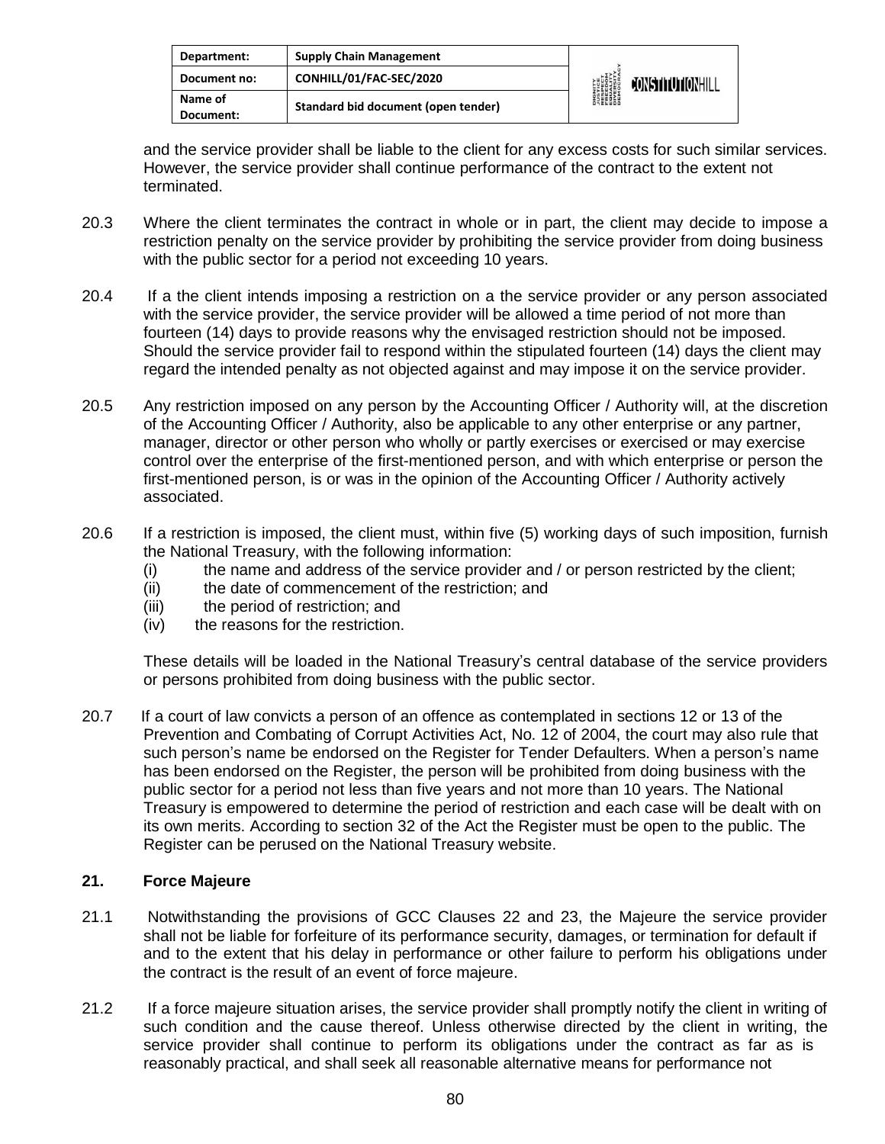| Department:          | <b>Supply Chain Management</b>      | <b>DIGNITY</b><br><i><b>NUSTICE</b></i><br>RESPECT<br>EQUELOM<br>ENGESITY<br>DIVERSITY<br>DIEMOCRA | <b>CONSTITUTIONHILL</b> |
|----------------------|-------------------------------------|----------------------------------------------------------------------------------------------------|-------------------------|
| Document no:         | CONHILL/01/FAC-SEC/2020             |                                                                                                    |                         |
| Name of<br>Document: | Standard bid document (open tender) |                                                                                                    |                         |

and the service provider shall be liable to the client for any excess costs for such similar services. However, the service provider shall continue performance of the contract to the extent not terminated.

- 20.3 Where the client terminates the contract in whole or in part, the client may decide to impose a restriction penalty on the service provider by prohibiting the service provider from doing business with the public sector for a period not exceeding 10 years.
- 20.4 If a the client intends imposing a restriction on a the service provider or any person associated with the service provider, the service provider will be allowed a time period of not more than fourteen (14) days to provide reasons why the envisaged restriction should not be imposed. Should the service provider fail to respond within the stipulated fourteen (14) days the client may regard the intended penalty as not objected against and may impose it on the service provider.
- 20.5 Any restriction imposed on any person by the Accounting Officer / Authority will, at the discretion of the Accounting Officer / Authority, also be applicable to any other enterprise or any partner, manager, director or other person who wholly or partly exercises or exercised or may exercise control over the enterprise of the first-mentioned person, and with which enterprise or person the first-mentioned person, is or was in the opinion of the Accounting Officer / Authority actively associated.
- 20.6 If a restriction is imposed, the client must, within five (5) working days of such imposition, furnish the National Treasury, with the following information:
	- (i) the name and address of the service provider and / or person restricted by the client;
	- (ii) the date of commencement of the restriction; and
	- (iii) the period of restriction; and
	- (iv) the reasons for the restriction.

These details will be loaded in the National Treasury's central database of the service providers or persons prohibited from doing business with the public sector.

20.7 If a court of law convicts a person of an offence as contemplated in sections 12 or 13 of the Prevention and Combating of Corrupt Activities Act, No. 12 of 2004, the court may also rule that such person's name be endorsed on the Register for Tender Defaulters. When a person's name has been endorsed on the Register, the person will be prohibited from doing business with the public sector for a period not less than five years and not more than 10 years. The National Treasury is empowered to determine the period of restriction and each case will be dealt with on its own merits. According to section 32 of the Act the Register must be open to the public. The Register can be perused on the National Treasury website.

### **21. Force Majeure**

- 21.1 Notwithstanding the provisions of GCC Clauses 22 and 23, the Majeure the service provider shall not be liable for forfeiture of its performance security, damages, or termination for default if and to the extent that his delay in performance or other failure to perform his obligations under the contract is the result of an event of force majeure.
- 21.2 If a force majeure situation arises, the service provider shall promptly notify the client in writing of such condition and the cause thereof. Unless otherwise directed by the client in writing, the service provider shall continue to perform its obligations under the contract as far as is reasonably practical, and shall seek all reasonable alternative means for performance not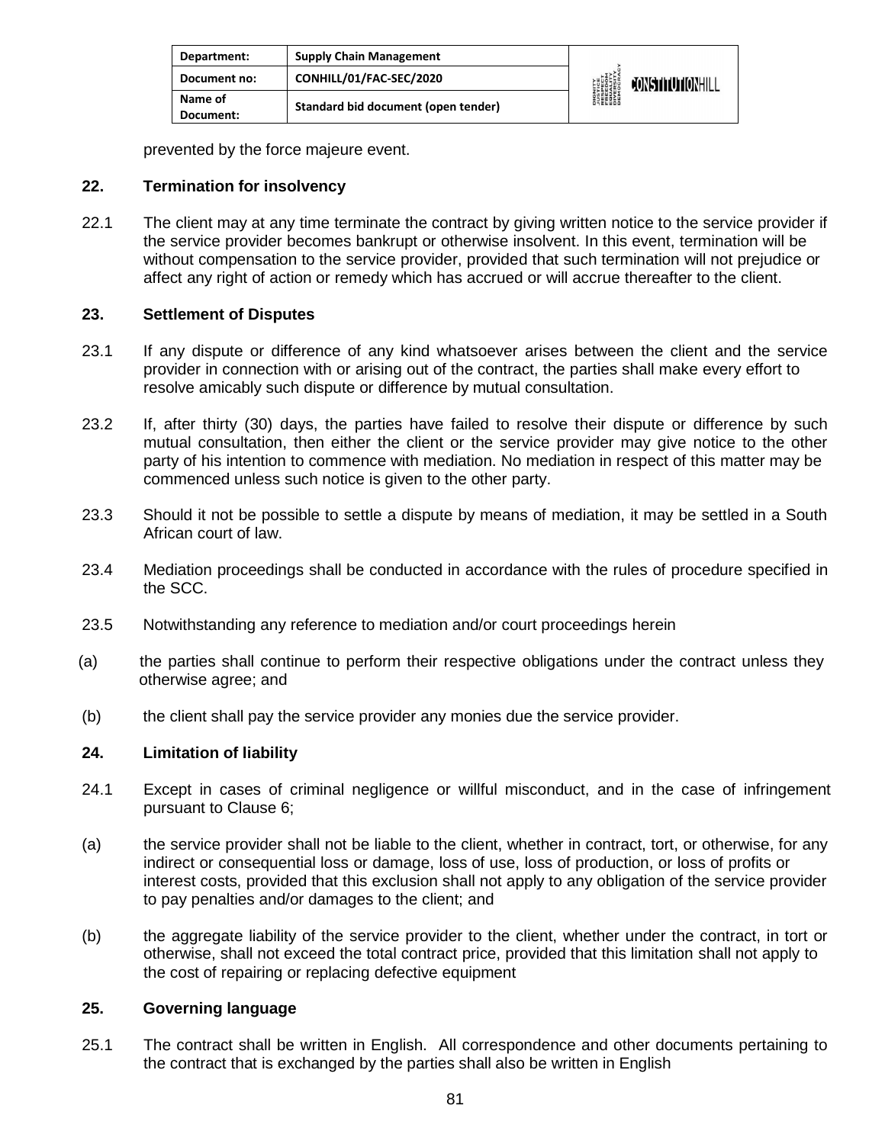| Department:          | <b>Supply Chain Management</b>      | <b>DIGNITY</b><br><i><b>JUSTICE</b></i><br>FRESPECITY<br>EQUALITY<br>DIVERSITY<br>DIEMOCRAL | CONSTITUTIONHILL |
|----------------------|-------------------------------------|---------------------------------------------------------------------------------------------|------------------|
| Document no:         | CONHILL/01/FAC-SEC/2020             |                                                                                             |                  |
| Name of<br>Document: | Standard bid document (open tender) |                                                                                             |                  |

prevented by the force majeure event.

### **22. Termination for insolvency**

22.1 The client may at any time terminate the contract by giving written notice to the service provider if the service provider becomes bankrupt or otherwise insolvent. In this event, termination will be without compensation to the service provider, provided that such termination will not prejudice or affect any right of action or remedy which has accrued or will accrue thereafter to the client.

### **23. Settlement of Disputes**

- 23.1 If any dispute or difference of any kind whatsoever arises between the client and the service provider in connection with or arising out of the contract, the parties shall make every effort to resolve amicably such dispute or difference by mutual consultation.
- 23.2 If, after thirty (30) days, the parties have failed to resolve their dispute or difference by such mutual consultation, then either the client or the service provider may give notice to the other party of his intention to commence with mediation. No mediation in respect of this matter may be commenced unless such notice is given to the other party.
- 23.3 Should it not be possible to settle a dispute by means of mediation, it may be settled in a South African court of law.
- 23.4 Mediation proceedings shall be conducted in accordance with the rules of procedure specified in the SCC.
- 23.5 Notwithstanding any reference to mediation and/or court proceedings herein
- (a) the parties shall continue to perform their respective obligations under the contract unless they otherwise agree; and
- (b) the client shall pay the service provider any monies due the service provider.

### **24. Limitation of liability**

- 24.1 Except in cases of criminal negligence or willful misconduct, and in the case of infringement pursuant to Clause 6;
- (a) the service provider shall not be liable to the client, whether in contract, tort, or otherwise, for any indirect or consequential loss or damage, loss of use, loss of production, or loss of profits or interest costs, provided that this exclusion shall not apply to any obligation of the service provider to pay penalties and/or damages to the client; and
- (b) the aggregate liability of the service provider to the client, whether under the contract, in tort or otherwise, shall not exceed the total contract price, provided that this limitation shall not apply to the cost of repairing or replacing defective equipment

### **25. Governing language**

25.1 The contract shall be written in English. All correspondence and other documents pertaining to the contract that is exchanged by the parties shall also be written in English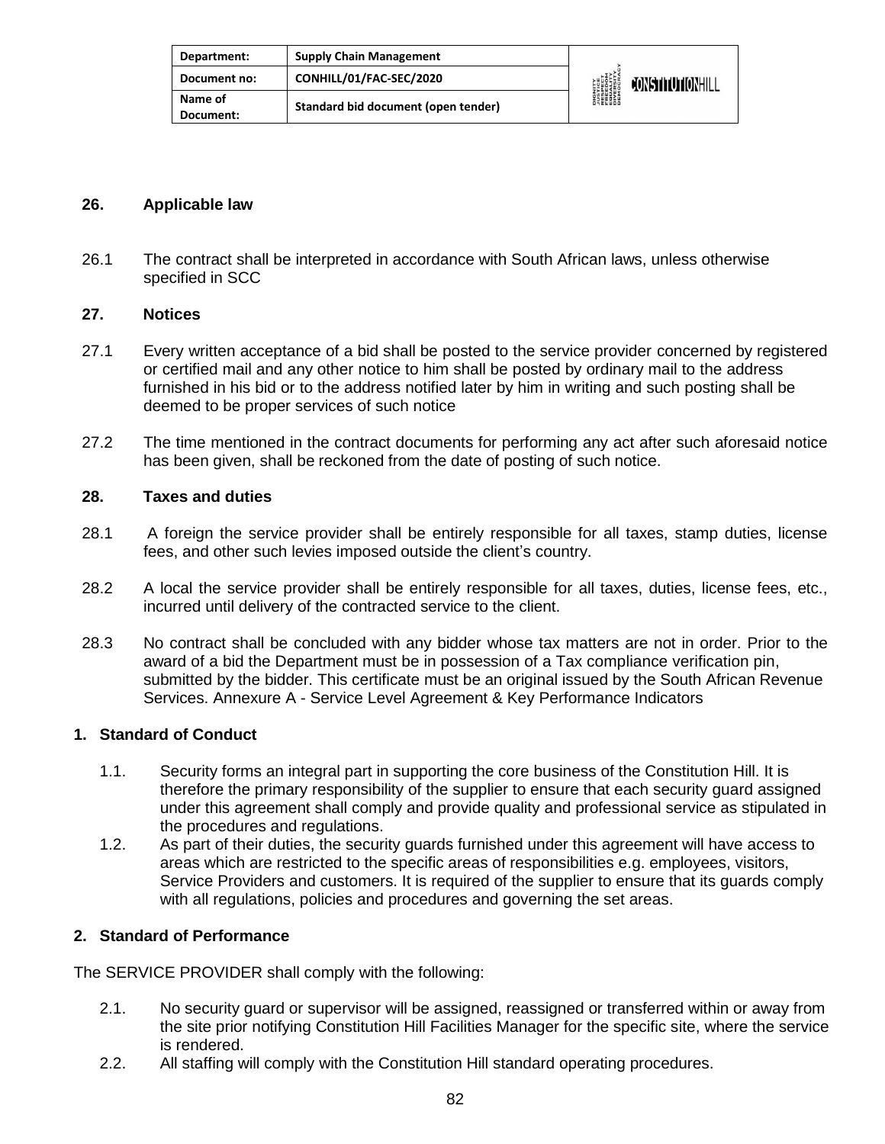| Department:          | <b>Supply Chain Management</b>      | <b>DIGNITY<br/>AUSTICE<br/>RESPECT<br/>RESPECT<br/>EQUERSITY<br/>DIVERSITY</b><br>DIVERSITY | CONSTITUTIONHILL |
|----------------------|-------------------------------------|---------------------------------------------------------------------------------------------|------------------|
| Document no:         | CONHILL/01/FAC-SEC/2020             |                                                                                             |                  |
| Name of<br>Document: | Standard bid document (open tender) |                                                                                             |                  |

### **26. Applicable law**

26.1 The contract shall be interpreted in accordance with South African laws, unless otherwise specified in SCC

### **27. Notices**

- 27.1 Every written acceptance of a bid shall be posted to the service provider concerned by registered or certified mail and any other notice to him shall be posted by ordinary mail to the address furnished in his bid or to the address notified later by him in writing and such posting shall be deemed to be proper services of such notice
- 27.2 The time mentioned in the contract documents for performing any act after such aforesaid notice has been given, shall be reckoned from the date of posting of such notice.

### **28. Taxes and duties**

- 28.1 A foreign the service provider shall be entirely responsible for all taxes, stamp duties, license fees, and other such levies imposed outside the client's country.
- 28.2 A local the service provider shall be entirely responsible for all taxes, duties, license fees, etc., incurred until delivery of the contracted service to the client.
- 28.3 No contract shall be concluded with any bidder whose tax matters are not in order. Prior to the award of a bid the Department must be in possession of a Tax compliance verification pin, submitted by the bidder. This certificate must be an original issued by the South African Revenue Services. Annexure A - Service Level Agreement & Key Performance Indicators

#### **1. Standard of Conduct**

- 1.1. Security forms an integral part in supporting the core business of the Constitution Hill. It is therefore the primary responsibility of the supplier to ensure that each security guard assigned under this agreement shall comply and provide quality and professional service as stipulated in the procedures and regulations.
- 1.2. As part of their duties, the security guards furnished under this agreement will have access to areas which are restricted to the specific areas of responsibilities e.g. employees, visitors, Service Providers and customers. It is required of the supplier to ensure that its guards comply with all regulations, policies and procedures and governing the set areas.

### **2. Standard of Performance**

The SERVICE PROVIDER shall comply with the following:

- 2.1. No security guard or supervisor will be assigned, reassigned or transferred within or away from the site prior notifying Constitution Hill Facilities Manager for the specific site, where the service is rendered.
- 2.2. All staffing will comply with the Constitution Hill standard operating procedures.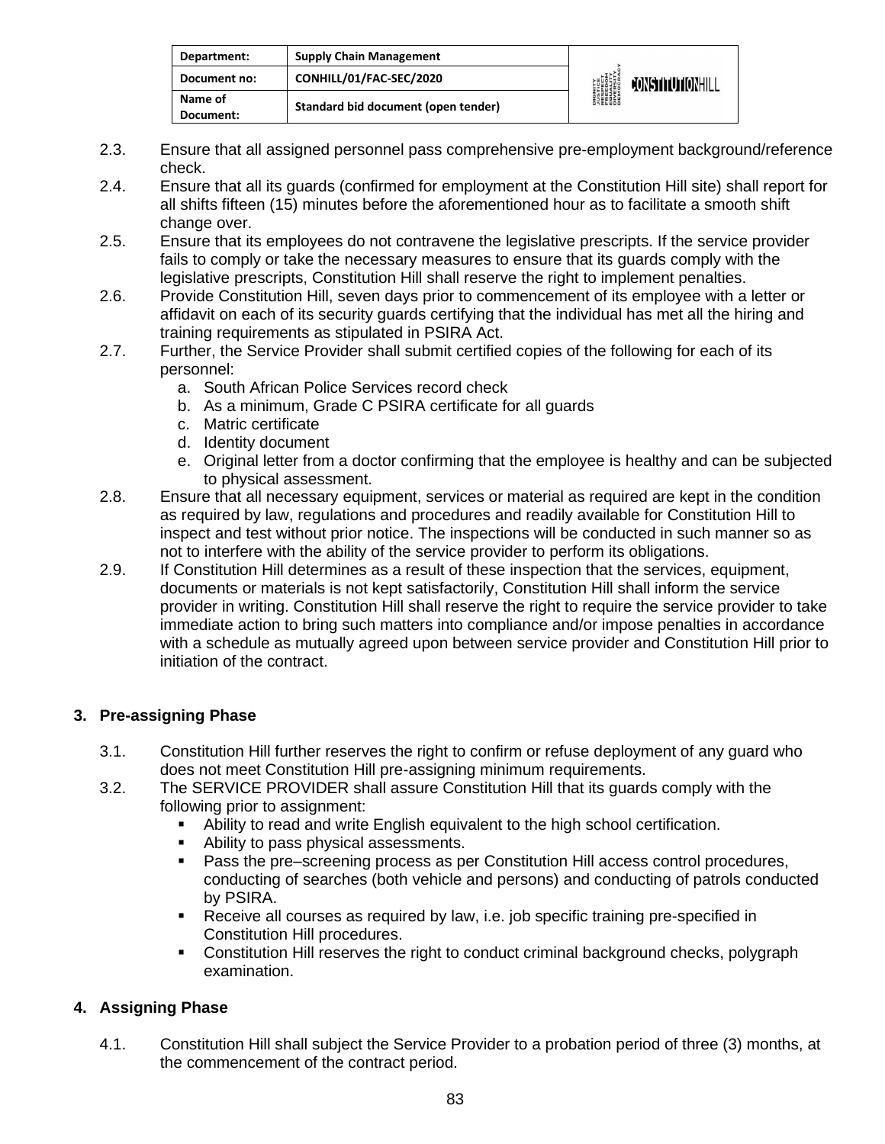| Department:          | <b>Supply Chain Management</b>      | <b>DIGNITY</b><br><b><i>LUSTICE<br/>FRESPECT<br/>FRESPECT<br/>EDUCRATY</i><br/>DIVERSITY<br/>DEMOCRAN</b> | <b>CONSTITUTIONHILL</b> |
|----------------------|-------------------------------------|-----------------------------------------------------------------------------------------------------------|-------------------------|
| Document no:         | CONHILL/01/FAC-SEC/2020             |                                                                                                           |                         |
| Name of<br>Document: | Standard bid document (open tender) |                                                                                                           |                         |

- 2.3. Ensure that all assigned personnel pass comprehensive pre-employment background/reference check.
- 2.4. Ensure that all its guards (confirmed for employment at the Constitution Hill site) shall report for all shifts fifteen (15) minutes before the aforementioned hour as to facilitate a smooth shift change over.
- 2.5. Ensure that its employees do not contravene the legislative prescripts. If the service provider fails to comply or take the necessary measures to ensure that its guards comply with the legislative prescripts, Constitution Hill shall reserve the right to implement penalties.
- 2.6. Provide Constitution Hill, seven days prior to commencement of its employee with a letter or affidavit on each of its security guards certifying that the individual has met all the hiring and training requirements as stipulated in PSIRA Act.
- 2.7. Further, the Service Provider shall submit certified copies of the following for each of its personnel:
	- a. South African Police Services record check
	- b. As a minimum, Grade C PSIRA certificate for all guards
	- c. Matric certificate
	- d. Identity document
	- e. Original letter from a doctor confirming that the employee is healthy and can be subjected to physical assessment.
- 2.8. Ensure that all necessary equipment, services or material as required are kept in the condition as required by law, regulations and procedures and readily available for Constitution Hill to inspect and test without prior notice. The inspections will be conducted in such manner so as not to interfere with the ability of the service provider to perform its obligations.
- 2.9. If Constitution Hill determines as a result of these inspection that the services, equipment, documents or materials is not kept satisfactorily, Constitution Hill shall inform the service provider in writing. Constitution Hill shall reserve the right to require the service provider to take immediate action to bring such matters into compliance and/or impose penalties in accordance with a schedule as mutually agreed upon between service provider and Constitution Hill prior to initiation of the contract.

## **3. Pre-assigning Phase**

- 3.1. Constitution Hill further reserves the right to confirm or refuse deployment of any guard who does not meet Constitution Hill pre-assigning minimum requirements.
- 3.2. The SERVICE PROVIDER shall assure Constitution Hill that its guards comply with the following prior to assignment:
	- Ability to read and write English equivalent to the high school certification.
	- Ability to pass physical assessments.
	- Pass the pre–screening process as per Constitution Hill access control procedures, conducting of searches (both vehicle and persons) and conducting of patrols conducted by PSIRA.
	- **EXEC** Receive all courses as required by law, i.e. job specific training pre-specified in Constitution Hill procedures.
	- **EXEDENTIFY Constitution Hill reserves the right to conduct criminal background checks, polygraph** examination.

## **4. Assigning Phase**

4.1. Constitution Hill shall subject the Service Provider to a probation period of three (3) months, at the commencement of the contract period.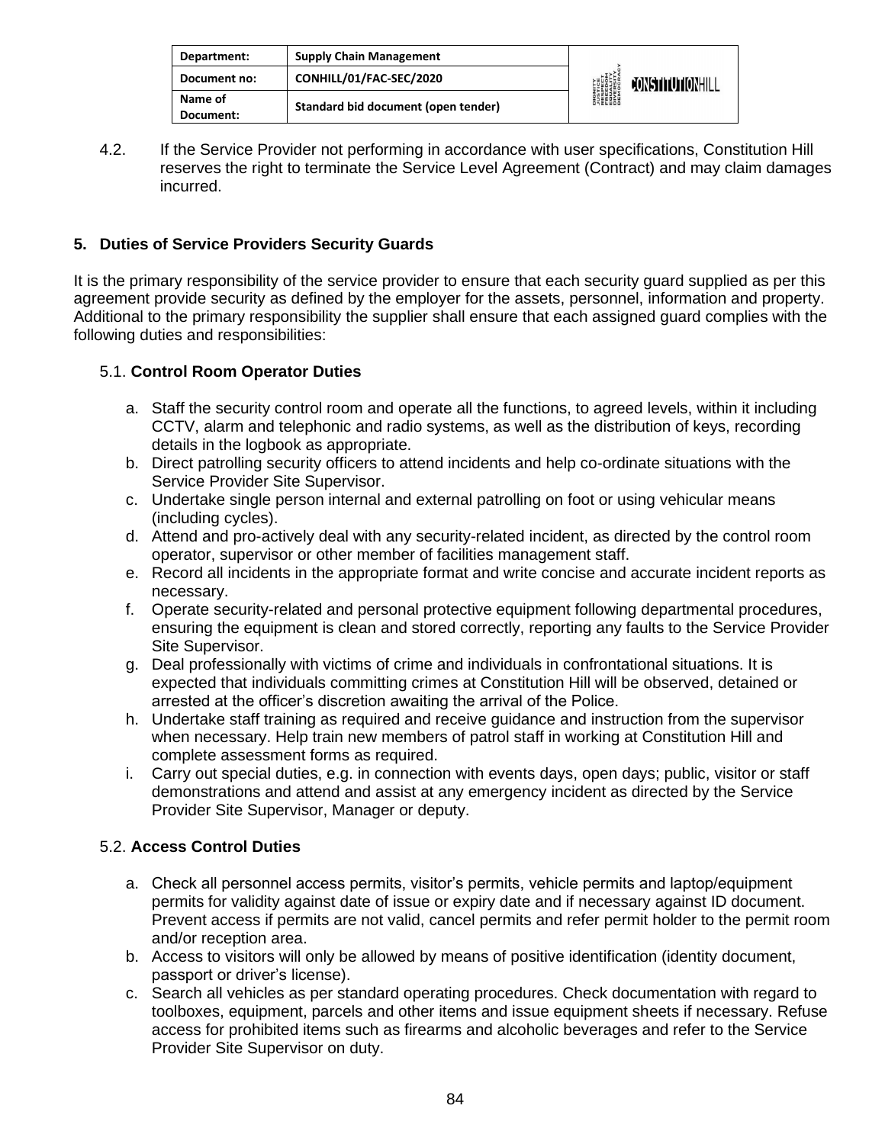| Department:          | <b>Supply Chain Management</b>      | <b>DIGNITY</b><br><i><b>JUSTICE</b></i><br>RESPECT<br>RESPECT<br>EQUERSITY<br>DIVERSITY<br>DIROCRA | <b>CONSTITUTIONHILL</b> |
|----------------------|-------------------------------------|----------------------------------------------------------------------------------------------------|-------------------------|
| Document no:         | CONHILL/01/FAC-SEC/2020             |                                                                                                    |                         |
| Name of<br>Document: | Standard bid document (open tender) |                                                                                                    |                         |

4.2. If the Service Provider not performing in accordance with user specifications, Constitution Hill reserves the right to terminate the Service Level Agreement (Contract) and may claim damages incurred.

## **5. Duties of Service Providers Security Guards**

It is the primary responsibility of the service provider to ensure that each security guard supplied as per this agreement provide security as defined by the employer for the assets, personnel, information and property. Additional to the primary responsibility the supplier shall ensure that each assigned guard complies with the following duties and responsibilities:

### 5.1. **Control Room Operator Duties**

- a. Staff the security control room and operate all the functions, to agreed levels, within it including CCTV, alarm and telephonic and radio systems, as well as the distribution of keys, recording details in the logbook as appropriate.
- b. Direct patrolling security officers to attend incidents and help co-ordinate situations with the Service Provider Site Supervisor.
- c. Undertake single person internal and external patrolling on foot or using vehicular means (including cycles).
- d. Attend and pro-actively deal with any security-related incident, as directed by the control room operator, supervisor or other member of facilities management staff.
- e. Record all incidents in the appropriate format and write concise and accurate incident reports as necessary.
- f. Operate security-related and personal protective equipment following departmental procedures, ensuring the equipment is clean and stored correctly, reporting any faults to the Service Provider Site Supervisor.
- g. Deal professionally with victims of crime and individuals in confrontational situations. It is expected that individuals committing crimes at Constitution Hill will be observed, detained or arrested at the officer's discretion awaiting the arrival of the Police.
- h. Undertake staff training as required and receive guidance and instruction from the supervisor when necessary. Help train new members of patrol staff in working at Constitution Hill and complete assessment forms as required.
- i. Carry out special duties, e.g. in connection with events days, open days; public, visitor or staff demonstrations and attend and assist at any emergency incident as directed by the Service Provider Site Supervisor, Manager or deputy.

### 5.2. **Access Control Duties**

- a. Check all personnel access permits, visitor's permits, vehicle permits and laptop/equipment permits for validity against date of issue or expiry date and if necessary against ID document. Prevent access if permits are not valid, cancel permits and refer permit holder to the permit room and/or reception area.
- b. Access to visitors will only be allowed by means of positive identification (identity document, passport or driver's license).
- c. Search all vehicles as per standard operating procedures. Check documentation with regard to toolboxes, equipment, parcels and other items and issue equipment sheets if necessary. Refuse access for prohibited items such as firearms and alcoholic beverages and refer to the Service Provider Site Supervisor on duty.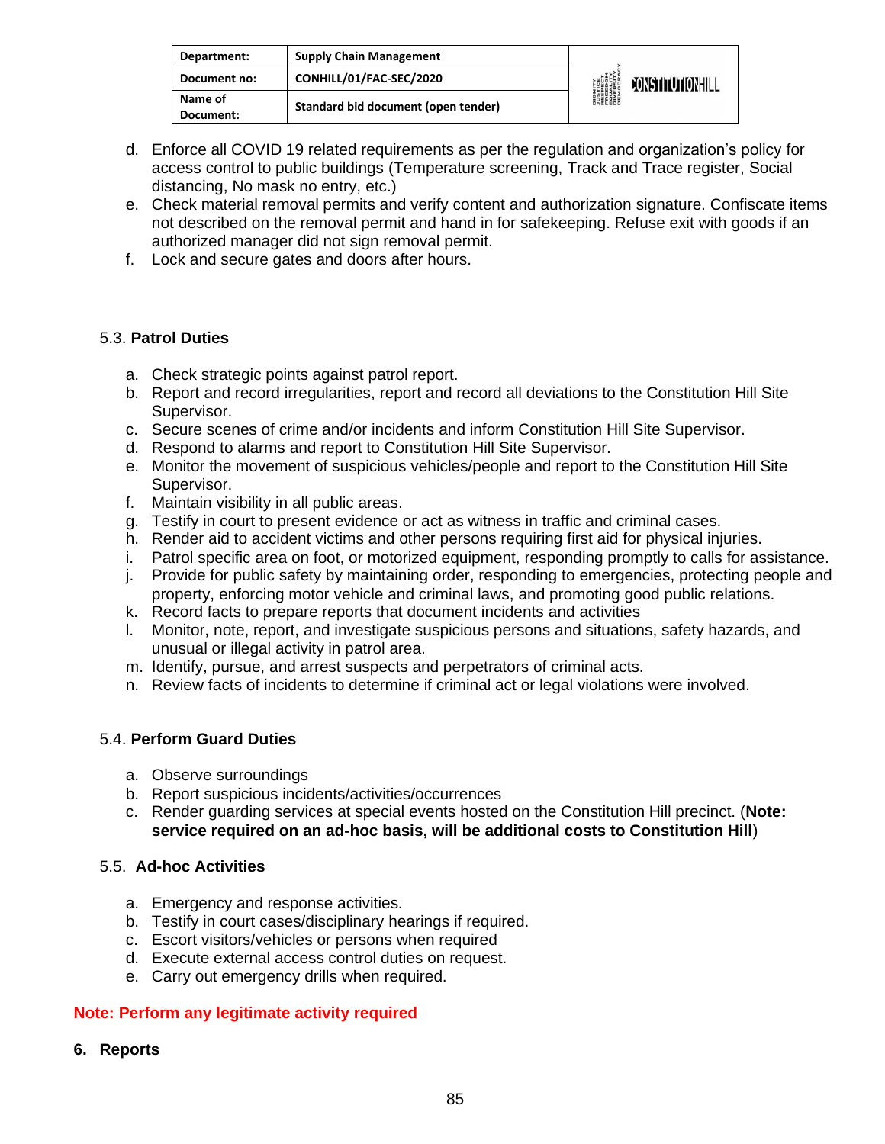| Department:          | <b>Supply Chain Management</b>      |                                                                                                           |                         |
|----------------------|-------------------------------------|-----------------------------------------------------------------------------------------------------------|-------------------------|
| Document no:         | CONHILL/01/FAC-SEC/2020             | <b>DIGNITY</b><br><b><i>LUSTICE<br/>FRESPECT<br/>FRESPECT<br/>EDUCRATY</i><br/>DIVERSITY<br/>DEMOCRAN</b> | <b>JONSTITUTIONHILL</b> |
| Name of<br>Document: | Standard bid document (open tender) |                                                                                                           |                         |

- d. Enforce all COVID 19 related requirements as per the regulation and organization's policy for access control to public buildings (Temperature screening, Track and Trace register, Social distancing, No mask no entry, etc.)
- e. Check material removal permits and verify content and authorization signature. Confiscate items not described on the removal permit and hand in for safekeeping. Refuse exit with goods if an authorized manager did not sign removal permit.
- f. Lock and secure gates and doors after hours.

## 5.3. **Patrol Duties**

- a. Check strategic points against patrol report.
- b. Report and record irregularities, report and record all deviations to the Constitution Hill Site Supervisor.
- c. Secure scenes of crime and/or incidents and inform Constitution Hill Site Supervisor.
- d. Respond to alarms and report to Constitution Hill Site Supervisor.
- e. Monitor the movement of suspicious vehicles/people and report to the Constitution Hill Site Supervisor.
- f. Maintain visibility in all public areas.
- g. Testify in court to present evidence or act as witness in traffic and criminal cases.
- h. Render aid to accident victims and other persons requiring first aid for physical injuries.
- i. Patrol specific area on foot, or motorized equipment, responding promptly to calls for assistance.
- j. Provide for public safety by maintaining order, responding to emergencies, protecting people and property, enforcing motor vehicle and criminal laws, and promoting good public relations.
- k. Record facts to prepare reports that document incidents and activities
- l. Monitor, note, report, and investigate suspicious persons and situations, safety hazards, and unusual or illegal activity in patrol area.
- m. Identify, pursue, and arrest suspects and perpetrators of criminal acts.
- n. Review facts of incidents to determine if criminal act or legal violations were involved.

## 5.4. **Perform Guard Duties**

- a. Observe surroundings
- b. Report suspicious incidents/activities/occurrences
- c. Render guarding services at special events hosted on the Constitution Hill precinct. (**Note: service required on an ad-hoc basis, will be additional costs to Constitution Hill**)

## 5.5. **Ad-hoc Activities**

- a. Emergency and response activities.
- b. Testify in court cases/disciplinary hearings if required.
- c. Escort visitors/vehicles or persons when required
- d. Execute external access control duties on request.
- e. Carry out emergency drills when required.

## **Note: Perform any legitimate activity required**

**6. Reports**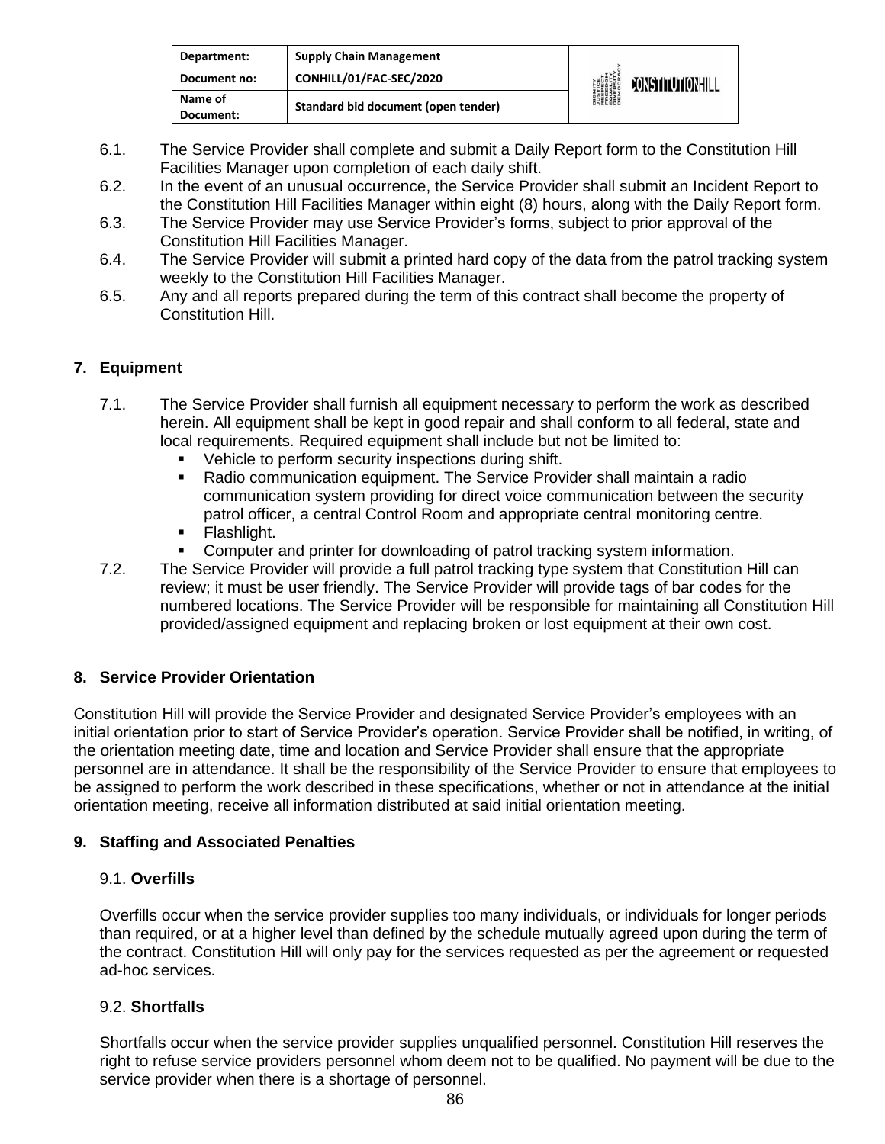| Department:          | <b>Supply Chain Management</b>      |                                                                                                                     |                  |
|----------------------|-------------------------------------|---------------------------------------------------------------------------------------------------------------------|------------------|
| Document no:         | CONHILL/01/FAC-SEC/2020             | <b>DIGNITY</b><br><b><i>NISTICE<br/>RESPECT<br/>RESPECT<br/>RESPITY<br/>DIVERSITY<br/>DIROCRAN</i><br/>DEMOCRAN</b> | CONSTITUTIONHILL |
| Name of<br>Document: | Standard bid document (open tender) |                                                                                                                     |                  |

- 6.1. The Service Provider shall complete and submit a Daily Report form to the Constitution Hill Facilities Manager upon completion of each daily shift.
- 6.2. In the event of an unusual occurrence, the Service Provider shall submit an Incident Report to the Constitution Hill Facilities Manager within eight (8) hours, along with the Daily Report form.
- 6.3. The Service Provider may use Service Provider's forms, subject to prior approval of the Constitution Hill Facilities Manager.
- 6.4. The Service Provider will submit a printed hard copy of the data from the patrol tracking system weekly to the Constitution Hill Facilities Manager.
- 6.5. Any and all reports prepared during the term of this contract shall become the property of Constitution Hill.

## **7. Equipment**

- 7.1. The Service Provider shall furnish all equipment necessary to perform the work as described herein. All equipment shall be kept in good repair and shall conform to all federal, state and local requirements. Required equipment shall include but not be limited to:
	- Vehicle to perform security inspections during shift.
	- **E** Radio communication equipment. The Service Provider shall maintain a radio communication system providing for direct voice communication between the security patrol officer, a central Control Room and appropriate central monitoring centre.
	- Flashlight.
	- Computer and printer for downloading of patrol tracking system information.
- 7.2. The Service Provider will provide a full patrol tracking type system that Constitution Hill can review; it must be user friendly. The Service Provider will provide tags of bar codes for the numbered locations. The Service Provider will be responsible for maintaining all Constitution Hill provided/assigned equipment and replacing broken or lost equipment at their own cost.

## **8. Service Provider Orientation**

Constitution Hill will provide the Service Provider and designated Service Provider's employees with an initial orientation prior to start of Service Provider's operation. Service Provider shall be notified, in writing, of the orientation meeting date, time and location and Service Provider shall ensure that the appropriate personnel are in attendance. It shall be the responsibility of the Service Provider to ensure that employees to be assigned to perform the work described in these specifications, whether or not in attendance at the initial orientation meeting, receive all information distributed at said initial orientation meeting.

### **9. Staffing and Associated Penalties**

### 9.1. **Overfills**

Overfills occur when the service provider supplies too many individuals, or individuals for longer periods than required, or at a higher level than defined by the schedule mutually agreed upon during the term of the contract. Constitution Hill will only pay for the services requested as per the agreement or requested ad-hoc services.

### 9.2. **Shortfalls**

Shortfalls occur when the service provider supplies unqualified personnel. Constitution Hill reserves the right to refuse service providers personnel whom deem not to be qualified. No payment will be due to the service provider when there is a shortage of personnel.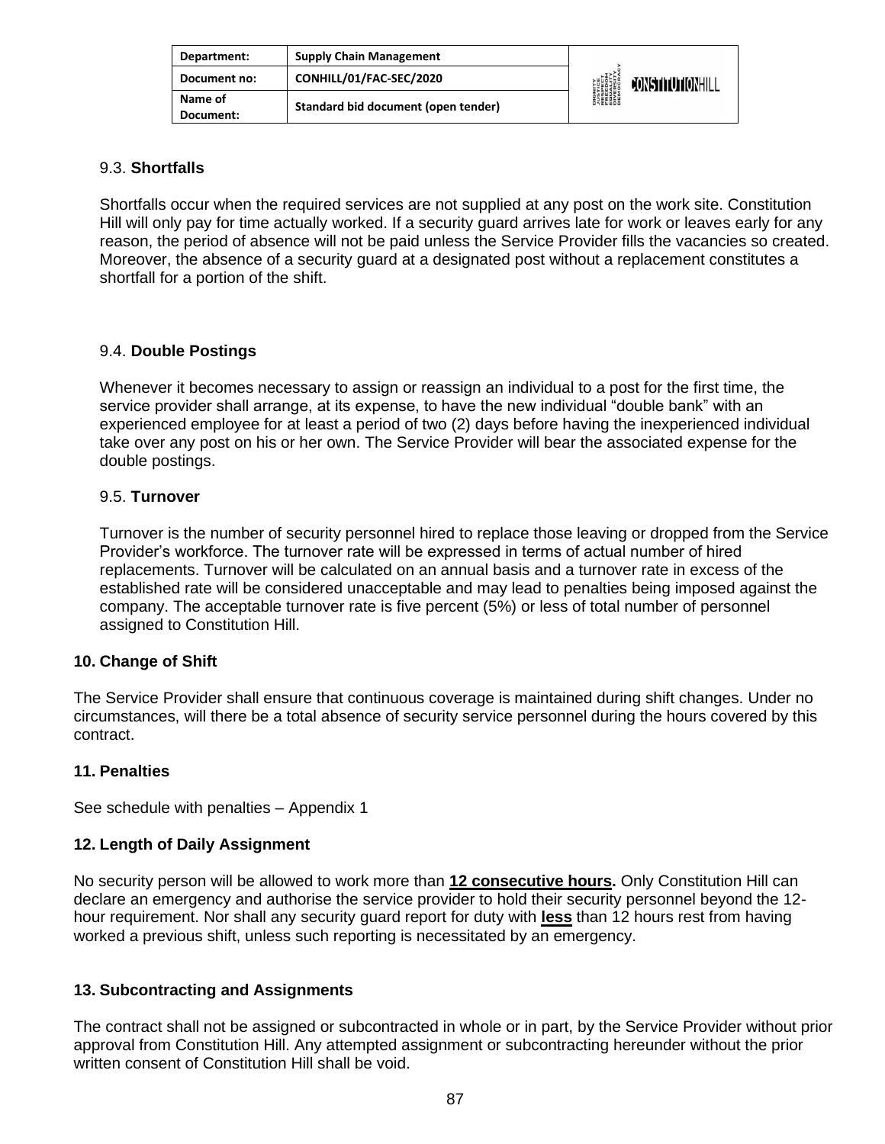| Department:          | <b>Supply Chain Management</b>      |                                                                                              |                         |
|----------------------|-------------------------------------|----------------------------------------------------------------------------------------------|-------------------------|
| Document no:         | CONHILL/01/FAC-SEC/2020             | <b>DIGNITY<br/>JUSTICE<br/>FRESPECT<br/>FRUALITY<br/>EQUALITY<br/>DIVERSITY</b><br>DIVERSITY | <b>JONSTITUTIONHILL</b> |
| Name of<br>Document: | Standard bid document (open tender) |                                                                                              |                         |

### 9.3. **Shortfalls**

Shortfalls occur when the required services are not supplied at any post on the work site. Constitution Hill will only pay for time actually worked. If a security guard arrives late for work or leaves early for any reason, the period of absence will not be paid unless the Service Provider fills the vacancies so created. Moreover, the absence of a security guard at a designated post without a replacement constitutes a shortfall for a portion of the shift.

### 9.4. **Double Postings**

Whenever it becomes necessary to assign or reassign an individual to a post for the first time, the service provider shall arrange, at its expense, to have the new individual "double bank" with an experienced employee for at least a period of two (2) days before having the inexperienced individual take over any post on his or her own. The Service Provider will bear the associated expense for the double postings.

### 9.5. **Turnover**

Turnover is the number of security personnel hired to replace those leaving or dropped from the Service Provider's workforce. The turnover rate will be expressed in terms of actual number of hired replacements. Turnover will be calculated on an annual basis and a turnover rate in excess of the established rate will be considered unacceptable and may lead to penalties being imposed against the company. The acceptable turnover rate is five percent (5%) or less of total number of personnel assigned to Constitution Hill.

## **10. Change of Shift**

The Service Provider shall ensure that continuous coverage is maintained during shift changes. Under no circumstances, will there be a total absence of security service personnel during the hours covered by this contract.

### **11. Penalties**

See schedule with penalties – Appendix 1

### **12. Length of Daily Assignment**

No security person will be allowed to work more than **12 consecutive hours.** Only Constitution Hill can declare an emergency and authorise the service provider to hold their security personnel beyond the 12 hour requirement. Nor shall any security guard report for duty with **less** than 12 hours rest from having worked a previous shift, unless such reporting is necessitated by an emergency.

## **13. Subcontracting and Assignments**

The contract shall not be assigned or subcontracted in whole or in part, by the Service Provider without prior approval from Constitution Hill. Any attempted assignment or subcontracting hereunder without the prior written consent of Constitution Hill shall be void.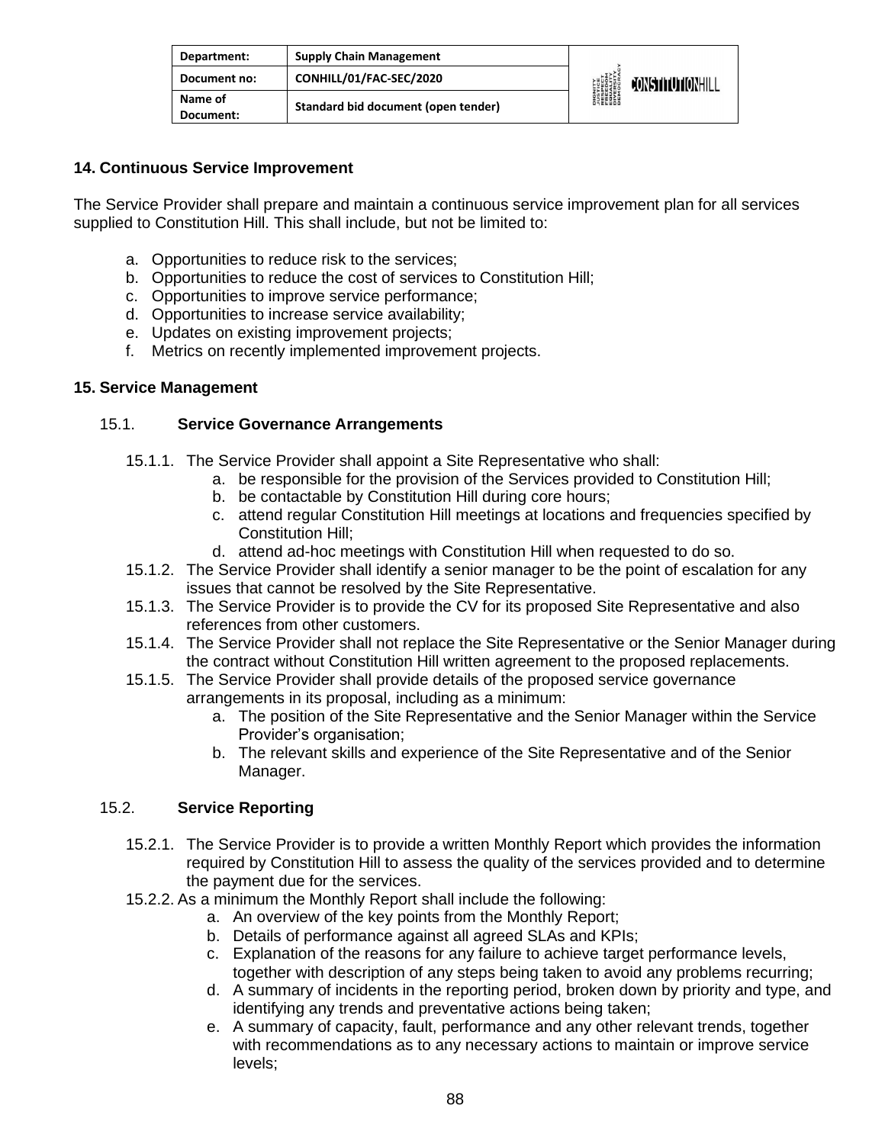| Department:          | <b>Supply Chain Management</b>      |                                                                                               |                         |
|----------------------|-------------------------------------|-----------------------------------------------------------------------------------------------|-------------------------|
| Document no:         | CONHILL/01/FAC-SEC/2020             | <b>DIGNITY</b><br><b>JUSTICE</b><br>FRESPECT<br>FEDELITY<br>EQUESITY<br>DIVERSITY<br>DIROCRAL | <b>JONSTITUTIONHILL</b> |
| Name of<br>Document: | Standard bid document (open tender) |                                                                                               |                         |

### **14. Continuous Service Improvement**

The Service Provider shall prepare and maintain a continuous service improvement plan for all services supplied to Constitution Hill. This shall include, but not be limited to:

- a. Opportunities to reduce risk to the services;
- b. Opportunities to reduce the cost of services to Constitution Hill;
- c. Opportunities to improve service performance;
- d. Opportunities to increase service availability;
- e. Updates on existing improvement projects;
- f. Metrics on recently implemented improvement projects.

### **15. Service Management**

### 15.1. **Service Governance Arrangements**

- 15.1.1. The Service Provider shall appoint a Site Representative who shall:
	- a. be responsible for the provision of the Services provided to Constitution Hill;
	- b. be contactable by Constitution Hill during core hours;
	- c. attend regular Constitution Hill meetings at locations and frequencies specified by Constitution Hill;
	- d. attend ad-hoc meetings with Constitution Hill when requested to do so.
- 15.1.2. The Service Provider shall identify a senior manager to be the point of escalation for any issues that cannot be resolved by the Site Representative.
- 15.1.3. The Service Provider is to provide the CV for its proposed Site Representative and also references from other customers.
- 15.1.4. The Service Provider shall not replace the Site Representative or the Senior Manager during the contract without Constitution Hill written agreement to the proposed replacements.
- 15.1.5. The Service Provider shall provide details of the proposed service governance arrangements in its proposal, including as a minimum:
	- a. The position of the Site Representative and the Senior Manager within the Service Provider's organisation;
	- b. The relevant skills and experience of the Site Representative and of the Senior Manager.

### 15.2. **Service Reporting**

- 15.2.1. The Service Provider is to provide a written Monthly Report which provides the information required by Constitution Hill to assess the quality of the services provided and to determine the payment due for the services.
- 15.2.2. As a minimum the Monthly Report shall include the following:
	- a. An overview of the key points from the Monthly Report;
	- b. Details of performance against all agreed SLAs and KPIs;
	- c. Explanation of the reasons for any failure to achieve target performance levels, together with description of any steps being taken to avoid any problems recurring;
	- d. A summary of incidents in the reporting period, broken down by priority and type, and identifying any trends and preventative actions being taken;
	- e. A summary of capacity, fault, performance and any other relevant trends, together with recommendations as to any necessary actions to maintain or improve service levels;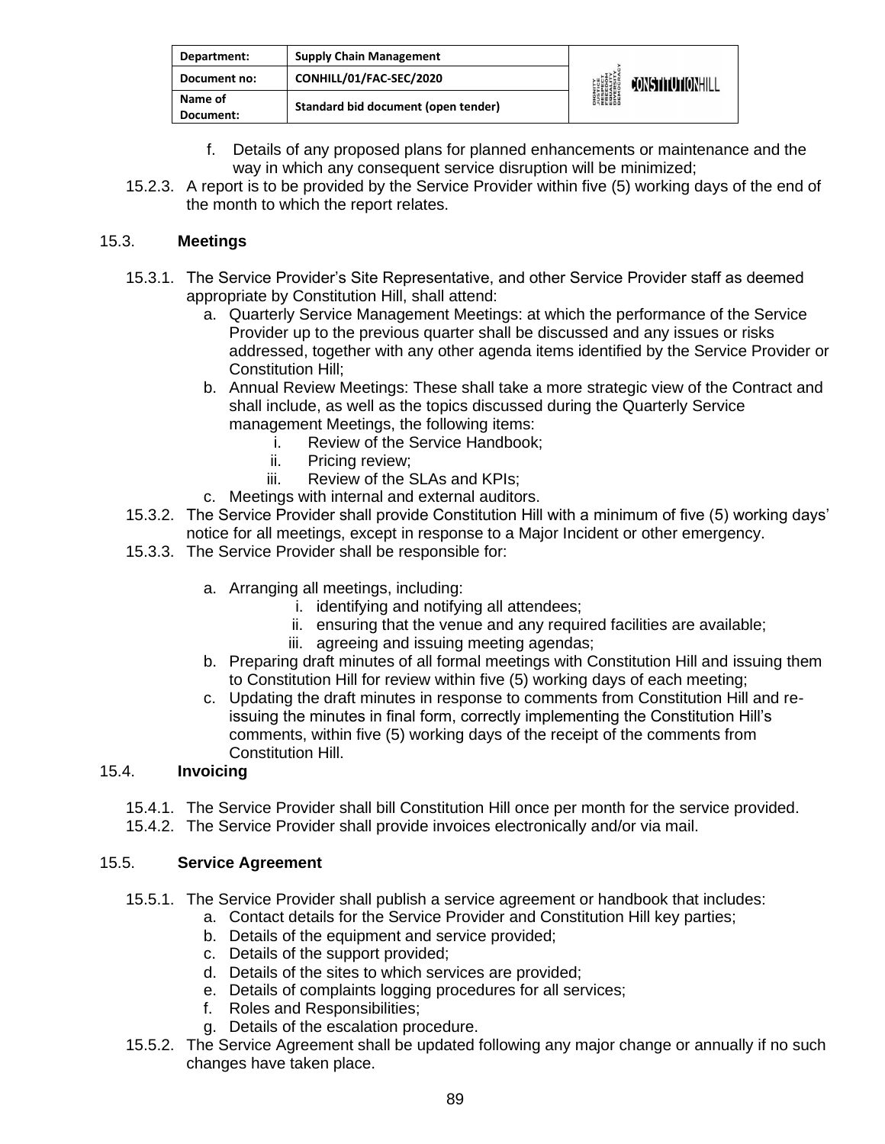| Department:          | <b>Supply Chain Management</b>      |                                                                                                           |                         |
|----------------------|-------------------------------------|-----------------------------------------------------------------------------------------------------------|-------------------------|
| Document no:         | CONHILL/01/FAC-SEC/2020             | <b>DIGNITY</b><br><b><i>LUSTICE<br/>FRESPECT<br/>FRESPECT<br/>EDUCRATY</i><br/>DIVERSITY<br/>DEMOCRAN</b> | <b>JONSTITUTIONHILL</b> |
| Name of<br>Document: | Standard bid document (open tender) |                                                                                                           |                         |

- f. Details of any proposed plans for planned enhancements or maintenance and the way in which any consequent service disruption will be minimized;
- 15.2.3. A report is to be provided by the Service Provider within five (5) working days of the end of the month to which the report relates.

### 15.3. **Meetings**

- 15.3.1. The Service Provider's Site Representative, and other Service Provider staff as deemed appropriate by Constitution Hill, shall attend:
	- a. Quarterly Service Management Meetings: at which the performance of the Service Provider up to the previous quarter shall be discussed and any issues or risks addressed, together with any other agenda items identified by the Service Provider or Constitution Hill;
	- b. Annual Review Meetings: These shall take a more strategic view of the Contract and shall include, as well as the topics discussed during the Quarterly Service management Meetings, the following items:
		- i. Review of the Service Handbook;
		- ii. Pricing review;
		- iii. Review of the SLAs and KPIs;
	- c. Meetings with internal and external auditors.
- 15.3.2. The Service Provider shall provide Constitution Hill with a minimum of five (5) working days' notice for all meetings, except in response to a Major Incident or other emergency.
- 15.3.3. The Service Provider shall be responsible for:
	- a. Arranging all meetings, including:
		- i. identifying and notifying all attendees;
		- ii. ensuring that the venue and any required facilities are available;
		- iii. agreeing and issuing meeting agendas;
	- b. Preparing draft minutes of all formal meetings with Constitution Hill and issuing them to Constitution Hill for review within five (5) working days of each meeting;
	- c. Updating the draft minutes in response to comments from Constitution Hill and reissuing the minutes in final form, correctly implementing the Constitution Hill's comments, within five (5) working days of the receipt of the comments from Constitution Hill.

## 15.4. **Invoicing**

- 15.4.1. The Service Provider shall bill Constitution Hill once per month for the service provided.
- 15.4.2. The Service Provider shall provide invoices electronically and/or via mail.

### 15.5. **Service Agreement**

- 15.5.1. The Service Provider shall publish a service agreement or handbook that includes:
	- a. Contact details for the Service Provider and Constitution Hill key parties;
	- b. Details of the equipment and service provided;
	- c. Details of the support provided;
	- d. Details of the sites to which services are provided;
	- e. Details of complaints logging procedures for all services;
	- f. Roles and Responsibilities;
	- g. Details of the escalation procedure.
- 15.5.2. The Service Agreement shall be updated following any major change or annually if no such changes have taken place.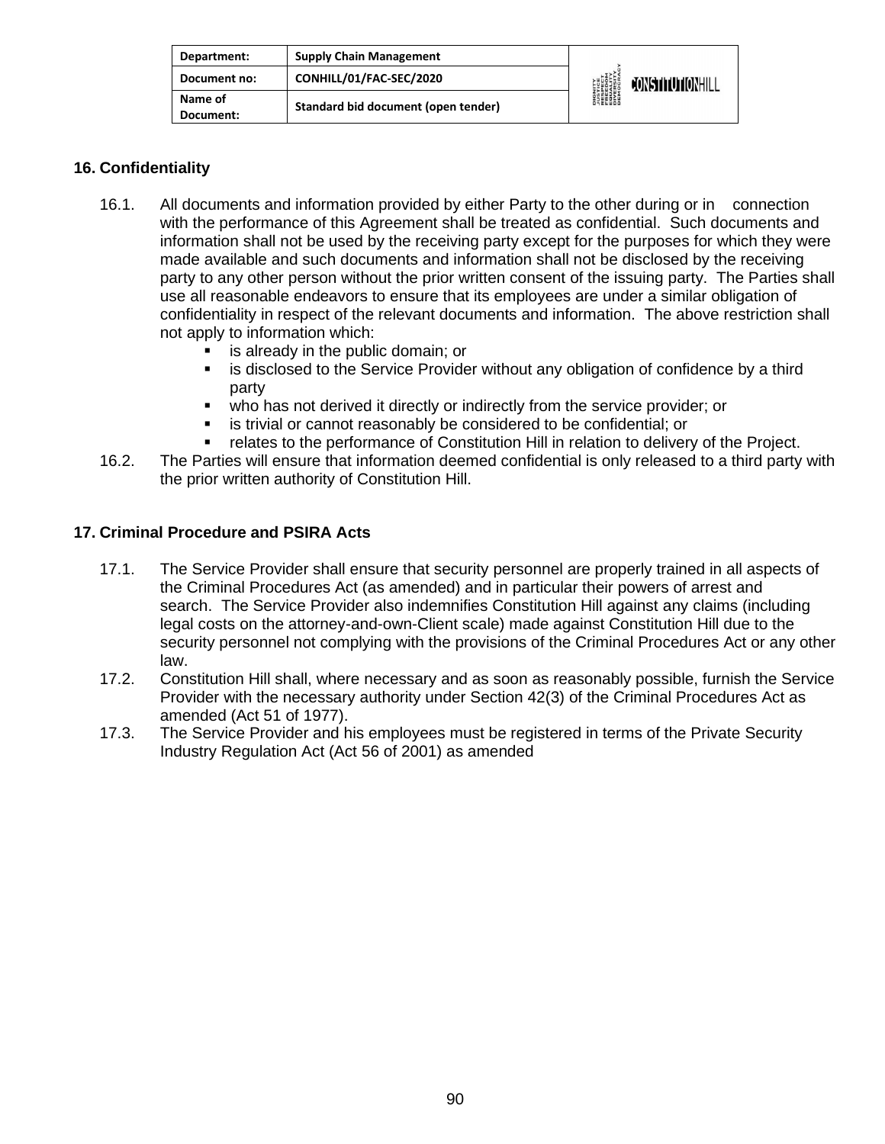| Department:          | <b>Supply Chain Management</b>      |                                                                                                                     |                  |
|----------------------|-------------------------------------|---------------------------------------------------------------------------------------------------------------------|------------------|
| Document no:         | CONHILL/01/FAC-SEC/2020             | <b>DIGNITY</b><br><b><i>NISTICE<br/>RESPECT<br/>RESPECT<br/>ERECOM<br/>DIVERSITY</i><br/>DIVERSITY<br/>DEMOCRAN</b> | CONSTITUTIONHILL |
| Name of<br>Document: | Standard bid document (open tender) |                                                                                                                     |                  |

### **16. Confidentiality**

- 16.1. All documents and information provided by either Party to the other during or in connection with the performance of this Agreement shall be treated as confidential. Such documents and information shall not be used by the receiving party except for the purposes for which they were made available and such documents and information shall not be disclosed by the receiving party to any other person without the prior written consent of the issuing party. The Parties shall use all reasonable endeavors to ensure that its employees are under a similar obligation of confidentiality in respect of the relevant documents and information. The above restriction shall not apply to information which:
	- **EXEC** is already in the public domain; or
	- **.** is disclosed to the Service Provider without any obligation of confidence by a third party
	- who has not derived it directly or indirectly from the service provider; or
	- is trivial or cannot reasonably be considered to be confidential; or
	- **•** relates to the performance of Constitution Hill in relation to delivery of the Project.
- 16.2. The Parties will ensure that information deemed confidential is only released to a third party with the prior written authority of Constitution Hill.

### **17. Criminal Procedure and PSIRA Acts**

- 17.1. The Service Provider shall ensure that security personnel are properly trained in all aspects of the Criminal Procedures Act (as amended) and in particular their powers of arrest and search. The Service Provider also indemnifies Constitution Hill against any claims (including legal costs on the attorney-and-own-Client scale) made against Constitution Hill due to the security personnel not complying with the provisions of the Criminal Procedures Act or any other law.
- 17.2. Constitution Hill shall, where necessary and as soon as reasonably possible, furnish the Service Provider with the necessary authority under Section 42(3) of the Criminal Procedures Act as amended (Act 51 of 1977).
- 17.3. The Service Provider and his employees must be registered in terms of the Private Security Industry Regulation Act (Act 56 of 2001) as amended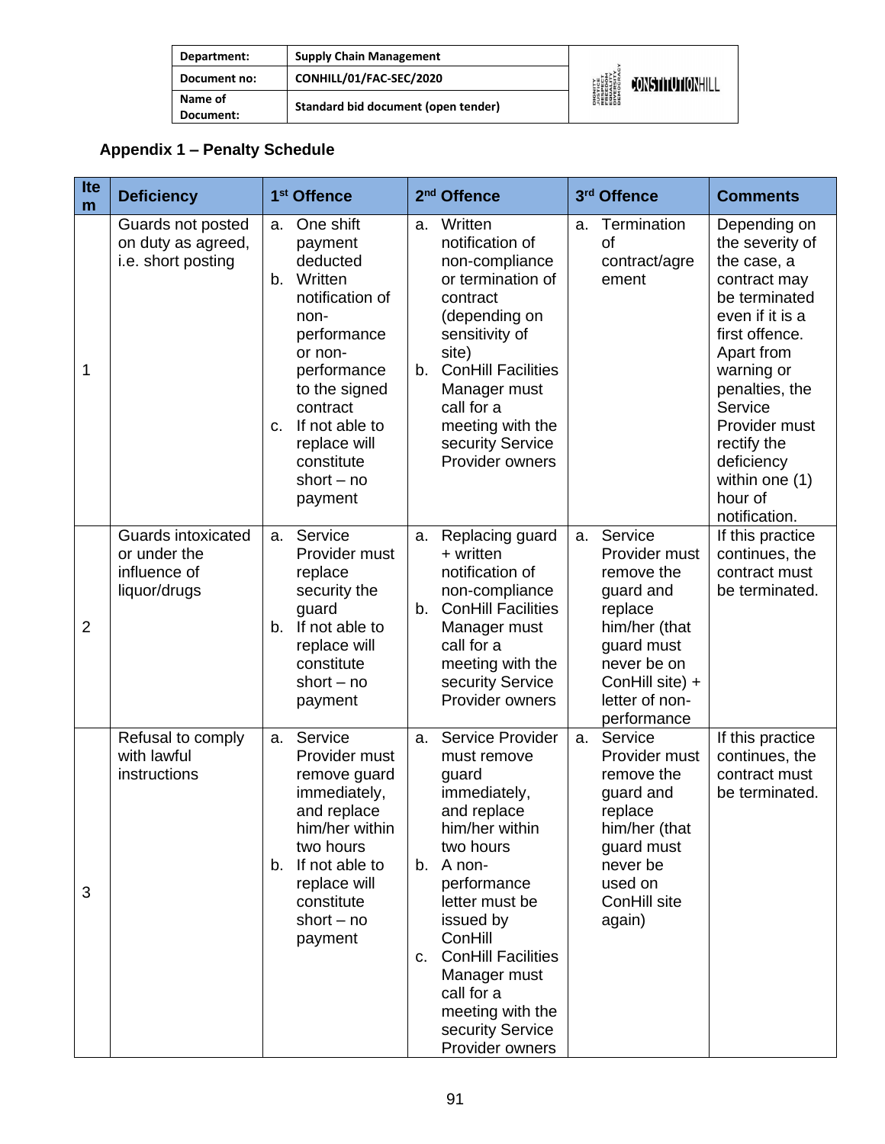| Department:          | <b>Supply Chain Management</b>      |                                                                                             |                         |
|----------------------|-------------------------------------|---------------------------------------------------------------------------------------------|-------------------------|
| Document no:         | CONHILL/01/FAC-SEC/2020             | <b>DIGNITY<br/>AUSTICE<br/>RESPECT<br/>RESPECT<br/>EQUERSITY<br/>DIVERSITY</b><br>DIVERSITY | <b>JONSTITUTIONHILL</b> |
| Name of<br>Document: | Standard bid document (open tender) |                                                                                             |                         |

# **Appendix 1 – Penalty Schedule**

| Ite<br>m       | <b>Deficiency</b>                                                  | 1 <sup>st</sup> Offence                                                                                                                                                                                                                   | 2 <sup>nd</sup> Offence                                                                                                                                                                                                                                                                                           | 3rd Offence                                                                                                                                                            | <b>Comments</b>                                                                                                                                                                                                                                                           |
|----------------|--------------------------------------------------------------------|-------------------------------------------------------------------------------------------------------------------------------------------------------------------------------------------------------------------------------------------|-------------------------------------------------------------------------------------------------------------------------------------------------------------------------------------------------------------------------------------------------------------------------------------------------------------------|------------------------------------------------------------------------------------------------------------------------------------------------------------------------|---------------------------------------------------------------------------------------------------------------------------------------------------------------------------------------------------------------------------------------------------------------------------|
| 1              | Guards not posted<br>on duty as agreed,<br>i.e. short posting      | One shift<br>a.<br>payment<br>deducted<br>Written<br>b.<br>notification of<br>non-<br>performance<br>or non-<br>performance<br>to the signed<br>contract<br>If not able to<br>c.<br>replace will<br>constitute<br>short $-$ no<br>payment | Written<br>a.<br>notification of<br>non-compliance<br>or termination of<br>contract<br>(depending on<br>sensitivity of<br>site)<br><b>ConHill Facilities</b><br>b.<br>Manager must<br>call for a<br>meeting with the<br>security Service<br>Provider owners                                                       | Termination<br>a.<br><b>of</b><br>contract/agre<br>ement                                                                                                               | Depending on<br>the severity of<br>the case, a<br>contract may<br>be terminated<br>even if it is a<br>first offence.<br>Apart from<br>warning or<br>penalties, the<br>Service<br>Provider must<br>rectify the<br>deficiency<br>within one (1)<br>hour of<br>notification. |
| $\overline{2}$ | Guards intoxicated<br>or under the<br>influence of<br>liquor/drugs | Service<br>a.<br>Provider must<br>replace<br>security the<br>guard<br>If not able to<br>b.<br>replace will<br>constitute<br>short $-$ no<br>payment                                                                                       | Replacing guard<br>a.<br>+ written<br>notification of<br>non-compliance<br><b>ConHill Facilities</b><br>$b_{\cdot}$<br>Manager must<br>call for a<br>meeting with the<br>security Service<br>Provider owners                                                                                                      | Service<br>a.<br>Provider must<br>remove the<br>guard and<br>replace<br>him/her (that<br>guard must<br>never be on<br>ConHill site) +<br>letter of non-<br>performance | If this practice<br>continues, the<br>contract must<br>be terminated.                                                                                                                                                                                                     |
| 3              | Refusal to comply<br>with lawful<br>instructions                   | Service<br>a.<br>Provider must<br>remove guard<br>immediately,<br>and replace<br>him/her within<br>two hours<br>b. If not able to<br>replace will<br>constitute<br>short $-$ no<br>payment                                                | Service Provider<br>a.<br>must remove<br>guard<br>immediately,<br>and replace<br>him/her within<br>two hours<br>A non-<br>b.<br>performance<br>letter must be<br>issued by<br>ConHill<br><b>ConHill Facilities</b><br>C.<br>Manager must<br>call for a<br>meeting with the<br>security Service<br>Provider owners | Service<br>a.<br>Provider must<br>remove the<br>guard and<br>replace<br>him/her (that<br>guard must<br>never be<br>used on<br>ConHill site<br>again)                   | If this practice<br>continues, the<br>contract must<br>be terminated.                                                                                                                                                                                                     |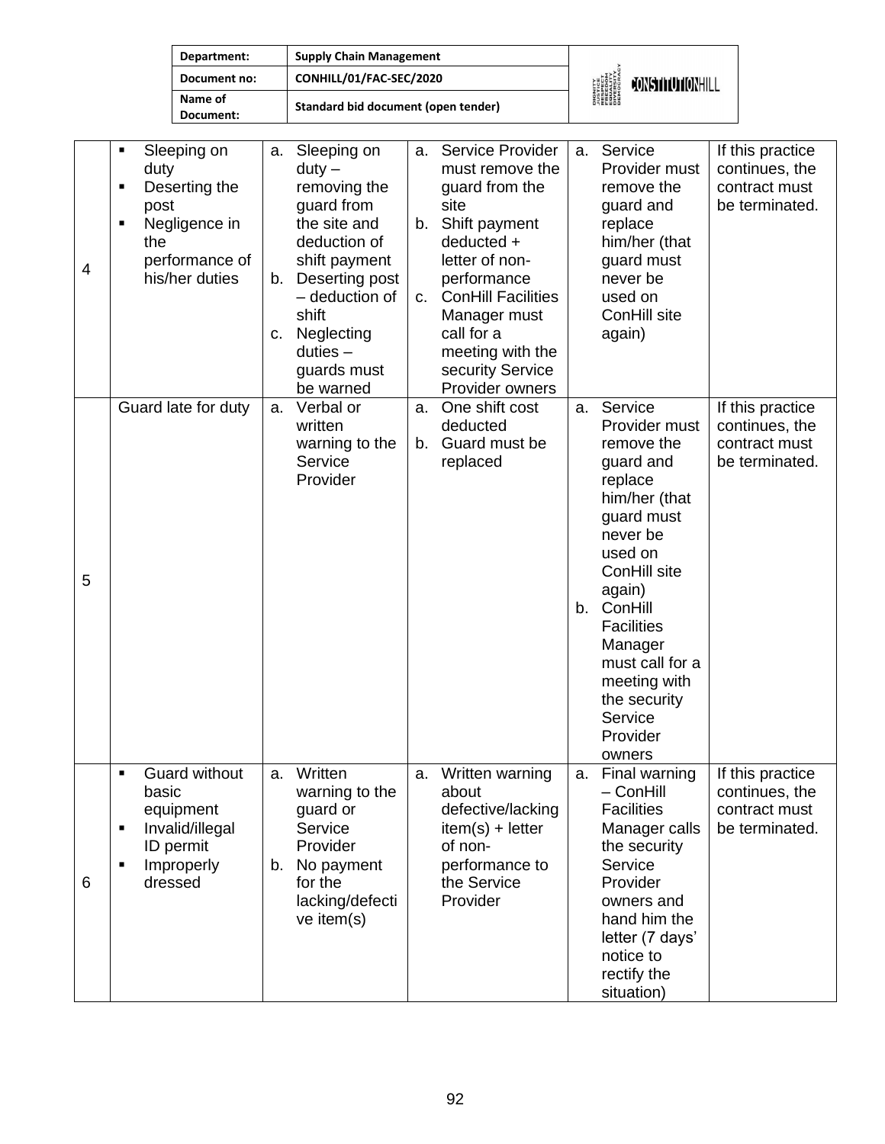| Department:          | <b>Supply Chain Management</b>      |                                                                                           |                  |
|----------------------|-------------------------------------|-------------------------------------------------------------------------------------------|------------------|
| Document no:         | CONHILL/01/FAC-SEC/2020             | <b>DIGNITY<br/>JUSTICE<br/>FRESPECT<br/>FRESITY<br/>EQUALITY</b><br>DIVERSITY<br>DIROCRAL | CONSTITUTIONHILL |
| Name of<br>Document: | Standard bid document (open tender) |                                                                                           |                  |

| 4 | Sleeping on<br>٠<br>duty<br>Deserting the<br>Ξ<br>post<br>Negligence in<br>П<br>the<br>performance of<br>his/her duties         | a.<br>b.<br>C. | Sleeping on<br>$duty -$<br>removing the<br>guard from<br>the site and<br>deduction of<br>shift payment<br>Deserting post<br>- deduction of<br>shift<br>Neglecting<br>$duties -$<br>guards must<br>be warned | a.<br>b.<br>C. | Service Provider<br>must remove the<br>guard from the<br>site<br>Shift payment<br>deducted +<br>letter of non-<br>performance<br><b>ConHill Facilities</b><br>Manager must<br>call for a<br>meeting with the<br>security Service<br>Provider owners | a. | Service<br>Provider must<br>remove the<br>guard and<br>replace<br>him/her (that<br>guard must<br>never be<br>used on<br>ConHill site<br>again)                                                                                                                                   | If this practice<br>continues, the<br>contract must<br>be terminated. |
|---|---------------------------------------------------------------------------------------------------------------------------------|----------------|-------------------------------------------------------------------------------------------------------------------------------------------------------------------------------------------------------------|----------------|-----------------------------------------------------------------------------------------------------------------------------------------------------------------------------------------------------------------------------------------------------|----|----------------------------------------------------------------------------------------------------------------------------------------------------------------------------------------------------------------------------------------------------------------------------------|-----------------------------------------------------------------------|
| 5 | Guard late for duty                                                                                                             | a.             | Verbal or<br>written<br>warning to the<br>Service<br>Provider                                                                                                                                               | a.<br>b.       | One shift cost<br>deducted<br>Guard must be<br>replaced                                                                                                                                                                                             | a. | Service<br>Provider must<br>remove the<br>guard and<br>replace<br>him/her (that<br>guard must<br>never be<br>used on<br>ConHill site<br>again)<br>b. ConHill<br><b>Facilities</b><br>Manager<br>must call for a<br>meeting with<br>the security<br>Service<br>Provider<br>owners | If this practice<br>continues, the<br>contract must<br>be terminated. |
| 6 | <b>Guard without</b><br>Ξ<br>basic<br>equipment<br>Invalid/illegal<br>Ξ<br>ID permit<br>Improperly<br>$\blacksquare$<br>dressed | a.<br>b.       | Written<br>warning to the<br>guard or<br>Service<br>Provider<br>No payment<br>for the<br>lacking/defecti<br>ve item(s)                                                                                      | a.             | Written warning<br>about<br>defective/lacking<br>$item(s) + letter$<br>of non-<br>performance to<br>the Service<br>Provider                                                                                                                         | а. | Final warning<br>$-$ ConHill<br><b>Facilities</b><br>Manager calls<br>the security<br>Service<br>Provider<br>owners and<br>hand him the<br>letter (7 days'<br>notice to<br>rectify the<br>situation)                                                                             | If this practice<br>continues, the<br>contract must<br>be terminated. |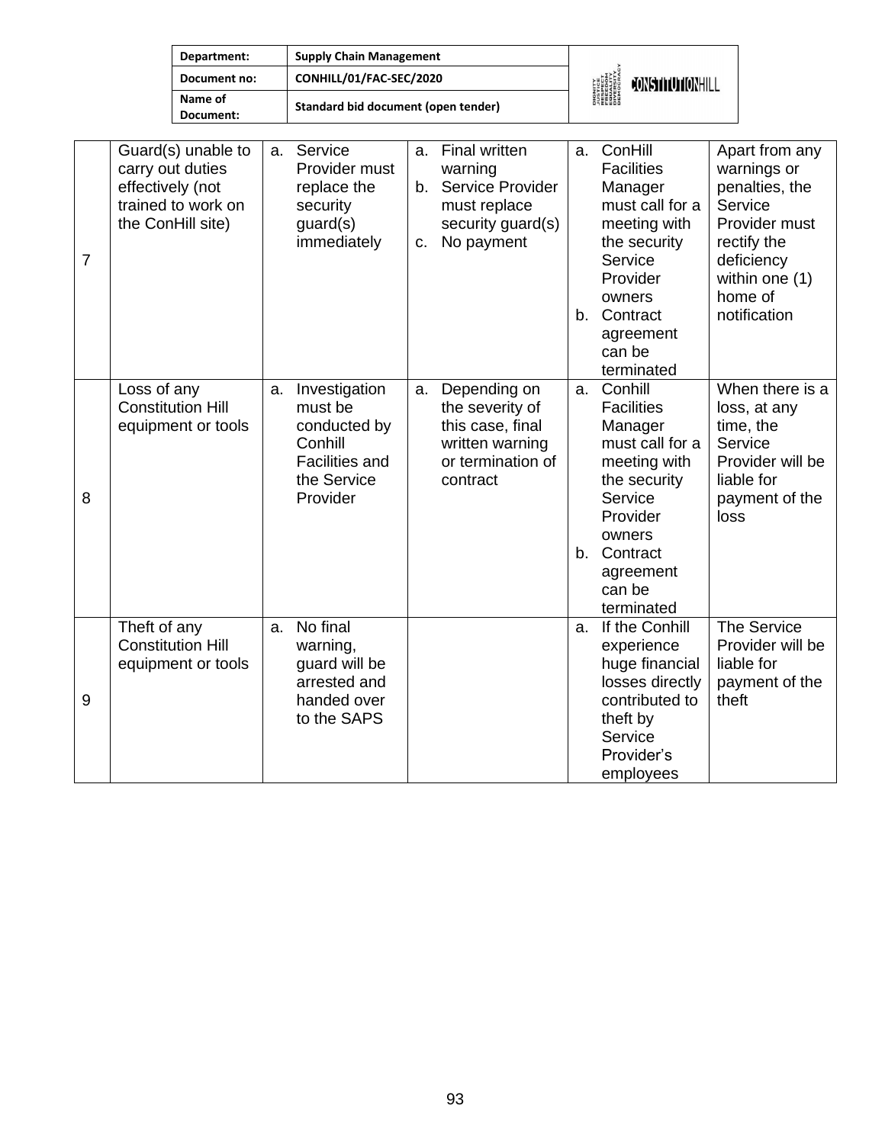| Department:          | <b>Supply Chain Management</b>      |                                                                                           |                  |
|----------------------|-------------------------------------|-------------------------------------------------------------------------------------------|------------------|
| Document no:         | CONHILL/01/FAC-SEC/2020             | <b>DIGNITY<br/>JUSTICE<br/>RESPECT<br/>FREEDOM<br/>FREEDOM<br/>DIVERSITY<br/>DIROCRAV</b> | CONSTITUTIONHILL |
| Name of<br>Document: | Standard bid document (open tender) |                                                                                           |                  |

| $\overline{7}$ | Guard(s) unable to<br>carry out duties<br>effectively (not<br>trained to work on<br>the ConHill site) | a. | Service<br>Provider must<br>replace the<br>security<br>guard(s)<br>immediately                          | a.<br>C. | Final written<br>warning<br>b. Service Provider<br>must replace<br>security guard(s)<br>No payment      |          | a. ConHill<br><b>Facilities</b><br>Manager<br>must call for a<br>meeting with<br>the security<br>Service<br>Provider<br>owners<br>b. Contract<br>agreement<br>can be<br>terminated | Apart from any<br>warnings or<br>penalties, the<br>Service<br>Provider must<br>rectify the<br>deficiency<br>within one (1)<br>home of<br>notification |
|----------------|-------------------------------------------------------------------------------------------------------|----|---------------------------------------------------------------------------------------------------------|----------|---------------------------------------------------------------------------------------------------------|----------|------------------------------------------------------------------------------------------------------------------------------------------------------------------------------------|-------------------------------------------------------------------------------------------------------------------------------------------------------|
| 8              | Loss of any<br><b>Constitution Hill</b><br>equipment or tools                                         | a. | Investigation<br>must be<br>conducted by<br>Conhill<br><b>Facilities and</b><br>the Service<br>Provider | a.       | Depending on<br>the severity of<br>this case, final<br>written warning<br>or termination of<br>contract | a.<br>b. | Conhill<br><b>Facilities</b><br>Manager<br>must call for a<br>meeting with<br>the security<br>Service<br>Provider<br>owners<br>Contract<br>agreement<br>can be<br>terminated       | When there is a<br>loss, at any<br>time, the<br>Service<br>Provider will be<br>liable for<br>payment of the<br>loss                                   |
| 9              | Theft of any<br><b>Constitution Hill</b><br>equipment or tools                                        | a. | No final<br>warning,<br>guard will be<br>arrested and<br>handed over<br>to the SAPS                     |          |                                                                                                         | a.       | If the Conhill<br>experience<br>huge financial<br>losses directly<br>contributed to<br>theft by<br>Service<br>Provider's<br>employees                                              | The Service<br>Provider will be<br>liable for<br>payment of the<br>theft                                                                              |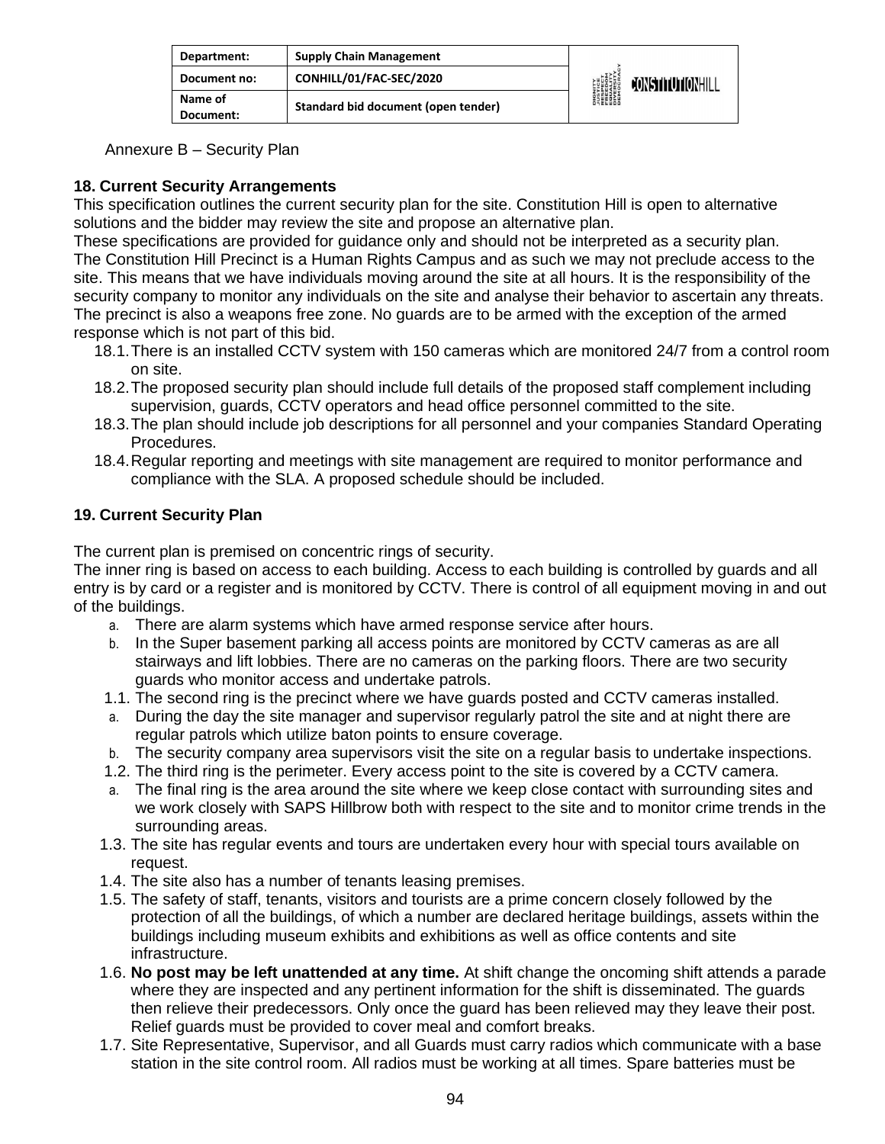| Department:          | <b>Supply Chain Management</b>      |                                                                                                           |                        |
|----------------------|-------------------------------------|-----------------------------------------------------------------------------------------------------------|------------------------|
| Document no:         | CONHILL/01/FAC-SEC/2020             | <b>DIGNITY</b><br><b><i>LUSTICE<br/>FRESPECT<br/>FRESPECT<br/>EDUCRATY</i><br/>DIVERSITY<br/>DEMOCRAN</b> | <b>JONSTHUTIONHILL</b> |
| Name of<br>Document: | Standard bid document (open tender) |                                                                                                           |                        |

Annexure B – Security Plan

## **18. Current Security Arrangements**

This specification outlines the current security plan for the site. Constitution Hill is open to alternative solutions and the bidder may review the site and propose an alternative plan.

These specifications are provided for guidance only and should not be interpreted as a security plan. The Constitution Hill Precinct is a Human Rights Campus and as such we may not preclude access to the site. This means that we have individuals moving around the site at all hours. It is the responsibility of the security company to monitor any individuals on the site and analyse their behavior to ascertain any threats. The precinct is also a weapons free zone. No guards are to be armed with the exception of the armed response which is not part of this bid.

- 18.1.There is an installed CCTV system with 150 cameras which are monitored 24/7 from a control room on site.
- 18.2.The proposed security plan should include full details of the proposed staff complement including supervision, guards, CCTV operators and head office personnel committed to the site.
- 18.3.The plan should include job descriptions for all personnel and your companies Standard Operating Procedures.
- 18.4.Regular reporting and meetings with site management are required to monitor performance and compliance with the SLA. A proposed schedule should be included.

## **19. Current Security Plan**

The current plan is premised on concentric rings of security.

The inner ring is based on access to each building. Access to each building is controlled by guards and all entry is by card or a register and is monitored by CCTV. There is control of all equipment moving in and out of the buildings.

- a. There are alarm systems which have armed response service after hours.
- b. In the Super basement parking all access points are monitored by CCTV cameras as are all stairways and lift lobbies. There are no cameras on the parking floors. There are two security guards who monitor access and undertake patrols.
- 1.1. The second ring is the precinct where we have guards posted and CCTV cameras installed.
- a. During the day the site manager and supervisor regularly patrol the site and at night there are regular patrols which utilize baton points to ensure coverage.
- b. The security company area supervisors visit the site on a regular basis to undertake inspections.
- 1.2. The third ring is the perimeter. Every access point to the site is covered by a CCTV camera.
- a. The final ring is the area around the site where we keep close contact with surrounding sites and we work closely with SAPS Hillbrow both with respect to the site and to monitor crime trends in the surrounding areas.
- 1.3. The site has regular events and tours are undertaken every hour with special tours available on request.
- 1.4. The site also has a number of tenants leasing premises.
- 1.5. The safety of staff, tenants, visitors and tourists are a prime concern closely followed by the protection of all the buildings, of which a number are declared heritage buildings, assets within the buildings including museum exhibits and exhibitions as well as office contents and site infrastructure.
- 1.6. **No post may be left unattended at any time.** At shift change the oncoming shift attends a parade where they are inspected and any pertinent information for the shift is disseminated. The guards then relieve their predecessors. Only once the guard has been relieved may they leave their post. Relief guards must be provided to cover meal and comfort breaks.
- 1.7. Site Representative, Supervisor, and all Guards must carry radios which communicate with a base station in the site control room. All radios must be working at all times. Spare batteries must be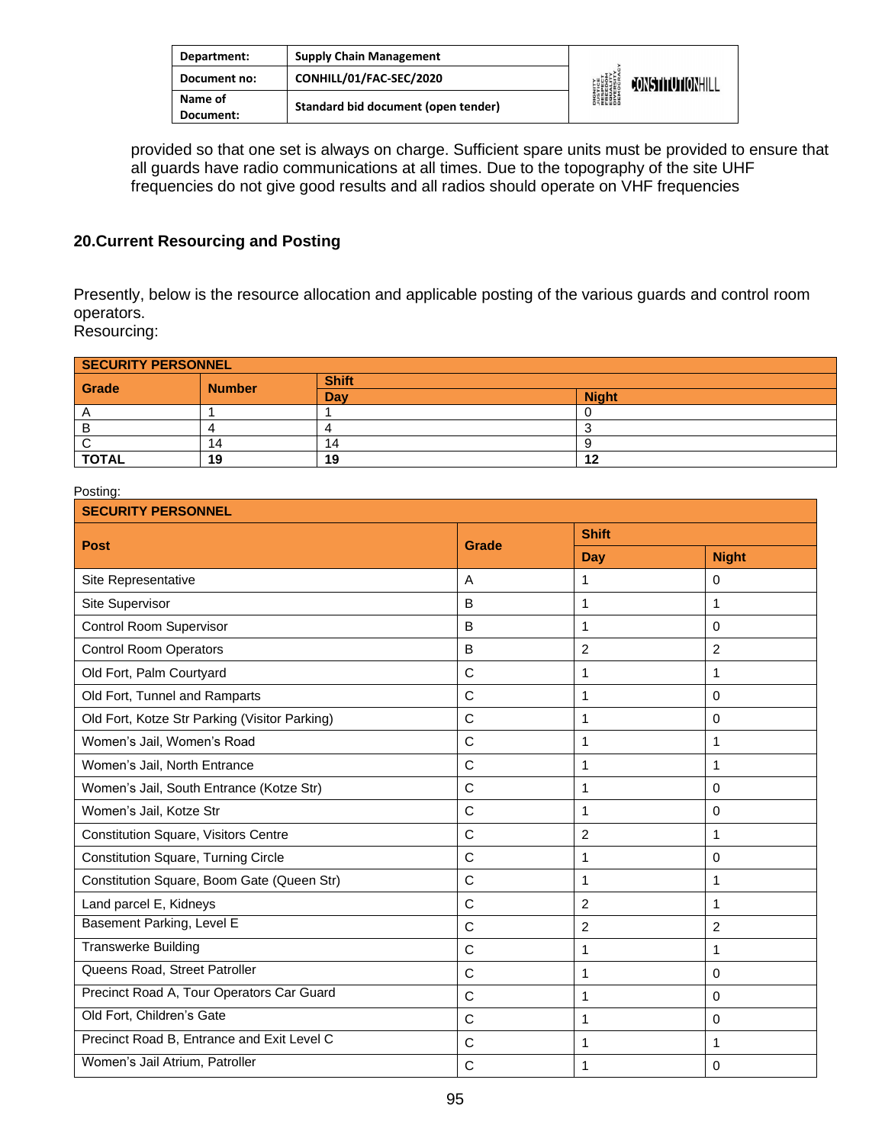| Department:          | <b>Supply Chain Management</b>      |                                                                                                                     |                         |
|----------------------|-------------------------------------|---------------------------------------------------------------------------------------------------------------------|-------------------------|
| Document no:         | CONHILL/01/FAC-SEC/2020             | <b>DIGNITY</b><br><b><i>NISTICE<br/>RESPECT<br/>RESPECT<br/>ERECOM<br/>DIVERSITY</i><br/>DIVERSITY<br/>DEMOCRAN</b> | <b>FONSTITUTIONHILL</b> |
| Name of<br>Document: | Standard bid document (open tender) |                                                                                                                     |                         |

provided so that one set is always on charge. Sufficient spare units must be provided to ensure that all guards have radio communications at all times. Due to the topography of the site UHF frequencies do not give good results and all radios should operate on VHF frequencies

### **20.Current Resourcing and Posting**

Presently, below is the resource allocation and applicable posting of the various guards and control room operators.

Resourcing:

| <b>SECURITY PERSONNEL</b> |               |              |              |  |
|---------------------------|---------------|--------------|--------------|--|
| Grade                     | <b>Number</b> | <b>Shift</b> |              |  |
|                           |               | Dav          | <b>Night</b> |  |
|                           |               |              |              |  |
|                           |               |              |              |  |
|                           | 14            | 14           |              |  |
| <b>TOTAL</b>              | 19            | 19           | 10           |  |

#### Posting:

| <b>SECURITY PERSONNEL</b>                     |              |                |                |  |
|-----------------------------------------------|--------------|----------------|----------------|--|
| <b>Post</b>                                   | <b>Grade</b> | <b>Shift</b>   |                |  |
|                                               |              | <b>Day</b>     | <b>Night</b>   |  |
| Site Representative                           | A            | 1              | 0              |  |
| Site Supervisor                               | B            | 1              | 1              |  |
| Control Room Supervisor                       | B            | 1              | $\Omega$       |  |
| <b>Control Room Operators</b>                 | B            | $\overline{2}$ | $\overline{2}$ |  |
| Old Fort, Palm Courtyard                      | $\mathsf{C}$ | 1              | 1              |  |
| Old Fort, Tunnel and Ramparts                 | $\mathsf{C}$ | 1              | $\Omega$       |  |
| Old Fort, Kotze Str Parking (Visitor Parking) | $\mathsf{C}$ | 1              | $\Omega$       |  |
| Women's Jail, Women's Road                    | $\mathsf{C}$ | 1              | 1              |  |
| Women's Jail, North Entrance                  | $\mathsf{C}$ | 1              | 1              |  |
| Women's Jail, South Entrance (Kotze Str)      | $\mathsf{C}$ | 1              | $\Omega$       |  |
| Women's Jail, Kotze Str                       | $\mathsf{C}$ | 1              | $\Omega$       |  |
| <b>Constitution Square, Visitors Centre</b>   | $\mathsf{C}$ | $\overline{c}$ | 1              |  |
| <b>Constitution Square, Turning Circle</b>    | $\mathsf{C}$ | 1              | $\Omega$       |  |
| Constitution Square, Boom Gate (Queen Str)    | $\mathsf{C}$ | 1              | 1              |  |
| Land parcel E, Kidneys                        | $\mathsf{C}$ | $\overline{2}$ | 1              |  |
| Basement Parking, Level E                     | C            | $\overline{2}$ | $\overline{2}$ |  |
| <b>Transwerke Building</b>                    | $\mathsf{C}$ | 1              | 1              |  |
| Queens Road, Street Patroller                 | $\mathsf{C}$ | 1              | $\Omega$       |  |
| Precinct Road A, Tour Operators Car Guard     | $\mathsf{C}$ | 1              | $\Omega$       |  |
| Old Fort, Children's Gate                     | $\mathsf{C}$ | 1              | $\Omega$       |  |
| Precinct Road B, Entrance and Exit Level C    | $\mathsf{C}$ | 1              | 1              |  |
| Women's Jail Atrium, Patroller                | C            | 1              | $\Omega$       |  |